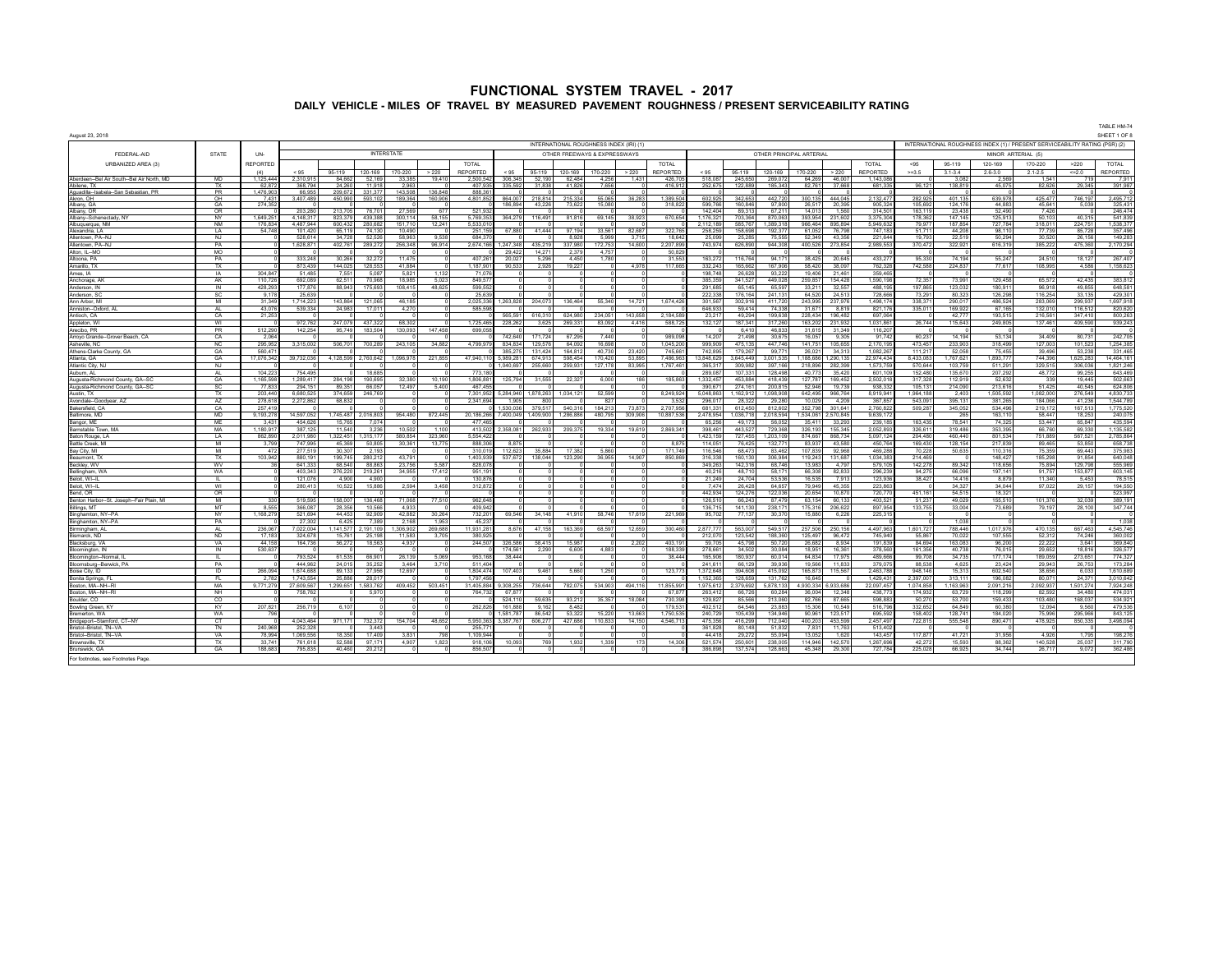| INTERNATIONAL ROUGHNESS INDEX (IRI) (1)<br>INTERNATIONAL ROUGHNESS INDEX (1) / PRESENT SERVICEABILITY RATING (PSR) (2)<br><b>INTERSTATE</b><br><b>STATE</b><br>FEDERAL-AID<br>UN-<br>OTHER FREEWAYS & EXPRESSWAYS<br>OTHER PRINCIPAL ARTERIAL<br>MINOR ARTERIAL (5)<br>URBANIZED AREA (3)<br><b>REPORTED</b><br>TOTAL<br><b>TOTAL</b><br>TOTAL<br>170-220<br><b>TOTAL</b><br>< 95<br>95-119<br>120-169<br>>220<br>REPORTED<br><b>REPORTED</b><br><b>REPORTED</b><br><b>REPORTED</b><br>< 95<br>95-119<br>120-169<br>>220<br>< 95<br>120-169<br>< 95<br>95-119<br>120-169<br>170-220<br>>220<br>$>=3.5$<br>$3.1 - 3.4$<br>$2.6 - 3.0$<br>$2.1 - 2.5$<br>$=2.0$<br>(A)<br>170-220<br>95-119<br>170-220<br>>220<br>Aherdeen-Bel Air South--Bel Air North MD<br><b>MD</b><br>306 345<br>518.087<br>231091<br>52 169<br>19410<br>52 190<br>62484<br>245.65<br>791<br>1 125 444<br>84 662<br>33.385<br>2500542<br>4.258<br>426.70<br>269.072<br>64 269<br>46.007<br>1 143 08<br>1.43<br>3.082<br>1.541<br>2.56<br>719<br>Abilene, TX<br>TX<br>62,87<br>368,79<br>2,963<br>407.93<br>7.65<br>416,91<br>252,67<br>82,761<br>37 661<br>681,33<br>138,819<br>45,07<br>82,626<br>29,345<br>391,98<br>24.26<br>1191<br>335 592<br>31.83<br>41826<br>122.88<br>185.343<br>96.12<br>PR<br>Aguadilla--Isabela--San Sebastian, PR<br>1.476.90<br>66.95<br>209,67<br>331.37<br>143,508<br>136,848<br>888.36<br>O <sub>H</sub><br>7.43<br>4801852<br>215 334<br>442 720<br>401.13<br>746 197<br>2,495,71<br>450.990<br>503.10<br>189 364<br>160,906<br>864,007<br>218 814<br>55.065<br>1 389 504<br>602.92<br>342.651<br>300 135<br>444,045<br>2 132 47<br>639.978<br>425, 477<br>Akron OH<br>3.407.48<br>36.283<br>282.925<br>325,43<br>Albany, GA<br>GA<br>274.35<br>186 894<br>43,226<br>73,622<br>15,080<br>318,822<br>599.76<br>160 846<br>97.800<br>26.517<br>20,395<br>905,324<br>105.692<br>124 17<br>44.88<br>45 641<br>5,039<br>Albany, OR<br>OR<br>203.28<br>213,705<br>76,701<br>27.569<br>677<br>521 933<br>142.40<br>89.313<br>67.211<br>14 013<br>1.560<br>314.50<br>163.119<br>23,438<br>52,490<br>7,426<br><b>NY</b><br>4.148.31<br>58 155<br>670.654<br>1.176.32<br>870.063<br>393.954<br>231.602<br>3.375.30<br>178.362<br>50.103<br>40.315<br>541.83<br>Alhany-Schenertady NY<br>1 649 25<br>823.37<br>439 388<br>300 114<br>5 769 35<br>364 279<br>116 491<br>81816<br>38 923<br>703.36<br>147 145<br>125 91<br>69 145<br><b>NM</b><br>4,487,94<br>600,43<br>151,71<br>12,241<br>5,533,0<br>58576<br>1,389,31<br>966 464<br>895,894<br>5,949,63<br>79,97<br>187 85<br>727,78<br>318,01<br>224,75<br>1,538,37<br>Albuquerque, NM<br>176.8<br>280 68<br>112.18<br>1A<br>54.7<br>101,42<br>65 11<br>74 13<br>10,49<br>251,159<br>41,444<br>97 194<br>322,76<br>158.69<br>76,798<br>747,18<br>51,71<br>44,20<br>98,11<br>77,739<br>357,49<br>Alexandria, LA<br>67 880<br>33.56<br>82.68<br>258.2<br>192.37<br>61 052<br>85.72<br>NJ<br>528.61<br>52.526<br>58,963<br>9.538<br>684.37<br>5.999<br>3.715<br>18.642<br>75.555<br>52.349<br>43.356<br>221.644<br>19,793<br>30.520<br>149.28<br>34 728<br>8.928<br>25.285<br>22.51<br>50.294<br>26 156<br>Allentown, PA-N.<br>25.09<br>PA<br>1.628.87<br>96.914<br>2.674.166<br>1.247.348<br>435.219<br>337,980<br>14,600<br>2.207.899<br>743.974<br>626,890<br>944,308<br>400.526<br>273.854<br>2.989.55<br>370.472<br>616.319<br>475.360<br>2,170,29<br>Allentown PA-N.<br>402761<br>289 272<br>256 348<br>172 75<br>322.92<br>385 222<br>Alton, IL-MO<br>MO<br>29,422<br>14,271<br>2,379<br>475<br>50.82<br>PA<br>333.24<br>32,272<br>20.027<br>4.450<br>178<br>31.55<br>116,764<br>94.17<br>20.645<br>433.27<br>74.194<br>55.247<br>24,510<br>18.127<br>267,407<br>Altoona, PA<br>30.266<br>11.475<br>407.26<br>5,296<br>163.27<br>38 425<br>95.330<br>TX<br>873.43<br>144 025<br>128.553<br>41.884<br>1 187 90<br>90.533<br>2.926<br>19.227<br>4978<br>117 665<br>332.243<br>165.662<br>167,906<br>58.420<br>38.097<br>762.32<br>742.588<br>224.837<br>77.617<br>108.995<br>4.586<br>1.158.62<br>Amarillo TX<br>304 84<br>51 48<br>7551<br>5.087<br>5821<br>1 1 3 2<br>71.076<br>19874<br>26.628<br>93.222<br>19,406<br>21 461<br>359.46<br>Ames, IA<br>IA<br>Anchorage, AK<br>AK<br>1107<br>692.08<br>62.51<br>70 968<br>18.985<br>5.023<br>849.577<br>385.35<br>341 527<br>449.028<br>259 857<br>154 428<br>1 590 19<br>72 357<br>73.991<br>129 458<br>65 572<br>42 435<br>383 813<br>428.29<br>48.625<br>291.685<br>65.597<br>32.557<br>648.58<br>Anderson, IN<br>IN<br>177.87<br>88.943<br>175,693<br>108.415<br>599.552<br>65.145<br>33.211<br>488.19<br>197.865<br>123.03<br>180.91<br>96.918<br>49.855<br>25,63<br>25,639<br>728,66<br>116,254<br>33,135<br>429,30<br>Anderson, SO<br><b>SC</b><br>9.1<br>222.33<br>176.164<br>241.13<br>64.520<br>24.513<br>73.29<br>80.32<br>126.298<br>1.697.918<br>Ann Arhor M<br>MI<br>31.34<br>1714 22<br>143 864<br>121 065<br>46 185<br>2 025 336<br>1263828<br>204 073<br>136 464<br>55.340<br>14 721<br>1 674 426<br>301.56<br>302.916<br>411 720<br>243 995<br>237 976<br>1498 17<br>338.37<br>290.017<br>486 524<br>283,069<br>299 937<br>43.076<br>646.933<br>74.338<br>67.165<br>820.620<br>Anniston-Oxford<br>A1<br>539,334<br>24 983<br>17 011<br>4 2 7 0<br>585 598<br>59 414<br>31 671<br>8819<br>821 17<br>335 011<br>169 922<br>132 010<br>116512<br>CA<br>21,253<br>565 591<br>616,310<br>624,980<br>143,658<br>2,184,589<br>23,217<br>49,294<br>199,638<br>228,434<br>196,482<br>697,064<br>42777<br>193,515<br>216,561<br>347 410<br>800,263<br>Antioch, CA<br>234.051<br>WI<br>972,762<br>247 079<br>437,322<br>68.302<br>1,725,465<br>228,262<br>3,625<br>269,331<br>83,092<br>4416<br>588,725<br>132,127<br>187 341<br>317,260<br>163,202<br>231,932<br>1,031,861<br>26,744<br>115,643<br>249,805<br>137,461<br>409,590<br>Appleton, WI<br>PR<br>Arecibo, PR<br>512,290<br>142,254<br>95.749<br>183,504<br>130.093<br>147.458<br>699.058<br>6.410<br>46.833<br>31.615<br>31.349<br>116.20<br>21.498<br>30.675<br>91.742<br>242,705<br>CA<br>2.06<br>14 20<br>16 057<br>9.305<br>60,237<br>53 134<br>80 731<br>Arrovo Grande--Grover Beach, CA<br>742 640<br>171 724<br>67.295<br>7440<br>989.098<br>14 194<br>34 409<br>295.952<br>141 751<br>105 655<br>2 170 19<br>473 457<br>1.254.385<br><b>NC</b><br>34.882<br>129,576<br>64 092<br>16,698<br>1 045 20<br>999.90<br>475 135<br>447 746<br>233.903<br>318.499<br>127,003<br>101 523<br>Asheville NC<br>3,315,002<br>506 701<br>4,799,979<br>834 834<br>700.289<br>243 105<br>331.465<br>GA<br>560.47<br>111.217<br>75.455<br>Athens-Clarke County, GA<br>385,275<br>131 424<br>164.812<br>40.730<br>23.420<br>745 66<br>742.895<br>179,267<br>99.771<br>26,021<br>34.313<br>1.082.26<br>52.058<br>39 496<br>53.238<br>14.464.16<br>GA<br>17,076,34<br>189377<br>Atlanta, GA<br>39,732,036<br>4.128.599<br>2.760.642<br>1.096.978<br>221.855<br>47.940.110<br>5.989.281<br>674 913<br>598 454<br>170 420<br>53.895<br>7 486 96<br>13 848 62<br><b>GA5 440</b><br>3 001 535<br>188 686<br>1.290.135<br>22.974.434<br>8.433.083<br>1767 621<br>744 396<br>625,283<br>Atlantic City, NJ<br>N.1<br>329 515<br>1 040 697<br>255 660<br>259 931<br>127 178<br>83.995<br>1 767 46<br>365 31<br>309.982<br>397 166<br>218 896<br>282 399<br>157375<br>570 644<br>103 75<br>511.29<br>306 036<br>152 480<br>Auburn Al<br><b>AL</b><br>104 22<br>754 49<br>18 685<br>773 180<br>289.08<br>107.331<br>128,498<br>35420<br>601 10<br>135 670<br>207.29<br>48.772<br>99 255<br>40 773<br>GA<br>1.165.59<br>1.289.41<br>190.695<br>1.806.881<br>1.332.45<br>453.884<br>418.439<br>127,787<br>169.452<br>2,502.01<br>112,919<br>52.632<br>19.445<br>502.663<br>Augusta-Richmond County, GA-SC<br>10 190<br>125 794<br>31 555<br>22.327<br>186<br>185.863<br>317 32<br>339<br>284 198<br>32.380<br>6.000<br>Augusta-Richmond County, GA--SC<br>SC<br>77,833<br>89.351<br>66.057<br>5.400<br>467.455<br>390.67<br>274.161<br>200.815<br>19,739<br>938,332<br>105.131<br>214,090<br>213.616<br>51.425<br>40.545<br>624,806<br>294.15<br>12.497<br>52.946<br>1.505.59<br>4.830.73<br>Austin TX<br>TX<br>203,446<br>6 680 52<br>374 659<br>7 301 952<br>5 284 940<br>5 048 86<br>1 162 91:<br>1 098 908<br>642 495<br>966 764<br>891994<br>1964 188<br>082,000<br>276 549<br>1878 263<br>1 034 12:<br>52.599<br>8 249 924<br>2.40<br>246 769<br>AZ<br>278.618<br>2.341.694<br>367,857<br>1.544.78<br>68.832<br>1.905<br>800<br>827<br>3.53<br>296.01<br>28.323<br>29.280<br>10.029<br>4 2 0 9<br>543.091<br>395 131<br>381.265<br>184,066<br>41 236<br>Avondale-Goodyear AZ<br>2 272 863<br>257.41<br>184.213<br>2.707.956<br>812.602<br>352.798<br>301.641<br>2.760.822<br>509.287<br>345.052<br>534.496<br>1.775.52<br><b>Bakersfield CA</b><br>C.A<br>1 530 036<br>379 517<br>540 316<br>73873<br>681.33<br>612 450<br>219 172<br>167 513<br>Baltimore, MD<br>MD<br>9,193,27<br>14 597 05<br>745 487<br>,016,803<br>954,480<br>872,445<br>20,186,266<br>400.049<br>1409900<br>1 286 886<br>480.795<br>309,906<br>10 887 536<br>478 954<br>036 718<br>2 018 594<br>534 061<br>570 845<br>9 639 17<br>265<br>163,11<br>58,447<br>18.253<br>240,075<br>435,59<br>Bangor, ME<br>MF<br>3.43<br>454 62<br>1576<br>7.074<br>477 46<br>65 25<br>49.17<br>56.052<br>35 411<br>33.293<br>239 18<br>163 435<br>78.54<br>74.32<br>53.44<br>65.847<br>1,135,582<br>Barnstable Town, MA<br>MA<br>1.180.9<br>387.12<br>11.54<br>3,236<br>10,502<br>1.100<br>413.502<br>358.081<br>262.933<br>209.375<br>19.334<br>19.619<br>2.869.34<br>398.46<br>443.52<br>729,368<br>326,193<br>155,345<br>2.052.89<br>326.61<br>319.48<br>353.39<br>66,760<br>69.33<br>LA<br>862.89<br>2 011 98<br>.322.451<br>315 177<br>580.854<br>323.960<br>5 554 422<br>1.423.15<br>727 455<br>1.203.109<br>874.667<br>868 734<br>5 097 124<br>204.480<br>460 440<br>801.534<br>751.889<br>567 521<br>2.785.864<br>Baton Rouge, L<br>Battle Creek, MI<br>MI<br>3.79<br>747 99<br>45.369<br>50 805<br>30,361<br>13 7 7 5<br>888.30<br>8875<br>8,875<br>114 05<br>76,425<br>132.77<br>83,937<br>43,580<br>450 764<br>169,430<br>128 15<br>217 83<br>89 465<br>53 850<br>658,738<br>MI<br>277.51<br>17.382<br>171.749<br>116.546<br>469.28<br>70.228<br>110.31<br>75.359<br>Bay City, MI<br>472<br>30.30<br>2.193<br>310.01<br>112.623<br>35.884<br>5.860<br>68.47<br>83.462<br>107.839<br>92.968<br>50.635<br>69.443<br>TX<br>103,942<br>880,19<br>43,791<br>1,403,939<br>138,044<br>36,955<br>14 907<br>316,338<br>306,984<br>119,243<br>131,687<br>1,034,38<br>214,469<br>148,42<br>185,298<br>91,854<br>Beaumont, TX<br>199.74<br>280.212<br>537.672<br>123.290<br>850.86<br>160.13<br>WV<br>641.333<br>68.540<br>88.863<br>23,756<br>5587<br>828,078<br>349.26<br>142 316<br>68.746<br>13 983<br>4 7 9 7<br>579,105<br>142,278<br>89.342<br>118,656<br>75,894<br>129,798<br>555,969<br>Beckley, WV<br>WA<br>17412<br>197.141<br>603,14<br>Bellingham, W.<br>403.34<br>276,22<br>219.26<br>34.955<br>951.19<br>40,21<br>48.7<br>58.17<br>66,308<br>82.833<br>296,23<br>94,275<br>66.09<br>91,75<br>153.87<br>Beloit, WI--IL<br>121,07<br>4,90<br>4,900<br>130,876<br>21,249<br>53,536<br>16,535<br>7,913<br>123,936<br>38,427<br>8,879<br>11,340<br>5,453<br>78,51<br>ш.<br>24.704<br>14.41<br>Beloit, WI--IL<br>WI<br>280,41<br>10,522<br>15,886<br>2,594<br>3,458<br>312,872<br>747<br>26,428<br>64 657<br>79 949<br>45,355<br>223,86<br>34,327<br>34,044<br>97,022<br>29,157<br>194,55<br><b>OR</b><br>442.934<br>523,997<br>Bend, OR<br>124.276<br>122,036<br>20.654<br>10.870<br>720,77<br>451 161<br>54 515<br>18.32<br>389.19<br>0.41<br>519.59<br>136,468<br>71.068<br>77510<br><b>962 648</b><br>126.51<br>63.154<br>60.133<br>403.52<br>51 237<br>49.029<br>155,510<br>101.376<br>32 039<br>Benton Harbor--St Joseph--Fair Plain MI<br>330<br>158.007<br>$\sim$<br><b>66.243</b><br>87.479<br>MT<br>8.555<br>10.566<br>347,744<br>366.08<br>28.35F<br>4.933<br>409.943<br>136 71<br>141 130<br>238 17<br>175 316<br>897 954<br>133 755<br>33,004<br>73.689<br>79 197<br>28 100<br>Billings, MT<br>206 622<br>Binghamton, NY--PA<br><b>NY</b><br>1.168.279<br>521.694<br>95,702<br>77.137<br>30.370<br>225.31<br>92.909<br>42882<br>30 264<br>732.201<br>69.546<br>41910<br>58 746<br>17619<br>221,969<br>15880<br>6.226<br>44 453<br>34 148<br>n<br>$\sqrt{2}$<br>Binghamton, NY--PA<br>PA<br>27,302<br>7,389<br>45.237<br>1.038<br>1.038<br>6.425<br>2.168<br>1953<br>$\Omega$<br>$\Omega$<br>A1<br>1 141 577<br>11931281<br>12.659<br>4 497 963<br>1017976<br>Birmingham, AL<br>236.06<br>7.022.00<br>2 191 109<br>269 688<br>8.676<br>47 158<br>163,369<br>68.597<br>300.460<br>287777<br>563.007<br>549 517<br>257 506<br>250 156<br>1601727<br>788 446<br>470 135<br>667 463<br>1.306.902<br><b>ND</b><br>17 18:<br>15 761<br>25 198<br>11.583<br>3.705<br>380.925<br>212.07<br>123.542<br>188,360<br>96 472<br>745 941<br>55.867<br>70.022<br>107.555<br>52 312<br>74 246<br>324 67<br>125 497<br><b>Bismarck NC</b><br>VA<br>44 15:<br>18.563<br>244.507<br>15.987<br>2.202<br>403.191<br>59.70<br>50.720<br>8.934<br>191.839<br>163.083<br>22.222<br>164 73<br>56 272<br>4937<br>326 586<br>58.415<br>45,798<br>26,682<br>84 694<br>96.20<br>3.641<br><b>Blacksburn VA</b><br>IN<br>530.63<br>174.561<br>2.290<br>6.605<br>4.883<br>188.339<br>278.66<br>34.502<br>30.084<br>18.951<br>16.361<br>378,560<br>161.356<br>40.738<br>76.015<br>29.652<br>18.816<br>326.57<br>Bloomington, IN<br>793,524<br>61 535<br>5.069<br>38,444<br>38,444<br>16590<br>180 93<br>60,014<br>64,834<br>17975<br>489,666<br>99,708<br>34 735<br>177 174<br>189,059<br>273,651<br>774,32<br>Bloomington--Normal. II<br>66,901<br>26.139<br>953.168<br>ш.<br>3.710<br>PA<br>444 96<br>24 01:<br>35 252<br>3.464<br>511 404<br>241 61<br>66 129<br>39 936<br>19566<br>11.833<br>379.07<br>88.538<br>4.625<br>23 424<br>29.943<br>26 75<br>173,28<br>Bloomsburg-Berwick, PA<br>ID<br>1 674 68<br>89 133<br>27.956<br>12.697<br>1.804.474<br>107 403<br>9461<br>5.660<br>1.250<br>123.77<br>1.372.648<br>394 608<br>415.092<br>165.873<br>115.567<br>2 463 788<br>948.146<br>15.31<br>602.540<br>38.656<br>6.033<br><b>Boise City ID</b><br>266.05<br>Bonita Springs,<br>F1<br>278<br>1 743 55<br>25.88<br>28.01<br>1797456<br>1 152 36<br>128 659<br>131,762<br>16 645<br>1,429,431<br>2.397.007<br>313 11<br>196,082<br>80,071<br>24.371<br>3,010,642<br>MA<br>11.855.991<br>Boston, MA-NH-R<br>97712<br>27 609 56<br>1,299,651<br>583 762<br>409 452<br>503 451<br>31 405 884<br>,308,255<br>736 644<br>782,075<br>534.90<br>494 116<br>1975.61<br>379.692<br>5 878 133<br>930 334<br>933 686<br>22 097 45<br>1074858<br>1 163 96<br>09121<br>2,092,937<br>501 274<br>7,924,24<br>Boston, MA-NH-R<br>NH<br>474.03<br>758,76<br>5.970<br>764.732<br>67.877<br>67.87<br>263.41<br>66.726<br>60.284<br>36.004<br>12.348<br>438.77<br>174.93<br>63.72<br>118.29<br>82.592<br>34,480<br>$_{\rm CO}$<br>524,110<br>59,635<br>93,212<br>35,357<br>18,084<br>730,398<br>129,827<br>85,566<br>213,060<br>82,766<br>87,665<br>598,883<br>50,270<br>53,700<br>159,433<br>103,480<br>168,037<br>534,92<br>Boulder, CO<br>256,719<br>479,53<br>KY<br>20782<br>6.10<br>262826<br>161888<br>9.162<br>8 482<br>179.53<br>402.51<br>64 548<br>23.883<br>15 306<br>10.549<br>516 79<br>332,652<br>64 849<br>60.380<br>12.094<br>9.560<br>Bowling Green, KY<br><b>WA</b><br>1.581.787<br>86.542<br>53.322<br>13.663<br>1.750.535<br>240.729<br>105.439<br>134,946<br>90.961<br>123.517<br>695.592<br>158.402<br>128.741<br>184.02<br>75.996<br>295.966<br>843.12<br>Bremerton, WA<br>70 <sub>i</sub><br>15.22<br>CT<br>4,043,464<br>971,171<br>732,372<br>154,704<br>48,652<br>5,950,363<br>427,686<br>110,833<br>14 150<br>4,546,71<br>475,356<br>416,299<br>712,040<br>453,599<br>2,457,497<br>722,815<br>555,548<br>890,471<br>478,925<br>Bridgeport-Stamford, CT-NY<br>3.387.767<br>606.277<br>400.203<br>850.335<br>Bristol-Bristol, TN-VA<br><b>TN</b><br>240.968<br>252,328<br>3.443<br>255,771<br>361.82<br>80 148<br>51.832<br>7831<br>11 763<br>513,402<br>Rristol-Rristol TN-VA<br><b>VA</b><br>78.99<br>1 069 556<br>18 350<br>17409<br>3831<br>798<br>1 109 944<br>44 418<br>29,272<br>55.094<br>13 052<br>1.620<br>143 457<br>117877<br>41721<br>31956<br>4926<br>1 7 9 5<br>198.27<br>33.74<br>1823<br>769<br>173<br>14,306<br>521.574<br>311,790<br><b>Rrownsville TX</b><br>TX.<br>761 61<br>52.588<br>97 17<br>4.907<br>918 106<br>10 093<br>1.932<br>1.339<br>250,601<br>238,005<br>114 046<br>142 570<br>1 267 69<br>42.272<br>15.593<br>88.363<br>140 528<br>25.037<br>GA<br>188,683<br>795,835<br>40 460<br>856.50<br>386 898<br>137.574<br>128,663<br>45.348<br>29,300<br>727.784<br>225,028<br>66.925<br>34,744<br>26.717<br>9.072<br>362,486<br>Brunswick, GA<br>20,212 |                 |  |  |  |  |  |  |  |  |  |  |  |  | TABLE HM-74  |
|----------------------------------------------------------------------------------------------------------------------------------------------------------------------------------------------------------------------------------------------------------------------------------------------------------------------------------------------------------------------------------------------------------------------------------------------------------------------------------------------------------------------------------------------------------------------------------------------------------------------------------------------------------------------------------------------------------------------------------------------------------------------------------------------------------------------------------------------------------------------------------------------------------------------------------------------------------------------------------------------------------------------------------------------------------------------------------------------------------------------------------------------------------------------------------------------------------------------------------------------------------------------------------------------------------------------------------------------------------------------------------------------------------------------------------------------------------------------------------------------------------------------------------------------------------------------------------------------------------------------------------------------------------------------------------------------------------------------------------------------------------------------------------------------------------------------------------------------------------------------------------------------------------------------------------------------------------------------------------------------------------------------------------------------------------------------------------------------------------------------------------------------------------------------------------------------------------------------------------------------------------------------------------------------------------------------------------------------------------------------------------------------------------------------------------------------------------------------------------------------------------------------------------------------------------------------------------------------------------------------------------------------------------------------------------------------------------------------------------------------------------------------------------------------------------------------------------------------------------------------------------------------------------------------------------------------------------------------------------------------------------------------------------------------------------------------------------------------------------------------------------------------------------------------------------------------------------------------------------------------------------------------------------------------------------------------------------------------------------------------------------------------------------------------------------------------------------------------------------------------------------------------------------------------------------------------------------------------------------------------------------------------------------------------------------------------------------------------------------------------------------------------------------------------------------------------------------------------------------------------------------------------------------------------------------------------------------------------------------------------------------------------------------------------------------------------------------------------------------------------------------------------------------------------------------------------------------------------------------------------------------------------------------------------------------------------------------------------------------------------------------------------------------------------------------------------------------------------------------------------------------------------------------------------------------------------------------------------------------------------------------------------------------------------------------------------------------------------------------------------------------------------------------------------------------------------------------------------------------------------------------------------------------------------------------------------------------------------------------------------------------------------------------------------------------------------------------------------------------------------------------------------------------------------------------------------------------------------------------------------------------------------------------------------------------------------------------------------------------------------------------------------------------------------------------------------------------------------------------------------------------------------------------------------------------------------------------------------------------------------------------------------------------------------------------------------------------------------------------------------------------------------------------------------------------------------------------------------------------------------------------------------------------------------------------------------------------------------------------------------------------------------------------------------------------------------------------------------------------------------------------------------------------------------------------------------------------------------------------------------------------------------------------------------------------------------------------------------------------------------------------------------------------------------------------------------------------------------------------------------------------------------------------------------------------------------------------------------------------------------------------------------------------------------------------------------------------------------------------------------------------------------------------------------------------------------------------------------------------------------------------------------------------------------------------------------------------------------------------------------------------------------------------------------------------------------------------------------------------------------------------------------------------------------------------------------------------------------------------------------------------------------------------------------------------------------------------------------------------------------------------------------------------------------------------------------------------------------------------------------------------------------------------------------------------------------------------------------------------------------------------------------------------------------------------------------------------------------------------------------------------------------------------------------------------------------------------------------------------------------------------------------------------------------------------------------------------------------------------------------------------------------------------------------------------------------------------------------------------------------------------------------------------------------------------------------------------------------------------------------------------------------------------------------------------------------------------------------------------------------------------------------------------------------------------------------------------------------------------------------------------------------------------------------------------------------------------------------------------------------------------------------------------------------------------------------------------------------------------------------------------------------------------------------------------------------------------------------------------------------------------------------------------------------------------------------------------------------------------------------------------------------------------------------------------------------------------------------------------------------------------------------------------------------------------------------------------------------------------------------------------------------------------------------------------------------------------------------------------------------------------------------------------------------------------------------------------------------------------------------------------------------------------------------------------------------------------------------------------------------------------------------------------------------------------------------------------------------------------------------------------------------------------------------------------------------------------------------------------------------------------------------------------------------------------------------------------------------------------------------------------------------------------------------------------------------------------------------------------------------------------------------------------------------------------------------------------------------------------------------------------------------------------------------------------------------------------------------------------------------------------------------------------------------------------------------------------------------------------------------------------------------------------------------------------------------------------------------------------------------------------------------------------------------------------------------------------------------------------------------------------------------------------------------------------------------------------------------------------------------------------------------------------------------------------------------------------------------------------------------------------------------------------------------------------------------------------------------------------------------------------------------------------------------------------------------------------------------------------------------------------------------------------------------------------------------------------------------------------------------------------------------------------------------------------------------------------------------------------------------------------------------------------------------------------------------------------------------------------------------------------------------------------------------------------------------------------------------------------------------------------------------------------------------------------------------------------------------------------------------------------------------------------------------------------------------------------------------------------------------------------------------------------------------------------------------------------------------------------------------------------------------------------------------------------------------------------------------------------------------------------------------------------------------------------------------------------------------------------------------------------------------------------------------------------------------------------------------------------------------------------------------------------------------------------------------------------------------------------------------------------------------------------------------------------------------------------------------------------------------------------------------------------------------------------------------------------------------------------------------------------------------------------------------------------------------------------------------------------------------------------------------------------------------------------------------------------------------------------------------------------------------------------------------------------------------------------------------------------------------------------------------------------------------------------------------------------------------------------------------------------------------------------------------------------------------------------------------------------------------------------------------------------------------------------------------------------------------------------------------------------------------------------------------------------------------------------------------------------------------------------------------------------------------------------------------------------------------------------------------------------------------------------------------------------------------------------------------------------------------------------------------------------------------------------------------------------------------------------------------------------------------------------------------------------------------------------------------------------------------------------------------------------------------------------------------------------------------------------------------------------------------------------------------------------------------------------------------------------------------------------------------------------------------------------------------------------------------------------------------------------------------------------------------------------------------------------------------------------------------------------------------------------------------------------------------------------------------------------------------------------------------------------------------------------------------------------------------------------------------------------------------------------------------------------------------------------------------------------------------------------------------------------------------------------------------------------------------------------------------------------------------------------------------------------------------------------------------------------------------------------------------------------------------------------------------------------------------------------------------------------------------------------------------------------------------------------------------------------------------------------------------------------------------------------------------------------------------------------------------------------------------------------------------------------------------------------------------------------------------------------------------------------------------------------------------------------------------------------------------------------------------------------------------------------------------------------------------------------------------------------------------------------------------------------------------------------------------------------------------------------------------------------------------------------------------------------------------------------------------------------------------------------------------------------------------------------------------------------------------------------------------------------------------------------------------------------------------------------------------------------------------------------------------------------------------------------------------------------------------------------------------------------------------------------------------------------------------------------------------------------------|-----------------|--|--|--|--|--|--|--|--|--|--|--|--|--------------|
|                                                                                                                                                                                                                                                                                                                                                                                                                                                                                                                                                                                                                                                                                                                                                                                                                                                                                                                                                                                                                                                                                                                                                                                                                                                                                                                                                                                                                                                                                                                                                                                                                                                                                                                                                                                                                                                                                                                                                                                                                                                                                                                                                                                                                                                                                                                                                                                                                                                                                                                                                                                                                                                                                                                                                                                                                                                                                                                                                                                                                                                                                                                                                                                                                                                                                                                                                                                                                                                                                                                                                                                                                                                                                                                                                                                                                                                                                                                                                                                                                                                                                                                                                                                                                                                                                                                                                                                                                                                                                                                                                                                                                                                                                                                                                                                                                                                                                                                                                                                                                                                                                                                                                                                                                                                                                                                                                                                                                                                                                                                                                                                                                                                                                                                                                                                                                                                                                                                                                                                                                                                                                                                                                                                                                                                                                                                                                                                                                                                                                                                                                                                                                                                                                                                                                                                                                                                                                                                                                                                                                                                                                                                                                                                                                                                                                                                                                                                                                                                                                                                                                                                                                                                                                                                                                                                                                                                                                                                                                                                                                                                                                                                                                                                                                                                                                                                                                                                                                                                                                                                                                                                                                                                                                                                                                                                                                                                                                                                                                                                                                                                                                                                                                                                                                                                                                                                                                                                                                                                                                                                                                                                                                                                                                                                                                                                                                                                                                                                                                                                                                                                                                                                                                                                                                                                                                                                                                                                                                                                                                                                                                                                                                                                                                                                                                                                                                                                                                                                                                                                                                                                                                                                                                                                                                                                                                                                                                                                                                                                                                                                                                                                                                                                                                                                                                                                                                                                                                                                                                                                                                                                                                                                                                                                                                                                                                                                                                                                                                                                                                                                                                                                                                                                                                                                                                                                                                                                                                                                                                                                                                                                                                                                                                                                                                                                                                                                                                                                                                                                                                                                                                                                                                                                                                                                                                                                                                                                                                                                                                                                                                                                                                                                                                                                                                                                                                                                                                                                                                                                                                                                                                                                                                                                                                                                                                                                                                                                                                                                                                                                                                                                                                                                                                                                                                                                                                                                                                                                                                                                                                                                                                                                                                                                                                                                                                                                                                                                                                                                                                                                                                                                                                                                                                                                                                                                                                                                                                                                                                                                                                                                                                                                                                                                                                                                                                                                                                                                                                        | August 23, 2018 |  |  |  |  |  |  |  |  |  |  |  |  | SHEET 1 OF 8 |
|                                                                                                                                                                                                                                                                                                                                                                                                                                                                                                                                                                                                                                                                                                                                                                                                                                                                                                                                                                                                                                                                                                                                                                                                                                                                                                                                                                                                                                                                                                                                                                                                                                                                                                                                                                                                                                                                                                                                                                                                                                                                                                                                                                                                                                                                                                                                                                                                                                                                                                                                                                                                                                                                                                                                                                                                                                                                                                                                                                                                                                                                                                                                                                                                                                                                                                                                                                                                                                                                                                                                                                                                                                                                                                                                                                                                                                                                                                                                                                                                                                                                                                                                                                                                                                                                                                                                                                                                                                                                                                                                                                                                                                                                                                                                                                                                                                                                                                                                                                                                                                                                                                                                                                                                                                                                                                                                                                                                                                                                                                                                                                                                                                                                                                                                                                                                                                                                                                                                                                                                                                                                                                                                                                                                                                                                                                                                                                                                                                                                                                                                                                                                                                                                                                                                                                                                                                                                                                                                                                                                                                                                                                                                                                                                                                                                                                                                                                                                                                                                                                                                                                                                                                                                                                                                                                                                                                                                                                                                                                                                                                                                                                                                                                                                                                                                                                                                                                                                                                                                                                                                                                                                                                                                                                                                                                                                                                                                                                                                                                                                                                                                                                                                                                                                                                                                                                                                                                                                                                                                                                                                                                                                                                                                                                                                                                                                                                                                                                                                                                                                                                                                                                                                                                                                                                                                                                                                                                                                                                                                                                                                                                                                                                                                                                                                                                                                                                                                                                                                                                                                                                                                                                                                                                                                                                                                                                                                                                                                                                                                                                                                                                                                                                                                                                                                                                                                                                                                                                                                                                                                                                                                                                                                                                                                                                                                                                                                                                                                                                                                                                                                                                                                                                                                                                                                                                                                                                                                                                                                                                                                                                                                                                                                                                                                                                                                                                                                                                                                                                                                                                                                                                                                                                                                                                                                                                                                                                                                                                                                                                                                                                                                                                                                                                                                                                                                                                                                                                                                                                                                                                                                                                                                                                                                                                                                                                                                                                                                                                                                                                                                                                                                                                                                                                                                                                                                                                                                                                                                                                                                                                                                                                                                                                                                                                                                                                                                                                                                                                                                                                                                                                                                                                                                                                                                                                                                                                                                                                                                                                                                                                                                                                                                                                                                                                                                                                                                                                                                                        |                 |  |  |  |  |  |  |  |  |  |  |  |  |              |
|                                                                                                                                                                                                                                                                                                                                                                                                                                                                                                                                                                                                                                                                                                                                                                                                                                                                                                                                                                                                                                                                                                                                                                                                                                                                                                                                                                                                                                                                                                                                                                                                                                                                                                                                                                                                                                                                                                                                                                                                                                                                                                                                                                                                                                                                                                                                                                                                                                                                                                                                                                                                                                                                                                                                                                                                                                                                                                                                                                                                                                                                                                                                                                                                                                                                                                                                                                                                                                                                                                                                                                                                                                                                                                                                                                                                                                                                                                                                                                                                                                                                                                                                                                                                                                                                                                                                                                                                                                                                                                                                                                                                                                                                                                                                                                                                                                                                                                                                                                                                                                                                                                                                                                                                                                                                                                                                                                                                                                                                                                                                                                                                                                                                                                                                                                                                                                                                                                                                                                                                                                                                                                                                                                                                                                                                                                                                                                                                                                                                                                                                                                                                                                                                                                                                                                                                                                                                                                                                                                                                                                                                                                                                                                                                                                                                                                                                                                                                                                                                                                                                                                                                                                                                                                                                                                                                                                                                                                                                                                                                                                                                                                                                                                                                                                                                                                                                                                                                                                                                                                                                                                                                                                                                                                                                                                                                                                                                                                                                                                                                                                                                                                                                                                                                                                                                                                                                                                                                                                                                                                                                                                                                                                                                                                                                                                                                                                                                                                                                                                                                                                                                                                                                                                                                                                                                                                                                                                                                                                                                                                                                                                                                                                                                                                                                                                                                                                                                                                                                                                                                                                                                                                                                                                                                                                                                                                                                                                                                                                                                                                                                                                                                                                                                                                                                                                                                                                                                                                                                                                                                                                                                                                                                                                                                                                                                                                                                                                                                                                                                                                                                                                                                                                                                                                                                                                                                                                                                                                                                                                                                                                                                                                                                                                                                                                                                                                                                                                                                                                                                                                                                                                                                                                                                                                                                                                                                                                                                                                                                                                                                                                                                                                                                                                                                                                                                                                                                                                                                                                                                                                                                                                                                                                                                                                                                                                                                                                                                                                                                                                                                                                                                                                                                                                                                                                                                                                                                                                                                                                                                                                                                                                                                                                                                                                                                                                                                                                                                                                                                                                                                                                                                                                                                                                                                                                                                                                                                                                                                                                                                                                                                                                                                                                                                                                                                                                                                                                                                                        |                 |  |  |  |  |  |  |  |  |  |  |  |  |              |
|                                                                                                                                                                                                                                                                                                                                                                                                                                                                                                                                                                                                                                                                                                                                                                                                                                                                                                                                                                                                                                                                                                                                                                                                                                                                                                                                                                                                                                                                                                                                                                                                                                                                                                                                                                                                                                                                                                                                                                                                                                                                                                                                                                                                                                                                                                                                                                                                                                                                                                                                                                                                                                                                                                                                                                                                                                                                                                                                                                                                                                                                                                                                                                                                                                                                                                                                                                                                                                                                                                                                                                                                                                                                                                                                                                                                                                                                                                                                                                                                                                                                                                                                                                                                                                                                                                                                                                                                                                                                                                                                                                                                                                                                                                                                                                                                                                                                                                                                                                                                                                                                                                                                                                                                                                                                                                                                                                                                                                                                                                                                                                                                                                                                                                                                                                                                                                                                                                                                                                                                                                                                                                                                                                                                                                                                                                                                                                                                                                                                                                                                                                                                                                                                                                                                                                                                                                                                                                                                                                                                                                                                                                                                                                                                                                                                                                                                                                                                                                                                                                                                                                                                                                                                                                                                                                                                                                                                                                                                                                                                                                                                                                                                                                                                                                                                                                                                                                                                                                                                                                                                                                                                                                                                                                                                                                                                                                                                                                                                                                                                                                                                                                                                                                                                                                                                                                                                                                                                                                                                                                                                                                                                                                                                                                                                                                                                                                                                                                                                                                                                                                                                                                                                                                                                                                                                                                                                                                                                                                                                                                                                                                                                                                                                                                                                                                                                                                                                                                                                                                                                                                                                                                                                                                                                                                                                                                                                                                                                                                                                                                                                                                                                                                                                                                                                                                                                                                                                                                                                                                                                                                                                                                                                                                                                                                                                                                                                                                                                                                                                                                                                                                                                                                                                                                                                                                                                                                                                                                                                                                                                                                                                                                                                                                                                                                                                                                                                                                                                                                                                                                                                                                                                                                                                                                                                                                                                                                                                                                                                                                                                                                                                                                                                                                                                                                                                                                                                                                                                                                                                                                                                                                                                                                                                                                                                                                                                                                                                                                                                                                                                                                                                                                                                                                                                                                                                                                                                                                                                                                                                                                                                                                                                                                                                                                                                                                                                                                                                                                                                                                                                                                                                                                                                                                                                                                                                                                                                                                                                                                                                                                                                                                                                                                                                                                                                                                                                                                                                                        |                 |  |  |  |  |  |  |  |  |  |  |  |  |              |
|                                                                                                                                                                                                                                                                                                                                                                                                                                                                                                                                                                                                                                                                                                                                                                                                                                                                                                                                                                                                                                                                                                                                                                                                                                                                                                                                                                                                                                                                                                                                                                                                                                                                                                                                                                                                                                                                                                                                                                                                                                                                                                                                                                                                                                                                                                                                                                                                                                                                                                                                                                                                                                                                                                                                                                                                                                                                                                                                                                                                                                                                                                                                                                                                                                                                                                                                                                                                                                                                                                                                                                                                                                                                                                                                                                                                                                                                                                                                                                                                                                                                                                                                                                                                                                                                                                                                                                                                                                                                                                                                                                                                                                                                                                                                                                                                                                                                                                                                                                                                                                                                                                                                                                                                                                                                                                                                                                                                                                                                                                                                                                                                                                                                                                                                                                                                                                                                                                                                                                                                                                                                                                                                                                                                                                                                                                                                                                                                                                                                                                                                                                                                                                                                                                                                                                                                                                                                                                                                                                                                                                                                                                                                                                                                                                                                                                                                                                                                                                                                                                                                                                                                                                                                                                                                                                                                                                                                                                                                                                                                                                                                                                                                                                                                                                                                                                                                                                                                                                                                                                                                                                                                                                                                                                                                                                                                                                                                                                                                                                                                                                                                                                                                                                                                                                                                                                                                                                                                                                                                                                                                                                                                                                                                                                                                                                                                                                                                                                                                                                                                                                                                                                                                                                                                                                                                                                                                                                                                                                                                                                                                                                                                                                                                                                                                                                                                                                                                                                                                                                                                                                                                                                                                                                                                                                                                                                                                                                                                                                                                                                                                                                                                                                                                                                                                                                                                                                                                                                                                                                                                                                                                                                                                                                                                                                                                                                                                                                                                                                                                                                                                                                                                                                                                                                                                                                                                                                                                                                                                                                                                                                                                                                                                                                                                                                                                                                                                                                                                                                                                                                                                                                                                                                                                                                                                                                                                                                                                                                                                                                                                                                                                                                                                                                                                                                                                                                                                                                                                                                                                                                                                                                                                                                                                                                                                                                                                                                                                                                                                                                                                                                                                                                                                                                                                                                                                                                                                                                                                                                                                                                                                                                                                                                                                                                                                                                                                                                                                                                                                                                                                                                                                                                                                                                                                                                                                                                                                                                                                                                                                                                                                                                                                                                                                                                                                                                                                                                                                                        |                 |  |  |  |  |  |  |  |  |  |  |  |  |              |
|                                                                                                                                                                                                                                                                                                                                                                                                                                                                                                                                                                                                                                                                                                                                                                                                                                                                                                                                                                                                                                                                                                                                                                                                                                                                                                                                                                                                                                                                                                                                                                                                                                                                                                                                                                                                                                                                                                                                                                                                                                                                                                                                                                                                                                                                                                                                                                                                                                                                                                                                                                                                                                                                                                                                                                                                                                                                                                                                                                                                                                                                                                                                                                                                                                                                                                                                                                                                                                                                                                                                                                                                                                                                                                                                                                                                                                                                                                                                                                                                                                                                                                                                                                                                                                                                                                                                                                                                                                                                                                                                                                                                                                                                                                                                                                                                                                                                                                                                                                                                                                                                                                                                                                                                                                                                                                                                                                                                                                                                                                                                                                                                                                                                                                                                                                                                                                                                                                                                                                                                                                                                                                                                                                                                                                                                                                                                                                                                                                                                                                                                                                                                                                                                                                                                                                                                                                                                                                                                                                                                                                                                                                                                                                                                                                                                                                                                                                                                                                                                                                                                                                                                                                                                                                                                                                                                                                                                                                                                                                                                                                                                                                                                                                                                                                                                                                                                                                                                                                                                                                                                                                                                                                                                                                                                                                                                                                                                                                                                                                                                                                                                                                                                                                                                                                                                                                                                                                                                                                                                                                                                                                                                                                                                                                                                                                                                                                                                                                                                                                                                                                                                                                                                                                                                                                                                                                                                                                                                                                                                                                                                                                                                                                                                                                                                                                                                                                                                                                                                                                                                                                                                                                                                                                                                                                                                                                                                                                                                                                                                                                                                                                                                                                                                                                                                                                                                                                                                                                                                                                                                                                                                                                                                                                                                                                                                                                                                                                                                                                                                                                                                                                                                                                                                                                                                                                                                                                                                                                                                                                                                                                                                                                                                                                                                                                                                                                                                                                                                                                                                                                                                                                                                                                                                                                                                                                                                                                                                                                                                                                                                                                                                                                                                                                                                                                                                                                                                                                                                                                                                                                                                                                                                                                                                                                                                                                                                                                                                                                                                                                                                                                                                                                                                                                                                                                                                                                                                                                                                                                                                                                                                                                                                                                                                                                                                                                                                                                                                                                                                                                                                                                                                                                                                                                                                                                                                                                                                                                                                                                                                                                                                                                                                                                                                                                                                                                                                                                                                                        |                 |  |  |  |  |  |  |  |  |  |  |  |  |              |
|                                                                                                                                                                                                                                                                                                                                                                                                                                                                                                                                                                                                                                                                                                                                                                                                                                                                                                                                                                                                                                                                                                                                                                                                                                                                                                                                                                                                                                                                                                                                                                                                                                                                                                                                                                                                                                                                                                                                                                                                                                                                                                                                                                                                                                                                                                                                                                                                                                                                                                                                                                                                                                                                                                                                                                                                                                                                                                                                                                                                                                                                                                                                                                                                                                                                                                                                                                                                                                                                                                                                                                                                                                                                                                                                                                                                                                                                                                                                                                                                                                                                                                                                                                                                                                                                                                                                                                                                                                                                                                                                                                                                                                                                                                                                                                                                                                                                                                                                                                                                                                                                                                                                                                                                                                                                                                                                                                                                                                                                                                                                                                                                                                                                                                                                                                                                                                                                                                                                                                                                                                                                                                                                                                                                                                                                                                                                                                                                                                                                                                                                                                                                                                                                                                                                                                                                                                                                                                                                                                                                                                                                                                                                                                                                                                                                                                                                                                                                                                                                                                                                                                                                                                                                                                                                                                                                                                                                                                                                                                                                                                                                                                                                                                                                                                                                                                                                                                                                                                                                                                                                                                                                                                                                                                                                                                                                                                                                                                                                                                                                                                                                                                                                                                                                                                                                                                                                                                                                                                                                                                                                                                                                                                                                                                                                                                                                                                                                                                                                                                                                                                                                                                                                                                                                                                                                                                                                                                                                                                                                                                                                                                                                                                                                                                                                                                                                                                                                                                                                                                                                                                                                                                                                                                                                                                                                                                                                                                                                                                                                                                                                                                                                                                                                                                                                                                                                                                                                                                                                                                                                                                                                                                                                                                                                                                                                                                                                                                                                                                                                                                                                                                                                                                                                                                                                                                                                                                                                                                                                                                                                                                                                                                                                                                                                                                                                                                                                                                                                                                                                                                                                                                                                                                                                                                                                                                                                                                                                                                                                                                                                                                                                                                                                                                                                                                                                                                                                                                                                                                                                                                                                                                                                                                                                                                                                                                                                                                                                                                                                                                                                                                                                                                                                                                                                                                                                                                                                                                                                                                                                                                                                                                                                                                                                                                                                                                                                                                                                                                                                                                                                                                                                                                                                                                                                                                                                                                                                                                                                                                                                                                                                                                                                                                                                                                                                                                                                                                                                                        |                 |  |  |  |  |  |  |  |  |  |  |  |  |              |
|                                                                                                                                                                                                                                                                                                                                                                                                                                                                                                                                                                                                                                                                                                                                                                                                                                                                                                                                                                                                                                                                                                                                                                                                                                                                                                                                                                                                                                                                                                                                                                                                                                                                                                                                                                                                                                                                                                                                                                                                                                                                                                                                                                                                                                                                                                                                                                                                                                                                                                                                                                                                                                                                                                                                                                                                                                                                                                                                                                                                                                                                                                                                                                                                                                                                                                                                                                                                                                                                                                                                                                                                                                                                                                                                                                                                                                                                                                                                                                                                                                                                                                                                                                                                                                                                                                                                                                                                                                                                                                                                                                                                                                                                                                                                                                                                                                                                                                                                                                                                                                                                                                                                                                                                                                                                                                                                                                                                                                                                                                                                                                                                                                                                                                                                                                                                                                                                                                                                                                                                                                                                                                                                                                                                                                                                                                                                                                                                                                                                                                                                                                                                                                                                                                                                                                                                                                                                                                                                                                                                                                                                                                                                                                                                                                                                                                                                                                                                                                                                                                                                                                                                                                                                                                                                                                                                                                                                                                                                                                                                                                                                                                                                                                                                                                                                                                                                                                                                                                                                                                                                                                                                                                                                                                                                                                                                                                                                                                                                                                                                                                                                                                                                                                                                                                                                                                                                                                                                                                                                                                                                                                                                                                                                                                                                                                                                                                                                                                                                                                                                                                                                                                                                                                                                                                                                                                                                                                                                                                                                                                                                                                                                                                                                                                                                                                                                                                                                                                                                                                                                                                                                                                                                                                                                                                                                                                                                                                                                                                                                                                                                                                                                                                                                                                                                                                                                                                                                                                                                                                                                                                                                                                                                                                                                                                                                                                                                                                                                                                                                                                                                                                                                                                                                                                                                                                                                                                                                                                                                                                                                                                                                                                                                                                                                                                                                                                                                                                                                                                                                                                                                                                                                                                                                                                                                                                                                                                                                                                                                                                                                                                                                                                                                                                                                                                                                                                                                                                                                                                                                                                                                                                                                                                                                                                                                                                                                                                                                                                                                                                                                                                                                                                                                                                                                                                                                                                                                                                                                                                                                                                                                                                                                                                                                                                                                                                                                                                                                                                                                                                                                                                                                                                                                                                                                                                                                                                                                                                                                                                                                                                                                                                                                                                                                                                                                                                                                                                                                                        |                 |  |  |  |  |  |  |  |  |  |  |  |  |              |
|                                                                                                                                                                                                                                                                                                                                                                                                                                                                                                                                                                                                                                                                                                                                                                                                                                                                                                                                                                                                                                                                                                                                                                                                                                                                                                                                                                                                                                                                                                                                                                                                                                                                                                                                                                                                                                                                                                                                                                                                                                                                                                                                                                                                                                                                                                                                                                                                                                                                                                                                                                                                                                                                                                                                                                                                                                                                                                                                                                                                                                                                                                                                                                                                                                                                                                                                                                                                                                                                                                                                                                                                                                                                                                                                                                                                                                                                                                                                                                                                                                                                                                                                                                                                                                                                                                                                                                                                                                                                                                                                                                                                                                                                                                                                                                                                                                                                                                                                                                                                                                                                                                                                                                                                                                                                                                                                                                                                                                                                                                                                                                                                                                                                                                                                                                                                                                                                                                                                                                                                                                                                                                                                                                                                                                                                                                                                                                                                                                                                                                                                                                                                                                                                                                                                                                                                                                                                                                                                                                                                                                                                                                                                                                                                                                                                                                                                                                                                                                                                                                                                                                                                                                                                                                                                                                                                                                                                                                                                                                                                                                                                                                                                                                                                                                                                                                                                                                                                                                                                                                                                                                                                                                                                                                                                                                                                                                                                                                                                                                                                                                                                                                                                                                                                                                                                                                                                                                                                                                                                                                                                                                                                                                                                                                                                                                                                                                                                                                                                                                                                                                                                                                                                                                                                                                                                                                                                                                                                                                                                                                                                                                                                                                                                                                                                                                                                                                                                                                                                                                                                                                                                                                                                                                                                                                                                                                                                                                                                                                                                                                                                                                                                                                                                                                                                                                                                                                                                                                                                                                                                                                                                                                                                                                                                                                                                                                                                                                                                                                                                                                                                                                                                                                                                                                                                                                                                                                                                                                                                                                                                                                                                                                                                                                                                                                                                                                                                                                                                                                                                                                                                                                                                                                                                                                                                                                                                                                                                                                                                                                                                                                                                                                                                                                                                                                                                                                                                                                                                                                                                                                                                                                                                                                                                                                                                                                                                                                                                                                                                                                                                                                                                                                                                                                                                                                                                                                                                                                                                                                                                                                                                                                                                                                                                                                                                                                                                                                                                                                                                                                                                                                                                                                                                                                                                                                                                                                                                                                                                                                                                                                                                                                                                                                                                                                                                                                                                                                                                                        |                 |  |  |  |  |  |  |  |  |  |  |  |  | 246,474      |
|                                                                                                                                                                                                                                                                                                                                                                                                                                                                                                                                                                                                                                                                                                                                                                                                                                                                                                                                                                                                                                                                                                                                                                                                                                                                                                                                                                                                                                                                                                                                                                                                                                                                                                                                                                                                                                                                                                                                                                                                                                                                                                                                                                                                                                                                                                                                                                                                                                                                                                                                                                                                                                                                                                                                                                                                                                                                                                                                                                                                                                                                                                                                                                                                                                                                                                                                                                                                                                                                                                                                                                                                                                                                                                                                                                                                                                                                                                                                                                                                                                                                                                                                                                                                                                                                                                                                                                                                                                                                                                                                                                                                                                                                                                                                                                                                                                                                                                                                                                                                                                                                                                                                                                                                                                                                                                                                                                                                                                                                                                                                                                                                                                                                                                                                                                                                                                                                                                                                                                                                                                                                                                                                                                                                                                                                                                                                                                                                                                                                                                                                                                                                                                                                                                                                                                                                                                                                                                                                                                                                                                                                                                                                                                                                                                                                                                                                                                                                                                                                                                                                                                                                                                                                                                                                                                                                                                                                                                                                                                                                                                                                                                                                                                                                                                                                                                                                                                                                                                                                                                                                                                                                                                                                                                                                                                                                                                                                                                                                                                                                                                                                                                                                                                                                                                                                                                                                                                                                                                                                                                                                                                                                                                                                                                                                                                                                                                                                                                                                                                                                                                                                                                                                                                                                                                                                                                                                                                                                                                                                                                                                                                                                                                                                                                                                                                                                                                                                                                                                                                                                                                                                                                                                                                                                                                                                                                                                                                                                                                                                                                                                                                                                                                                                                                                                                                                                                                                                                                                                                                                                                                                                                                                                                                                                                                                                                                                                                                                                                                                                                                                                                                                                                                                                                                                                                                                                                                                                                                                                                                                                                                                                                                                                                                                                                                                                                                                                                                                                                                                                                                                                                                                                                                                                                                                                                                                                                                                                                                                                                                                                                                                                                                                                                                                                                                                                                                                                                                                                                                                                                                                                                                                                                                                                                                                                                                                                                                                                                                                                                                                                                                                                                                                                                                                                                                                                                                                                                                                                                                                                                                                                                                                                                                                                                                                                                                                                                                                                                                                                                                                                                                                                                                                                                                                                                                                                                                                                                                                                                                                                                                                                                                                                                                                                                                                                                                                                                                                                                        |                 |  |  |  |  |  |  |  |  |  |  |  |  |              |
|                                                                                                                                                                                                                                                                                                                                                                                                                                                                                                                                                                                                                                                                                                                                                                                                                                                                                                                                                                                                                                                                                                                                                                                                                                                                                                                                                                                                                                                                                                                                                                                                                                                                                                                                                                                                                                                                                                                                                                                                                                                                                                                                                                                                                                                                                                                                                                                                                                                                                                                                                                                                                                                                                                                                                                                                                                                                                                                                                                                                                                                                                                                                                                                                                                                                                                                                                                                                                                                                                                                                                                                                                                                                                                                                                                                                                                                                                                                                                                                                                                                                                                                                                                                                                                                                                                                                                                                                                                                                                                                                                                                                                                                                                                                                                                                                                                                                                                                                                                                                                                                                                                                                                                                                                                                                                                                                                                                                                                                                                                                                                                                                                                                                                                                                                                                                                                                                                                                                                                                                                                                                                                                                                                                                                                                                                                                                                                                                                                                                                                                                                                                                                                                                                                                                                                                                                                                                                                                                                                                                                                                                                                                                                                                                                                                                                                                                                                                                                                                                                                                                                                                                                                                                                                                                                                                                                                                                                                                                                                                                                                                                                                                                                                                                                                                                                                                                                                                                                                                                                                                                                                                                                                                                                                                                                                                                                                                                                                                                                                                                                                                                                                                                                                                                                                                                                                                                                                                                                                                                                                                                                                                                                                                                                                                                                                                                                                                                                                                                                                                                                                                                                                                                                                                                                                                                                                                                                                                                                                                                                                                                                                                                                                                                                                                                                                                                                                                                                                                                                                                                                                                                                                                                                                                                                                                                                                                                                                                                                                                                                                                                                                                                                                                                                                                                                                                                                                                                                                                                                                                                                                                                                                                                                                                                                                                                                                                                                                                                                                                                                                                                                                                                                                                                                                                                                                                                                                                                                                                                                                                                                                                                                                                                                                                                                                                                                                                                                                                                                                                                                                                                                                                                                                                                                                                                                                                                                                                                                                                                                                                                                                                                                                                                                                                                                                                                                                                                                                                                                                                                                                                                                                                                                                                                                                                                                                                                                                                                                                                                                                                                                                                                                                                                                                                                                                                                                                                                                                                                                                                                                                                                                                                                                                                                                                                                                                                                                                                                                                                                                                                                                                                                                                                                                                                                                                                                                                                                                                                                                                                                                                                                                                                                                                                                                                                                                                                                                                                                                        |                 |  |  |  |  |  |  |  |  |  |  |  |  |              |
|                                                                                                                                                                                                                                                                                                                                                                                                                                                                                                                                                                                                                                                                                                                                                                                                                                                                                                                                                                                                                                                                                                                                                                                                                                                                                                                                                                                                                                                                                                                                                                                                                                                                                                                                                                                                                                                                                                                                                                                                                                                                                                                                                                                                                                                                                                                                                                                                                                                                                                                                                                                                                                                                                                                                                                                                                                                                                                                                                                                                                                                                                                                                                                                                                                                                                                                                                                                                                                                                                                                                                                                                                                                                                                                                                                                                                                                                                                                                                                                                                                                                                                                                                                                                                                                                                                                                                                                                                                                                                                                                                                                                                                                                                                                                                                                                                                                                                                                                                                                                                                                                                                                                                                                                                                                                                                                                                                                                                                                                                                                                                                                                                                                                                                                                                                                                                                                                                                                                                                                                                                                                                                                                                                                                                                                                                                                                                                                                                                                                                                                                                                                                                                                                                                                                                                                                                                                                                                                                                                                                                                                                                                                                                                                                                                                                                                                                                                                                                                                                                                                                                                                                                                                                                                                                                                                                                                                                                                                                                                                                                                                                                                                                                                                                                                                                                                                                                                                                                                                                                                                                                                                                                                                                                                                                                                                                                                                                                                                                                                                                                                                                                                                                                                                                                                                                                                                                                                                                                                                                                                                                                                                                                                                                                                                                                                                                                                                                                                                                                                                                                                                                                                                                                                                                                                                                                                                                                                                                                                                                                                                                                                                                                                                                                                                                                                                                                                                                                                                                                                                                                                                                                                                                                                                                                                                                                                                                                                                                                                                                                                                                                                                                                                                                                                                                                                                                                                                                                                                                                                                                                                                                                                                                                                                                                                                                                                                                                                                                                                                                                                                                                                                                                                                                                                                                                                                                                                                                                                                                                                                                                                                                                                                                                                                                                                                                                                                                                                                                                                                                                                                                                                                                                                                                                                                                                                                                                                                                                                                                                                                                                                                                                                                                                                                                                                                                                                                                                                                                                                                                                                                                                                                                                                                                                                                                                                                                                                                                                                                                                                                                                                                                                                                                                                                                                                                                                                                                                                                                                                                                                                                                                                                                                                                                                                                                                                                                                                                                                                                                                                                                                                                                                                                                                                                                                                                                                                                                                                                                                                                                                                                                                                                                                                                                                                                                                                                                                                                                                        |                 |  |  |  |  |  |  |  |  |  |  |  |  |              |
|                                                                                                                                                                                                                                                                                                                                                                                                                                                                                                                                                                                                                                                                                                                                                                                                                                                                                                                                                                                                                                                                                                                                                                                                                                                                                                                                                                                                                                                                                                                                                                                                                                                                                                                                                                                                                                                                                                                                                                                                                                                                                                                                                                                                                                                                                                                                                                                                                                                                                                                                                                                                                                                                                                                                                                                                                                                                                                                                                                                                                                                                                                                                                                                                                                                                                                                                                                                                                                                                                                                                                                                                                                                                                                                                                                                                                                                                                                                                                                                                                                                                                                                                                                                                                                                                                                                                                                                                                                                                                                                                                                                                                                                                                                                                                                                                                                                                                                                                                                                                                                                                                                                                                                                                                                                                                                                                                                                                                                                                                                                                                                                                                                                                                                                                                                                                                                                                                                                                                                                                                                                                                                                                                                                                                                                                                                                                                                                                                                                                                                                                                                                                                                                                                                                                                                                                                                                                                                                                                                                                                                                                                                                                                                                                                                                                                                                                                                                                                                                                                                                                                                                                                                                                                                                                                                                                                                                                                                                                                                                                                                                                                                                                                                                                                                                                                                                                                                                                                                                                                                                                                                                                                                                                                                                                                                                                                                                                                                                                                                                                                                                                                                                                                                                                                                                                                                                                                                                                                                                                                                                                                                                                                                                                                                                                                                                                                                                                                                                                                                                                                                                                                                                                                                                                                                                                                                                                                                                                                                                                                                                                                                                                                                                                                                                                                                                                                                                                                                                                                                                                                                                                                                                                                                                                                                                                                                                                                                                                                                                                                                                                                                                                                                                                                                                                                                                                                                                                                                                                                                                                                                                                                                                                                                                                                                                                                                                                                                                                                                                                                                                                                                                                                                                                                                                                                                                                                                                                                                                                                                                                                                                                                                                                                                                                                                                                                                                                                                                                                                                                                                                                                                                                                                                                                                                                                                                                                                                                                                                                                                                                                                                                                                                                                                                                                                                                                                                                                                                                                                                                                                                                                                                                                                                                                                                                                                                                                                                                                                                                                                                                                                                                                                                                                                                                                                                                                                                                                                                                                                                                                                                                                                                                                                                                                                                                                                                                                                                                                                                                                                                                                                                                                                                                                                                                                                                                                                                                                                                                                                                                                                                                                                                                                                                                                                                                                                                                                                                                                        |                 |  |  |  |  |  |  |  |  |  |  |  |  |              |
|                                                                                                                                                                                                                                                                                                                                                                                                                                                                                                                                                                                                                                                                                                                                                                                                                                                                                                                                                                                                                                                                                                                                                                                                                                                                                                                                                                                                                                                                                                                                                                                                                                                                                                                                                                                                                                                                                                                                                                                                                                                                                                                                                                                                                                                                                                                                                                                                                                                                                                                                                                                                                                                                                                                                                                                                                                                                                                                                                                                                                                                                                                                                                                                                                                                                                                                                                                                                                                                                                                                                                                                                                                                                                                                                                                                                                                                                                                                                                                                                                                                                                                                                                                                                                                                                                                                                                                                                                                                                                                                                                                                                                                                                                                                                                                                                                                                                                                                                                                                                                                                                                                                                                                                                                                                                                                                                                                                                                                                                                                                                                                                                                                                                                                                                                                                                                                                                                                                                                                                                                                                                                                                                                                                                                                                                                                                                                                                                                                                                                                                                                                                                                                                                                                                                                                                                                                                                                                                                                                                                                                                                                                                                                                                                                                                                                                                                                                                                                                                                                                                                                                                                                                                                                                                                                                                                                                                                                                                                                                                                                                                                                                                                                                                                                                                                                                                                                                                                                                                                                                                                                                                                                                                                                                                                                                                                                                                                                                                                                                                                                                                                                                                                                                                                                                                                                                                                                                                                                                                                                                                                                                                                                                                                                                                                                                                                                                                                                                                                                                                                                                                                                                                                                                                                                                                                                                                                                                                                                                                                                                                                                                                                                                                                                                                                                                                                                                                                                                                                                                                                                                                                                                                                                                                                                                                                                                                                                                                                                                                                                                                                                                                                                                                                                                                                                                                                                                                                                                                                                                                                                                                                                                                                                                                                                                                                                                                                                                                                                                                                                                                                                                                                                                                                                                                                                                                                                                                                                                                                                                                                                                                                                                                                                                                                                                                                                                                                                                                                                                                                                                                                                                                                                                                                                                                                                                                                                                                                                                                                                                                                                                                                                                                                                                                                                                                                                                                                                                                                                                                                                                                                                                                                                                                                                                                                                                                                                                                                                                                                                                                                                                                                                                                                                                                                                                                                                                                                                                                                                                                                                                                                                                                                                                                                                                                                                                                                                                                                                                                                                                                                                                                                                                                                                                                                                                                                                                                                                                                                                                                                                                                                                                                                                                                                                                                                                                                                                                                                                        |                 |  |  |  |  |  |  |  |  |  |  |  |  |              |
|                                                                                                                                                                                                                                                                                                                                                                                                                                                                                                                                                                                                                                                                                                                                                                                                                                                                                                                                                                                                                                                                                                                                                                                                                                                                                                                                                                                                                                                                                                                                                                                                                                                                                                                                                                                                                                                                                                                                                                                                                                                                                                                                                                                                                                                                                                                                                                                                                                                                                                                                                                                                                                                                                                                                                                                                                                                                                                                                                                                                                                                                                                                                                                                                                                                                                                                                                                                                                                                                                                                                                                                                                                                                                                                                                                                                                                                                                                                                                                                                                                                                                                                                                                                                                                                                                                                                                                                                                                                                                                                                                                                                                                                                                                                                                                                                                                                                                                                                                                                                                                                                                                                                                                                                                                                                                                                                                                                                                                                                                                                                                                                                                                                                                                                                                                                                                                                                                                                                                                                                                                                                                                                                                                                                                                                                                                                                                                                                                                                                                                                                                                                                                                                                                                                                                                                                                                                                                                                                                                                                                                                                                                                                                                                                                                                                                                                                                                                                                                                                                                                                                                                                                                                                                                                                                                                                                                                                                                                                                                                                                                                                                                                                                                                                                                                                                                                                                                                                                                                                                                                                                                                                                                                                                                                                                                                                                                                                                                                                                                                                                                                                                                                                                                                                                                                                                                                                                                                                                                                                                                                                                                                                                                                                                                                                                                                                                                                                                                                                                                                                                                                                                                                                                                                                                                                                                                                                                                                                                                                                                                                                                                                                                                                                                                                                                                                                                                                                                                                                                                                                                                                                                                                                                                                                                                                                                                                                                                                                                                                                                                                                                                                                                                                                                                                                                                                                                                                                                                                                                                                                                                                                                                                                                                                                                                                                                                                                                                                                                                                                                                                                                                                                                                                                                                                                                                                                                                                                                                                                                                                                                                                                                                                                                                                                                                                                                                                                                                                                                                                                                                                                                                                                                                                                                                                                                                                                                                                                                                                                                                                                                                                                                                                                                                                                                                                                                                                                                                                                                                                                                                                                                                                                                                                                                                                                                                                                                                                                                                                                                                                                                                                                                                                                                                                                                                                                                                                                                                                                                                                                                                                                                                                                                                                                                                                                                                                                                                                                                                                                                                                                                                                                                                                                                                                                                                                                                                                                                                                                                                                                                                                                                                                                                                                                                                                                                                                                                                                                                        |                 |  |  |  |  |  |  |  |  |  |  |  |  |              |
|                                                                                                                                                                                                                                                                                                                                                                                                                                                                                                                                                                                                                                                                                                                                                                                                                                                                                                                                                                                                                                                                                                                                                                                                                                                                                                                                                                                                                                                                                                                                                                                                                                                                                                                                                                                                                                                                                                                                                                                                                                                                                                                                                                                                                                                                                                                                                                                                                                                                                                                                                                                                                                                                                                                                                                                                                                                                                                                                                                                                                                                                                                                                                                                                                                                                                                                                                                                                                                                                                                                                                                                                                                                                                                                                                                                                                                                                                                                                                                                                                                                                                                                                                                                                                                                                                                                                                                                                                                                                                                                                                                                                                                                                                                                                                                                                                                                                                                                                                                                                                                                                                                                                                                                                                                                                                                                                                                                                                                                                                                                                                                                                                                                                                                                                                                                                                                                                                                                                                                                                                                                                                                                                                                                                                                                                                                                                                                                                                                                                                                                                                                                                                                                                                                                                                                                                                                                                                                                                                                                                                                                                                                                                                                                                                                                                                                                                                                                                                                                                                                                                                                                                                                                                                                                                                                                                                                                                                                                                                                                                                                                                                                                                                                                                                                                                                                                                                                                                                                                                                                                                                                                                                                                                                                                                                                                                                                                                                                                                                                                                                                                                                                                                                                                                                                                                                                                                                                                                                                                                                                                                                                                                                                                                                                                                                                                                                                                                                                                                                                                                                                                                                                                                                                                                                                                                                                                                                                                                                                                                                                                                                                                                                                                                                                                                                                                                                                                                                                                                                                                                                                                                                                                                                                                                                                                                                                                                                                                                                                                                                                                                                                                                                                                                                                                                                                                                                                                                                                                                                                                                                                                                                                                                                                                                                                                                                                                                                                                                                                                                                                                                                                                                                                                                                                                                                                                                                                                                                                                                                                                                                                                                                                                                                                                                                                                                                                                                                                                                                                                                                                                                                                                                                                                                                                                                                                                                                                                                                                                                                                                                                                                                                                                                                                                                                                                                                                                                                                                                                                                                                                                                                                                                                                                                                                                                                                                                                                                                                                                                                                                                                                                                                                                                                                                                                                                                                                                                                                                                                                                                                                                                                                                                                                                                                                                                                                                                                                                                                                                                                                                                                                                                                                                                                                                                                                                                                                                                                                                                                                                                                                                                                                                                                                                                                                                                                                                                                                                                                        |                 |  |  |  |  |  |  |  |  |  |  |  |  |              |
|                                                                                                                                                                                                                                                                                                                                                                                                                                                                                                                                                                                                                                                                                                                                                                                                                                                                                                                                                                                                                                                                                                                                                                                                                                                                                                                                                                                                                                                                                                                                                                                                                                                                                                                                                                                                                                                                                                                                                                                                                                                                                                                                                                                                                                                                                                                                                                                                                                                                                                                                                                                                                                                                                                                                                                                                                                                                                                                                                                                                                                                                                                                                                                                                                                                                                                                                                                                                                                                                                                                                                                                                                                                                                                                                                                                                                                                                                                                                                                                                                                                                                                                                                                                                                                                                                                                                                                                                                                                                                                                                                                                                                                                                                                                                                                                                                                                                                                                                                                                                                                                                                                                                                                                                                                                                                                                                                                                                                                                                                                                                                                                                                                                                                                                                                                                                                                                                                                                                                                                                                                                                                                                                                                                                                                                                                                                                                                                                                                                                                                                                                                                                                                                                                                                                                                                                                                                                                                                                                                                                                                                                                                                                                                                                                                                                                                                                                                                                                                                                                                                                                                                                                                                                                                                                                                                                                                                                                                                                                                                                                                                                                                                                                                                                                                                                                                                                                                                                                                                                                                                                                                                                                                                                                                                                                                                                                                                                                                                                                                                                                                                                                                                                                                                                                                                                                                                                                                                                                                                                                                                                                                                                                                                                                                                                                                                                                                                                                                                                                                                                                                                                                                                                                                                                                                                                                                                                                                                                                                                                                                                                                                                                                                                                                                                                                                                                                                                                                                                                                                                                                                                                                                                                                                                                                                                                                                                                                                                                                                                                                                                                                                                                                                                                                                                                                                                                                                                                                                                                                                                                                                                                                                                                                                                                                                                                                                                                                                                                                                                                                                                                                                                                                                                                                                                                                                                                                                                                                                                                                                                                                                                                                                                                                                                                                                                                                                                                                                                                                                                                                                                                                                                                                                                                                                                                                                                                                                                                                                                                                                                                                                                                                                                                                                                                                                                                                                                                                                                                                                                                                                                                                                                                                                                                                                                                                                                                                                                                                                                                                                                                                                                                                                                                                                                                                                                                                                                                                                                                                                                                                                                                                                                                                                                                                                                                                                                                                                                                                                                                                                                                                                                                                                                                                                                                                                                                                                                                                                                                                                                                                                                                                                                                                                                                                                                                                                                                                                                                                        |                 |  |  |  |  |  |  |  |  |  |  |  |  |              |
|                                                                                                                                                                                                                                                                                                                                                                                                                                                                                                                                                                                                                                                                                                                                                                                                                                                                                                                                                                                                                                                                                                                                                                                                                                                                                                                                                                                                                                                                                                                                                                                                                                                                                                                                                                                                                                                                                                                                                                                                                                                                                                                                                                                                                                                                                                                                                                                                                                                                                                                                                                                                                                                                                                                                                                                                                                                                                                                                                                                                                                                                                                                                                                                                                                                                                                                                                                                                                                                                                                                                                                                                                                                                                                                                                                                                                                                                                                                                                                                                                                                                                                                                                                                                                                                                                                                                                                                                                                                                                                                                                                                                                                                                                                                                                                                                                                                                                                                                                                                                                                                                                                                                                                                                                                                                                                                                                                                                                                                                                                                                                                                                                                                                                                                                                                                                                                                                                                                                                                                                                                                                                                                                                                                                                                                                                                                                                                                                                                                                                                                                                                                                                                                                                                                                                                                                                                                                                                                                                                                                                                                                                                                                                                                                                                                                                                                                                                                                                                                                                                                                                                                                                                                                                                                                                                                                                                                                                                                                                                                                                                                                                                                                                                                                                                                                                                                                                                                                                                                                                                                                                                                                                                                                                                                                                                                                                                                                                                                                                                                                                                                                                                                                                                                                                                                                                                                                                                                                                                                                                                                                                                                                                                                                                                                                                                                                                                                                                                                                                                                                                                                                                                                                                                                                                                                                                                                                                                                                                                                                                                                                                                                                                                                                                                                                                                                                                                                                                                                                                                                                                                                                                                                                                                                                                                                                                                                                                                                                                                                                                                                                                                                                                                                                                                                                                                                                                                                                                                                                                                                                                                                                                                                                                                                                                                                                                                                                                                                                                                                                                                                                                                                                                                                                                                                                                                                                                                                                                                                                                                                                                                                                                                                                                                                                                                                                                                                                                                                                                                                                                                                                                                                                                                                                                                                                                                                                                                                                                                                                                                                                                                                                                                                                                                                                                                                                                                                                                                                                                                                                                                                                                                                                                                                                                                                                                                                                                                                                                                                                                                                                                                                                                                                                                                                                                                                                                                                                                                                                                                                                                                                                                                                                                                                                                                                                                                                                                                                                                                                                                                                                                                                                                                                                                                                                                                                                                                                                                                                                                                                                                                                                                                                                                                                                                                                                                                                                                                                                                        |                 |  |  |  |  |  |  |  |  |  |  |  |  |              |
|                                                                                                                                                                                                                                                                                                                                                                                                                                                                                                                                                                                                                                                                                                                                                                                                                                                                                                                                                                                                                                                                                                                                                                                                                                                                                                                                                                                                                                                                                                                                                                                                                                                                                                                                                                                                                                                                                                                                                                                                                                                                                                                                                                                                                                                                                                                                                                                                                                                                                                                                                                                                                                                                                                                                                                                                                                                                                                                                                                                                                                                                                                                                                                                                                                                                                                                                                                                                                                                                                                                                                                                                                                                                                                                                                                                                                                                                                                                                                                                                                                                                                                                                                                                                                                                                                                                                                                                                                                                                                                                                                                                                                                                                                                                                                                                                                                                                                                                                                                                                                                                                                                                                                                                                                                                                                                                                                                                                                                                                                                                                                                                                                                                                                                                                                                                                                                                                                                                                                                                                                                                                                                                                                                                                                                                                                                                                                                                                                                                                                                                                                                                                                                                                                                                                                                                                                                                                                                                                                                                                                                                                                                                                                                                                                                                                                                                                                                                                                                                                                                                                                                                                                                                                                                                                                                                                                                                                                                                                                                                                                                                                                                                                                                                                                                                                                                                                                                                                                                                                                                                                                                                                                                                                                                                                                                                                                                                                                                                                                                                                                                                                                                                                                                                                                                                                                                                                                                                                                                                                                                                                                                                                                                                                                                                                                                                                                                                                                                                                                                                                                                                                                                                                                                                                                                                                                                                                                                                                                                                                                                                                                                                                                                                                                                                                                                                                                                                                                                                                                                                                                                                                                                                                                                                                                                                                                                                                                                                                                                                                                                                                                                                                                                                                                                                                                                                                                                                                                                                                                                                                                                                                                                                                                                                                                                                                                                                                                                                                                                                                                                                                                                                                                                                                                                                                                                                                                                                                                                                                                                                                                                                                                                                                                                                                                                                                                                                                                                                                                                                                                                                                                                                                                                                                                                                                                                                                                                                                                                                                                                                                                                                                                                                                                                                                                                                                                                                                                                                                                                                                                                                                                                                                                                                                                                                                                                                                                                                                                                                                                                                                                                                                                                                                                                                                                                                                                                                                                                                                                                                                                                                                                                                                                                                                                                                                                                                                                                                                                                                                                                                                                                                                                                                                                                                                                                                                                                                                                                                                                                                                                                                                                                                                                                                                                                                                                                                                                                                                                        |                 |  |  |  |  |  |  |  |  |  |  |  |  |              |
|                                                                                                                                                                                                                                                                                                                                                                                                                                                                                                                                                                                                                                                                                                                                                                                                                                                                                                                                                                                                                                                                                                                                                                                                                                                                                                                                                                                                                                                                                                                                                                                                                                                                                                                                                                                                                                                                                                                                                                                                                                                                                                                                                                                                                                                                                                                                                                                                                                                                                                                                                                                                                                                                                                                                                                                                                                                                                                                                                                                                                                                                                                                                                                                                                                                                                                                                                                                                                                                                                                                                                                                                                                                                                                                                                                                                                                                                                                                                                                                                                                                                                                                                                                                                                                                                                                                                                                                                                                                                                                                                                                                                                                                                                                                                                                                                                                                                                                                                                                                                                                                                                                                                                                                                                                                                                                                                                                                                                                                                                                                                                                                                                                                                                                                                                                                                                                                                                                                                                                                                                                                                                                                                                                                                                                                                                                                                                                                                                                                                                                                                                                                                                                                                                                                                                                                                                                                                                                                                                                                                                                                                                                                                                                                                                                                                                                                                                                                                                                                                                                                                                                                                                                                                                                                                                                                                                                                                                                                                                                                                                                                                                                                                                                                                                                                                                                                                                                                                                                                                                                                                                                                                                                                                                                                                                                                                                                                                                                                                                                                                                                                                                                                                                                                                                                                                                                                                                                                                                                                                                                                                                                                                                                                                                                                                                                                                                                                                                                                                                                                                                                                                                                                                                                                                                                                                                                                                                                                                                                                                                                                                                                                                                                                                                                                                                                                                                                                                                                                                                                                                                                                                                                                                                                                                                                                                                                                                                                                                                                                                                                                                                                                                                                                                                                                                                                                                                                                                                                                                                                                                                                                                                                                                                                                                                                                                                                                                                                                                                                                                                                                                                                                                                                                                                                                                                                                                                                                                                                                                                                                                                                                                                                                                                                                                                                                                                                                                                                                                                                                                                                                                                                                                                                                                                                                                                                                                                                                                                                                                                                                                                                                                                                                                                                                                                                                                                                                                                                                                                                                                                                                                                                                                                                                                                                                                                                                                                                                                                                                                                                                                                                                                                                                                                                                                                                                                                                                                                                                                                                                                                                                                                                                                                                                                                                                                                                                                                                                                                                                                                                                                                                                                                                                                                                                                                                                                                                                                                                                                                                                                                                                                                                                                                                                                                                                                                                                                                                                                                        |                 |  |  |  |  |  |  |  |  |  |  |  |  |              |
|                                                                                                                                                                                                                                                                                                                                                                                                                                                                                                                                                                                                                                                                                                                                                                                                                                                                                                                                                                                                                                                                                                                                                                                                                                                                                                                                                                                                                                                                                                                                                                                                                                                                                                                                                                                                                                                                                                                                                                                                                                                                                                                                                                                                                                                                                                                                                                                                                                                                                                                                                                                                                                                                                                                                                                                                                                                                                                                                                                                                                                                                                                                                                                                                                                                                                                                                                                                                                                                                                                                                                                                                                                                                                                                                                                                                                                                                                                                                                                                                                                                                                                                                                                                                                                                                                                                                                                                                                                                                                                                                                                                                                                                                                                                                                                                                                                                                                                                                                                                                                                                                                                                                                                                                                                                                                                                                                                                                                                                                                                                                                                                                                                                                                                                                                                                                                                                                                                                                                                                                                                                                                                                                                                                                                                                                                                                                                                                                                                                                                                                                                                                                                                                                                                                                                                                                                                                                                                                                                                                                                                                                                                                                                                                                                                                                                                                                                                                                                                                                                                                                                                                                                                                                                                                                                                                                                                                                                                                                                                                                                                                                                                                                                                                                                                                                                                                                                                                                                                                                                                                                                                                                                                                                                                                                                                                                                                                                                                                                                                                                                                                                                                                                                                                                                                                                                                                                                                                                                                                                                                                                                                                                                                                                                                                                                                                                                                                                                                                                                                                                                                                                                                                                                                                                                                                                                                                                                                                                                                                                                                                                                                                                                                                                                                                                                                                                                                                                                                                                                                                                                                                                                                                                                                                                                                                                                                                                                                                                                                                                                                                                                                                                                                                                                                                                                                                                                                                                                                                                                                                                                                                                                                                                                                                                                                                                                                                                                                                                                                                                                                                                                                                                                                                                                                                                                                                                                                                                                                                                                                                                                                                                                                                                                                                                                                                                                                                                                                                                                                                                                                                                                                                                                                                                                                                                                                                                                                                                                                                                                                                                                                                                                                                                                                                                                                                                                                                                                                                                                                                                                                                                                                                                                                                                                                                                                                                                                                                                                                                                                                                                                                                                                                                                                                                                                                                                                                                                                                                                                                                                                                                                                                                                                                                                                                                                                                                                                                                                                                                                                                                                                                                                                                                                                                                                                                                                                                                                                                                                                                                                                                                                                                                                                                                                                                                                                                                                                                                                                        |                 |  |  |  |  |  |  |  |  |  |  |  |  |              |
|                                                                                                                                                                                                                                                                                                                                                                                                                                                                                                                                                                                                                                                                                                                                                                                                                                                                                                                                                                                                                                                                                                                                                                                                                                                                                                                                                                                                                                                                                                                                                                                                                                                                                                                                                                                                                                                                                                                                                                                                                                                                                                                                                                                                                                                                                                                                                                                                                                                                                                                                                                                                                                                                                                                                                                                                                                                                                                                                                                                                                                                                                                                                                                                                                                                                                                                                                                                                                                                                                                                                                                                                                                                                                                                                                                                                                                                                                                                                                                                                                                                                                                                                                                                                                                                                                                                                                                                                                                                                                                                                                                                                                                                                                                                                                                                                                                                                                                                                                                                                                                                                                                                                                                                                                                                                                                                                                                                                                                                                                                                                                                                                                                                                                                                                                                                                                                                                                                                                                                                                                                                                                                                                                                                                                                                                                                                                                                                                                                                                                                                                                                                                                                                                                                                                                                                                                                                                                                                                                                                                                                                                                                                                                                                                                                                                                                                                                                                                                                                                                                                                                                                                                                                                                                                                                                                                                                                                                                                                                                                                                                                                                                                                                                                                                                                                                                                                                                                                                                                                                                                                                                                                                                                                                                                                                                                                                                                                                                                                                                                                                                                                                                                                                                                                                                                                                                                                                                                                                                                                                                                                                                                                                                                                                                                                                                                                                                                                                                                                                                                                                                                                                                                                                                                                                                                                                                                                                                                                                                                                                                                                                                                                                                                                                                                                                                                                                                                                                                                                                                                                                                                                                                                                                                                                                                                                                                                                                                                                                                                                                                                                                                                                                                                                                                                                                                                                                                                                                                                                                                                                                                                                                                                                                                                                                                                                                                                                                                                                                                                                                                                                                                                                                                                                                                                                                                                                                                                                                                                                                                                                                                                                                                                                                                                                                                                                                                                                                                                                                                                                                                                                                                                                                                                                                                                                                                                                                                                                                                                                                                                                                                                                                                                                                                                                                                                                                                                                                                                                                                                                                                                                                                                                                                                                                                                                                                                                                                                                                                                                                                                                                                                                                                                                                                                                                                                                                                                                                                                                                                                                                                                                                                                                                                                                                                                                                                                                                                                                                                                                                                                                                                                                                                                                                                                                                                                                                                                                                                                                                                                                                                                                                                                                                                                                                                                                                                                                                                                                                        |                 |  |  |  |  |  |  |  |  |  |  |  |  | 939,243      |
|                                                                                                                                                                                                                                                                                                                                                                                                                                                                                                                                                                                                                                                                                                                                                                                                                                                                                                                                                                                                                                                                                                                                                                                                                                                                                                                                                                                                                                                                                                                                                                                                                                                                                                                                                                                                                                                                                                                                                                                                                                                                                                                                                                                                                                                                                                                                                                                                                                                                                                                                                                                                                                                                                                                                                                                                                                                                                                                                                                                                                                                                                                                                                                                                                                                                                                                                                                                                                                                                                                                                                                                                                                                                                                                                                                                                                                                                                                                                                                                                                                                                                                                                                                                                                                                                                                                                                                                                                                                                                                                                                                                                                                                                                                                                                                                                                                                                                                                                                                                                                                                                                                                                                                                                                                                                                                                                                                                                                                                                                                                                                                                                                                                                                                                                                                                                                                                                                                                                                                                                                                                                                                                                                                                                                                                                                                                                                                                                                                                                                                                                                                                                                                                                                                                                                                                                                                                                                                                                                                                                                                                                                                                                                                                                                                                                                                                                                                                                                                                                                                                                                                                                                                                                                                                                                                                                                                                                                                                                                                                                                                                                                                                                                                                                                                                                                                                                                                                                                                                                                                                                                                                                                                                                                                                                                                                                                                                                                                                                                                                                                                                                                                                                                                                                                                                                                                                                                                                                                                                                                                                                                                                                                                                                                                                                                                                                                                                                                                                                                                                                                                                                                                                                                                                                                                                                                                                                                                                                                                                                                                                                                                                                                                                                                                                                                                                                                                                                                                                                                                                                                                                                                                                                                                                                                                                                                                                                                                                                                                                                                                                                                                                                                                                                                                                                                                                                                                                                                                                                                                                                                                                                                                                                                                                                                                                                                                                                                                                                                                                                                                                                                                                                                                                                                                                                                                                                                                                                                                                                                                                                                                                                                                                                                                                                                                                                                                                                                                                                                                                                                                                                                                                                                                                                                                                                                                                                                                                                                                                                                                                                                                                                                                                                                                                                                                                                                                                                                                                                                                                                                                                                                                                                                                                                                                                                                                                                                                                                                                                                                                                                                                                                                                                                                                                                                                                                                                                                                                                                                                                                                                                                                                                                                                                                                                                                                                                                                                                                                                                                                                                                                                                                                                                                                                                                                                                                                                                                                                                                                                                                                                                                                                                                                                                                                                                                                                                                                                                                                        |                 |  |  |  |  |  |  |  |  |  |  |  |  |              |
|                                                                                                                                                                                                                                                                                                                                                                                                                                                                                                                                                                                                                                                                                                                                                                                                                                                                                                                                                                                                                                                                                                                                                                                                                                                                                                                                                                                                                                                                                                                                                                                                                                                                                                                                                                                                                                                                                                                                                                                                                                                                                                                                                                                                                                                                                                                                                                                                                                                                                                                                                                                                                                                                                                                                                                                                                                                                                                                                                                                                                                                                                                                                                                                                                                                                                                                                                                                                                                                                                                                                                                                                                                                                                                                                                                                                                                                                                                                                                                                                                                                                                                                                                                                                                                                                                                                                                                                                                                                                                                                                                                                                                                                                                                                                                                                                                                                                                                                                                                                                                                                                                                                                                                                                                                                                                                                                                                                                                                                                                                                                                                                                                                                                                                                                                                                                                                                                                                                                                                                                                                                                                                                                                                                                                                                                                                                                                                                                                                                                                                                                                                                                                                                                                                                                                                                                                                                                                                                                                                                                                                                                                                                                                                                                                                                                                                                                                                                                                                                                                                                                                                                                                                                                                                                                                                                                                                                                                                                                                                                                                                                                                                                                                                                                                                                                                                                                                                                                                                                                                                                                                                                                                                                                                                                                                                                                                                                                                                                                                                                                                                                                                                                                                                                                                                                                                                                                                                                                                                                                                                                                                                                                                                                                                                                                                                                                                                                                                                                                                                                                                                                                                                                                                                                                                                                                                                                                                                                                                                                                                                                                                                                                                                                                                                                                                                                                                                                                                                                                                                                                                                                                                                                                                                                                                                                                                                                                                                                                                                                                                                                                                                                                                                                                                                                                                                                                                                                                                                                                                                                                                                                                                                                                                                                                                                                                                                                                                                                                                                                                                                                                                                                                                                                                                                                                                                                                                                                                                                                                                                                                                                                                                                                                                                                                                                                                                                                                                                                                                                                                                                                                                                                                                                                                                                                                                                                                                                                                                                                                                                                                                                                                                                                                                                                                                                                                                                                                                                                                                                                                                                                                                                                                                                                                                                                                                                                                                                                                                                                                                                                                                                                                                                                                                                                                                                                                                                                                                                                                                                                                                                                                                                                                                                                                                                                                                                                                                                                                                                                                                                                                                                                                                                                                                                                                                                                                                                                                                                                                                                                                                                                                                                                                                                                                                                                                                                                                                                                                                        |                 |  |  |  |  |  |  |  |  |  |  |  |  |              |
|                                                                                                                                                                                                                                                                                                                                                                                                                                                                                                                                                                                                                                                                                                                                                                                                                                                                                                                                                                                                                                                                                                                                                                                                                                                                                                                                                                                                                                                                                                                                                                                                                                                                                                                                                                                                                                                                                                                                                                                                                                                                                                                                                                                                                                                                                                                                                                                                                                                                                                                                                                                                                                                                                                                                                                                                                                                                                                                                                                                                                                                                                                                                                                                                                                                                                                                                                                                                                                                                                                                                                                                                                                                                                                                                                                                                                                                                                                                                                                                                                                                                                                                                                                                                                                                                                                                                                                                                                                                                                                                                                                                                                                                                                                                                                                                                                                                                                                                                                                                                                                                                                                                                                                                                                                                                                                                                                                                                                                                                                                                                                                                                                                                                                                                                                                                                                                                                                                                                                                                                                                                                                                                                                                                                                                                                                                                                                                                                                                                                                                                                                                                                                                                                                                                                                                                                                                                                                                                                                                                                                                                                                                                                                                                                                                                                                                                                                                                                                                                                                                                                                                                                                                                                                                                                                                                                                                                                                                                                                                                                                                                                                                                                                                                                                                                                                                                                                                                                                                                                                                                                                                                                                                                                                                                                                                                                                                                                                                                                                                                                                                                                                                                                                                                                                                                                                                                                                                                                                                                                                                                                                                                                                                                                                                                                                                                                                                                                                                                                                                                                                                                                                                                                                                                                                                                                                                                                                                                                                                                                                                                                                                                                                                                                                                                                                                                                                                                                                                                                                                                                                                                                                                                                                                                                                                                                                                                                                                                                                                                                                                                                                                                                                                                                                                                                                                                                                                                                                                                                                                                                                                                                                                                                                                                                                                                                                                                                                                                                                                                                                                                                                                                                                                                                                                                                                                                                                                                                                                                                                                                                                                                                                                                                                                                                                                                                                                                                                                                                                                                                                                                                                                                                                                                                                                                                                                                                                                                                                                                                                                                                                                                                                                                                                                                                                                                                                                                                                                                                                                                                                                                                                                                                                                                                                                                                                                                                                                                                                                                                                                                                                                                                                                                                                                                                                                                                                                                                                                                                                                                                                                                                                                                                                                                                                                                                                                                                                                                                                                                                                                                                                                                                                                                                                                                                                                                                                                                                                                                                                                                                                                                                                                                                                                                                                                                                                                                                                                                                                        |                 |  |  |  |  |  |  |  |  |  |  |  |  |              |
|                                                                                                                                                                                                                                                                                                                                                                                                                                                                                                                                                                                                                                                                                                                                                                                                                                                                                                                                                                                                                                                                                                                                                                                                                                                                                                                                                                                                                                                                                                                                                                                                                                                                                                                                                                                                                                                                                                                                                                                                                                                                                                                                                                                                                                                                                                                                                                                                                                                                                                                                                                                                                                                                                                                                                                                                                                                                                                                                                                                                                                                                                                                                                                                                                                                                                                                                                                                                                                                                                                                                                                                                                                                                                                                                                                                                                                                                                                                                                                                                                                                                                                                                                                                                                                                                                                                                                                                                                                                                                                                                                                                                                                                                                                                                                                                                                                                                                                                                                                                                                                                                                                                                                                                                                                                                                                                                                                                                                                                                                                                                                                                                                                                                                                                                                                                                                                                                                                                                                                                                                                                                                                                                                                                                                                                                                                                                                                                                                                                                                                                                                                                                                                                                                                                                                                                                                                                                                                                                                                                                                                                                                                                                                                                                                                                                                                                                                                                                                                                                                                                                                                                                                                                                                                                                                                                                                                                                                                                                                                                                                                                                                                                                                                                                                                                                                                                                                                                                                                                                                                                                                                                                                                                                                                                                                                                                                                                                                                                                                                                                                                                                                                                                                                                                                                                                                                                                                                                                                                                                                                                                                                                                                                                                                                                                                                                                                                                                                                                                                                                                                                                                                                                                                                                                                                                                                                                                                                                                                                                                                                                                                                                                                                                                                                                                                                                                                                                                                                                                                                                                                                                                                                                                                                                                                                                                                                                                                                                                                                                                                                                                                                                                                                                                                                                                                                                                                                                                                                                                                                                                                                                                                                                                                                                                                                                                                                                                                                                                                                                                                                                                                                                                                                                                                                                                                                                                                                                                                                                                                                                                                                                                                                                                                                                                                                                                                                                                                                                                                                                                                                                                                                                                                                                                                                                                                                                                                                                                                                                                                                                                                                                                                                                                                                                                                                                                                                                                                                                                                                                                                                                                                                                                                                                                                                                                                                                                                                                                                                                                                                                                                                                                                                                                                                                                                                                                                                                                                                                                                                                                                                                                                                                                                                                                                                                                                                                                                                                                                                                                                                                                                                                                                                                                                                                                                                                                                                                                                                                                                                                                                                                                                                                                                                                                                                                                                                                                                                                                                        |                 |  |  |  |  |  |  |  |  |  |  |  |  |              |
|                                                                                                                                                                                                                                                                                                                                                                                                                                                                                                                                                                                                                                                                                                                                                                                                                                                                                                                                                                                                                                                                                                                                                                                                                                                                                                                                                                                                                                                                                                                                                                                                                                                                                                                                                                                                                                                                                                                                                                                                                                                                                                                                                                                                                                                                                                                                                                                                                                                                                                                                                                                                                                                                                                                                                                                                                                                                                                                                                                                                                                                                                                                                                                                                                                                                                                                                                                                                                                                                                                                                                                                                                                                                                                                                                                                                                                                                                                                                                                                                                                                                                                                                                                                                                                                                                                                                                                                                                                                                                                                                                                                                                                                                                                                                                                                                                                                                                                                                                                                                                                                                                                                                                                                                                                                                                                                                                                                                                                                                                                                                                                                                                                                                                                                                                                                                                                                                                                                                                                                                                                                                                                                                                                                                                                                                                                                                                                                                                                                                                                                                                                                                                                                                                                                                                                                                                                                                                                                                                                                                                                                                                                                                                                                                                                                                                                                                                                                                                                                                                                                                                                                                                                                                                                                                                                                                                                                                                                                                                                                                                                                                                                                                                                                                                                                                                                                                                                                                                                                                                                                                                                                                                                                                                                                                                                                                                                                                                                                                                                                                                                                                                                                                                                                                                                                                                                                                                                                                                                                                                                                                                                                                                                                                                                                                                                                                                                                                                                                                                                                                                                                                                                                                                                                                                                                                                                                                                                                                                                                                                                                                                                                                                                                                                                                                                                                                                                                                                                                                                                                                                                                                                                                                                                                                                                                                                                                                                                                                                                                                                                                                                                                                                                                                                                                                                                                                                                                                                                                                                                                                                                                                                                                                                                                                                                                                                                                                                                                                                                                                                                                                                                                                                                                                                                                                                                                                                                                                                                                                                                                                                                                                                                                                                                                                                                                                                                                                                                                                                                                                                                                                                                                                                                                                                                                                                                                                                                                                                                                                                                                                                                                                                                                                                                                                                                                                                                                                                                                                                                                                                                                                                                                                                                                                                                                                                                                                                                                                                                                                                                                                                                                                                                                                                                                                                                                                                                                                                                                                                                                                                                                                                                                                                                                                                                                                                                                                                                                                                                                                                                                                                                                                                                                                                                                                                                                                                                                                                                                                                                                                                                                                                                                                                                                                                                                                                                                                                                                                                        |                 |  |  |  |  |  |  |  |  |  |  |  |  | 1,821,246    |
|                                                                                                                                                                                                                                                                                                                                                                                                                                                                                                                                                                                                                                                                                                                                                                                                                                                                                                                                                                                                                                                                                                                                                                                                                                                                                                                                                                                                                                                                                                                                                                                                                                                                                                                                                                                                                                                                                                                                                                                                                                                                                                                                                                                                                                                                                                                                                                                                                                                                                                                                                                                                                                                                                                                                                                                                                                                                                                                                                                                                                                                                                                                                                                                                                                                                                                                                                                                                                                                                                                                                                                                                                                                                                                                                                                                                                                                                                                                                                                                                                                                                                                                                                                                                                                                                                                                                                                                                                                                                                                                                                                                                                                                                                                                                                                                                                                                                                                                                                                                                                                                                                                                                                                                                                                                                                                                                                                                                                                                                                                                                                                                                                                                                                                                                                                                                                                                                                                                                                                                                                                                                                                                                                                                                                                                                                                                                                                                                                                                                                                                                                                                                                                                                                                                                                                                                                                                                                                                                                                                                                                                                                                                                                                                                                                                                                                                                                                                                                                                                                                                                                                                                                                                                                                                                                                                                                                                                                                                                                                                                                                                                                                                                                                                                                                                                                                                                                                                                                                                                                                                                                                                                                                                                                                                                                                                                                                                                                                                                                                                                                                                                                                                                                                                                                                                                                                                                                                                                                                                                                                                                                                                                                                                                                                                                                                                                                                                                                                                                                                                                                                                                                                                                                                                                                                                                                                                                                                                                                                                                                                                                                                                                                                                                                                                                                                                                                                                                                                                                                                                                                                                                                                                                                                                                                                                                                                                                                                                                                                                                                                                                                                                                                                                                                                                                                                                                                                                                                                                                                                                                                                                                                                                                                                                                                                                                                                                                                                                                                                                                                                                                                                                                                                                                                                                                                                                                                                                                                                                                                                                                                                                                                                                                                                                                                                                                                                                                                                                                                                                                                                                                                                                                                                                                                                                                                                                                                                                                                                                                                                                                                                                                                                                                                                                                                                                                                                                                                                                                                                                                                                                                                                                                                                                                                                                                                                                                                                                                                                                                                                                                                                                                                                                                                                                                                                                                                                                                                                                                                                                                                                                                                                                                                                                                                                                                                                                                                                                                                                                                                                                                                                                                                                                                                                                                                                                                                                                                                                                                                                                                                                                                                                                                                                                                                                                                                                                                                                                                                        |                 |  |  |  |  |  |  |  |  |  |  |  |  | 643,469      |
|                                                                                                                                                                                                                                                                                                                                                                                                                                                                                                                                                                                                                                                                                                                                                                                                                                                                                                                                                                                                                                                                                                                                                                                                                                                                                                                                                                                                                                                                                                                                                                                                                                                                                                                                                                                                                                                                                                                                                                                                                                                                                                                                                                                                                                                                                                                                                                                                                                                                                                                                                                                                                                                                                                                                                                                                                                                                                                                                                                                                                                                                                                                                                                                                                                                                                                                                                                                                                                                                                                                                                                                                                                                                                                                                                                                                                                                                                                                                                                                                                                                                                                                                                                                                                                                                                                                                                                                                                                                                                                                                                                                                                                                                                                                                                                                                                                                                                                                                                                                                                                                                                                                                                                                                                                                                                                                                                                                                                                                                                                                                                                                                                                                                                                                                                                                                                                                                                                                                                                                                                                                                                                                                                                                                                                                                                                                                                                                                                                                                                                                                                                                                                                                                                                                                                                                                                                                                                                                                                                                                                                                                                                                                                                                                                                                                                                                                                                                                                                                                                                                                                                                                                                                                                                                                                                                                                                                                                                                                                                                                                                                                                                                                                                                                                                                                                                                                                                                                                                                                                                                                                                                                                                                                                                                                                                                                                                                                                                                                                                                                                                                                                                                                                                                                                                                                                                                                                                                                                                                                                                                                                                                                                                                                                                                                                                                                                                                                                                                                                                                                                                                                                                                                                                                                                                                                                                                                                                                                                                                                                                                                                                                                                                                                                                                                                                                                                                                                                                                                                                                                                                                                                                                                                                                                                                                                                                                                                                                                                                                                                                                                                                                                                                                                                                                                                                                                                                                                                                                                                                                                                                                                                                                                                                                                                                                                                                                                                                                                                                                                                                                                                                                                                                                                                                                                                                                                                                                                                                                                                                                                                                                                                                                                                                                                                                                                                                                                                                                                                                                                                                                                                                                                                                                                                                                                                                                                                                                                                                                                                                                                                                                                                                                                                                                                                                                                                                                                                                                                                                                                                                                                                                                                                                                                                                                                                                                                                                                                                                                                                                                                                                                                                                                                                                                                                                                                                                                                                                                                                                                                                                                                                                                                                                                                                                                                                                                                                                                                                                                                                                                                                                                                                                                                                                                                                                                                                                                                                                                                                                                                                                                                                                                                                                                                                                                                                                                                                                                                                        |                 |  |  |  |  |  |  |  |  |  |  |  |  |              |
|                                                                                                                                                                                                                                                                                                                                                                                                                                                                                                                                                                                                                                                                                                                                                                                                                                                                                                                                                                                                                                                                                                                                                                                                                                                                                                                                                                                                                                                                                                                                                                                                                                                                                                                                                                                                                                                                                                                                                                                                                                                                                                                                                                                                                                                                                                                                                                                                                                                                                                                                                                                                                                                                                                                                                                                                                                                                                                                                                                                                                                                                                                                                                                                                                                                                                                                                                                                                                                                                                                                                                                                                                                                                                                                                                                                                                                                                                                                                                                                                                                                                                                                                                                                                                                                                                                                                                                                                                                                                                                                                                                                                                                                                                                                                                                                                                                                                                                                                                                                                                                                                                                                                                                                                                                                                                                                                                                                                                                                                                                                                                                                                                                                                                                                                                                                                                                                                                                                                                                                                                                                                                                                                                                                                                                                                                                                                                                                                                                                                                                                                                                                                                                                                                                                                                                                                                                                                                                                                                                                                                                                                                                                                                                                                                                                                                                                                                                                                                                                                                                                                                                                                                                                                                                                                                                                                                                                                                                                                                                                                                                                                                                                                                                                                                                                                                                                                                                                                                                                                                                                                                                                                                                                                                                                                                                                                                                                                                                                                                                                                                                                                                                                                                                                                                                                                                                                                                                                                                                                                                                                                                                                                                                                                                                                                                                                                                                                                                                                                                                                                                                                                                                                                                                                                                                                                                                                                                                                                                                                                                                                                                                                                                                                                                                                                                                                                                                                                                                                                                                                                                                                                                                                                                                                                                                                                                                                                                                                                                                                                                                                                                                                                                                                                                                                                                                                                                                                                                                                                                                                                                                                                                                                                                                                                                                                                                                                                                                                                                                                                                                                                                                                                                                                                                                                                                                                                                                                                                                                                                                                                                                                                                                                                                                                                                                                                                                                                                                                                                                                                                                                                                                                                                                                                                                                                                                                                                                                                                                                                                                                                                                                                                                                                                                                                                                                                                                                                                                                                                                                                                                                                                                                                                                                                                                                                                                                                                                                                                                                                                                                                                                                                                                                                                                                                                                                                                                                                                                                                                                                                                                                                                                                                                                                                                                                                                                                                                                                                                                                                                                                                                                                                                                                                                                                                                                                                                                                                                                                                                                                                                                                                                                                                                                                                                                                                                                                                                                                                                        |                 |  |  |  |  |  |  |  |  |  |  |  |  |              |
|                                                                                                                                                                                                                                                                                                                                                                                                                                                                                                                                                                                                                                                                                                                                                                                                                                                                                                                                                                                                                                                                                                                                                                                                                                                                                                                                                                                                                                                                                                                                                                                                                                                                                                                                                                                                                                                                                                                                                                                                                                                                                                                                                                                                                                                                                                                                                                                                                                                                                                                                                                                                                                                                                                                                                                                                                                                                                                                                                                                                                                                                                                                                                                                                                                                                                                                                                                                                                                                                                                                                                                                                                                                                                                                                                                                                                                                                                                                                                                                                                                                                                                                                                                                                                                                                                                                                                                                                                                                                                                                                                                                                                                                                                                                                                                                                                                                                                                                                                                                                                                                                                                                                                                                                                                                                                                                                                                                                                                                                                                                                                                                                                                                                                                                                                                                                                                                                                                                                                                                                                                                                                                                                                                                                                                                                                                                                                                                                                                                                                                                                                                                                                                                                                                                                                                                                                                                                                                                                                                                                                                                                                                                                                                                                                                                                                                                                                                                                                                                                                                                                                                                                                                                                                                                                                                                                                                                                                                                                                                                                                                                                                                                                                                                                                                                                                                                                                                                                                                                                                                                                                                                                                                                                                                                                                                                                                                                                                                                                                                                                                                                                                                                                                                                                                                                                                                                                                                                                                                                                                                                                                                                                                                                                                                                                                                                                                                                                                                                                                                                                                                                                                                                                                                                                                                                                                                                                                                                                                                                                                                                                                                                                                                                                                                                                                                                                                                                                                                                                                                                                                                                                                                                                                                                                                                                                                                                                                                                                                                                                                                                                                                                                                                                                                                                                                                                                                                                                                                                                                                                                                                                                                                                                                                                                                                                                                                                                                                                                                                                                                                                                                                                                                                                                                                                                                                                                                                                                                                                                                                                                                                                                                                                                                                                                                                                                                                                                                                                                                                                                                                                                                                                                                                                                                                                                                                                                                                                                                                                                                                                                                                                                                                                                                                                                                                                                                                                                                                                                                                                                                                                                                                                                                                                                                                                                                                                                                                                                                                                                                                                                                                                                                                                                                                                                                                                                                                                                                                                                                                                                                                                                                                                                                                                                                                                                                                                                                                                                                                                                                                                                                                                                                                                                                                                                                                                                                                                                                                                                                                                                                                                                                                                                                                                                                                                                                                                                                                                                                        |                 |  |  |  |  |  |  |  |  |  |  |  |  |              |
|                                                                                                                                                                                                                                                                                                                                                                                                                                                                                                                                                                                                                                                                                                                                                                                                                                                                                                                                                                                                                                                                                                                                                                                                                                                                                                                                                                                                                                                                                                                                                                                                                                                                                                                                                                                                                                                                                                                                                                                                                                                                                                                                                                                                                                                                                                                                                                                                                                                                                                                                                                                                                                                                                                                                                                                                                                                                                                                                                                                                                                                                                                                                                                                                                                                                                                                                                                                                                                                                                                                                                                                                                                                                                                                                                                                                                                                                                                                                                                                                                                                                                                                                                                                                                                                                                                                                                                                                                                                                                                                                                                                                                                                                                                                                                                                                                                                                                                                                                                                                                                                                                                                                                                                                                                                                                                                                                                                                                                                                                                                                                                                                                                                                                                                                                                                                                                                                                                                                                                                                                                                                                                                                                                                                                                                                                                                                                                                                                                                                                                                                                                                                                                                                                                                                                                                                                                                                                                                                                                                                                                                                                                                                                                                                                                                                                                                                                                                                                                                                                                                                                                                                                                                                                                                                                                                                                                                                                                                                                                                                                                                                                                                                                                                                                                                                                                                                                                                                                                                                                                                                                                                                                                                                                                                                                                                                                                                                                                                                                                                                                                                                                                                                                                                                                                                                                                                                                                                                                                                                                                                                                                                                                                                                                                                                                                                                                                                                                                                                                                                                                                                                                                                                                                                                                                                                                                                                                                                                                                                                                                                                                                                                                                                                                                                                                                                                                                                                                                                                                                                                                                                                                                                                                                                                                                                                                                                                                                                                                                                                                                                                                                                                                                                                                                                                                                                                                                                                                                                                                                                                                                                                                                                                                                                                                                                                                                                                                                                                                                                                                                                                                                                                                                                                                                                                                                                                                                                                                                                                                                                                                                                                                                                                                                                                                                                                                                                                                                                                                                                                                                                                                                                                                                                                                                                                                                                                                                                                                                                                                                                                                                                                                                                                                                                                                                                                                                                                                                                                                                                                                                                                                                                                                                                                                                                                                                                                                                                                                                                                                                                                                                                                                                                                                                                                                                                                                                                                                                                                                                                                                                                                                                                                                                                                                                                                                                                                                                                                                                                                                                                                                                                                                                                                                                                                                                                                                                                                                                                                                                                                                                                                                                                                                                                                                                                                                                                                                                                                                        |                 |  |  |  |  |  |  |  |  |  |  |  |  |              |
|                                                                                                                                                                                                                                                                                                                                                                                                                                                                                                                                                                                                                                                                                                                                                                                                                                                                                                                                                                                                                                                                                                                                                                                                                                                                                                                                                                                                                                                                                                                                                                                                                                                                                                                                                                                                                                                                                                                                                                                                                                                                                                                                                                                                                                                                                                                                                                                                                                                                                                                                                                                                                                                                                                                                                                                                                                                                                                                                                                                                                                                                                                                                                                                                                                                                                                                                                                                                                                                                                                                                                                                                                                                                                                                                                                                                                                                                                                                                                                                                                                                                                                                                                                                                                                                                                                                                                                                                                                                                                                                                                                                                                                                                                                                                                                                                                                                                                                                                                                                                                                                                                                                                                                                                                                                                                                                                                                                                                                                                                                                                                                                                                                                                                                                                                                                                                                                                                                                                                                                                                                                                                                                                                                                                                                                                                                                                                                                                                                                                                                                                                                                                                                                                                                                                                                                                                                                                                                                                                                                                                                                                                                                                                                                                                                                                                                                                                                                                                                                                                                                                                                                                                                                                                                                                                                                                                                                                                                                                                                                                                                                                                                                                                                                                                                                                                                                                                                                                                                                                                                                                                                                                                                                                                                                                                                                                                                                                                                                                                                                                                                                                                                                                                                                                                                                                                                                                                                                                                                                                                                                                                                                                                                                                                                                                                                                                                                                                                                                                                                                                                                                                                                                                                                                                                                                                                                                                                                                                                                                                                                                                                                                                                                                                                                                                                                                                                                                                                                                                                                                                                                                                                                                                                                                                                                                                                                                                                                                                                                                                                                                                                                                                                                                                                                                                                                                                                                                                                                                                                                                                                                                                                                                                                                                                                                                                                                                                                                                                                                                                                                                                                                                                                                                                                                                                                                                                                                                                                                                                                                                                                                                                                                                                                                                                                                                                                                                                                                                                                                                                                                                                                                                                                                                                                                                                                                                                                                                                                                                                                                                                                                                                                                                                                                                                                                                                                                                                                                                                                                                                                                                                                                                                                                                                                                                                                                                                                                                                                                                                                                                                                                                                                                                                                                                                                                                                                                                                                                                                                                                                                                                                                                                                                                                                                                                                                                                                                                                                                                                                                                                                                                                                                                                                                                                                                                                                                                                                                                                                                                                                                                                                                                                                                                                                                                                                                                                                                                                                                        |                 |  |  |  |  |  |  |  |  |  |  |  |  |              |
|                                                                                                                                                                                                                                                                                                                                                                                                                                                                                                                                                                                                                                                                                                                                                                                                                                                                                                                                                                                                                                                                                                                                                                                                                                                                                                                                                                                                                                                                                                                                                                                                                                                                                                                                                                                                                                                                                                                                                                                                                                                                                                                                                                                                                                                                                                                                                                                                                                                                                                                                                                                                                                                                                                                                                                                                                                                                                                                                                                                                                                                                                                                                                                                                                                                                                                                                                                                                                                                                                                                                                                                                                                                                                                                                                                                                                                                                                                                                                                                                                                                                                                                                                                                                                                                                                                                                                                                                                                                                                                                                                                                                                                                                                                                                                                                                                                                                                                                                                                                                                                                                                                                                                                                                                                                                                                                                                                                                                                                                                                                                                                                                                                                                                                                                                                                                                                                                                                                                                                                                                                                                                                                                                                                                                                                                                                                                                                                                                                                                                                                                                                                                                                                                                                                                                                                                                                                                                                                                                                                                                                                                                                                                                                                                                                                                                                                                                                                                                                                                                                                                                                                                                                                                                                                                                                                                                                                                                                                                                                                                                                                                                                                                                                                                                                                                                                                                                                                                                                                                                                                                                                                                                                                                                                                                                                                                                                                                                                                                                                                                                                                                                                                                                                                                                                                                                                                                                                                                                                                                                                                                                                                                                                                                                                                                                                                                                                                                                                                                                                                                                                                                                                                                                                                                                                                                                                                                                                                                                                                                                                                                                                                                                                                                                                                                                                                                                                                                                                                                                                                                                                                                                                                                                                                                                                                                                                                                                                                                                                                                                                                                                                                                                                                                                                                                                                                                                                                                                                                                                                                                                                                                                                                                                                                                                                                                                                                                                                                                                                                                                                                                                                                                                                                                                                                                                                                                                                                                                                                                                                                                                                                                                                                                                                                                                                                                                                                                                                                                                                                                                                                                                                                                                                                                                                                                                                                                                                                                                                                                                                                                                                                                                                                                                                                                                                                                                                                                                                                                                                                                                                                                                                                                                                                                                                                                                                                                                                                                                                                                                                                                                                                                                                                                                                                                                                                                                                                                                                                                                                                                                                                                                                                                                                                                                                                                                                                                                                                                                                                                                                                                                                                                                                                                                                                                                                                                                                                                                                                                                                                                                                                                                                                                                                                                                                                                                                                                                                                                                        |                 |  |  |  |  |  |  |  |  |  |  |  |  |              |
|                                                                                                                                                                                                                                                                                                                                                                                                                                                                                                                                                                                                                                                                                                                                                                                                                                                                                                                                                                                                                                                                                                                                                                                                                                                                                                                                                                                                                                                                                                                                                                                                                                                                                                                                                                                                                                                                                                                                                                                                                                                                                                                                                                                                                                                                                                                                                                                                                                                                                                                                                                                                                                                                                                                                                                                                                                                                                                                                                                                                                                                                                                                                                                                                                                                                                                                                                                                                                                                                                                                                                                                                                                                                                                                                                                                                                                                                                                                                                                                                                                                                                                                                                                                                                                                                                                                                                                                                                                                                                                                                                                                                                                                                                                                                                                                                                                                                                                                                                                                                                                                                                                                                                                                                                                                                                                                                                                                                                                                                                                                                                                                                                                                                                                                                                                                                                                                                                                                                                                                                                                                                                                                                                                                                                                                                                                                                                                                                                                                                                                                                                                                                                                                                                                                                                                                                                                                                                                                                                                                                                                                                                                                                                                                                                                                                                                                                                                                                                                                                                                                                                                                                                                                                                                                                                                                                                                                                                                                                                                                                                                                                                                                                                                                                                                                                                                                                                                                                                                                                                                                                                                                                                                                                                                                                                                                                                                                                                                                                                                                                                                                                                                                                                                                                                                                                                                                                                                                                                                                                                                                                                                                                                                                                                                                                                                                                                                                                                                                                                                                                                                                                                                                                                                                                                                                                                                                                                                                                                                                                                                                                                                                                                                                                                                                                                                                                                                                                                                                                                                                                                                                                                                                                                                                                                                                                                                                                                                                                                                                                                                                                                                                                                                                                                                                                                                                                                                                                                                                                                                                                                                                                                                                                                                                                                                                                                                                                                                                                                                                                                                                                                                                                                                                                                                                                                                                                                                                                                                                                                                                                                                                                                                                                                                                                                                                                                                                                                                                                                                                                                                                                                                                                                                                                                                                                                                                                                                                                                                                                                                                                                                                                                                                                                                                                                                                                                                                                                                                                                                                                                                                                                                                                                                                                                                                                                                                                                                                                                                                                                                                                                                                                                                                                                                                                                                                                                                                                                                                                                                                                                                                                                                                                                                                                                                                                                                                                                                                                                                                                                                                                                                                                                                                                                                                                                                                                                                                                                                                                                                                                                                                                                                                                                                                                                                                                                                                                                                                                                        |                 |  |  |  |  |  |  |  |  |  |  |  |  |              |
|                                                                                                                                                                                                                                                                                                                                                                                                                                                                                                                                                                                                                                                                                                                                                                                                                                                                                                                                                                                                                                                                                                                                                                                                                                                                                                                                                                                                                                                                                                                                                                                                                                                                                                                                                                                                                                                                                                                                                                                                                                                                                                                                                                                                                                                                                                                                                                                                                                                                                                                                                                                                                                                                                                                                                                                                                                                                                                                                                                                                                                                                                                                                                                                                                                                                                                                                                                                                                                                                                                                                                                                                                                                                                                                                                                                                                                                                                                                                                                                                                                                                                                                                                                                                                                                                                                                                                                                                                                                                                                                                                                                                                                                                                                                                                                                                                                                                                                                                                                                                                                                                                                                                                                                                                                                                                                                                                                                                                                                                                                                                                                                                                                                                                                                                                                                                                                                                                                                                                                                                                                                                                                                                                                                                                                                                                                                                                                                                                                                                                                                                                                                                                                                                                                                                                                                                                                                                                                                                                                                                                                                                                                                                                                                                                                                                                                                                                                                                                                                                                                                                                                                                                                                                                                                                                                                                                                                                                                                                                                                                                                                                                                                                                                                                                                                                                                                                                                                                                                                                                                                                                                                                                                                                                                                                                                                                                                                                                                                                                                                                                                                                                                                                                                                                                                                                                                                                                                                                                                                                                                                                                                                                                                                                                                                                                                                                                                                                                                                                                                                                                                                                                                                                                                                                                                                                                                                                                                                                                                                                                                                                                                                                                                                                                                                                                                                                                                                                                                                                                                                                                                                                                                                                                                                                                                                                                                                                                                                                                                                                                                                                                                                                                                                                                                                                                                                                                                                                                                                                                                                                                                                                                                                                                                                                                                                                                                                                                                                                                                                                                                                                                                                                                                                                                                                                                                                                                                                                                                                                                                                                                                                                                                                                                                                                                                                                                                                                                                                                                                                                                                                                                                                                                                                                                                                                                                                                                                                                                                                                                                                                                                                                                                                                                                                                                                                                                                                                                                                                                                                                                                                                                                                                                                                                                                                                                                                                                                                                                                                                                                                                                                                                                                                                                                                                                                                                                                                                                                                                                                                                                                                                                                                                                                                                                                                                                                                                                                                                                                                                                                                                                                                                                                                                                                                                                                                                                                                                                                                                                                                                                                                                                                                                                                                                                                                                                                                                                                                                                        |                 |  |  |  |  |  |  |  |  |  |  |  |  |              |
|                                                                                                                                                                                                                                                                                                                                                                                                                                                                                                                                                                                                                                                                                                                                                                                                                                                                                                                                                                                                                                                                                                                                                                                                                                                                                                                                                                                                                                                                                                                                                                                                                                                                                                                                                                                                                                                                                                                                                                                                                                                                                                                                                                                                                                                                                                                                                                                                                                                                                                                                                                                                                                                                                                                                                                                                                                                                                                                                                                                                                                                                                                                                                                                                                                                                                                                                                                                                                                                                                                                                                                                                                                                                                                                                                                                                                                                                                                                                                                                                                                                                                                                                                                                                                                                                                                                                                                                                                                                                                                                                                                                                                                                                                                                                                                                                                                                                                                                                                                                                                                                                                                                                                                                                                                                                                                                                                                                                                                                                                                                                                                                                                                                                                                                                                                                                                                                                                                                                                                                                                                                                                                                                                                                                                                                                                                                                                                                                                                                                                                                                                                                                                                                                                                                                                                                                                                                                                                                                                                                                                                                                                                                                                                                                                                                                                                                                                                                                                                                                                                                                                                                                                                                                                                                                                                                                                                                                                                                                                                                                                                                                                                                                                                                                                                                                                                                                                                                                                                                                                                                                                                                                                                                                                                                                                                                                                                                                                                                                                                                                                                                                                                                                                                                                                                                                                                                                                                                                                                                                                                                                                                                                                                                                                                                                                                                                                                                                                                                                                                                                                                                                                                                                                                                                                                                                                                                                                                                                                                                                                                                                                                                                                                                                                                                                                                                                                                                                                                                                                                                                                                                                                                                                                                                                                                                                                                                                                                                                                                                                                                                                                                                                                                                                                                                                                                                                                                                                                                                                                                                                                                                                                                                                                                                                                                                                                                                                                                                                                                                                                                                                                                                                                                                                                                                                                                                                                                                                                                                                                                                                                                                                                                                                                                                                                                                                                                                                                                                                                                                                                                                                                                                                                                                                                                                                                                                                                                                                                                                                                                                                                                                                                                                                                                                                                                                                                                                                                                                                                                                                                                                                                                                                                                                                                                                                                                                                                                                                                                                                                                                                                                                                                                                                                                                                                                                                                                                                                                                                                                                                                                                                                                                                                                                                                                                                                                                                                                                                                                                                                                                                                                                                                                                                                                                                                                                                                                                                                                                                                                                                                                                                                                                                                                                                                                                                                                                                                                                                                        |                 |  |  |  |  |  |  |  |  |  |  |  |  | 375,983      |
|                                                                                                                                                                                                                                                                                                                                                                                                                                                                                                                                                                                                                                                                                                                                                                                                                                                                                                                                                                                                                                                                                                                                                                                                                                                                                                                                                                                                                                                                                                                                                                                                                                                                                                                                                                                                                                                                                                                                                                                                                                                                                                                                                                                                                                                                                                                                                                                                                                                                                                                                                                                                                                                                                                                                                                                                                                                                                                                                                                                                                                                                                                                                                                                                                                                                                                                                                                                                                                                                                                                                                                                                                                                                                                                                                                                                                                                                                                                                                                                                                                                                                                                                                                                                                                                                                                                                                                                                                                                                                                                                                                                                                                                                                                                                                                                                                                                                                                                                                                                                                                                                                                                                                                                                                                                                                                                                                                                                                                                                                                                                                                                                                                                                                                                                                                                                                                                                                                                                                                                                                                                                                                                                                                                                                                                                                                                                                                                                                                                                                                                                                                                                                                                                                                                                                                                                                                                                                                                                                                                                                                                                                                                                                                                                                                                                                                                                                                                                                                                                                                                                                                                                                                                                                                                                                                                                                                                                                                                                                                                                                                                                                                                                                                                                                                                                                                                                                                                                                                                                                                                                                                                                                                                                                                                                                                                                                                                                                                                                                                                                                                                                                                                                                                                                                                                                                                                                                                                                                                                                                                                                                                                                                                                                                                                                                                                                                                                                                                                                                                                                                                                                                                                                                                                                                                                                                                                                                                                                                                                                                                                                                                                                                                                                                                                                                                                                                                                                                                                                                                                                                                                                                                                                                                                                                                                                                                                                                                                                                                                                                                                                                                                                                                                                                                                                                                                                                                                                                                                                                                                                                                                                                                                                                                                                                                                                                                                                                                                                                                                                                                                                                                                                                                                                                                                                                                                                                                                                                                                                                                                                                                                                                                                                                                                                                                                                                                                                                                                                                                                                                                                                                                                                                                                                                                                                                                                                                                                                                                                                                                                                                                                                                                                                                                                                                                                                                                                                                                                                                                                                                                                                                                                                                                                                                                                                                                                                                                                                                                                                                                                                                                                                                                                                                                                                                                                                                                                                                                                                                                                                                                                                                                                                                                                                                                                                                                                                                                                                                                                                                                                                                                                                                                                                                                                                                                                                                                                                                                                                                                                                                                                                                                                                                                                                                                                                                                                                                                                                                        |                 |  |  |  |  |  |  |  |  |  |  |  |  | 640,048      |
|                                                                                                                                                                                                                                                                                                                                                                                                                                                                                                                                                                                                                                                                                                                                                                                                                                                                                                                                                                                                                                                                                                                                                                                                                                                                                                                                                                                                                                                                                                                                                                                                                                                                                                                                                                                                                                                                                                                                                                                                                                                                                                                                                                                                                                                                                                                                                                                                                                                                                                                                                                                                                                                                                                                                                                                                                                                                                                                                                                                                                                                                                                                                                                                                                                                                                                                                                                                                                                                                                                                                                                                                                                                                                                                                                                                                                                                                                                                                                                                                                                                                                                                                                                                                                                                                                                                                                                                                                                                                                                                                                                                                                                                                                                                                                                                                                                                                                                                                                                                                                                                                                                                                                                                                                                                                                                                                                                                                                                                                                                                                                                                                                                                                                                                                                                                                                                                                                                                                                                                                                                                                                                                                                                                                                                                                                                                                                                                                                                                                                                                                                                                                                                                                                                                                                                                                                                                                                                                                                                                                                                                                                                                                                                                                                                                                                                                                                                                                                                                                                                                                                                                                                                                                                                                                                                                                                                                                                                                                                                                                                                                                                                                                                                                                                                                                                                                                                                                                                                                                                                                                                                                                                                                                                                                                                                                                                                                                                                                                                                                                                                                                                                                                                                                                                                                                                                                                                                                                                                                                                                                                                                                                                                                                                                                                                                                                                                                                                                                                                                                                                                                                                                                                                                                                                                                                                                                                                                                                                                                                                                                                                                                                                                                                                                                                                                                                                                                                                                                                                                                                                                                                                                                                                                                                                                                                                                                                                                                                                                                                                                                                                                                                                                                                                                                                                                                                                                                                                                                                                                                                                                                                                                                                                                                                                                                                                                                                                                                                                                                                                                                                                                                                                                                                                                                                                                                                                                                                                                                                                                                                                                                                                                                                                                                                                                                                                                                                                                                                                                                                                                                                                                                                                                                                                                                                                                                                                                                                                                                                                                                                                                                                                                                                                                                                                                                                                                                                                                                                                                                                                                                                                                                                                                                                                                                                                                                                                                                                                                                                                                                                                                                                                                                                                                                                                                                                                                                                                                                                                                                                                                                                                                                                                                                                                                                                                                                                                                                                                                                                                                                                                                                                                                                                                                                                                                                                                                                                                                                                                                                                                                                                                                                                                                                                                                                                                                                                                                                                                        |                 |  |  |  |  |  |  |  |  |  |  |  |  |              |
|                                                                                                                                                                                                                                                                                                                                                                                                                                                                                                                                                                                                                                                                                                                                                                                                                                                                                                                                                                                                                                                                                                                                                                                                                                                                                                                                                                                                                                                                                                                                                                                                                                                                                                                                                                                                                                                                                                                                                                                                                                                                                                                                                                                                                                                                                                                                                                                                                                                                                                                                                                                                                                                                                                                                                                                                                                                                                                                                                                                                                                                                                                                                                                                                                                                                                                                                                                                                                                                                                                                                                                                                                                                                                                                                                                                                                                                                                                                                                                                                                                                                                                                                                                                                                                                                                                                                                                                                                                                                                                                                                                                                                                                                                                                                                                                                                                                                                                                                                                                                                                                                                                                                                                                                                                                                                                                                                                                                                                                                                                                                                                                                                                                                                                                                                                                                                                                                                                                                                                                                                                                                                                                                                                                                                                                                                                                                                                                                                                                                                                                                                                                                                                                                                                                                                                                                                                                                                                                                                                                                                                                                                                                                                                                                                                                                                                                                                                                                                                                                                                                                                                                                                                                                                                                                                                                                                                                                                                                                                                                                                                                                                                                                                                                                                                                                                                                                                                                                                                                                                                                                                                                                                                                                                                                                                                                                                                                                                                                                                                                                                                                                                                                                                                                                                                                                                                                                                                                                                                                                                                                                                                                                                                                                                                                                                                                                                                                                                                                                                                                                                                                                                                                                                                                                                                                                                                                                                                                                                                                                                                                                                                                                                                                                                                                                                                                                                                                                                                                                                                                                                                                                                                                                                                                                                                                                                                                                                                                                                                                                                                                                                                                                                                                                                                                                                                                                                                                                                                                                                                                                                                                                                                                                                                                                                                                                                                                                                                                                                                                                                                                                                                                                                                                                                                                                                                                                                                                                                                                                                                                                                                                                                                                                                                                                                                                                                                                                                                                                                                                                                                                                                                                                                                                                                                                                                                                                                                                                                                                                                                                                                                                                                                                                                                                                                                                                                                                                                                                                                                                                                                                                                                                                                                                                                                                                                                                                                                                                                                                                                                                                                                                                                                                                                                                                                                                                                                                                                                                                                                                                                                                                                                                                                                                                                                                                                                                                                                                                                                                                                                                                                                                                                                                                                                                                                                                                                                                                                                                                                                                                                                                                                                                                                                                                                                                                                                                                                                                                                        |                 |  |  |  |  |  |  |  |  |  |  |  |  |              |
|                                                                                                                                                                                                                                                                                                                                                                                                                                                                                                                                                                                                                                                                                                                                                                                                                                                                                                                                                                                                                                                                                                                                                                                                                                                                                                                                                                                                                                                                                                                                                                                                                                                                                                                                                                                                                                                                                                                                                                                                                                                                                                                                                                                                                                                                                                                                                                                                                                                                                                                                                                                                                                                                                                                                                                                                                                                                                                                                                                                                                                                                                                                                                                                                                                                                                                                                                                                                                                                                                                                                                                                                                                                                                                                                                                                                                                                                                                                                                                                                                                                                                                                                                                                                                                                                                                                                                                                                                                                                                                                                                                                                                                                                                                                                                                                                                                                                                                                                                                                                                                                                                                                                                                                                                                                                                                                                                                                                                                                                                                                                                                                                                                                                                                                                                                                                                                                                                                                                                                                                                                                                                                                                                                                                                                                                                                                                                                                                                                                                                                                                                                                                                                                                                                                                                                                                                                                                                                                                                                                                                                                                                                                                                                                                                                                                                                                                                                                                                                                                                                                                                                                                                                                                                                                                                                                                                                                                                                                                                                                                                                                                                                                                                                                                                                                                                                                                                                                                                                                                                                                                                                                                                                                                                                                                                                                                                                                                                                                                                                                                                                                                                                                                                                                                                                                                                                                                                                                                                                                                                                                                                                                                                                                                                                                                                                                                                                                                                                                                                                                                                                                                                                                                                                                                                                                                                                                                                                                                                                                                                                                                                                                                                                                                                                                                                                                                                                                                                                                                                                                                                                                                                                                                                                                                                                                                                                                                                                                                                                                                                                                                                                                                                                                                                                                                                                                                                                                                                                                                                                                                                                                                                                                                                                                                                                                                                                                                                                                                                                                                                                                                                                                                                                                                                                                                                                                                                                                                                                                                                                                                                                                                                                                                                                                                                                                                                                                                                                                                                                                                                                                                                                                                                                                                                                                                                                                                                                                                                                                                                                                                                                                                                                                                                                                                                                                                                                                                                                                                                                                                                                                                                                                                                                                                                                                                                                                                                                                                                                                                                                                                                                                                                                                                                                                                                                                                                                                                                                                                                                                                                                                                                                                                                                                                                                                                                                                                                                                                                                                                                                                                                                                                                                                                                                                                                                                                                                                                                                                                                                                                                                                                                                                                                                                                                                                                                                                                                                                                                        |                 |  |  |  |  |  |  |  |  |  |  |  |  |              |
|                                                                                                                                                                                                                                                                                                                                                                                                                                                                                                                                                                                                                                                                                                                                                                                                                                                                                                                                                                                                                                                                                                                                                                                                                                                                                                                                                                                                                                                                                                                                                                                                                                                                                                                                                                                                                                                                                                                                                                                                                                                                                                                                                                                                                                                                                                                                                                                                                                                                                                                                                                                                                                                                                                                                                                                                                                                                                                                                                                                                                                                                                                                                                                                                                                                                                                                                                                                                                                                                                                                                                                                                                                                                                                                                                                                                                                                                                                                                                                                                                                                                                                                                                                                                                                                                                                                                                                                                                                                                                                                                                                                                                                                                                                                                                                                                                                                                                                                                                                                                                                                                                                                                                                                                                                                                                                                                                                                                                                                                                                                                                                                                                                                                                                                                                                                                                                                                                                                                                                                                                                                                                                                                                                                                                                                                                                                                                                                                                                                                                                                                                                                                                                                                                                                                                                                                                                                                                                                                                                                                                                                                                                                                                                                                                                                                                                                                                                                                                                                                                                                                                                                                                                                                                                                                                                                                                                                                                                                                                                                                                                                                                                                                                                                                                                                                                                                                                                                                                                                                                                                                                                                                                                                                                                                                                                                                                                                                                                                                                                                                                                                                                                                                                                                                                                                                                                                                                                                                                                                                                                                                                                                                                                                                                                                                                                                                                                                                                                                                                                                                                                                                                                                                                                                                                                                                                                                                                                                                                                                                                                                                                                                                                                                                                                                                                                                                                                                                                                                                                                                                                                                                                                                                                                                                                                                                                                                                                                                                                                                                                                                                                                                                                                                                                                                                                                                                                                                                                                                                                                                                                                                                                                                                                                                                                                                                                                                                                                                                                                                                                                                                                                                                                                                                                                                                                                                                                                                                                                                                                                                                                                                                                                                                                                                                                                                                                                                                                                                                                                                                                                                                                                                                                                                                                                                                                                                                                                                                                                                                                                                                                                                                                                                                                                                                                                                                                                                                                                                                                                                                                                                                                                                                                                                                                                                                                                                                                                                                                                                                                                                                                                                                                                                                                                                                                                                                                                                                                                                                                                                                                                                                                                                                                                                                                                                                                                                                                                                                                                                                                                                                                                                                                                                                                                                                                                                                                                                                                                                                                                                                                                                                                                                                                                                                                                                                                                                                                                                                                        |                 |  |  |  |  |  |  |  |  |  |  |  |  |              |
|                                                                                                                                                                                                                                                                                                                                                                                                                                                                                                                                                                                                                                                                                                                                                                                                                                                                                                                                                                                                                                                                                                                                                                                                                                                                                                                                                                                                                                                                                                                                                                                                                                                                                                                                                                                                                                                                                                                                                                                                                                                                                                                                                                                                                                                                                                                                                                                                                                                                                                                                                                                                                                                                                                                                                                                                                                                                                                                                                                                                                                                                                                                                                                                                                                                                                                                                                                                                                                                                                                                                                                                                                                                                                                                                                                                                                                                                                                                                                                                                                                                                                                                                                                                                                                                                                                                                                                                                                                                                                                                                                                                                                                                                                                                                                                                                                                                                                                                                                                                                                                                                                                                                                                                                                                                                                                                                                                                                                                                                                                                                                                                                                                                                                                                                                                                                                                                                                                                                                                                                                                                                                                                                                                                                                                                                                                                                                                                                                                                                                                                                                                                                                                                                                                                                                                                                                                                                                                                                                                                                                                                                                                                                                                                                                                                                                                                                                                                                                                                                                                                                                                                                                                                                                                                                                                                                                                                                                                                                                                                                                                                                                                                                                                                                                                                                                                                                                                                                                                                                                                                                                                                                                                                                                                                                                                                                                                                                                                                                                                                                                                                                                                                                                                                                                                                                                                                                                                                                                                                                                                                                                                                                                                                                                                                                                                                                                                                                                                                                                                                                                                                                                                                                                                                                                                                                                                                                                                                                                                                                                                                                                                                                                                                                                                                                                                                                                                                                                                                                                                                                                                                                                                                                                                                                                                                                                                                                                                                                                                                                                                                                                                                                                                                                                                                                                                                                                                                                                                                                                                                                                                                                                                                                                                                                                                                                                                                                                                                                                                                                                                                                                                                                                                                                                                                                                                                                                                                                                                                                                                                                                                                                                                                                                                                                                                                                                                                                                                                                                                                                                                                                                                                                                                                                                                                                                                                                                                                                                                                                                                                                                                                                                                                                                                                                                                                                                                                                                                                                                                                                                                                                                                                                                                                                                                                                                                                                                                                                                                                                                                                                                                                                                                                                                                                                                                                                                                                                                                                                                                                                                                                                                                                                                                                                                                                                                                                                                                                                                                                                                                                                                                                                                                                                                                                                                                                                                                                                                                                                                                                                                                                                                                                                                                                                                                                                                                                                                                                                                        |                 |  |  |  |  |  |  |  |  |  |  |  |  |              |
|                                                                                                                                                                                                                                                                                                                                                                                                                                                                                                                                                                                                                                                                                                                                                                                                                                                                                                                                                                                                                                                                                                                                                                                                                                                                                                                                                                                                                                                                                                                                                                                                                                                                                                                                                                                                                                                                                                                                                                                                                                                                                                                                                                                                                                                                                                                                                                                                                                                                                                                                                                                                                                                                                                                                                                                                                                                                                                                                                                                                                                                                                                                                                                                                                                                                                                                                                                                                                                                                                                                                                                                                                                                                                                                                                                                                                                                                                                                                                                                                                                                                                                                                                                                                                                                                                                                                                                                                                                                                                                                                                                                                                                                                                                                                                                                                                                                                                                                                                                                                                                                                                                                                                                                                                                                                                                                                                                                                                                                                                                                                                                                                                                                                                                                                                                                                                                                                                                                                                                                                                                                                                                                                                                                                                                                                                                                                                                                                                                                                                                                                                                                                                                                                                                                                                                                                                                                                                                                                                                                                                                                                                                                                                                                                                                                                                                                                                                                                                                                                                                                                                                                                                                                                                                                                                                                                                                                                                                                                                                                                                                                                                                                                                                                                                                                                                                                                                                                                                                                                                                                                                                                                                                                                                                                                                                                                                                                                                                                                                                                                                                                                                                                                                                                                                                                                                                                                                                                                                                                                                                                                                                                                                                                                                                                                                                                                                                                                                                                                                                                                                                                                                                                                                                                                                                                                                                                                                                                                                                                                                                                                                                                                                                                                                                                                                                                                                                                                                                                                                                                                                                                                                                                                                                                                                                                                                                                                                                                                                                                                                                                                                                                                                                                                                                                                                                                                                                                                                                                                                                                                                                                                                                                                                                                                                                                                                                                                                                                                                                                                                                                                                                                                                                                                                                                                                                                                                                                                                                                                                                                                                                                                                                                                                                                                                                                                                                                                                                                                                                                                                                                                                                                                                                                                                                                                                                                                                                                                                                                                                                                                                                                                                                                                                                                                                                                                                                                                                                                                                                                                                                                                                                                                                                                                                                                                                                                                                                                                                                                                                                                                                                                                                                                                                                                                                                                                                                                                                                                                                                                                                                                                                                                                                                                                                                                                                                                                                                                                                                                                                                                                                                                                                                                                                                                                                                                                                                                                                                                                                                                                                                                                                                                                                                                                                                                                                                                                                                                                                        |                 |  |  |  |  |  |  |  |  |  |  |  |  |              |
|                                                                                                                                                                                                                                                                                                                                                                                                                                                                                                                                                                                                                                                                                                                                                                                                                                                                                                                                                                                                                                                                                                                                                                                                                                                                                                                                                                                                                                                                                                                                                                                                                                                                                                                                                                                                                                                                                                                                                                                                                                                                                                                                                                                                                                                                                                                                                                                                                                                                                                                                                                                                                                                                                                                                                                                                                                                                                                                                                                                                                                                                                                                                                                                                                                                                                                                                                                                                                                                                                                                                                                                                                                                                                                                                                                                                                                                                                                                                                                                                                                                                                                                                                                                                                                                                                                                                                                                                                                                                                                                                                                                                                                                                                                                                                                                                                                                                                                                                                                                                                                                                                                                                                                                                                                                                                                                                                                                                                                                                                                                                                                                                                                                                                                                                                                                                                                                                                                                                                                                                                                                                                                                                                                                                                                                                                                                                                                                                                                                                                                                                                                                                                                                                                                                                                                                                                                                                                                                                                                                                                                                                                                                                                                                                                                                                                                                                                                                                                                                                                                                                                                                                                                                                                                                                                                                                                                                                                                                                                                                                                                                                                                                                                                                                                                                                                                                                                                                                                                                                                                                                                                                                                                                                                                                                                                                                                                                                                                                                                                                                                                                                                                                                                                                                                                                                                                                                                                                                                                                                                                                                                                                                                                                                                                                                                                                                                                                                                                                                                                                                                                                                                                                                                                                                                                                                                                                                                                                                                                                                                                                                                                                                                                                                                                                                                                                                                                                                                                                                                                                                                                                                                                                                                                                                                                                                                                                                                                                                                                                                                                                                                                                                                                                                                                                                                                                                                                                                                                                                                                                                                                                                                                                                                                                                                                                                                                                                                                                                                                                                                                                                                                                                                                                                                                                                                                                                                                                                                                                                                                                                                                                                                                                                                                                                                                                                                                                                                                                                                                                                                                                                                                                                                                                                                                                                                                                                                                                                                                                                                                                                                                                                                                                                                                                                                                                                                                                                                                                                                                                                                                                                                                                                                                                                                                                                                                                                                                                                                                                                                                                                                                                                                                                                                                                                                                                                                                                                                                                                                                                                                                                                                                                                                                                                                                                                                                                                                                                                                                                                                                                                                                                                                                                                                                                                                                                                                                                                                                                                                                                                                                                                                                                                                                                                                                                                                                                                                                                                                        |                 |  |  |  |  |  |  |  |  |  |  |  |  |              |
|                                                                                                                                                                                                                                                                                                                                                                                                                                                                                                                                                                                                                                                                                                                                                                                                                                                                                                                                                                                                                                                                                                                                                                                                                                                                                                                                                                                                                                                                                                                                                                                                                                                                                                                                                                                                                                                                                                                                                                                                                                                                                                                                                                                                                                                                                                                                                                                                                                                                                                                                                                                                                                                                                                                                                                                                                                                                                                                                                                                                                                                                                                                                                                                                                                                                                                                                                                                                                                                                                                                                                                                                                                                                                                                                                                                                                                                                                                                                                                                                                                                                                                                                                                                                                                                                                                                                                                                                                                                                                                                                                                                                                                                                                                                                                                                                                                                                                                                                                                                                                                                                                                                                                                                                                                                                                                                                                                                                                                                                                                                                                                                                                                                                                                                                                                                                                                                                                                                                                                                                                                                                                                                                                                                                                                                                                                                                                                                                                                                                                                                                                                                                                                                                                                                                                                                                                                                                                                                                                                                                                                                                                                                                                                                                                                                                                                                                                                                                                                                                                                                                                                                                                                                                                                                                                                                                                                                                                                                                                                                                                                                                                                                                                                                                                                                                                                                                                                                                                                                                                                                                                                                                                                                                                                                                                                                                                                                                                                                                                                                                                                                                                                                                                                                                                                                                                                                                                                                                                                                                                                                                                                                                                                                                                                                                                                                                                                                                                                                                                                                                                                                                                                                                                                                                                                                                                                                                                                                                                                                                                                                                                                                                                                                                                                                                                                                                                                                                                                                                                                                                                                                                                                                                                                                                                                                                                                                                                                                                                                                                                                                                                                                                                                                                                                                                                                                                                                                                                                                                                                                                                                                                                                                                                                                                                                                                                                                                                                                                                                                                                                                                                                                                                                                                                                                                                                                                                                                                                                                                                                                                                                                                                                                                                                                                                                                                                                                                                                                                                                                                                                                                                                                                                                                                                                                                                                                                                                                                                                                                                                                                                                                                                                                                                                                                                                                                                                                                                                                                                                                                                                                                                                                                                                                                                                                                                                                                                                                                                                                                                                                                                                                                                                                                                                                                                                                                                                                                                                                                                                                                                                                                                                                                                                                                                                                                                                                                                                                                                                                                                                                                                                                                                                                                                                                                                                                                                                                                                                                                                                                                                                                                                                                                                                                                                                                                                                                                                                                                                        |                 |  |  |  |  |  |  |  |  |  |  |  |  | 4.545.746    |
|                                                                                                                                                                                                                                                                                                                                                                                                                                                                                                                                                                                                                                                                                                                                                                                                                                                                                                                                                                                                                                                                                                                                                                                                                                                                                                                                                                                                                                                                                                                                                                                                                                                                                                                                                                                                                                                                                                                                                                                                                                                                                                                                                                                                                                                                                                                                                                                                                                                                                                                                                                                                                                                                                                                                                                                                                                                                                                                                                                                                                                                                                                                                                                                                                                                                                                                                                                                                                                                                                                                                                                                                                                                                                                                                                                                                                                                                                                                                                                                                                                                                                                                                                                                                                                                                                                                                                                                                                                                                                                                                                                                                                                                                                                                                                                                                                                                                                                                                                                                                                                                                                                                                                                                                                                                                                                                                                                                                                                                                                                                                                                                                                                                                                                                                                                                                                                                                                                                                                                                                                                                                                                                                                                                                                                                                                                                                                                                                                                                                                                                                                                                                                                                                                                                                                                                                                                                                                                                                                                                                                                                                                                                                                                                                                                                                                                                                                                                                                                                                                                                                                                                                                                                                                                                                                                                                                                                                                                                                                                                                                                                                                                                                                                                                                                                                                                                                                                                                                                                                                                                                                                                                                                                                                                                                                                                                                                                                                                                                                                                                                                                                                                                                                                                                                                                                                                                                                                                                                                                                                                                                                                                                                                                                                                                                                                                                                                                                                                                                                                                                                                                                                                                                                                                                                                                                                                                                                                                                                                                                                                                                                                                                                                                                                                                                                                                                                                                                                                                                                                                                                                                                                                                                                                                                                                                                                                                                                                                                                                                                                                                                                                                                                                                                                                                                                                                                                                                                                                                                                                                                                                                                                                                                                                                                                                                                                                                                                                                                                                                                                                                                                                                                                                                                                                                                                                                                                                                                                                                                                                                                                                                                                                                                                                                                                                                                                                                                                                                                                                                                                                                                                                                                                                                                                                                                                                                                                                                                                                                                                                                                                                                                                                                                                                                                                                                                                                                                                                                                                                                                                                                                                                                                                                                                                                                                                                                                                                                                                                                                                                                                                                                                                                                                                                                                                                                                                                                                                                                                                                                                                                                                                                                                                                                                                                                                                                                                                                                                                                                                                                                                                                                                                                                                                                                                                                                                                                                                                                                                                                                                                                                                                                                                                                                                                                                                                                                                                                                                                        |                 |  |  |  |  |  |  |  |  |  |  |  |  | 360,002      |
|                                                                                                                                                                                                                                                                                                                                                                                                                                                                                                                                                                                                                                                                                                                                                                                                                                                                                                                                                                                                                                                                                                                                                                                                                                                                                                                                                                                                                                                                                                                                                                                                                                                                                                                                                                                                                                                                                                                                                                                                                                                                                                                                                                                                                                                                                                                                                                                                                                                                                                                                                                                                                                                                                                                                                                                                                                                                                                                                                                                                                                                                                                                                                                                                                                                                                                                                                                                                                                                                                                                                                                                                                                                                                                                                                                                                                                                                                                                                                                                                                                                                                                                                                                                                                                                                                                                                                                                                                                                                                                                                                                                                                                                                                                                                                                                                                                                                                                                                                                                                                                                                                                                                                                                                                                                                                                                                                                                                                                                                                                                                                                                                                                                                                                                                                                                                                                                                                                                                                                                                                                                                                                                                                                                                                                                                                                                                                                                                                                                                                                                                                                                                                                                                                                                                                                                                                                                                                                                                                                                                                                                                                                                                                                                                                                                                                                                                                                                                                                                                                                                                                                                                                                                                                                                                                                                                                                                                                                                                                                                                                                                                                                                                                                                                                                                                                                                                                                                                                                                                                                                                                                                                                                                                                                                                                                                                                                                                                                                                                                                                                                                                                                                                                                                                                                                                                                                                                                                                                                                                                                                                                                                                                                                                                                                                                                                                                                                                                                                                                                                                                                                                                                                                                                                                                                                                                                                                                                                                                                                                                                                                                                                                                                                                                                                                                                                                                                                                                                                                                                                                                                                                                                                                                                                                                                                                                                                                                                                                                                                                                                                                                                                                                                                                                                                                                                                                                                                                                                                                                                                                                                                                                                                                                                                                                                                                                                                                                                                                                                                                                                                                                                                                                                                                                                                                                                                                                                                                                                                                                                                                                                                                                                                                                                                                                                                                                                                                                                                                                                                                                                                                                                                                                                                                                                                                                                                                                                                                                                                                                                                                                                                                                                                                                                                                                                                                                                                                                                                                                                                                                                                                                                                                                                                                                                                                                                                                                                                                                                                                                                                                                                                                                                                                                                                                                                                                                                                                                                                                                                                                                                                                                                                                                                                                                                                                                                                                                                                                                                                                                                                                                                                                                                                                                                                                                                                                                                                                                                                                                                                                                                                                                                                                                                                                                                                                                                                                                                                                                        |                 |  |  |  |  |  |  |  |  |  |  |  |  | 369,840      |
|                                                                                                                                                                                                                                                                                                                                                                                                                                                                                                                                                                                                                                                                                                                                                                                                                                                                                                                                                                                                                                                                                                                                                                                                                                                                                                                                                                                                                                                                                                                                                                                                                                                                                                                                                                                                                                                                                                                                                                                                                                                                                                                                                                                                                                                                                                                                                                                                                                                                                                                                                                                                                                                                                                                                                                                                                                                                                                                                                                                                                                                                                                                                                                                                                                                                                                                                                                                                                                                                                                                                                                                                                                                                                                                                                                                                                                                                                                                                                                                                                                                                                                                                                                                                                                                                                                                                                                                                                                                                                                                                                                                                                                                                                                                                                                                                                                                                                                                                                                                                                                                                                                                                                                                                                                                                                                                                                                                                                                                                                                                                                                                                                                                                                                                                                                                                                                                                                                                                                                                                                                                                                                                                                                                                                                                                                                                                                                                                                                                                                                                                                                                                                                                                                                                                                                                                                                                                                                                                                                                                                                                                                                                                                                                                                                                                                                                                                                                                                                                                                                                                                                                                                                                                                                                                                                                                                                                                                                                                                                                                                                                                                                                                                                                                                                                                                                                                                                                                                                                                                                                                                                                                                                                                                                                                                                                                                                                                                                                                                                                                                                                                                                                                                                                                                                                                                                                                                                                                                                                                                                                                                                                                                                                                                                                                                                                                                                                                                                                                                                                                                                                                                                                                                                                                                                                                                                                                                                                                                                                                                                                                                                                                                                                                                                                                                                                                                                                                                                                                                                                                                                                                                                                                                                                                                                                                                                                                                                                                                                                                                                                                                                                                                                                                                                                                                                                                                                                                                                                                                                                                                                                                                                                                                                                                                                                                                                                                                                                                                                                                                                                                                                                                                                                                                                                                                                                                                                                                                                                                                                                                                                                                                                                                                                                                                                                                                                                                                                                                                                                                                                                                                                                                                                                                                                                                                                                                                                                                                                                                                                                                                                                                                                                                                                                                                                                                                                                                                                                                                                                                                                                                                                                                                                                                                                                                                                                                                                                                                                                                                                                                                                                                                                                                                                                                                                                                                                                                                                                                                                                                                                                                                                                                                                                                                                                                                                                                                                                                                                                                                                                                                                                                                                                                                                                                                                                                                                                                                                                                                                                                                                                                                                                                                                                                                                                                                                                                                                                                                        |                 |  |  |  |  |  |  |  |  |  |  |  |  |              |
|                                                                                                                                                                                                                                                                                                                                                                                                                                                                                                                                                                                                                                                                                                                                                                                                                                                                                                                                                                                                                                                                                                                                                                                                                                                                                                                                                                                                                                                                                                                                                                                                                                                                                                                                                                                                                                                                                                                                                                                                                                                                                                                                                                                                                                                                                                                                                                                                                                                                                                                                                                                                                                                                                                                                                                                                                                                                                                                                                                                                                                                                                                                                                                                                                                                                                                                                                                                                                                                                                                                                                                                                                                                                                                                                                                                                                                                                                                                                                                                                                                                                                                                                                                                                                                                                                                                                                                                                                                                                                                                                                                                                                                                                                                                                                                                                                                                                                                                                                                                                                                                                                                                                                                                                                                                                                                                                                                                                                                                                                                                                                                                                                                                                                                                                                                                                                                                                                                                                                                                                                                                                                                                                                                                                                                                                                                                                                                                                                                                                                                                                                                                                                                                                                                                                                                                                                                                                                                                                                                                                                                                                                                                                                                                                                                                                                                                                                                                                                                                                                                                                                                                                                                                                                                                                                                                                                                                                                                                                                                                                                                                                                                                                                                                                                                                                                                                                                                                                                                                                                                                                                                                                                                                                                                                                                                                                                                                                                                                                                                                                                                                                                                                                                                                                                                                                                                                                                                                                                                                                                                                                                                                                                                                                                                                                                                                                                                                                                                                                                                                                                                                                                                                                                                                                                                                                                                                                                                                                                                                                                                                                                                                                                                                                                                                                                                                                                                                                                                                                                                                                                                                                                                                                                                                                                                                                                                                                                                                                                                                                                                                                                                                                                                                                                                                                                                                                                                                                                                                                                                                                                                                                                                                                                                                                                                                                                                                                                                                                                                                                                                                                                                                                                                                                                                                                                                                                                                                                                                                                                                                                                                                                                                                                                                                                                                                                                                                                                                                                                                                                                                                                                                                                                                                                                                                                                                                                                                                                                                                                                                                                                                                                                                                                                                                                                                                                                                                                                                                                                                                                                                                                                                                                                                                                                                                                                                                                                                                                                                                                                                                                                                                                                                                                                                                                                                                                                                                                                                                                                                                                                                                                                                                                                                                                                                                                                                                                                                                                                                                                                                                                                                                                                                                                                                                                                                                                                                                                                                                                                                                                                                                                                                                                                                                                                                                                                                                                                                                                                        |                 |  |  |  |  |  |  |  |  |  |  |  |  |              |
|                                                                                                                                                                                                                                                                                                                                                                                                                                                                                                                                                                                                                                                                                                                                                                                                                                                                                                                                                                                                                                                                                                                                                                                                                                                                                                                                                                                                                                                                                                                                                                                                                                                                                                                                                                                                                                                                                                                                                                                                                                                                                                                                                                                                                                                                                                                                                                                                                                                                                                                                                                                                                                                                                                                                                                                                                                                                                                                                                                                                                                                                                                                                                                                                                                                                                                                                                                                                                                                                                                                                                                                                                                                                                                                                                                                                                                                                                                                                                                                                                                                                                                                                                                                                                                                                                                                                                                                                                                                                                                                                                                                                                                                                                                                                                                                                                                                                                                                                                                                                                                                                                                                                                                                                                                                                                                                                                                                                                                                                                                                                                                                                                                                                                                                                                                                                                                                                                                                                                                                                                                                                                                                                                                                                                                                                                                                                                                                                                                                                                                                                                                                                                                                                                                                                                                                                                                                                                                                                                                                                                                                                                                                                                                                                                                                                                                                                                                                                                                                                                                                                                                                                                                                                                                                                                                                                                                                                                                                                                                                                                                                                                                                                                                                                                                                                                                                                                                                                                                                                                                                                                                                                                                                                                                                                                                                                                                                                                                                                                                                                                                                                                                                                                                                                                                                                                                                                                                                                                                                                                                                                                                                                                                                                                                                                                                                                                                                                                                                                                                                                                                                                                                                                                                                                                                                                                                                                                                                                                                                                                                                                                                                                                                                                                                                                                                                                                                                                                                                                                                                                                                                                                                                                                                                                                                                                                                                                                                                                                                                                                                                                                                                                                                                                                                                                                                                                                                                                                                                                                                                                                                                                                                                                                                                                                                                                                                                                                                                                                                                                                                                                                                                                                                                                                                                                                                                                                                                                                                                                                                                                                                                                                                                                                                                                                                                                                                                                                                                                                                                                                                                                                                                                                                                                                                                                                                                                                                                                                                                                                                                                                                                                                                                                                                                                                                                                                                                                                                                                                                                                                                                                                                                                                                                                                                                                                                                                                                                                                                                                                                                                                                                                                                                                                                                                                                                                                                                                                                                                                                                                                                                                                                                                                                                                                                                                                                                                                                                                                                                                                                                                                                                                                                                                                                                                                                                                                                                                                                                                                                                                                                                                                                                                                                                                                                                                                                                                                                                                                        |                 |  |  |  |  |  |  |  |  |  |  |  |  | 1.610.689    |
|                                                                                                                                                                                                                                                                                                                                                                                                                                                                                                                                                                                                                                                                                                                                                                                                                                                                                                                                                                                                                                                                                                                                                                                                                                                                                                                                                                                                                                                                                                                                                                                                                                                                                                                                                                                                                                                                                                                                                                                                                                                                                                                                                                                                                                                                                                                                                                                                                                                                                                                                                                                                                                                                                                                                                                                                                                                                                                                                                                                                                                                                                                                                                                                                                                                                                                                                                                                                                                                                                                                                                                                                                                                                                                                                                                                                                                                                                                                                                                                                                                                                                                                                                                                                                                                                                                                                                                                                                                                                                                                                                                                                                                                                                                                                                                                                                                                                                                                                                                                                                                                                                                                                                                                                                                                                                                                                                                                                                                                                                                                                                                                                                                                                                                                                                                                                                                                                                                                                                                                                                                                                                                                                                                                                                                                                                                                                                                                                                                                                                                                                                                                                                                                                                                                                                                                                                                                                                                                                                                                                                                                                                                                                                                                                                                                                                                                                                                                                                                                                                                                                                                                                                                                                                                                                                                                                                                                                                                                                                                                                                                                                                                                                                                                                                                                                                                                                                                                                                                                                                                                                                                                                                                                                                                                                                                                                                                                                                                                                                                                                                                                                                                                                                                                                                                                                                                                                                                                                                                                                                                                                                                                                                                                                                                                                                                                                                                                                                                                                                                                                                                                                                                                                                                                                                                                                                                                                                                                                                                                                                                                                                                                                                                                                                                                                                                                                                                                                                                                                                                                                                                                                                                                                                                                                                                                                                                                                                                                                                                                                                                                                                                                                                                                                                                                                                                                                                                                                                                                                                                                                                                                                                                                                                                                                                                                                                                                                                                                                                                                                                                                                                                                                                                                                                                                                                                                                                                                                                                                                                                                                                                                                                                                                                                                                                                                                                                                                                                                                                                                                                                                                                                                                                                                                                                                                                                                                                                                                                                                                                                                                                                                                                                                                                                                                                                                                                                                                                                                                                                                                                                                                                                                                                                                                                                                                                                                                                                                                                                                                                                                                                                                                                                                                                                                                                                                                                                                                                                                                                                                                                                                                                                                                                                                                                                                                                                                                                                                                                                                                                                                                                                                                                                                                                                                                                                                                                                                                                                                                                                                                                                                                                                                                                                                                                                                                                                                                                                                                                        |                 |  |  |  |  |  |  |  |  |  |  |  |  |              |
|                                                                                                                                                                                                                                                                                                                                                                                                                                                                                                                                                                                                                                                                                                                                                                                                                                                                                                                                                                                                                                                                                                                                                                                                                                                                                                                                                                                                                                                                                                                                                                                                                                                                                                                                                                                                                                                                                                                                                                                                                                                                                                                                                                                                                                                                                                                                                                                                                                                                                                                                                                                                                                                                                                                                                                                                                                                                                                                                                                                                                                                                                                                                                                                                                                                                                                                                                                                                                                                                                                                                                                                                                                                                                                                                                                                                                                                                                                                                                                                                                                                                                                                                                                                                                                                                                                                                                                                                                                                                                                                                                                                                                                                                                                                                                                                                                                                                                                                                                                                                                                                                                                                                                                                                                                                                                                                                                                                                                                                                                                                                                                                                                                                                                                                                                                                                                                                                                                                                                                                                                                                                                                                                                                                                                                                                                                                                                                                                                                                                                                                                                                                                                                                                                                                                                                                                                                                                                                                                                                                                                                                                                                                                                                                                                                                                                                                                                                                                                                                                                                                                                                                                                                                                                                                                                                                                                                                                                                                                                                                                                                                                                                                                                                                                                                                                                                                                                                                                                                                                                                                                                                                                                                                                                                                                                                                                                                                                                                                                                                                                                                                                                                                                                                                                                                                                                                                                                                                                                                                                                                                                                                                                                                                                                                                                                                                                                                                                                                                                                                                                                                                                                                                                                                                                                                                                                                                                                                                                                                                                                                                                                                                                                                                                                                                                                                                                                                                                                                                                                                                                                                                                                                                                                                                                                                                                                                                                                                                                                                                                                                                                                                                                                                                                                                                                                                                                                                                                                                                                                                                                                                                                                                                                                                                                                                                                                                                                                                                                                                                                                                                                                                                                                                                                                                                                                                                                                                                                                                                                                                                                                                                                                                                                                                                                                                                                                                                                                                                                                                                                                                                                                                                                                                                                                                                                                                                                                                                                                                                                                                                                                                                                                                                                                                                                                                                                                                                                                                                                                                                                                                                                                                                                                                                                                                                                                                                                                                                                                                                                                                                                                                                                                                                                                                                                                                                                                                                                                                                                                                                                                                                                                                                                                                                                                                                                                                                                                                                                                                                                                                                                                                                                                                                                                                                                                                                                                                                                                                                                                                                                                                                                                                                                                                                                                                                                                                                                                                                                                        |                 |  |  |  |  |  |  |  |  |  |  |  |  |              |
|                                                                                                                                                                                                                                                                                                                                                                                                                                                                                                                                                                                                                                                                                                                                                                                                                                                                                                                                                                                                                                                                                                                                                                                                                                                                                                                                                                                                                                                                                                                                                                                                                                                                                                                                                                                                                                                                                                                                                                                                                                                                                                                                                                                                                                                                                                                                                                                                                                                                                                                                                                                                                                                                                                                                                                                                                                                                                                                                                                                                                                                                                                                                                                                                                                                                                                                                                                                                                                                                                                                                                                                                                                                                                                                                                                                                                                                                                                                                                                                                                                                                                                                                                                                                                                                                                                                                                                                                                                                                                                                                                                                                                                                                                                                                                                                                                                                                                                                                                                                                                                                                                                                                                                                                                                                                                                                                                                                                                                                                                                                                                                                                                                                                                                                                                                                                                                                                                                                                                                                                                                                                                                                                                                                                                                                                                                                                                                                                                                                                                                                                                                                                                                                                                                                                                                                                                                                                                                                                                                                                                                                                                                                                                                                                                                                                                                                                                                                                                                                                                                                                                                                                                                                                                                                                                                                                                                                                                                                                                                                                                                                                                                                                                                                                                                                                                                                                                                                                                                                                                                                                                                                                                                                                                                                                                                                                                                                                                                                                                                                                                                                                                                                                                                                                                                                                                                                                                                                                                                                                                                                                                                                                                                                                                                                                                                                                                                                                                                                                                                                                                                                                                                                                                                                                                                                                                                                                                                                                                                                                                                                                                                                                                                                                                                                                                                                                                                                                                                                                                                                                                                                                                                                                                                                                                                                                                                                                                                                                                                                                                                                                                                                                                                                                                                                                                                                                                                                                                                                                                                                                                                                                                                                                                                                                                                                                                                                                                                                                                                                                                                                                                                                                                                                                                                                                                                                                                                                                                                                                                                                                                                                                                                                                                                                                                                                                                                                                                                                                                                                                                                                                                                                                                                                                                                                                                                                                                                                                                                                                                                                                                                                                                                                                                                                                                                                                                                                                                                                                                                                                                                                                                                                                                                                                                                                                                                                                                                                                                                                                                                                                                                                                                                                                                                                                                                                                                                                                                                                                                                                                                                                                                                                                                                                                                                                                                                                                                                                                                                                                                                                                                                                                                                                                                                                                                                                                                                                                                                                                                                                                                                                                                                                                                                                                                                                                                                                                                                                                                        |                 |  |  |  |  |  |  |  |  |  |  |  |  |              |
|                                                                                                                                                                                                                                                                                                                                                                                                                                                                                                                                                                                                                                                                                                                                                                                                                                                                                                                                                                                                                                                                                                                                                                                                                                                                                                                                                                                                                                                                                                                                                                                                                                                                                                                                                                                                                                                                                                                                                                                                                                                                                                                                                                                                                                                                                                                                                                                                                                                                                                                                                                                                                                                                                                                                                                                                                                                                                                                                                                                                                                                                                                                                                                                                                                                                                                                                                                                                                                                                                                                                                                                                                                                                                                                                                                                                                                                                                                                                                                                                                                                                                                                                                                                                                                                                                                                                                                                                                                                                                                                                                                                                                                                                                                                                                                                                                                                                                                                                                                                                                                                                                                                                                                                                                                                                                                                                                                                                                                                                                                                                                                                                                                                                                                                                                                                                                                                                                                                                                                                                                                                                                                                                                                                                                                                                                                                                                                                                                                                                                                                                                                                                                                                                                                                                                                                                                                                                                                                                                                                                                                                                                                                                                                                                                                                                                                                                                                                                                                                                                                                                                                                                                                                                                                                                                                                                                                                                                                                                                                                                                                                                                                                                                                                                                                                                                                                                                                                                                                                                                                                                                                                                                                                                                                                                                                                                                                                                                                                                                                                                                                                                                                                                                                                                                                                                                                                                                                                                                                                                                                                                                                                                                                                                                                                                                                                                                                                                                                                                                                                                                                                                                                                                                                                                                                                                                                                                                                                                                                                                                                                                                                                                                                                                                                                                                                                                                                                                                                                                                                                                                                                                                                                                                                                                                                                                                                                                                                                                                                                                                                                                                                                                                                                                                                                                                                                                                                                                                                                                                                                                                                                                                                                                                                                                                                                                                                                                                                                                                                                                                                                                                                                                                                                                                                                                                                                                                                                                                                                                                                                                                                                                                                                                                                                                                                                                                                                                                                                                                                                                                                                                                                                                                                                                                                                                                                                                                                                                                                                                                                                                                                                                                                                                                                                                                                                                                                                                                                                                                                                                                                                                                                                                                                                                                                                                                                                                                                                                                                                                                                                                                                                                                                                                                                                                                                                                                                                                                                                                                                                                                                                                                                                                                                                                                                                                                                                                                                                                                                                                                                                                                                                                                                                                                                                                                                                                                                                                                                                                                                                                                                                                                                                                                                                                                                                                                                                                                                                                                        |                 |  |  |  |  |  |  |  |  |  |  |  |  |              |
|                                                                                                                                                                                                                                                                                                                                                                                                                                                                                                                                                                                                                                                                                                                                                                                                                                                                                                                                                                                                                                                                                                                                                                                                                                                                                                                                                                                                                                                                                                                                                                                                                                                                                                                                                                                                                                                                                                                                                                                                                                                                                                                                                                                                                                                                                                                                                                                                                                                                                                                                                                                                                                                                                                                                                                                                                                                                                                                                                                                                                                                                                                                                                                                                                                                                                                                                                                                                                                                                                                                                                                                                                                                                                                                                                                                                                                                                                                                                                                                                                                                                                                                                                                                                                                                                                                                                                                                                                                                                                                                                                                                                                                                                                                                                                                                                                                                                                                                                                                                                                                                                                                                                                                                                                                                                                                                                                                                                                                                                                                                                                                                                                                                                                                                                                                                                                                                                                                                                                                                                                                                                                                                                                                                                                                                                                                                                                                                                                                                                                                                                                                                                                                                                                                                                                                                                                                                                                                                                                                                                                                                                                                                                                                                                                                                                                                                                                                                                                                                                                                                                                                                                                                                                                                                                                                                                                                                                                                                                                                                                                                                                                                                                                                                                                                                                                                                                                                                                                                                                                                                                                                                                                                                                                                                                                                                                                                                                                                                                                                                                                                                                                                                                                                                                                                                                                                                                                                                                                                                                                                                                                                                                                                                                                                                                                                                                                                                                                                                                                                                                                                                                                                                                                                                                                                                                                                                                                                                                                                                                                                                                                                                                                                                                                                                                                                                                                                                                                                                                                                                                                                                                                                                                                                                                                                                                                                                                                                                                                                                                                                                                                                                                                                                                                                                                                                                                                                                                                                                                                                                                                                                                                                                                                                                                                                                                                                                                                                                                                                                                                                                                                                                                                                                                                                                                                                                                                                                                                                                                                                                                                                                                                                                                                                                                                                                                                                                                                                                                                                                                                                                                                                                                                                                                                                                                                                                                                                                                                                                                                                                                                                                                                                                                                                                                                                                                                                                                                                                                                                                                                                                                                                                                                                                                                                                                                                                                                                                                                                                                                                                                                                                                                                                                                                                                                                                                                                                                                                                                                                                                                                                                                                                                                                                                                                                                                                                                                                                                                                                                                                                                                                                                                                                                                                                                                                                                                                                                                                                                                                                                                                                                                                                                                                                                                                                                                                                                                                                                                        |                 |  |  |  |  |  |  |  |  |  |  |  |  |              |
|                                                                                                                                                                                                                                                                                                                                                                                                                                                                                                                                                                                                                                                                                                                                                                                                                                                                                                                                                                                                                                                                                                                                                                                                                                                                                                                                                                                                                                                                                                                                                                                                                                                                                                                                                                                                                                                                                                                                                                                                                                                                                                                                                                                                                                                                                                                                                                                                                                                                                                                                                                                                                                                                                                                                                                                                                                                                                                                                                                                                                                                                                                                                                                                                                                                                                                                                                                                                                                                                                                                                                                                                                                                                                                                                                                                                                                                                                                                                                                                                                                                                                                                                                                                                                                                                                                                                                                                                                                                                                                                                                                                                                                                                                                                                                                                                                                                                                                                                                                                                                                                                                                                                                                                                                                                                                                                                                                                                                                                                                                                                                                                                                                                                                                                                                                                                                                                                                                                                                                                                                                                                                                                                                                                                                                                                                                                                                                                                                                                                                                                                                                                                                                                                                                                                                                                                                                                                                                                                                                                                                                                                                                                                                                                                                                                                                                                                                                                                                                                                                                                                                                                                                                                                                                                                                                                                                                                                                                                                                                                                                                                                                                                                                                                                                                                                                                                                                                                                                                                                                                                                                                                                                                                                                                                                                                                                                                                                                                                                                                                                                                                                                                                                                                                                                                                                                                                                                                                                                                                                                                                                                                                                                                                                                                                                                                                                                                                                                                                                                                                                                                                                                                                                                                                                                                                                                                                                                                                                                                                                                                                                                                                                                                                                                                                                                                                                                                                                                                                                                                                                                                                                                                                                                                                                                                                                                                                                                                                                                                                                                                                                                                                                                                                                                                                                                                                                                                                                                                                                                                                                                                                                                                                                                                                                                                                                                                                                                                                                                                                                                                                                                                                                                                                                                                                                                                                                                                                                                                                                                                                                                                                                                                                                                                                                                                                                                                                                                                                                                                                                                                                                                                                                                                                                                                                                                                                                                                                                                                                                                                                                                                                                                                                                                                                                                                                                                                                                                                                                                                                                                                                                                                                                                                                                                                                                                                                                                                                                                                                                                                                                                                                                                                                                                                                                                                                                                                                                                                                                                                                                                                                                                                                                                                                                                                                                                                                                                                                                                                                                                                                                                                                                                                                                                                                                                                                                                                                                                                                                                                                                                                                                                                                                                                                                                                                                                                                                                                                                                        |                 |  |  |  |  |  |  |  |  |  |  |  |  | 3,498,094    |
|                                                                                                                                                                                                                                                                                                                                                                                                                                                                                                                                                                                                                                                                                                                                                                                                                                                                                                                                                                                                                                                                                                                                                                                                                                                                                                                                                                                                                                                                                                                                                                                                                                                                                                                                                                                                                                                                                                                                                                                                                                                                                                                                                                                                                                                                                                                                                                                                                                                                                                                                                                                                                                                                                                                                                                                                                                                                                                                                                                                                                                                                                                                                                                                                                                                                                                                                                                                                                                                                                                                                                                                                                                                                                                                                                                                                                                                                                                                                                                                                                                                                                                                                                                                                                                                                                                                                                                                                                                                                                                                                                                                                                                                                                                                                                                                                                                                                                                                                                                                                                                                                                                                                                                                                                                                                                                                                                                                                                                                                                                                                                                                                                                                                                                                                                                                                                                                                                                                                                                                                                                                                                                                                                                                                                                                                                                                                                                                                                                                                                                                                                                                                                                                                                                                                                                                                                                                                                                                                                                                                                                                                                                                                                                                                                                                                                                                                                                                                                                                                                                                                                                                                                                                                                                                                                                                                                                                                                                                                                                                                                                                                                                                                                                                                                                                                                                                                                                                                                                                                                                                                                                                                                                                                                                                                                                                                                                                                                                                                                                                                                                                                                                                                                                                                                                                                                                                                                                                                                                                                                                                                                                                                                                                                                                                                                                                                                                                                                                                                                                                                                                                                                                                                                                                                                                                                                                                                                                                                                                                                                                                                                                                                                                                                                                                                                                                                                                                                                                                                                                                                                                                                                                                                                                                                                                                                                                                                                                                                                                                                                                                                                                                                                                                                                                                                                                                                                                                                                                                                                                                                                                                                                                                                                                                                                                                                                                                                                                                                                                                                                                                                                                                                                                                                                                                                                                                                                                                                                                                                                                                                                                                                                                                                                                                                                                                                                                                                                                                                                                                                                                                                                                                                                                                                                                                                                                                                                                                                                                                                                                                                                                                                                                                                                                                                                                                                                                                                                                                                                                                                                                                                                                                                                                                                                                                                                                                                                                                                                                                                                                                                                                                                                                                                                                                                                                                                                                                                                                                                                                                                                                                                                                                                                                                                                                                                                                                                                                                                                                                                                                                                                                                                                                                                                                                                                                                                                                                                                                                                                                                                                                                                                                                                                                                                                                                                                                                                                                                                                        |                 |  |  |  |  |  |  |  |  |  |  |  |  |              |
|                                                                                                                                                                                                                                                                                                                                                                                                                                                                                                                                                                                                                                                                                                                                                                                                                                                                                                                                                                                                                                                                                                                                                                                                                                                                                                                                                                                                                                                                                                                                                                                                                                                                                                                                                                                                                                                                                                                                                                                                                                                                                                                                                                                                                                                                                                                                                                                                                                                                                                                                                                                                                                                                                                                                                                                                                                                                                                                                                                                                                                                                                                                                                                                                                                                                                                                                                                                                                                                                                                                                                                                                                                                                                                                                                                                                                                                                                                                                                                                                                                                                                                                                                                                                                                                                                                                                                                                                                                                                                                                                                                                                                                                                                                                                                                                                                                                                                                                                                                                                                                                                                                                                                                                                                                                                                                                                                                                                                                                                                                                                                                                                                                                                                                                                                                                                                                                                                                                                                                                                                                                                                                                                                                                                                                                                                                                                                                                                                                                                                                                                                                                                                                                                                                                                                                                                                                                                                                                                                                                                                                                                                                                                                                                                                                                                                                                                                                                                                                                                                                                                                                                                                                                                                                                                                                                                                                                                                                                                                                                                                                                                                                                                                                                                                                                                                                                                                                                                                                                                                                                                                                                                                                                                                                                                                                                                                                                                                                                                                                                                                                                                                                                                                                                                                                                                                                                                                                                                                                                                                                                                                                                                                                                                                                                                                                                                                                                                                                                                                                                                                                                                                                                                                                                                                                                                                                                                                                                                                                                                                                                                                                                                                                                                                                                                                                                                                                                                                                                                                                                                                                                                                                                                                                                                                                                                                                                                                                                                                                                                                                                                                                                                                                                                                                                                                                                                                                                                                                                                                                                                                                                                                                                                                                                                                                                                                                                                                                                                                                                                                                                                                                                                                                                                                                                                                                                                                                                                                                                                                                                                                                                                                                                                                                                                                                                                                                                                                                                                                                                                                                                                                                                                                                                                                                                                                                                                                                                                                                                                                                                                                                                                                                                                                                                                                                                                                                                                                                                                                                                                                                                                                                                                                                                                                                                                                                                                                                                                                                                                                                                                                                                                                                                                                                                                                                                                                                                                                                                                                                                                                                                                                                                                                                                                                                                                                                                                                                                                                                                                                                                                                                                                                                                                                                                                                                                                                                                                                                                                                                                                                                                                                                                                                                                                                                                                                                                                                                                                                        |                 |  |  |  |  |  |  |  |  |  |  |  |  |              |
|                                                                                                                                                                                                                                                                                                                                                                                                                                                                                                                                                                                                                                                                                                                                                                                                                                                                                                                                                                                                                                                                                                                                                                                                                                                                                                                                                                                                                                                                                                                                                                                                                                                                                                                                                                                                                                                                                                                                                                                                                                                                                                                                                                                                                                                                                                                                                                                                                                                                                                                                                                                                                                                                                                                                                                                                                                                                                                                                                                                                                                                                                                                                                                                                                                                                                                                                                                                                                                                                                                                                                                                                                                                                                                                                                                                                                                                                                                                                                                                                                                                                                                                                                                                                                                                                                                                                                                                                                                                                                                                                                                                                                                                                                                                                                                                                                                                                                                                                                                                                                                                                                                                                                                                                                                                                                                                                                                                                                                                                                                                                                                                                                                                                                                                                                                                                                                                                                                                                                                                                                                                                                                                                                                                                                                                                                                                                                                                                                                                                                                                                                                                                                                                                                                                                                                                                                                                                                                                                                                                                                                                                                                                                                                                                                                                                                                                                                                                                                                                                                                                                                                                                                                                                                                                                                                                                                                                                                                                                                                                                                                                                                                                                                                                                                                                                                                                                                                                                                                                                                                                                                                                                                                                                                                                                                                                                                                                                                                                                                                                                                                                                                                                                                                                                                                                                                                                                                                                                                                                                                                                                                                                                                                                                                                                                                                                                                                                                                                                                                                                                                                                                                                                                                                                                                                                                                                                                                                                                                                                                                                                                                                                                                                                                                                                                                                                                                                                                                                                                                                                                                                                                                                                                                                                                                                                                                                                                                                                                                                                                                                                                                                                                                                                                                                                                                                                                                                                                                                                                                                                                                                                                                                                                                                                                                                                                                                                                                                                                                                                                                                                                                                                                                                                                                                                                                                                                                                                                                                                                                                                                                                                                                                                                                                                                                                                                                                                                                                                                                                                                                                                                                                                                                                                                                                                                                                                                                                                                                                                                                                                                                                                                                                                                                                                                                                                                                                                                                                                                                                                                                                                                                                                                                                                                                                                                                                                                                                                                                                                                                                                                                                                                                                                                                                                                                                                                                                                                                                                                                                                                                                                                                                                                                                                                                                                                                                                                                                                                                                                                                                                                                                                                                                                                                                                                                                                                                                                                                                                                                                                                                                                                                                                                                                                                                                                                                                                                                                                                                        |                 |  |  |  |  |  |  |  |  |  |  |  |  |              |
| For footnotes, see Footnotes Page.                                                                                                                                                                                                                                                                                                                                                                                                                                                                                                                                                                                                                                                                                                                                                                                                                                                                                                                                                                                                                                                                                                                                                                                                                                                                                                                                                                                                                                                                                                                                                                                                                                                                                                                                                                                                                                                                                                                                                                                                                                                                                                                                                                                                                                                                                                                                                                                                                                                                                                                                                                                                                                                                                                                                                                                                                                                                                                                                                                                                                                                                                                                                                                                                                                                                                                                                                                                                                                                                                                                                                                                                                                                                                                                                                                                                                                                                                                                                                                                                                                                                                                                                                                                                                                                                                                                                                                                                                                                                                                                                                                                                                                                                                                                                                                                                                                                                                                                                                                                                                                                                                                                                                                                                                                                                                                                                                                                                                                                                                                                                                                                                                                                                                                                                                                                                                                                                                                                                                                                                                                                                                                                                                                                                                                                                                                                                                                                                                                                                                                                                                                                                                                                                                                                                                                                                                                                                                                                                                                                                                                                                                                                                                                                                                                                                                                                                                                                                                                                                                                                                                                                                                                                                                                                                                                                                                                                                                                                                                                                                                                                                                                                                                                                                                                                                                                                                                                                                                                                                                                                                                                                                                                                                                                                                                                                                                                                                                                                                                                                                                                                                                                                                                                                                                                                                                                                                                                                                                                                                                                                                                                                                                                                                                                                                                                                                                                                                                                                                                                                                                                                                                                                                                                                                                                                                                                                                                                                                                                                                                                                                                                                                                                                                                                                                                                                                                                                                                                                                                                                                                                                                                                                                                                                                                                                                                                                                                                                                                                                                                                                                                                                                                                                                                                                                                                                                                                                                                                                                                                                                                                                                                                                                                                                                                                                                                                                                                                                                                                                                                                                                                                                                                                                                                                                                                                                                                                                                                                                                                                                                                                                                                                                                                                                                                                                                                                                                                                                                                                                                                                                                                                                                                                                                                                                                                                                                                                                                                                                                                                                                                                                                                                                                                                                                                                                                                                                                                                                                                                                                                                                                                                                                                                                                                                                                                                                                                                                                                                                                                                                                                                                                                                                                                                                                                                                                                                                                                                                                                                                                                                                                                                                                                                                                                                                                                                                                                                                                                                                                                                                                                                                                                                                                                                                                                                                                                                                                                                                                                                                                                                                                                                                                                                                                                                                                                                                                                                                     |                 |  |  |  |  |  |  |  |  |  |  |  |  |              |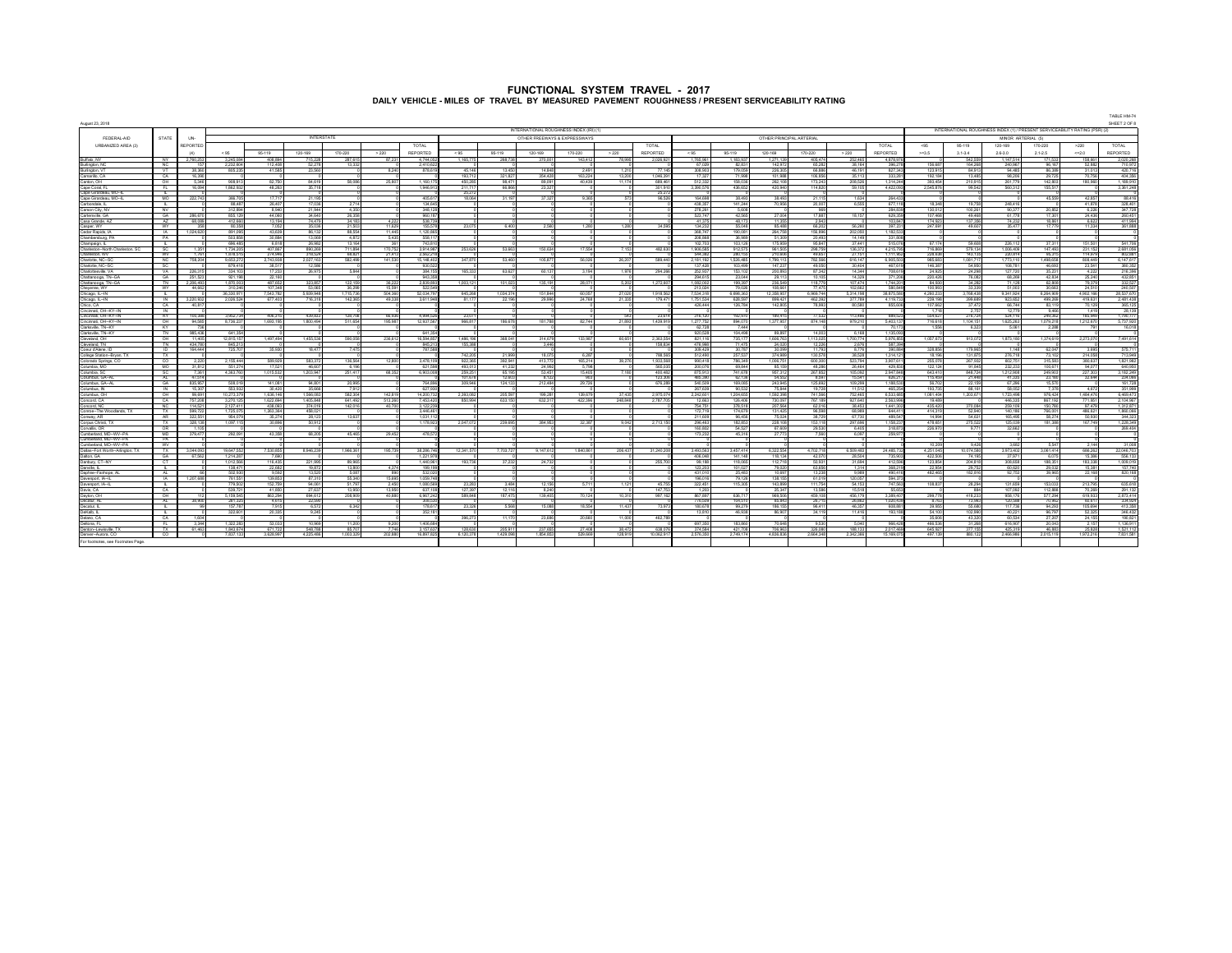|                                                  |                                         |                 |                      |                      |                    |                      |                   |                      |                    |                   |                   |                                         |                  |                    |                        |                          |                          |                          |                      |                          |                      |                      |                      |                      |                                                                             | TABLE HM-74             |
|--------------------------------------------------|-----------------------------------------|-----------------|----------------------|----------------------|--------------------|----------------------|-------------------|----------------------|--------------------|-------------------|-------------------|-----------------------------------------|------------------|--------------------|------------------------|--------------------------|--------------------------|--------------------------|----------------------|--------------------------|----------------------|----------------------|----------------------|----------------------|-----------------------------------------------------------------------------|-------------------------|
| August 23, 2018                                  |                                         |                 |                      |                      |                    |                      |                   |                      |                    |                   |                   | INTERNATIONAL ROUGHNESS INDEX (IRI) (1) |                  |                    |                        |                          |                          |                          |                      |                          |                      |                      |                      |                      | INTERNATIONAL ROUGHNESS INDEX (1) / PRESENT SERVICEABILITY RATING (PSR) (2) | SHEET 2 OF 8            |
| FEDERAL-AID                                      | <b>STATE</b>                            | UN-             |                      |                      |                    | <b>INTERSTATE</b>    |                   |                      |                    |                   |                   | OTHER FREEWAYS & EXPRESSWAYS            |                  |                    |                        |                          | OTHER PRINCIPAL ARTERIAL |                          |                      |                          |                      |                      | MINOR ARTERIAL (5)   |                      |                                                                             |                         |
| URBANIZED AREA (3)                               |                                         | REPORTED        |                      |                      |                    |                      |                   | <b>TOTAL</b>         |                    |                   |                   |                                         |                  | TOTAL              |                        |                          |                          |                          |                      | TOTAL                    | $<$ GK               | 95-119               | 120-169              | 170-220              | >220                                                                        | TOTAL                   |
|                                                  |                                         | (4)             | < 95                 | 95-119               | 120-169            | 170,220              | > 220             | REPORTED             | < 95               | 95,119            | 120-169           | 170.220                                 | > 220            | <b>REPORTED</b>    | < 95                   | 95.119                   | 120,169                  | 170,220                  | > 220                | REPORTED                 | $> = 3.5$            | 31.34                | 26.30                | 21.25                | < 200                                                                       | REPORTED                |
| Buffalo, NY                                      | NY .                                    | 2.760.25        | 3.245.08             | 408.894              | 715.22             | 287.61               | 87.23             | 4.744.05             | 1.165.77           | 268,738           | 370.00            | 143,412                                 | 78,995           | 2,026,92           | 1.765.961              | 1.183.937                | 1,271,139                | 405.474                  | 252,465              | 4.878.97                 |                      | 542.559              | 1.147.514            | 171,533              | 158,661                                                                     | 2.020.268               |
| Burlington, NC                                   |                                         |                 | 2,232,60             | 112,408              | 52,27              | 13,33                |                   | 2,410,6              |                    |                   |                   |                                         |                  | 77.14              | 67,029                 | 82,831                   | 142,973                  | 65,282                   | 38,164               | 396,27                   | 156,687              | 164,268              | 240,967              | 96,167               | 52,882                                                                      | 710,972                 |
| Burlington, VT<br>Camarillo, CA                  | VT.<br>CA                               | 38.35<br>16.39  | 805,238              | 41.585               | 23.56              |                      | 8.240             | 878,61               | 45.146<br>193.71   | 13,450<br>321,827 | 14,848<br>354,428 | 2,491<br>163.224                        | 1.210<br>13,200  | 1.046.39           | 308,903<br>17.327      | 179.059<br>71,998        | 226,305<br>101988        | <b>66.885</b><br>106,856 | 46.191<br>35.113     | 827.347<br>333,281       | 123,915<br>192.184   | 84.913<br>13,485     | 94,485<br>98,206     | 86,389<br>29,725     | 31.013<br>70.756                                                            | 420.716<br>404.356      |
| Canton, OH                                       | ੁ                                       | 5.346           | 938.91               | 82.750               | 84.61              | <b>58 088</b>        | 25,807            | 1.160.1              | 450.28             | 98.471            | 89.09             | 40.439                                  | 11174            | 689.46             | 512.332                | 158.036                  | 262,108                  | 173.243                  | 208 526              | 1314.74                  | 393454               | 210.915              | 261.779              | 142,803              | 180,960                                                                     | 1 189 910               |
| Cane Coral FL                                    | EL.                                     | 16.094          | 186293               | 48.263               | 35.71              |                      |                   | 194691               | 211.71             | <b>GR SER</b>     | 23,327            |                                         |                  | 301.91             | 3.390.576              | 436,652                  | 420,940                  | 114,820                  | 59.105               | 4 422 093                | 2.545.876            | 99.542               | 560.312              | 155.517              |                                                                             | 3.351.248               |
| Cape Girardeau MO-<br>Cape Girardeau, MO-        | MO                                      | 222.74          | 366.70               | 1771                 | 21.1               |                      |                   | 405.61               | 25.27<br>18.05     | 31.197            | 37.32             | 9.365                                   |                  | 25.27<br>96.52     | 164,698                | 38,493                   | 38.493                   | 21.119                   | 1.634                | 264.43                   |                      |                      |                      | 45.559               | 42.857                                                                      | 88.416                  |
| Carbondale, IL                                   | <b>B</b> 1                              |                 | 88.48                | 26,407               | 17.03              | 2.714                |                   | 134.64               |                    |                   |                   |                                         |                  |                    | 438.357                | 141.244                  | 70.956                   | 20,007                   | 6.555                | 677.11                   | 18.348               | 19,758               | 248,416              |                      | 41,878                                                                      | 328.401                 |
| Carson City, NV                                  | <b>W</b>                                |                 | 312.89               | 8.940                | 21.94              | 4.35                 |                   | 348.12               |                    |                   |                   |                                         |                  |                    | 278.2R                 | 5,608                    |                          |                          |                      | 284,83                   | 130.01               | 100.261              | 90.37                | 20,852               | 6.226                                                                       | 347 728                 |
| Cartersville, GA                                 | <b>GA</b><br>$\Delta$ 7                 | 286.67          | 855.12               | 44.060               | 34.64              | 26,358               |                   | 960.18               |                    |                   |                   |                                         |                  |                    | 523.747                | 42.565                   | 27.004<br>11.358         | <b>17 887</b>            | 18.157               | 629.35                   | 107,468              | 49.468               | 61,778               | 17.301               | 24.436                                                                      | 260.451                 |
| Casa Grande, AZ<br>Casner WY                     | <b>WY</b>                               | 68.08           | 412.66<br>80.358     | 13.194<br>7.052      | 74,47<br>35.02     | 34.18<br>21.503      | 4,222<br>11.629   | 538.7<br>155.57      | 23.075             | 6400              | 2.550             | 1.280                                   | 1,280            | 34,595             | 41.375<br>134.233      | 48.173<br>55,048         | 85,488                   | 2.943<br>66,202          | 55.260               | 103.847<br>397.231       | 174.92<br>247 691    | 137,356<br>49,607    | 74,232<br>35.477     | 18,861<br>17779      | 6.622<br>11.334                                                             | 411,994<br>351,888      |
| Cedar Ranids 1A                                  | <b>IA</b>                               | 1.024.62        | 891.09               | 43,639               | <b>R6 12</b>       | <b>RR 554</b>        | 11.445            | 112086               |                    |                   |                   |                                         |                  |                    | 368,747                | 190.081                  | 264 758                  | 156,895                  | 202.050              | 1 182 53                 |                      |                      |                      |                      |                                                                             |                         |
| Chambershim PA                                   | PA                                      |                 | 503.85               | 30,884               | 13.06              | 4.87                 | 5.435             | 558.1                |                    |                   |                   |                                         |                  |                    | 208.868                | 36.989                   | 51.309                   | 20,493                   | 14.149               | 331.80                   |                      |                      |                      |                      |                                                                             |                         |
| Champaign, I<br>Charleston-North Charleston, SC  | <b>COLLEGE</b><br>SC.                   | 1.38            | 696.48<br>1.734.20   | 6.818<br>407.857     | 26.98<br>890.2     | 13.164<br>711.85     | 361<br>170.752    | 743.81<br>39149      | 253,62             | 53,663            | 150,634           | 17 554                                  | 7.153            | 482.63             | 102.703<br>190658      | 103.126<br>912.575       | 175,959<br>951.505       | 95.847<br>298.759        | 37,441<br>135,372    | 515.07<br>4 215 79       | 67.174<br>716, 859   | 59 608<br>579 134    | 226 112<br>1.006.409 | 37.311<br>147,493    | 151.501<br>231 152                                                          | 541.706<br>2.681.056    |
| Charleston, WV                                   | <b>WV</b>                               | 1.76            | 1.878.51             | 274.946              | 318.52             | 68.82                | 21.413            | 2.562.2              |                    |                   |                   |                                         |                  |                    | 544.382                | 280.155                  | 210,606                  | 49.657                   | 27.151               | 1.111.95                 | 228,638              | 143.135              | 220.814              | 95.315               | 114.979                                                                     | 802.881                 |
| Charlotte, NC-SC                                 | NC.                                     | 758,204         | 9,653,27             | 2,743,938            | 2,027,16           | 582,498              | 141.530           | 15 148 41            | 347.87             | 53,460            | 105.877           | 56.026                                  | 26,207           | 589.44             | 2,181,192              | 1.526.485                | 799 11                   | 782.566                  | 616.147              | 6 905 50                 | 985,683              | 1.081.717            | 1.773.110            | 1,498,658            | <b>ROB 449</b>                                                              | 6.147.617               |
| Charlotte, NC-SC<br>Charlottesville, VA          | VA                                      | 226.31          | 879.41<br>334.100    | 38.51<br>17.233      | 12.51<br>26,979    | 5.844                |                   | 930.5<br>384.15      | 165,333            | 63,627            | 60.137            | 3.194                                   | 1.976            |                    | 137.428                | 103,499<br>153.102       | 147.23<br>200,893        | 49.050<br>87.342         | 30.404<br>14.344     | 467.61<br><b>708 619</b> | 146,387<br>24,925    | 54.95<br>24.298      | 108.781<br>127,720   | 46.693<br>35.231     | 23,541<br>4.222                                                             | 380,352<br>216,396      |
| Chattanooga, TN-GA                               | GA                                      | 251,52          | 921,19               | 22,160               |                    |                      |                   | 943,35               |                    |                   |                   |                                         |                  | 294,266            | 252,937<br>294,615     | 23,044                   | 29.11                    | 10.105                   | 14.329               | 371.20                   | 220,426              | 76,082               | 68,269               | 42,834               | 25.240                                                                      | 432,851                 |
| Chattanooga, TN .- GA                            | TN                                      | 2,206.49        | 1,870.00             | <b>487 652</b>       | 323.85             | 122.15               | 36.222            | 2.839.89             | 1,003.12           | 101.023           | 135, 191          | 28,071                                  | 5.202            | 1,272.60           | 1.082.002              | 199,397                  | 236,549                  | 118,779                  | 107 474              | 1.744.201                | 84,930               | 34,282               | 71.128               | 62.808               | 79.379                                                                      | 332.527                 |
| Chevenne WY                                      | <b>WY</b>                               | 44.65           | 310.248              | 107.348              | 53.06              | 36,299               | 15.591            | 522.54               |                    |                   |                   |                                         |                  |                    | 213.024                | 79.026                   | 108,661                  | 77.475                   | 102.662              | 580 849                  | 100 993              | 33,339               | 51,003               | 30.663               | 24,510                                                                      | 240,507                 |
| Chicago, IL-IN<br>Chicago, IL-IN                 | ┳<br>$\mathbb{N}$                       | 3,220.93        | 6.330.97<br>2.026.52 | 543.782<br>677.403   | e asa o'<br>716.31 | 1.715.738<br>142,365 | 504.360<br>49,338 | 120347<br>3.611.94   | 645.26<br>81.17    | 034.374<br>22,196 | 151.844<br>29,996 | 60.057<br>24,768                        | 27.020<br>21.335 | 1.918.56<br>179.47 | 7.534.318<br>1.751.534 | F 698.363<br>628.597     | 2.358.95<br>899.42       | 6.969.744<br>462.392     | 5.314.198<br>377.789 | 38.875.58<br>4.119.73    | 4.260.233<br>239.198 | 3.768.438<br>399.689 | 9.341.924<br>923.652 | 6.264.909<br>499,269 | 4.902.166<br>419.631                                                        | 28.537.670<br>2.481.438 |
| Chico, CA                                        | CA.                                     | 40.8            |                      |                      |                    |                      |                   |                      |                    |                   |                   |                                         |                  |                    | 426,444                | 126,784                  | 142,805                  | 78.993                   | 80.580               | 855.60                   | 107.662              | 37,472               | 66,744               | 83.119               | 70.129                                                                      | 365.125                 |
| Cincinnati, OH--KY-IN                            | IN                                      |                 |                      |                      |                    |                      |                   |                      |                    |                   |                   |                                         |                  |                    |                        |                          |                          |                          |                      |                          | 1 7 1 9              | 2.757                | 12,779               | 9.466                | 1.419                                                                       | 28.139                  |
| Cincinnati, OH--KY-IN<br>Cincinnati, OH--KY--IN  | KY<br>$-$ OH                            | 100.38<br>94.58 | 3.952.73<br>8.736.22 | 406.315<br>1 693 195 | 439.83<br>180049   | 128,708<br>511 654   | 66.936<br>195,987 | 4.994.52<br>12937.58 | 23.07<br>966.81    | 186 678           | 181 788           | 82.744                                  | 543<br>21,893    | 23.61<br>1,439.91  | 316.120<br>1277752     | 192,970<br>894,070       | 189.415<br>137795        | 77.532<br>874 148        | 113,486<br>979.210   | 889.52<br>5403.17        | 554,627<br>716 618   | 276.724<br>1104151   | 524.116<br>1625263   | 249.362<br>1.079.218 | 185.94<br>1212570                                                           | 1.790.777<br>5.737.920  |
| Clarksville TNKY                                 | <b>KY</b>                               |                 |                      |                      |                    |                      |                   |                      |                    |                   |                   |                                         |                  |                    | 62.728                 | 7.444                    |                          |                          |                      | 70.17                    | 1.556                | 6.323                | 5.061                | 2.288                | 791                                                                         | 16.018                  |
| <b>Jarksville, TN-KY</b>                         | TN                                      | 985,43          | 641.35               |                      |                    |                      |                   | 641.3                |                    |                   |                   |                                         |                  |                    | 920,528                | 104,498                  | 89,897                   | 14,003                   | 6.168                | 1.135.00                 |                      |                      |                      |                      |                                                                             |                         |
| Cleveland OH<br>Cleveland TN                     | CH<br>TN                                | 11.40<br>434.78 | 12.815.15<br>845.21  | 1.497.494            | 1,455.53           | 590.05               | 236.612           | 16,594.85<br>845.7   | 1,486.19<br>155.38 | 368.041           | 314,679<br>3.446  | 133,987                                 | 60.651           | 2.363.55<br>158.83 | 821 116<br>476,998     | 735 177<br>71,475        | 1,606.763<br>24.020      | 1.113.025<br>12.226      | 1700774<br>2.676     | 5 976 858<br>587.394     | 1.057.673            | 913.072              | 1,873,180            | 1.374.619            | 2.273.070                                                                   | 7,491,614               |
| Coeur d'Alene, ID                                | $\overline{D}$                          | 164.44          | 725,70               | 35,930               | 18.47              | 7.47                 |                   | <b>787 51</b>        |                    |                   |                   |                                         |                  |                    | 309.429                | 30.787                   | 30.099                   | 11 797                   | 8.776                | 390.884                  | 328,856              | 179,965              | 1.148                | 62,047               | 3.695                                                                       | 575.711                 |
| College Station-Bryan, TX                        | TX                                      |                 |                      |                      |                    |                      |                   |                      | 742.20             | 21.999            | 18.075            | 6.287                                   |                  | 788.56             | 512,490                | 257.537                  | 374,989                  | 130.578                  | 38.528               | 1.314.12                 | 18,196               | 131.875              | 276,718              | 73.102               | 214,058                                                                     | 713949                  |
| Colorado Springs, CC                             | $^{co}$                                 |                 | 2.155.44             | 589 929              | 583.3              | 136.56               | 12.800            | 3,478.1              | 922.38             | 392,941           | 413.77            | 165 214                                 | 39.276           | 1.933.56           | 990 418                | 786.349                  | 1.006.751                | 600.300                  | 523.794              | 3.907.61                 | 255.078              | 267 932              | 602.751              | 315.583              | <b>180 637</b>                                                              | 1,821,982               |
| Columbia, MO<br>Columbia SC                      | <b>MO</b><br>SC.                        | 31,81<br>7.361  | 551.27<br>4.363.768  | 17.521<br>1,015,532  | 46.60<br>1.203.943 | 6.198<br>251,417     | 68,352            | 621,59<br>6,903,008  | 493.01<br>259.25   | 41,232<br>65, 195 | 24,992<br>53,451  | 5.798<br>15,405                         | 7.180            | 565.03<br>400.483  | 200,076<br>875913      | 69,844<br>741 678        | 85,159<br>957.312        | 48.285<br>267,852        | 26,464<br>105.092    | 429,830<br>2,947,848     | 122,124<br>643,410   | 91.845<br>848 724    | 232,233<br>1,212,908 | 100,671<br>249,903   | 94.077<br>227,303                                                           | 640,950<br>3 182 249    |
| Columbus GA-A                                    | $\mathbf{M}$                            | 47.51           |                      |                      |                    |                      |                   |                      | 101.67             | 12.603            | R <sub>12</sub>   | $\alpha$                                |                  | 123.30             | 485.390                | 62.136                   | 54.55                    | 8.597                    | 15.541               | 626.21                   | 115,450              | 21,448               | 41.335               | 23,180               | 32.644                                                                      | 234,066                 |
| Columbus, GA-AI                                  | 64                                      | 835.95          | 508.01               | 141.081              | 94.80              | 20,995               |                   | 764.89               | 309.946            | 124 133           | 212,484           | 29.726                                  |                  | 676.28             | 540,509                | 169.085                  | 243,945                  | 125,692                  | 109.299              | 1 188.53                 | 55,702               | 22.159               | 67.296               | 15,570               |                                                                             | 161,728                 |
| Columbus IN<br>Jolumbus, OH                      | <b>IN</b><br>OH                         | 15.30<br>99.69  | 553.93<br>0.273.37   | 30,420<br>1.636.146  | 35.66<br>1.566.08  | 791<br>582.304       | 142.819           | 627.90<br>14.200.7   | 2.393.08           | 205,597           | 199.28            | 139.679                                 | 37.435           | 2975.07            | 267,639<br>2.242.601   | 90.532<br>1,204.655      | 75.844<br>1.592.398      | 19 728<br>741.566        | 11.512<br>752,465    | 465.25<br>6.533.68       | 193,735<br>1.081.404 | 88, 161<br>1.203.671 | 58.053<br>1.723.498  | 7.378<br>976.424     | 4.672<br>1,484,476                                                          | 351,999<br>6.469.473    |
| Concord, CA                                      | CA.                                     | 757.20          | 3.270.12             | 1,622,694            | 1,405.84           | 641.492              | 513,260           | 7.453.42             | 850.99             | 633.150           | 632.31            | 422 396                                 | 248.848          | 2,787.7            | 12,663                 | 126,406                  | 730.097                  | 767.189                  | 927.640              | 2.563.996                | 19,489               |                      | 446,335              | 867.192              | 771.951                                                                     | 2.104.967               |
| Concord, NC                                      | NC.                                     | 114.52          | 2.127.4              | 438.093              | 374.0              | 142.01               | 40.700            | 3.122.23             |                    |                   |                   |                                         |                  |                    | 754.75                 | 378.518                  | 207.56                   | 62.016                   | 38.453               | 1,441.30                 | 435,420              | 370.084              | 259,109              | 150.780              | 97.47                                                                       | 1.312.871               |
| Conroe-The Woodlands, TX                         | TX<br>AR.                               | 599.72          | 1.725.07             | 1,263,354            | 458.02             |                      |                   | 3.446.46<br>1.031    |                    |                   |                   |                                         |                  |                    | 172.719                | 174.679                  | 131.42<br>75.02          | 96.598                   | 68,989<br>67,730     | 644.41                   | 414,319              | 52.940               | 140.186              | 766.001              | 486.621                                                                     | 1.860.066               |
| Conway, AR<br>Comus Christ TX                    | TX.                                     | 322,5<br>328.13 | 954,0<br>1.097.11    | 35,274<br>30,895     | 28,12<br>50.91     | 13,63                |                   | 1 1 7 8 9 2          | 2.047.07           | 239,695           | 384,957           | 32.387                                  | 9.042            | 2.713.15           | 211,609<br>295,463     | 96,456<br><b>182 853</b> | <b>228 108</b>           | 38,729<br>153, 118       | 297 696              | 489,54<br>1 158 237      | 14,99<br>478 651     | 54,631<br>275,522    | 165,495<br>125,039   | 58,274<br>181,388    | 50,930<br>167,749                                                           | 344,323<br>1 228 349    |
| Corvalis, OR                                     | $\overline{C}$                          | $-4.41$         |                      |                      |                    |                      |                   |                      |                    |                   |                   |                                         |                  |                    | 160,803                | 54.527                   | 67,609                   | 29,530                   | 6,405                | 318.87                   | 226,970              | 9.771                | 32.662               |                      |                                                                             | 269,404                 |
| Cumbedand MD-WV-PA                               | MD.<br><b>PA</b>                        | 379.47          | 292.09               | 43.358               | <b>68.20</b>       | 45,465               | 29,452            | 478.53               |                    |                   |                   |                                         |                  |                    | 173,232                | 45.316                   | 27.77                    | 7.560                    | 6.097                | 259.97                   |                      |                      |                      |                      |                                                                             |                         |
| Cumberland, MD--WV--PA<br>Cumberland, MD--WV--PA | <b>WV</b>                               |                 |                      |                      |                    |                      |                   |                      |                    |                   |                   |                                         |                  |                    |                        |                          |                          |                          |                      |                          | 10.209               | 9,426                | 3.682                | 5.547                | 2.144                                                                       | 31,008                  |
| Dallas-Fort Worth-Arlington, TX                  | TX.                                     | 3.044.0         | 19.647.55            | 7 530 855            | 89462              | 1.966.36             | 195,739           | 38, 285.7            | 12.341.57          | 7.703.727         | 9.147.61          | 840.851                                 | 206,437          | 31,240.20          | 3.493.563              | 3457414                  | 6.322.554                | 4.702.718                | 6,509,483            | 24 485 73                | 4.251.045            | 10.074.580           | 3,973,402            | 3.061.414            | 686 262                                                                     | 22 046 703              |
| Dalton GA                                        | GA -                                    | 67.58           | 1,214,28             | 7.690                |                    |                      |                   | 1,221,97             |                    |                   |                   |                                         |                  |                    | 406.048                | 141 148                  | 118 134                  | 42.070                   | 28.504               | 735.903                  | 422,506              | 74 195               | 37.971               | 6.075                | 15,386                                                                      | 556 133                 |
| Danbury, CT-NY<br>Danvile, IL                    | $\overline{a}$<br><b>COLLEGE</b>        |                 | 1.012.58<br>138.47   | 116.435<br>22,682    | 221.99<br>19.87    | 89.965<br>13,800     | 4.374             | 1,440.96<br>199.19   | 193.73             | 37,232            | 24.732            |                                         |                  | 255.70             | 99.188<br>123,203      | 110.005<br>101.027       | 112.718<br>79,020        | En opt<br>63,656         | 2160x<br>1.314       | 412.59<br>368,219        | 123,854<br>22,954    | 204.818<br>29,752    | 308,658<br>60,620    | 188,351<br>29,032    | 183,338<br>15,381                                                           | 1,009.019<br>157,740    |
| Daphne-Fairhope, Al                              | <b>ALC</b>                              |                 | 502,93               | 9,592                | 13,52              | 5.083                | 890               | 532,02               |                    |                   |                   |                                         |                  |                    | 431,010                | 25,483                   | 10.697                   | 13,238                   | 9,989                | 490.418                  | 482,465              | 182,816              | 92,753               | 39,965               | 22,168                                                                      | 820,168                 |
| Daverport, IA--IL                                | <b>IA</b>                               | 1,207,68        | 761.55               | 139,853              | 87.31              | 55.340               | 15,695            | 1.059.74             |                    |                   |                   |                                         |                  |                    | 196.016                | 79.126                   | 138 155                  | 61,019                   | 120.057              | 594.37                   |                      |                      |                      |                      |                                                                             |                         |
| Davenport (A.JI<br>Davis, CA                     | <b>Contract Contract Contract</b><br>CA |                 | 779.503<br>5397      | 152,759<br>41,850    | 94.06<br>27 63     | 51,797<br>13.958     | 2.450<br>13.950   | 1.080.58<br>637.10   | 23, 283<br>127.38  | 3.484<br>12.116   | 12.156<br>8.24    | 5.711                                   | 1 1 2 1          | 45,755<br>147.78   | 322,451<br>120         | 115,305                  | 143,899<br>25.34         | 111 754<br>13,586        | 54 153<br>15.518     | 747 553<br>55.653        | 108837               | 28,294<br>884        | 131,659<br>107.092   | 153.033<br>112,888   | 213,795<br>70.269                                                           | 635,618<br>291.132      |
| Davton, OH                                       | O <sub>H</sub>                          |                 | 5.159.54             | 863.294              | 694.61             | 208,909              | 40.880            | 6.957.24             | 589.84             | 187.475           | 139.405           | 70.124                                  | 10.31            | 997.16             | 857.897                | 636.717                  | 969.50                   | 459.108                  | 456.179              | 3.389.40                 | 299.778              | 418,233              | 958.176              | 577.294              | 619.933                                                                     | 2.873.414               |
| Decatur, AL                                      | AL.                                     | 38.90           | 281.32               | 4,615                | 22,5               |                      |                   | 308.57               |                    |                   |                   |                                         |                  |                    | 776.509                | 104.510                  | 85.843                   | 26.715                   | 26,862               | 1.020.43                 | 8.763                | 73,993               | 120,588              | 70,962               | 60.617                                                                      | 334,924                 |
| Decatur, IL                                      | <b>B</b> 1                              |                 | 157.78               | 7.915                | 6.57               | 6.342                |                   | 178.61               | 23.326             | 5.568             | 15,088            | 18,554                                  | 11,437           | 73.973             | 180,678                | 99,279                   | 186 155                  | 96.411                   | 46.357               | 608.881                  | 39.955               | 55,680               | 117,736              | 94.293               | 105.694                                                                     | 413.358                 |
| DeKab. II<br>Delano, CA                          | CA                                      |                 | 322.60               | 20.335               | 9.2                |                      |                   | 352,18               | 396,27             | 11.17             | 23.686            | 20.660                                  | 11.00            | 4R2 78             | 13,810                 | 46.938                   | 86.90                    | 34.119                   | 11.416               | 193.18                   | 54.100<br>35.60      | 102.99<br>43.32      | 40.221<br>60,534     | 96.797<br>27,20      | 52.32<br>24.15                                                              | 346.432<br>190,821      |
| Debora FL                                        | <b>FL</b>                               | 3.34            | 1 322 28             | 53,033               | 10.95              | 11.200               | 9.200             | 1,406.68             |                    |                   |                   |                                         |                  |                    | 697,350                | 183,850                  | <b>70 648</b>            | 9.530                    | 5.040                | 955.42                   | <b>465,536</b>       | 31,268               | 616,907              | 20.043               | 2.157                                                                       | 1 136 911               |
| Denton-Lewisville, TX                            | $\mathbf{v}$                            | 61.48           | 1942.07              | 671.72               | <b>GAR 7</b>       | 05.70                | 7740              | 3457.0               | 129.63             | 205.911           | 237.65            | 27 40R                                  | 38.47            | 639.07             | 374 594                | 421,709                  | 705.06                   | 336,000                  | 100 133              | 2.017.48                 | GAS 97               | 277 155              | 425.319              | 46,993               | 26.929                                                                      | 1.691.119               |
| Denver-Armra CO                                  | co                                      |                 | 7.837.13             | 3.628.997            | 4.225.48           | 1.003.329            | 202.8BD           | 16,897 S             | 6.120.37           | 1.429.098         | 1 854 85          | 529,669                                 | 128,919          | 10.062.91          | 2.576.350              | 2749174                  | 4 836 836                | 2 664 348                | 2.342.366            | 15 169.07                | 497 139              | <b>RRD 122</b>       | 2 466 986            | 2.015.119            | 1972216                                                                     | 7.831.581               |
| For footnotes, see Footnotes Page                |                                         |                 |                      |                      |                    |                      |                   |                      |                    |                   |                   |                                         |                  |                    |                        |                          |                          |                          |                      |                          |                      |                      |                      |                      |                                                                             |                         |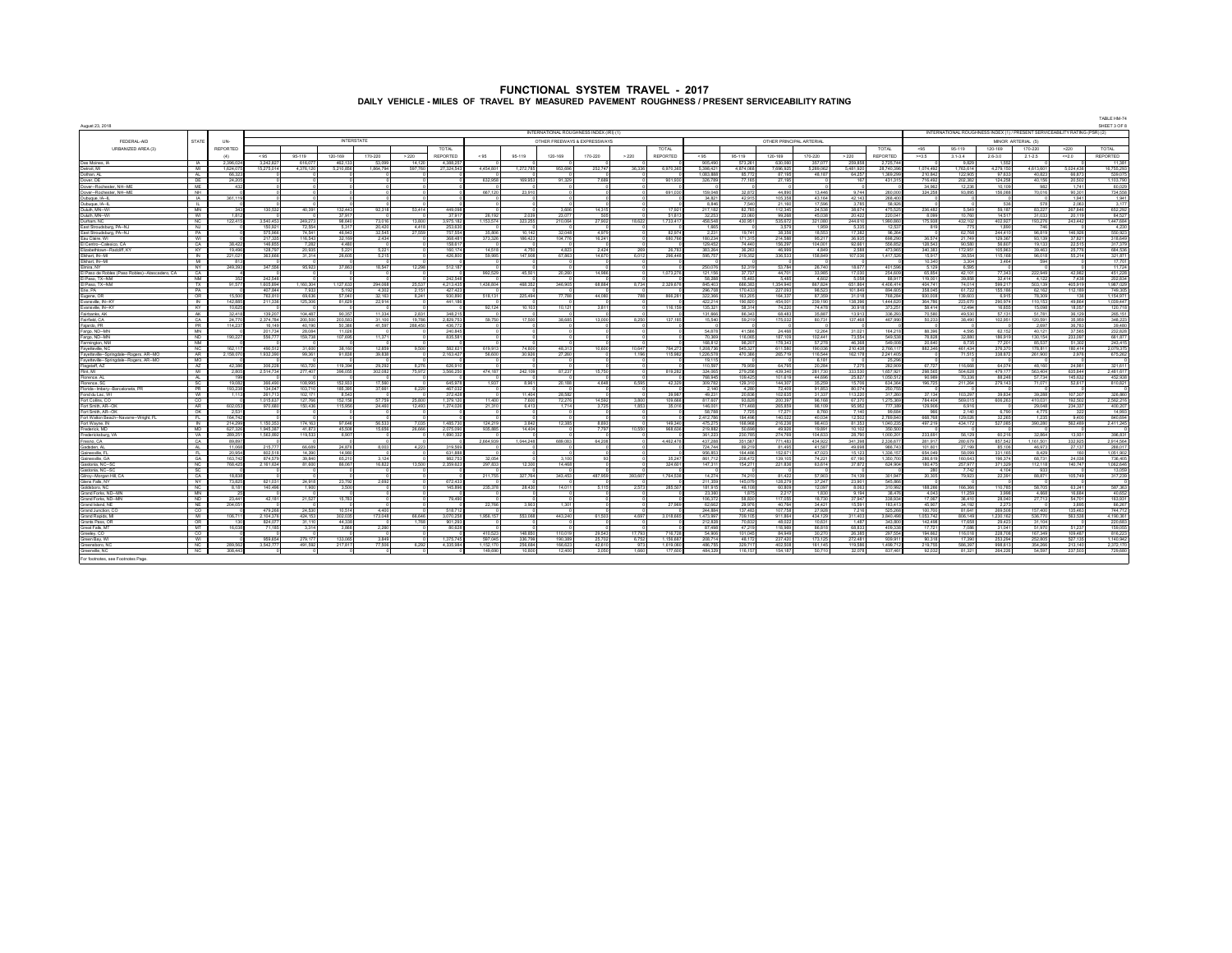| August 23, 2018                                           |                       |                 |                      |                                  |                         |                   |                        |                      |           |                  |                                        |                 |                 |                 |                          |                    |                           |                    |                  |                       |                              |                         |                                                                             |                    |                   | TABLE HM-74<br>SHEET 3 OF 8 |
|-----------------------------------------------------------|-----------------------|-----------------|----------------------|----------------------------------|-------------------------|-------------------|------------------------|----------------------|-----------|------------------|----------------------------------------|-----------------|-----------------|-----------------|--------------------------|--------------------|---------------------------|--------------------|------------------|-----------------------|------------------------------|-------------------------|-----------------------------------------------------------------------------|--------------------|-------------------|-----------------------------|
|                                                           |                       |                 |                      |                                  |                         |                   |                        |                      |           |                  | INTERNATIONAL ROUGHNESS INDEX (IRD (1) |                 |                 |                 |                          |                    |                           |                    |                  |                       |                              |                         | INTERNATIONAL ROUGHNESS INDEX (1) / PRESENT SERVICEABILITY RATING (PSR) (2) |                    |                   |                             |
| FEDERAL-AID                                               | <b>STATE</b>          | UN-             |                      |                                  |                         | <b>INTERSTATE</b> |                        |                      |           |                  | OTHER EREEWAYS & EXPRESSWAYS           |                 |                 |                 |                          |                    | OTHER PRINCIPAL ARTERIAL  |                    |                  |                       |                              |                         | MINOR ARTERIAL (5)                                                          |                    |                   |                             |
| URBANIZED AREA (3)                                        |                       | REPORTED        |                      |                                  |                         |                   |                        | <b>TOTAL</b>         |           |                  |                                        |                 |                 | <b>TOTAL</b>    |                          |                    |                           |                    |                  | TOTAL                 | $-95$                        | 95-119                  | 120-169                                                                     | 170-220            | >220              | <b>TOTAL</b>                |
|                                                           |                       |                 | < 95                 | 95-119                           | 120-169                 | 170-220           | > 220                  | <b>REPORTED</b>      | < 95      | 95-119           | 120-169                                | 170-220         | > 220           | <b>REPORTED</b> | < 95                     | 95-119             | 120-169                   | 170-220            | >220             | REPORTED              | $>=3.5$                      | $3.1 - 3.4$             | $2.6 - 3.0$                                                                 | $2.1 - 2.5$        | $=2.0$            | <b>REPORTED</b>             |
| Des Moines, IA                                            | $\mathbf{A}$          | 2.396.02        | 3 242 827            | 616.077                          | 462.133                 | 53,099            | 14 120                 | 4 399 253            |           |                  |                                        |                 |                 |                 | 905,490                  | 573.261            | 630,080                   | 357.073            | <b>259.85</b>    | 2.725.74              |                              | 9.829                   | 1.652                                                                       |                    |                   | 11.381                      |
| Detroit, MI                                               | <b>MI</b>             | 16240           | 15275014             | 4.376.120                        | 5.210.856               | 1864 794          | 597.76                 | 27.324.543           | 4 454 80  | 1 272 785        | 953,696                                | 252 747         | 36.336          | 69703           | 5.398.42                 | 4 874 06           | 7 696 921                 | 5 289 DF           | 54819            | 28.740.3              | 1074.493                     | 1763614                 | 4.279.150                                                                   | 4 613 601          | 5.024.436         | 16.755.293                  |
| Dothan, AL                                                | $\Delta I$<br>DE      | 66.32           |                      |                                  |                         |                   |                        |                      | 632 958   | 169,953          | 91.329                                 | 7.689           |                 | 9019            | 1 083 888                | 85.773<br>77.165   | 87 195<br>27.195          | 48.18 <sup>°</sup> | 64.25            | 1.369.2<br>431.31     | 210842<br>716.492            | 122,905<br>202.382      | 97.633                                                                      | 40.823<br>40.156   | 66.873<br>20,502  | 539.075<br>1.103.790        |
| Dover, DE<br>Dover-Rochester NH-MF                        | <b>MF</b>             | 24,20<br>432    |                      |                                  |                         |                   |                        |                      |           |                  |                                        |                 |                 |                 | 326,789                  |                    |                           |                    |                  |                       | 34.962                       | 12.236                  | 124,258<br>10 109                                                           | 982                | 1741              | 60.029                      |
| Dover-Rochester NH-MF                                     | <b>NH</b>             |                 |                      |                                  |                         |                   |                        |                      | 667 120   | 23,910           |                                        |                 |                 | 691.03          | 159.048                  | 32 872             | 44,890                    | 13,446             | 974              | 260.00                | 324,258                      | 93,895                  | <b>156 088</b>                                                              | 70,016             | 90.301            | 734.558                     |
| Dubuque, IA-IL                                            | <b>IA</b>             | 361.11          |                      |                                  |                         |                   |                        |                      |           |                  |                                        |                 |                 |                 | 34,821                   | 42.915             | 105.358                   | 43.164             | 42,143           | 268,408               |                              |                         |                                                                             |                    | 1941              | 1941                        |
| Duburun Mull                                              | <b>STATE</b>          |                 |                      |                                  | $\Omega$                |                   |                        |                      |           | $\sqrt{2}$       | n                                      |                 | - 01            |                 | 8.846                    | 7.540              | 21.160                    | 17.5%              | 3.785            | <b>58.928</b>         |                              |                         | 536                                                                         | <b>578</b>         | 2.063             | 3.177                       |
| Dukith MNW.<br>Initiation MN  W                           | <b>MN</b><br>WI       | 343<br>18       | 130.532              | 40.391                           | 132,443<br>37.913       | 92.318            | 53,414                 | 449.098<br>37.917    | 26.19     | 2.039            | 3.606<br>23.077                        | 14.315<br>505   |                 | 17.92<br>51.R1  | 217.182<br>32,253        | 82.785<br>23,080   | 112.345<br>99.268         | 24.538<br>45.038   | 38.674<br>20.42  | 475.525<br>220.04     | 236,482<br>8.099             | 5.549<br>10.760         | 59 187<br>14.517                                                            | 83.227<br>31.032   | 267 846<br>20 119 | 652.292<br>84.527           |
| Durham, NC                                                | NC.                   | 122.41          | 3.540.453            | 249.273                          | 98.640                  | 73.016            | 13,800                 | 3.975.182            | 1.153.574 | 323.255          | 210.064                                | 27.902          | 18.622          | 1.733.41        | 458.548                  | 430.951            | 535.672                   | 321.080            | 244.61           | 1,990.86              | 175.938                      | 432.102                 | 402.927                                                                     | 193,276            | 243.442           | 1.447.684                   |
| East Stroudsburg, PA--NJ                                  | NJ.                   |                 | 150.921              | 72.554                           | 5.317                   | 20.420            | 4.415                  | 253.630              |           |                  |                                        |                 |                 |                 | 1.668                    |                    | 3.579                     | 1.95               | 5.33             | 12.53                 | 819                          |                         | 1.890                                                                       | 746                |                   | 4.230                       |
| East Stroudsburg.                                         | PA                    |                 | 575,966              | 74.54                            | 46,943                  | 32,545            | 27,55                  | 757,554              | 35,80     | 10,142           | 32,048                                 | 4,979           |                 | 82,97           | 2,23                     | 19,741             | 38.358                    | 18,55              | 17.38            | 96,26                 |                              | 62,768                  | 244,410                                                                     | 96,819             | 146,926           | 550.922                     |
| Eau Claire, WI                                            | WI                    |                 | 217,33               | 116,543                          | 32,169                  | 2,434             |                        | 368,48               | 373,326   | 186,423          | 104,776                                | 16,241          |                 | 680,76          | 180,23                   | 171,315            | 214,588                   | 95,21              | 36,93            | 698,29                | 36,574                       | 21,749                  | 129,367                                                                     | 93,13              | 37,821            | 318,649                     |
| El Centro-Calexico, CA                                    | CA.<br>KY.            | 38,42<br>19.49  | 146.85               | 7.283                            | 4,480                   |                   |                        | 158.617<br>160 174   | 14.51     | A.755            |                                        |                 |                 |                 | 129.453                  | 74,440             | 156.297<br>46,999         | 104.00<br>4.849    | 92,66            | <b>FAR RE</b><br>4739 | 128,543<br>340.383           | 90.580                  | 56,607<br>105,983                                                           | 19 13 3            | 22,515            | 317 379<br>684,538          |
| Elizabethtown--Radcliff, KY<br>Elkhart, IN-MI             | N                     | 221.02          | 128,797<br>363.666   | 20.935<br>31.314                 | 5,221<br>26.605         | 5.22<br>5.21      |                        | 426,800              | 59.995    | 147,908          | 4.823<br>67.863                        | 2.424<br>14,670 | 6.012           | 26.78<br>296.44 | 383.26<br>595.757        | 36.263<br>219.352  | 336.533                   | 158,849            | 2.58<br>107.03   | 1.417.52              | 15.917                       | 172.951<br>39.554       | 115,168                                                                     | 39.463<br>96.018   | 25.776<br>55.214  | 321.871                     |
| Eikhart, IN-MI                                            | <b>M</b>              | 812             |                      |                                  |                         |                   |                        |                      |           |                  |                                        |                 |                 |                 |                          |                    |                           |                    |                  |                       | 10.340                       | 3.304                   | 3.464                                                                       | 594                |                   | 17.701                      |
| Fimira NY                                                 | NY                    | 249.393         | 347.556              | 95.923                           | 37,863                  | 18.547            | 12.298                 | 512.187              |           |                  |                                        |                 |                 |                 | 250.076                  | 52.319             | 53.784                    | 26.740             | 18.67            | 401.596               | 5.129                        | 6.595                   |                                                                             |                    |                   | 11.724                      |
| El Paso de Robles (Paso Robles)-Atascadero, CA            | CA                    |                 |                      |                                  |                         |                   |                        |                      | 992,529   | 45.501           | 20,260                                 | 14.986          |                 | 1,073,27        | 121.156                  | 37.737             | 44.70                     | 33.985             | 17.03            | 254.60                | 65.854                       | 42.101                  | 77.343                                                                      | 222,949            | 42.982            | 451,228                     |
| El Paso, TX--NM<br>El Paso, TX-NM                         | NM <sub>1</sub><br>Tx | 362<br>91.57    | 242,548<br>1 605 894 | 1.160.304                        | 1.127.633               | 294.068           | 25.537                 | 242,548<br>4.213.435 | 1,436.804 | 468.352          | 346.905                                | 68 RR4          | $\sim$<br>8,734 | 2.329.67        | <b>58.288</b><br>845,403 | 15,483<br>686 383  | 5.485<br>1.354.940        | 4.602<br>867824    | 5.059<br>651 BB4 | 88.91<br>4,406,414    | 119,001<br>404.741           | 39.858<br>74.014        | 32.414<br>599.217                                                           | 4,122<br>503.139   | 7.438<br>405.919  | 202.834<br>1.987.029        |
| Frie PA                                                   | <b>PA</b>             |                 | 407 844              | 7933                             | 5.192                   | 4.302             | 2.151                  | 427,423              |           |                  |                                        |                 |                 |                 | 296.708                  | 170,433            | 227,093                   | 98.52              | 101 84           | RG1 RC                | 358.045                      | 61,722                  | 155 186                                                                     | 62.162             | 112.189           | 749.305                     |
| Funene OR                                                 | OR                    | 15,500          | 763,810              | 69 636                           | 57.040                  | 32.163            | R 241                  | 930,890              | 518 131   | 225,494          | 77 788                                 | 44,080          | <b>788</b>      | <b>R66.28</b>   | 322.388                  | 163,205            | 164,337                   | 87,359             | 31.018           | <b>768 284</b>        | 930,008                      | 139,603                 | 6.915                                                                       | 78.309             | 136               | 1 154 971                   |
| <b>Evansville IN-KY</b>                                   | $\overline{N}$        | 142.885         | 211.336              | 125,306                          | 81.629                  | 22914             |                        | 441 186              |           |                  |                                        |                 |                 |                 | 422.214                  | 190,820            | 454.001                   | 239 190            | 138.396          | 1,444.620             | 364 786                      | 223,670                 | 290.974                                                                     | 110 153            | 49.864            | 1.039.447                   |
| Fyansville INK <sup>*</sup>                               | KY.                   | 10.62           |                      |                                  |                         |                   |                        |                      | 92.124    | 10.103           | 10 121                                 | 3.811           |                 | 116.15          | 135.321                  | 58.314             | 74.220                    | 74.478             | 30.91            | 373.25                | <b>58.414</b>                | 12,494                  | 16,655                                                                      | 15.098             | 18.057            | 120.718                     |
| Fairbanks, AK                                             | AK<br>CA              | 32,41           | 139,207              | 104.487                          | 90,357                  | 11.334<br>31.100  | 2,831<br>19,786        | 348.21               | 59.751    | 17,500           |                                        | 13,000          |                 | 137.18          | 131,666<br>15.540        | 86.343             | 68,483<br>175,032         | 35,887<br>80.731   | 13.91<br>137,468 | 336,29                | 70,580                       | 49,530                  | 57.131                                                                      | 51,781             | 36.129            | 265,151                     |
| Fairfield, CA<br>Fajardo, PR                              | <b>PR</b>             | 24,77<br>114.23 | 2,374,784<br>16.149  | 200,500<br>40.190                | 203,583<br>50.386       | 41.597            | 288,450                | 2,829,753<br>436.772 |           |                  | 38,685                                 |                 | 8,250           |                 |                          | 59,219             |                           |                    |                  | 467,990               | 50,233                       | 38,490                  | 102,951                                                                     | 120,591<br>2.697   | 35,959<br>36.783  | 348,223<br>39,480           |
| Fargo, ND--MN                                             | MN.                   |                 | 201734               | 28.084                           | 11.026                  |                   |                        | 240 845              |           |                  |                                        |                 |                 |                 | <b>54 878</b>            | 41.586             | 24,468                    | 12.264             | 31.02            | 164.21                | 88,395                       | 4 595                   | 62 152                                                                      | 40.121             | 37.565            | 232.828                     |
| Farno ND. MN                                              | NP                    | 190.22          | 556,777              | 159.738                          | 107,695                 | 11.371            |                        | 835.581              |           |                  |                                        |                 |                 |                 | 70.369                   | 116,065            | 187 109                   | 102.441            | 73.554           | 549.538               | 78.828                       | 32.880                  | 186 919                                                                     | 130 154            | 233,097           | 661.877                     |
| Farmington NM                                             | NM<br>NC.             | 162.1           |                      |                                  |                         |                   |                        |                      | 61991     |                  | 48.313                                 | 10.600          |                 |                 | 168.812                  | 98.207             | 178.34                    | 57.278             | 46.36            | 549.00                | 20.640                       | 8.738                   | 77,201                                                                      | 85.537             | 51.302<br>80414   | 243.415                     |
| Favetteville, NC<br>Fayetteville-Springdale-Rogers, AR-MO | AR.                   | 2.158.03        | 490.512<br>932390    | 31,600<br>99.361                 | 38.160<br>91,838        | 12.859<br>39.838  | 9.500                  | 582.631<br>2,163,427 | 56,600    | 74,800<br>30.926 | 27.260                                 |                 | 10.647<br>1 198 | 764.2<br>115.98 | 1,208,736<br>1 226 578   | 545.327<br>470.386 | 611.580<br><b>265 719</b> | 190.036<br>116,544 | 210.43<br>162.17 | 2.766.11<br>2,241,40  | 882346                       | 461.434<br>71.515       | 376.370<br>338 872                                                          | 178.811<br>261,900 | 2.976             | 2.079.375<br>675,262        |
| Fayetteville-Springdale-Rogers, AR-MO                     | <b>MO</b>             |                 |                      |                                  |                         |                   |                        |                      |           |                  |                                        |                 |                 |                 | 19.115                   |                    |                           | 6.181              |                  | 25.29                 |                              |                         |                                                                             |                    |                   |                             |
| Flagstaff, AZ                                             | AZ.                   | 42.386          | 306,228              | 163.720                          | 119,394                 | 29.292            | 8.276                  | 626.910              |           |                  |                                        |                 |                 |                 | 110.597                  | 79.959             | 64.795                    | 20.284             | 7.27             | 282 909               | 67.727                       | 116,668                 | 64.074                                                                      | 48.160             | 24.981            | 321.611                     |
| First MI                                                  | MI                    | 2.805           | 2,514,734            | 277,407                          | 396,055                 | 302,082           | 75,972                 | 3,566,250            | 474 187   | 242,109          | 87,237                                 | 15.750          | $\theta$        | 819,282         | 324,085                  | 279,256            | 439.340                   | 281 730            | 333.538          | 1 657 921             | 298 KAS                      | 504 628                 | 479 177                                                                     | 563,404            | 635 844           | 2,481,617                   |
| Florence, AL                                              | AL.                   |                 |                      |                                  |                         |                   |                        |                      |           |                  |                                        |                 |                 |                 | <b>768 945</b>           | 109,425            | 101 619                   | 44 R98             | 25.82            | 1.050.51              | 90.989                       | 70.336                  | 88,248                                                                      | 57.734             | 145,632           | 452.938                     |
| Florence, SC<br>Florida-Imbery-Barceloneta, PR            | -SC<br><b>PR</b>      | 1901<br>193,23  | 388.490<br>134,047   | 108 995<br>103,71                | 152,933<br>185,395      | 17.550<br>37,661  | 6,220                  | 645.978<br>467,03    | 1933      | 8,961            | 20,188                                 | 4648            | 6,595           | 42.32           | 309.782<br>2,140         | 129,310<br>4,280   | 144.307<br>72,409         | 35.25<br>91,853    | 15.70<br>80,07   | 634.36<br>250,75      | 196.725                      | 211,264                 | 279,143                                                                     | 71.071             | 52,617            | 810,821                     |
| Fond du Lac. WI                                           | WI                    | 11'             | 261 71               | 102.17                           | 8.543                   |                   |                        | 372 428              |           | 11,404           | 28.582                                 |                 |                 | 39.98           | 49.23                    | 20.836             | 102.63                    | 31.33              | 113.22           | 317.2                 | 37.134                       | 103.297                 | 39.834                                                                      | 39,288             | 107.307           | 326 BSC                     |
| Fort Colins, CO                                           | co                    |                 | 1,015,637            | 127,766                          | 152,158                 | 57.759            | 25,800                 | 1,379,120            | 11,400    | 7.600            | 72,276                                 | 14,592          | 3,800           | 109.66          | 817,607                  | 93,828             | 200,397                   | 96,168             | 67,37            | 1,275,36              | 784,404                      | 569,015                 | 606,263                                                                     | 410,031            | 192,502           | 2,562,216                   |
| Fort Smith AR., OK                                        | AR                    | 602,05          | 970,680              | 150,436                          | 115,956                 | 24,460            | 12,493                 | 1,274,026            | 21,310    | 6,413            | 1714                                   | 3,725           | 1,853           | 35.01           | 146,001                  | 171,468            | 265,859                   | 98.10              | 95,95            | 777.38                | 129,906                      | 6,916                   |                                                                             | 29,048             | 234,337           | 400.207                     |
| Fort Smith, AR--OK<br>Fort Walton ReachNavarreWright FI   | $\sim$<br><b>EL</b>   | 2.53<br>164.74  |                      |                                  | $\sim$                  |                   |                        |                      |           | $\sim$           |                                        |                 | $\sim$          |                 | 50 700<br>2 412 788      | 7725<br>184,496    | 17.271<br>140.023         | 9.760<br>40.03     | 7.141<br>12.50   | 99.89<br>2,789.84     | <b>Odd</b><br><b>GGR 768</b> | 2.140<br>129.026        | 6.790<br>32.265                                                             | $A$ 775<br>1.235   | 322<br>9400       | 14.993<br>840.694           |
| Fort Wayne, IN                                            | <b>IN</b>             | 214.21          | 1.150.352            | 174 163                          | 97 646                  | <b>56533</b>      | 7.035                  | 1,485,730            | 124 21    | 3.842            | 12.385                                 | 8.893           |                 | 149.34          | 475.27                   | 168,968            | 216.236                   | 98.403             | 81.35            | 1.040.23              | 497,219                      | 434 172                 | 527 085                                                                     | 390.280            | <b>552 489</b>    | 2411245                     |
| Frederick MD                                              | <b>MD</b>             | 627.32          | 1945.387             | 41873                            | 45.508                  | 15.656            | <b>26.686</b>          | 2.075.090            | 935 881   | 14,404           |                                        | 7.797           | 10.550          | 968.63          | 219 882                  | 50.698             | 49,926                    | 1989               | 10.10            | 350.50                |                              |                         |                                                                             |                    |                   |                             |
| redericksburg. V                                          | VA                    | 289.2           | 1.563.892            | 119.533                          | 6.907                   |                   |                        | 1,690.332            |           |                  |                                        |                 |                 |                 | 361.223                  | 230.785            | 274.769                   | 104.633            | 28.70            | 1,000.20              | 233.691                      | 56.129                  | 60.216                                                                      | 32.864             | 13,931            | 396 831                     |
| Fresno, CA                                                | $C\Lambda$            | 89.89           |                      |                                  |                         |                   |                        |                      | 2.664.939 | 1.044.248        | 689.083                                | 64,208          |                 | 4.462.47        | 437,288                  | 351.587            | 771 487                   | 434.92             | 341.39           | 2,336.67              | 281.917                      | 280 679                 | 857.542                                                                     | 1.161.501          | 132.925           | 2914 RRA                    |
| dsden Al<br>inesvile. FL                                  | $\Delta I$<br>FL.     | 11.06<br>20.954 | 215.77<br>602.518    | <b><i>PUR FURS</i></b><br>14,390 | <b>24 878</b><br>14,980 | 8.003             | 4.227                  | 319,569<br>631,888   |           |                  |                                        |                 |                 |                 | 724.744<br>956.853       | 89 219<br>164,486  | 81,495<br>152.671         | 41.583<br>47.023   | 49.69<br>15.12   | 986.74<br>1.336.15    | 101,601<br>654.049           | 27 199<br>58.099        | 85,106<br>331.165                                                           | 46.973<br>8.429    | 27 137<br>160     | 288.017<br>1.051.902        |
| inesville, GA                                             | GA.                   | 163,74          | 874 579              | 39,840                           | 65,210                  | 3 1 2 4           |                        | 982,75               | 32.05     |                  | 3.100                                  | $\alpha$        |                 | 35.24           | 861,712                  | 208,472            | 139,105                   | 74,221             | 67.19            | 1,350,70              | 286,619                      | 160,643                 | 196,374                                                                     | 68,731             | 24,038            | 736,405                     |
| stonia, NC-S                                              | NC                    | 768,42          | 2,161,634            | 81,600                           | 86,067                  | 16,822            | 13.50                  | 2,359,623            | 297,833   | 12,300           | 14,468                                 |                 |                 | 324,60          | 147,311                  | 154,271            | 221,836                   | 63,614             | 37,87            | 624,90                | 180,475                      | 257,977                 | 371,329                                                                     | 112,118            | 140,747           | 1,062,646                   |
| astonia NCSC                                              | SC.                   |                 |                      |                                  |                         |                   |                        |                      |           |                  |                                        |                 |                 |                 |                          |                    |                           |                    |                  |                       | 280                          | 7742                    | 4.104                                                                       | 933                |                   | 13.059                      |
| ilrov-Morgan Hill. C                                      | CA.<br>NY.            | 18.87           |                      |                                  |                         |                   |                        |                      | 211.75    | 327.764          | 343.453                                | 487.959         | 393.607         | 1.764.53        | 14.274<br>211.358        | 74.210<br>145.075  | 81.422                    | 57.903             | 74.13            | 301.94<br>545.86      | 20.305                       | 79.923                  | 22.391                                                                      | 88.871             | 105.749           | 317.239                     |
| ens Falls, NY<br>idsboro, NC                              | NC                    | 73,82<br>8.18   | 621,031<br>140.496   | 24,918<br>1.900                  | 23,792<br>3.500         | 2.692             |                        | 672,433<br>145,896   | 235.37    | 28,430           | 14.011                                 | 5.115           | 2.573           | 285.50          | 181.915                  | 48.108             | 128,279<br>60.809         | 37,247<br>12.097   | 23,90<br>8.06    | 310.99                | 188,266                      | 166.366                 | 110.785                                                                     | 58.705             | 63.241            | 587.363                     |
| Grand Forks, ND-M                                         | MN.                   |                 |                      |                                  |                         |                   |                        |                      |           |                  |                                        |                 |                 |                 | 23,360                   | 1.87               | 2,21                      | 1,830              | 919              | 38,476                | 4.043                        | 11.259                  | 3,998                                                                       | 4.668              | 16.684            | 40,652                      |
| Grand Forks, ND--MN                                       | ND.                   | 23.441          | 42.181               | 21.527                           | 15,783                  |                   |                        | 79,490               |           | $\sim$           |                                        |                 | -n l            |                 | 106.372                  | 58,830             | 117.055                   | 18.730             | <b>37.04</b>     | 338.934               | 17.067                       | 36,410                  | 28.040                                                                      | 27.713             | 54,701            | 163,931                     |
| Grand Island NF                                           | N <sub>F</sub>        | 204.05          |                      |                                  |                         |                   |                        |                      | 22.78     | 3.903            | 1.301                                  |                 | $\theta$        | 27.987          | 62.662                   | 29.976             | 40.764                    | 34.421             | 15.59            | 183.413               | 45,907                       | 34 192                  | 2.273                                                                       |                    | 3,895             | 86.267                      |
| <b>Grand Junction, C</b>                                  | <b>CO</b>             |                 | 479,268              | 24.530                           | 10.514                  | 4,400             |                        | 518,712              |           |                  |                                        |                 |                 |                 | <b>244 884</b>           | 137,483            | 107.758                   | 27.92              | 7.21             | 525.26                | 100.700                      | 81641                   | <b>269 508</b>                                                              | 157,400            | 135.463           | 744.712                     |
| Grand Ranids MI<br>Grants Pass OR                         | <b>M</b><br>OR        | 106.71          | 2.104.378<br>824.077 | 424.153<br>31.11                 | 302.035<br>44.338       | 173,048           | <b>FR RAF</b><br>1.768 | 3.070.258<br>901.293 | 1,956.157 | 553.068          | 443.240                                | 61.503          | 4.697           | 3.018.66        | 1,473.997<br>212.828     | 709.105<br>70.832  | 911.864<br>48.022         | 434 121<br>10.631  | 311.40<br>1.48   | 3.840.498<br>343,800  | 1.053.742<br>142,498         | 806 149<br>17.658       | 1 230 162<br>29.423                                                         | 536,770<br>31.104  | 563.538           | 4.190.361<br>220.683        |
| Great Falls, MT                                           | MT                    | 16.03           | 71 185               | 3.314                            | 3,868                   | 2.26              |                        | 80.628               |           |                  |                                        |                 |                 |                 | 87,498                   | 47219              | 118,969                   | <b>RA R11</b>      | 68.82            | 409.33                | 1772                         | <b>7 086</b>            | 31.041                                                                      | 51,970             | 51 237            | 159.055                     |
| Sreeley, CO                                               | CO.                   |                 |                      |                                  |                         |                   |                        |                      | 410.52    | 148,850          | 110.019                                | 29,543          | 17,793          | 716,72          | 54,906                   | 101,045            | 84,949                    | 30,270             | 26,38            | 297,554               | 194,662                      | 116,018                 | 228,708                                                                     | 167,349            | 109,487           | 816,223                     |
| ireen Bay, WI                                             | WI                    |                 | 959.654              | 279,177                          | 133,065                 | 3.849             |                        | 1.375.745            | 597.045   | 336.799          | 190,389                                | 25,702          | 6,752           | 1.156.68        | 208,714                  | 48.172             | 237,420                   | 173.125            | 272,48           | 939.91                | 90.318                       | 17,390                  | 253,294                                                                     | 252,805            | 527.135           | 1,140,942                   |
| eensboro, NC                                              | NC.                   | 289.56          | 3.542.777            | 491.592                          | 217.817                 | <b>77.506</b>     | 6.29                   | 4.335.984            | 1.152.17  | 256.684          | 166.623                                | 42.610          | 973             | 1,619.06        | 486.755                  | 329.717            | 402.508                   | 161.145            | 119.58<br>32.07  | 1,499.71              | 219.755<br>92.032            | <b>586.397</b><br>81321 | 998.613                                                                     | 354.266            | 213.140           | 2.372.170                   |
| Greenville NC:                                            | NC                    | 308.44          |                      |                                  |                         |                   |                        |                      | 149,690   | 10,800           | 12,400                                 | 3.050           | 1,660           | 177.60          | 484.329                  | 116.157            | 154.187                   | 50.710             |                  | 837.46                |                              |                         | 264 226                                                                     | 54.597             | 237.503           | 729,680                     |
| For footnotes, see Footnotes Page.                        |                       |                 |                      |                                  |                         |                   |                        |                      |           |                  |                                        |                 |                 |                 |                          |                    |                           |                    |                  |                       |                              |                         |                                                                             |                    |                   |                             |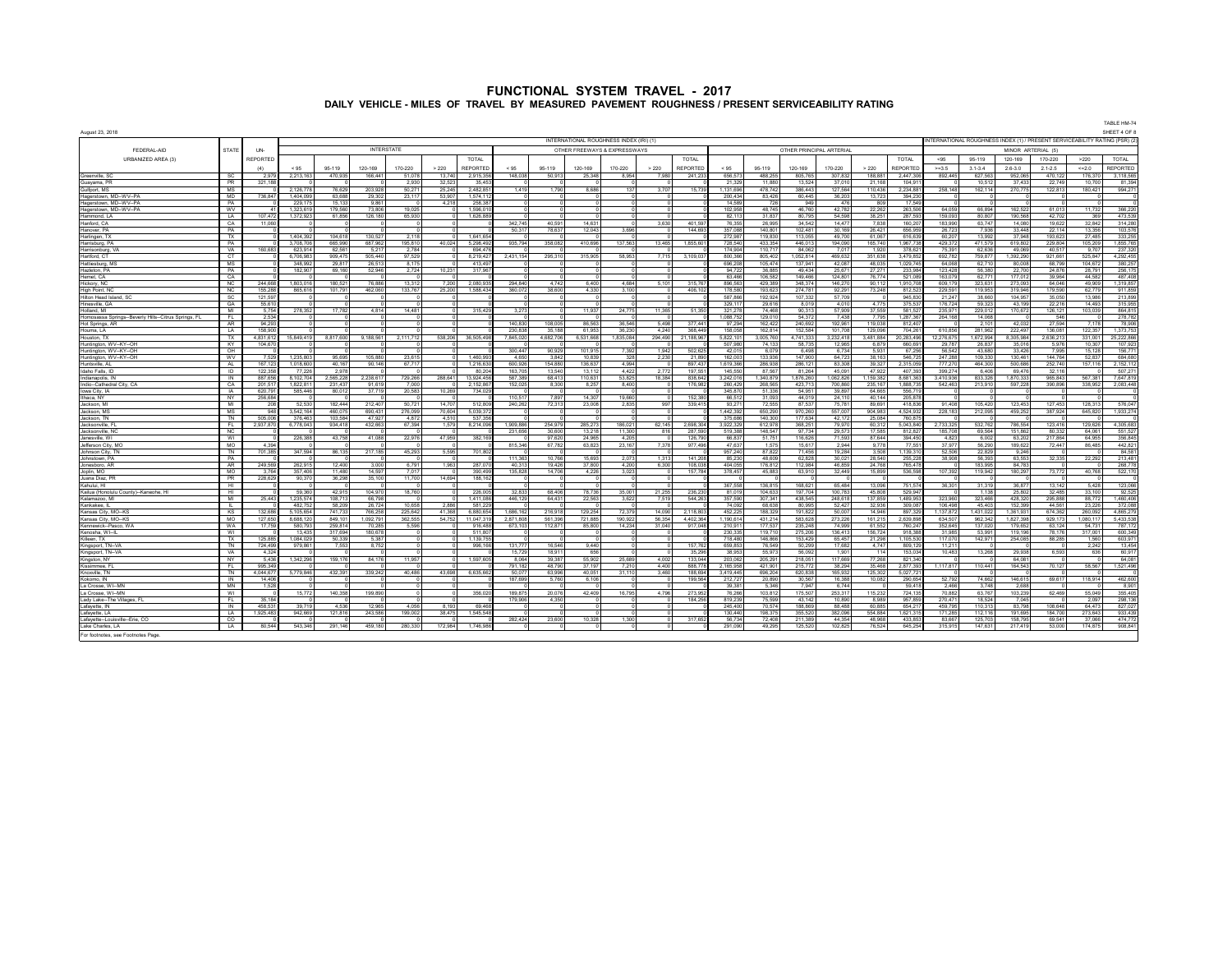| <b>FUNCTIONAL SYSTEM TRAVEL - 2017</b>                                                         |  |
|------------------------------------------------------------------------------------------------|--|
| DAILY VEHICLE - MILES OF TRAVEL BY MEASURED PAVEMENT ROUGHNESS / PRESENT SERVICEABILITY RATING |  |

| TABLE HM-74<br>SHEET 4 OF 8<br>INTERNATIONAL ROUGHNESS INDEX (IRI) (1)<br>INTERNATIONAL ROUGHNESS INDEX (1) / PRESENT SERVICEABILITY RATING (PSR) (2)<br><b>INTERSTATE</b><br>OTHER PRINCIPAL ARTERIAL<br>OTHER FREEWAYS & EXPRESSWAYS |                        |                    |                    |                    |                    |                  |                                     |                     |                   |                   |                          |                  |                           |                      |                    |                    |                   |                   |                      |                    |                    |                   |                 |                     |                    |
|----------------------------------------------------------------------------------------------------------------------------------------------------------------------------------------------------------------------------------------|------------------------|--------------------|--------------------|--------------------|--------------------|------------------|-------------------------------------|---------------------|-------------------|-------------------|--------------------------|------------------|---------------------------|----------------------|--------------------|--------------------|-------------------|-------------------|----------------------|--------------------|--------------------|-------------------|-----------------|---------------------|--------------------|
| August 23, 2018                                                                                                                                                                                                                        |                        |                    |                    |                    |                    |                  |                                     |                     |                   |                   |                          |                  |                           |                      |                    |                    |                   |                   |                      |                    |                    |                   |                 |                     |                    |
|                                                                                                                                                                                                                                        |                        |                    |                    |                    |                    |                  |                                     |                     |                   |                   |                          |                  |                           |                      |                    |                    |                   |                   |                      |                    |                    |                   |                 |                     |                    |
| FEDERAL-AID                                                                                                                                                                                                                            | <b>STATE</b>           | <b>IN</b>          |                    |                    |                    |                  |                                     |                     |                   |                   |                          |                  |                           |                      |                    |                    |                   |                   |                      |                    |                    | MINOR ARTERIAL (5 |                 |                     |                    |
| URBANIZED AREA (3)                                                                                                                                                                                                                     |                        | <b>REPORTED</b>    |                    |                    |                    |                  | <b>TOTAL</b>                        |                     |                   |                   |                          |                  | <b>TOTAL</b>              |                      |                    |                    |                   |                   | <b>TOTAL</b>         | $-95$              | 95-119             | 120-169           | 170-220         | >220                | TOTAL              |
|                                                                                                                                                                                                                                        |                        |                    | < 95               | 95-119             | 120-169            | 170-220          | > 220<br>REPORTED                   | < 95                | 95-119            | 120-169           | 170-220                  | >220             | REPORTED                  | < 95                 | 95-119             | 120-169            | 170-220           | > 220             | <b>REPORTED</b>      | > 3.5              | $3.1 - 3.4$        | $2.6 - 3.0$       | $2.1 - 2.5$     | 402.0               | <b>REPORTED</b>    |
| Greenville, SC                                                                                                                                                                                                                         | SC.                    | 2.979              | 2.213.163          | 470.935            | 166,441            | 51.078           | 13.74<br>2.915.35                   | 148,038             | 50.913            | 25.348            | 8.954                    | 7 GRO            | 241.233                   | 656.57               | 488.255            | 805.765            | 307.832           | 188.881           | 2.447.306            | 892.445            | 627.563            | 952.065           | 470.12          | 176,370             | 3.118.565          |
| Guavama PR<br>Gulfport, MS                                                                                                                                                                                                             | <b>PR</b><br>MS        | 321 188            | 2,126,77           | 76.629             | 203,928            | 2.930<br>50.27   | 32.52<br>35.45<br>25,24<br>2 482 85 | 1419                | 1790              | 868               | 137                      | 3707             | 15,739                    | 21.329<br>1 131 69   | 11880<br>478 742   | 13.524<br>386 443  | 37.010<br>127.564 | 21.168<br>110,436 | 104.91<br>2,234,881  | 258,148            | 10.512<br>162,114  | 37.433<br>270,775 | 22.74<br>122,81 | 10,700<br>180,421   | 81.394<br>994,271  |
| Hagerstown, MD--WV--PA                                                                                                                                                                                                                 | <b>MD</b>              | 736 847            | 1404.09            | 63.688             | 29.302             | 23 117           | 53.90<br>15741                      |                     |                   |                   |                          |                  |                           | 200.434              | 83.426             | 60.445             | 36.203            | 13.723            | 394.230              |                    |                    |                   |                 |                     |                    |
| Hagerstown, MD--WV--PA                                                                                                                                                                                                                 | PA                     |                    | 229.1              | 15.13              | 9.86               |                  | 4,21<br>258.3                       |                     |                   |                   |                          |                  |                           | 14,58                |                    | 941                | 476               | 80                | 17.54                |                    |                    |                   |                 |                     |                    |
| Hagerstown, MD--WV--PA                                                                                                                                                                                                                 | <b>WV</b>              | A1                 | 1.323.61           | 179.560            | 73,806             | 19.025           | 1596.0                              |                     |                   |                   |                          |                  |                           | 102.958              | 48.745             | 46,760             | 42.782            | 22.262            | 263.506              | 64.059             | 66,894             | 162.522           | 61.01           | 11 732              | 366.220            |
| Hammond, LA                                                                                                                                                                                                                            | LA                     | 107 472            | 1,372,92           | 61,856             | 126,180            | 65.93            | 1,626,88                            |                     |                   |                   |                          |                  |                           | 82,11                | 31,837             | 80.79              | 54.598            | 38,251            | 287.59               | 159.093            | 80,807             | 190.568           | 42.70           | 369                 | 473,539            |
| Hanford, CA<br>Hannyer PA                                                                                                                                                                                                              | CA<br>PA               | 11.060             |                    |                    |                    |                  |                                     | 342 745<br>50.31    | 40.591<br>78 637  | 14.631<br>12.043  | 3.696                    | 3.630            | 401.50<br>144 693         | 76.35<br>357.088     | 26.995<br>140,801  | 34.542<br>102 481  | 14 477<br>30 169  | 7838<br>26 421    | 160.20<br>656,959    | 183.990<br>26 723  | 63 747<br>7 936    | 14.08<br>33.448   | 19.62<br>22 11  | 32.842<br>13.356    | 314,280<br>103 576 |
| Harlingen, TX                                                                                                                                                                                                                          | TX                     |                    | 1.404.39           | 104.618            | 130.521            | 2 1 1 8          | 16416                               |                     |                   |                   |                          |                  |                           | 272.98               | 119,830            | 113.055            | 49.700            | 61.067            | 616,639              | 60.207             | 13.992             | 37.948            | 193.62          | 27 485              | 333.255            |
| Harrisburg, PA                                                                                                                                                                                                                         | PA                     |                    | 3 708 70           | 665,990            | 687 962            | 195 810          | 40,024<br>5,298,49                  | 935,794             | 358 082           | 410,696           | 137 563                  | 13 465           | 1,855,601                 | 728,540              | 433.354            | 446.013            | 194,090           | 165 740           | 1967 738             | 429.372            | 471.579            | 619,802           | 229,80          | 105 209             | 1855765            |
| Harrisonburg, VA                                                                                                                                                                                                                       | VA                     | 160.683            | 623.914            | 62.561             | 5.217              | 2784             | 694.47                              |                     |                   |                   |                          |                  |                           | 174.904              | 110.717            | 84.062             | 7.017             | 1.920             | 378.621              | 75.391             | 62.636             | 49.069            | 40.51           | 9 707               | 237.320            |
| Hartford, CT                                                                                                                                                                                                                           | CT                     |                    | 6,706,983          | 909,475            | 505,440            | 97,529           | 8,219,42                            | 2,431,154           | 295,310           | 315,905           | 58,953                   | 7715             | 3,109,037                 | 800,366              | 805,402            | 1,052,814          | 469,632           | 351,638           | 3.479.852            | 692,782            | 759,877            | 1,392,290         | 921,66          | 525 847             | 4.292.455          |
| Hattlesburg, M:<br>Hazleton PA                                                                                                                                                                                                         | <b>MS</b><br>PA        |                    | 348,992<br>182.90  | 29.817<br>69,160   | 26.513<br>52,946   | 8 1 7 5<br>2.724 | 413.49<br>317 9F<br>10.231          |                     |                   |                   |                          |                  |                           | 696.208<br>94.722    | 105.474<br>36,885  | 137.941<br>49 434  | 42.087<br>25.671  | 48.035<br>27.271  | 1.029.745<br>233.984 | 64.068<br>123.428  | 62.710<br>56,380   | 80,008<br>22,700  | 68,799<br>24 87 | 104 672<br>28 791   | 380.257<br>256 175 |
| Hemet CA                                                                                                                                                                                                                               | $\alpha$               |                    |                    |                    |                    |                  |                                     |                     |                   |                   |                          |                  |                           | 63,466               | 106,582            | 149,466            | 124 801           | 76 774            | 521,089              | 163.079            | 62 771             | 177 012           | 39.96           | <b>44 582</b>       | 487,408            |
| Hickory, NC                                                                                                                                                                                                                            | NC.                    | 244 668            | 180301             | 180.52             | <b>76 886</b>      | 13.312           | 720<br>2.080.93                     | 294 840             | 4742              | 6400              | 4 684                    | 5,101            | 315 76                    | 896.56               | 429,389            | 348.374            | 146 270           | 90 112            | 1910 70              | 609 179            | 323 631            | 273.09            | 64.04           | 49,909              | 1.319.857          |
| High Point, NC                                                                                                                                                                                                                         | NC.                    | 155 288            | 865 61             | 101.791            | 462 060            | 133 767          | 1.588.43<br>25.20                   | 360.072             | 38,600            | 4.330             | 3.100                    |                  | 406.103                   | 178.58               | 193 623            | 274 781            | 92 291            | 73 248            | 812.523              | 229.591            | 119.953            | 319 94            | 179.59          | 62 779              | 911.859            |
| Hilton Head Island, SC                                                                                                                                                                                                                 | SC.                    | 121.597            |                    |                    |                    |                  |                                     |                     |                   |                   |                          |                  |                           | 587 866              | 192 924            | 107 332            | 57 709            |                   | 945 830              | 21 247             | 38,660             | 104.957           | 35.050          | 13 986              | 213 899            |
| Hinesville, GA                                                                                                                                                                                                                         | GA                     | 55.610             |                    |                    |                    |                  |                                     |                     |                   |                   |                          |                  |                           | 329.11               | 29.616             | 8.019              | 4.010             | 4.775             | 375.537              | 176 724            | 59.323             | 43.199            | 22.21           | 14.493              | 315.955            |
| Holland, MI<br>Homosassa Springs--Beverly Hills--Citrus Springs, FL                                                                                                                                                                    | MI                     | 5.754<br>2.534     | 278.352            | 17.782             | 4.814              | 14 481           | 315.42                              | 3.273               |                   | 11.937            | 24.775                   | 11.365           | 51.350                    | 321.278<br>088.75    | 74.468<br>129,010  | 90.31<br>54.37     | 57.909<br>7,438   | 37.559<br>7.795   | 581.527<br>.287.36   | 235.97<br>264.16   | 229.012<br>14.06   | 170.672           | 126.12          | 103 039             | 864.815<br>278,782 |
| Hot Springs, AR                                                                                                                                                                                                                        | AR.                    | 94.293             |                    |                    |                    |                  |                                     | 140 830             | 108.005           | 86,563            | 36.546                   | 5.498            | 377.441                   | 97.294               | 162.422            | 240.692            | 192.961           | 119.038           | 812.407              |                    | 2.101              | 42.03             | 27.594          | 7 178               | 78,906             |
| Houma, LA                                                                                                                                                                                                                              | LA                     | 158.900            |                    |                    |                    |                  |                                     | 230.838             | 35.188            | 61.95             | 36,230                   | 4.240            | 368.449                   | 158,058              | 162,814            | 152,584            | 101,708           | 129,096           | 704,261              | 610.856            | 281,962            | 222,49            | 136.08          | 122.357             | 1,373,753          |
| Houston, TX                                                                                                                                                                                                                            | TX                     | 4.831.612          | 15.849.419         | 8.817.600          | 9.188.561          | 2 111 712        | 36,505.49<br>538.206                | 7 845 020           | 4.682.706         | 6.531.668         | 1.835.084                | 294.490          | 21.188.96                 | 5,822,10             | 3005760            | 4 741 33           | 3.232.418         | 3.481.884         | 20.283.496           | 12.276.67          | 1,672,994          | 8.305.984         | 2 636 21        | 331,001             | 25,222,866         |
| Huntington, WV-KY--OH                                                                                                                                                                                                                  | KY                     | 104,670            |                    |                    |                    |                  |                                     |                     |                   |                   |                          |                  |                           | 507.98               | 74 133             | 58.735             | 12965             | 6.879             | 660.69               | 29.787             | 26,837             | 35.01             | 5.976           | 10.307              | 107 923            |
| Huntington, WV--KY--OH                                                                                                                                                                                                                 | OH<br><b>WV</b>        | 7.529              | 1 235 80           | 95.695             | 105,880            | 23.615           | 1.460.99                            | 300 447<br>4.650    | 90.929<br>3.842   | 101.919<br>10 839 | 7.392<br>32 <sub>8</sub> | 1942<br>2.230    | 502.625<br>21,890         | 42.01<br>162,003     | 6.079<br>133,936   | 6.498<br>147,900   | 6.734<br>64.723   | 5.931<br>38 163   | 67.256<br>546.725    | 56.543<br>247.288  | 43,680<br>109.330  | 33.42<br>130.46   | 7.99<br>144 76  | 15 128<br>52837     | 156,771<br>684,680 |
| Huntington, WV--KY--OH<br>Huntsville, AL                                                                                                                                                                                               | AL.                    | 167 123            | 1.018.600          | 40.167             | 90.146             | 67 717           | 1.216.63                            | 600.926             | 154 880           | 136 637           | 4.994                    |                  | 897 437                   | 1.619.366            | 286.938            | 286.121            | 83.308            | 39.327            | 2.315.059            | 777.270            | 464.300            | 500.686           | 252.74          | 157 116             | 2.152.112          |
| Idaho Falls, ID                                                                                                                                                                                                                        | $\overline{D}$         | 122.358            | 77.22              | 2.978              |                    |                  | 80.20                               | 163,705             | 13.540            | 13.112            | 4.422                    | 2.772            | 197.55                    | 145,550              | 87.567             | 81.264             | 45.091            | 47.922            | 407.393              | 399.27             | 6.406              | 69.47             | 32.11           |                     | 507.27             |
| Indianapolis, IN                                                                                                                                                                                                                       | IN                     | 887.656            | 8.102.704          | 2.565.228          | 2.238.617          | 729.266          | 13.924.45<br>288.641                | 587.389             | 68.413            | 110.631           | 53.825                   | 18.384           | 838.642                   | 3.242.016            | 1.340.879          | 1.876.260          | 1.062.826         | 1.159.382         | 8.681.363            | 3.410.936          | 833.326            | 1.870.333         | 965.843         | 567 381             | 7.647.819          |
| Indio--Cathedral City, CA                                                                                                                                                                                                              | CA                     | 201.517            | 1.822.81           | 231 437            | 01 610             | 7.000            | 2.152.86                            | 152.025             | 8.300             | 8.257             | 8.400                    |                  | 176,982                   | 260.429              | 268,565            | 423 713            | 700.860           | 235.167           | 1888735              | 542.463            | 213,910            | 597.228           | 390,896         | 338 952             | 2.083.448          |
| Iowa City, IA<br>Ithaca NY                                                                                                                                                                                                             | <b>IA</b><br><b>NY</b> | 620 791<br>256 684 | 585 44             | 80,012             | 37 719             | 20.583           | 10,269<br>734,02                    | 110.51              | 7897              | 14.30             | 19,660                   |                  | 152.38                    | 345 87<br>66.51      | 51.336             | 54 951<br>44 019   | 39 897            | 64,665<br>40 144  | 556 71               |                    |                    |                   |                 |                     |                    |
| Jackson MI                                                                                                                                                                                                                             | MI                     | 208                | 52.530             | 182 444            | 212407             | 50 721           | 14.70<br>512.80                     | 240 262             | 72.313            | 23,008            | 2.835                    | 997              | 339.415                   | 93.27                | 31.093<br>72.555   | 87 537             | 24.110<br>75 781  | 89.691            | 205.87<br>418 836    | 91,408             | 105 420            | 123.453           | 127 45          | 128 313             | 576.047            |
| Jackson, MS                                                                                                                                                                                                                            | MS                     | 948                | 3.542.164          | 460.075            | 690.43             | 276.099          | 70.604<br>5.039.37                  |                     |                   |                   |                          |                  |                           | 1.442.39             | 650.290            | 970.26             | 557.007           | 904.983           | 4.524.932            | 228.183            | 212,095            | 459.252           | 387.92          | 645.820             | 1.933.274          |
| Jackson TN                                                                                                                                                                                                                             | <b>TN</b>              | 505.006            | 376.46             | 103.584            | 47.927             | 4.872            | 4.51<br>537.3                       |                     |                   |                   |                          |                  |                           | 375.68               | 140.300            | 177 63             | 42.172            | 25.084            | 760.87               |                    |                    |                   |                 |                     |                    |
| Jacksonville, F                                                                                                                                                                                                                        | FL.                    | 2,937,870          | 6,778,04           | 934,418            | 432,66             | 67.394           | 1.57<br>8,214,09                    | .909.88             | 254,979           | 285.27            | 186,021                  | 62.145           | 2.698.304                 | 3,922,32             | 612,978            | 368,25             | 79,970            | 60,312            | 5.043.84             | 2.733.32           | 532,762            | 786.55            | 123,41          | 129.626             | 4,305,683          |
| Jacksonville, NO                                                                                                                                                                                                                       | <b>NC</b>              |                    |                    | 43.758             | 41.088             | 22.976           | 47.959<br>382.16                    | 231,656             | 30.600<br>97.620  | 13 21<br>24.965   | 11.30                    | 816              | 287.59<br>126.79          | 519.38               | 148.547            | 97.734<br>116.626  | 29,573            | 17.585<br>87.644  | 81282                | 185 70<br>4.823    | 69.564             | 151.86            | 80.33<br>217.86 | 64.06<br>64.955     | 551,527            |
| Janesville, WI<br>Jefferson City, MO                                                                                                                                                                                                   | WI<br>MO               | 4.394              | 226,388            |                    |                    |                  |                                     | 815,346             | 67,782            | 63,823            | 4,205<br>23,167          | 7,378            | 977,496                   | 66,837<br>47,637     | 51,751<br>1.57     | 15,617             | 71,593<br>2,944   | 9,778             | 394,450<br>77.55     | 37 977             | 6,002<br>56,290    | 63,202<br>189,622 | 72,447          | 86,485              | 356,845<br>442,821 |
| Johnson City, TN                                                                                                                                                                                                                       | $\overline{N}$         | 701.385            | 347.59             | 86 135             | 217.185            | 45.293           | 5.595<br>70180                      |                     |                   |                   |                          |                  |                           | 957 240              | 87822              | 71 456             | 19.284            | 3.508             | 1 139 31             | 52.506             | 22.82              | 9.248             |                 |                     | 84.58              |
| Johnstown PA                                                                                                                                                                                                                           | PA                     |                    |                    |                    |                    |                  |                                     | 111 363             | 10766             | 15.693            | 2.073                    | 1.313            | 141 208                   | 85,230               | 48,609             | 62828              | 30.021            | 28,540            | 255 22               | 38.908             | 56.393             | 63.553            | 32.335          | 22.292              | 213 481            |
| Jonesboro AF                                                                                                                                                                                                                           | <b>AR</b>              | 249.569            | 262.91             | 12,400             | 3.000              | 6.791            | 1.963<br>287.0                      | 40.313              | 19.426            | 37,800            | 4.200                    | 6.300            | 108.03                    | 404.055              | 176.812            | 112.984            | 46,859            | 24.768            | 765.478              |                    | 183.995            | 84 78             |                 |                     | 268.778            |
| OM nilool.                                                                                                                                                                                                                             | <b>MO</b>              | 3.764              | 357,406            | 11,480             | 14.597             | 7.017            | 390.49                              | 135.828             | 14.706            | 4.226             | 3.023                    |                  | 157 784                   | 378.457              | 45.883             | 63.910             | 32,449            | 15,899            | 536,598              | 107.392            | 119.942            | 180.297           | 73.772          | 40.768              | 522.170            |
| Juana Diaz PF<br>Kahului HI                                                                                                                                                                                                            | <b>PR</b><br><b>HI</b> | 228.629            | 90.370             | 36,298             | 35.100             | 11.700           | 14.694<br>188.16                    |                     |                   |                   |                          |                  |                           | 367.558              | 136 815            | 168 621            | 65 484            | 13.096            | 751.574              | 36.301             | 31 31 9            | 36.877            | 13 14:          | 5428                | 123,066            |
| Kailua (Honolulu County) - Kaneohe, HI                                                                                                                                                                                                 | HL                     |                    | 59.36              | 42 915             | 104.970            | 18.760           | 226 OD                              | 32833               | 68,406            | 78 736            | 35.001                   | 21 255           | 236 230                   | 81.019               | 104.633            | 197.704            | 100.783           | <b>45808</b>      | 529.947              |                    | 1 138              | 25.802            | 32,485          | 33 100              | 92.525             |
| Kalamazoo MI                                                                                                                                                                                                                           | M                      | 25,443             | 1,235,574          | 108 713            | 66,798             |                  | 141108                              | 446 129             | 64 431            | 22,563            | 3,622                    | 7.519            | 544,263                   | 357 590              | 307 341            | 438.545            | 248 618           | 137 859           | 1 489 953            | 323 960            | 323 466            | 428.320           | 295 888         | 88 772              | 1460406            |
| Kankakee, IL                                                                                                                                                                                                                           | $\mathbf{H}$           |                    | 482.75             | 58.209             | 26,724             | 10 658           | <b>2 886</b><br>581 22              |                     |                   |                   |                          |                  |                           | 74.092               | 68.638             | 80.995             | 52,427            | 32.936            | 309,087              | 106,498            | 45 403             | 152.399           | 44.56           | 23 226              | 372,088            |
| Kansas City, MO--K                                                                                                                                                                                                                     | <b>KS</b>              | 132 68F            | 5 105 65           | 741 73             | 766.258            | 225 642          | 6.880.65<br>41.36                   | 1 686 163           | 216 918           | 129,254           | 72 379                   | 14,090           | 2 118 803                 | 452,22               | 188,329            | 191 822            | 50.007            | 14,946            | 897 329              | 1 137 873          | 1 431 023          | 1.361.93          | 674 36          | 260,092             | 4 865 279          |
| Kansas City, MO--KS<br>Kennewick--Pasco Wa                                                                                                                                                                                             | MO<br><b>WA</b>        | 127 650<br>17 759  | 8 688 12<br>580 79 | 849.101<br>259 814 | 1 092 791<br>70.28 | 362 555<br>5.596 | 11 047 31<br>54 752<br>916.48       | 2 871 808<br>673.10 | 561 396<br>112871 | 721 885<br>85.80  | 190 922<br>14 234        | 56 354<br>31,040 | 4 402 364<br>917 048      | 1 190 614<br>210,911 | 431 214<br>177 537 | 583 628<br>235 248 | 273 226<br>74 999 | 161 215<br>61.552 | 2 639 898<br>760.241 | 634 507<br>352 645 | 962 342<br>137.02  | 1827398<br>179.65 | 929 17<br>63.12 | 1 080 117<br>54.731 | 5433538<br>787.172 |
| Kennsha WI-II                                                                                                                                                                                                                          | WI                     |                    | 13.43              | 317 694            | 180.678            |                  | 5118                                |                     |                   |                   |                          |                  |                           | 230 33               | 119 710            | 275.206            | 136 413           | 156 72            | 918.38               | 31.98              | 53.99              | 119 19            | 78 17           | 317.00              | 600.349            |
| Killeen, TX                                                                                                                                                                                                                            | TX                     | 125 885            | 1,084,02           | 50.339             | 5,387              |                  | 1,139,7                             |                     |                   |                   |                          |                  |                           | 718,48               | 146,866            | 153,429            | 65,457            | 21.298            | 105.53               | 117.07             | 142,97             | 254,085           | 88,28           | 1.560               | 603,971            |
| Kingsport, TN-V/                                                                                                                                                                                                                       | TN                     | 724 49             | 979,86             | 7,553              | 8,752              |                  | 996,                                | 131 777             | <b>16,546</b>     | 9440              |                          |                  | 157 76                    | 659,853              | 76,549             | 50.29              | 17 682            | 4 747             | RO9 121              | 11 21              |                    |                   |                 | 2,242               | 13 454             |
| Kingsport, TN-VA                                                                                                                                                                                                                       | VA                     | 4.324              |                    |                    |                    |                  |                                     | 15,729              | 18 911            | 656               |                          |                  | 35,296                    | 38,953               | 55,973             | 56.092             | 1,901             | 114               | 153,034              | 10,483             | 13,268             | 29,938            | 6.593           | 636                 | 60,917             |
| Kingston, NY<br>Kissimmee FI                                                                                                                                                                                                           | NY<br>FI.              | 5,436<br>995 349   | 1,342,296          | 159,176            | 84,176             | 11 957           | 1 597 60                            | 8.064<br>791 182    | 39.387<br>48.790  | 55,902<br>37 197  | 25,689<br>7 2 1 0        | 4,002<br>4 400   | 133,044<br><b>888 778</b> | 203,062<br>2 165 958 | 205,291<br>421,901 | 218.051<br>215 772 | 117 669<br>38.294 | 77 268<br>35,468  | 821,340<br>2877393   | 1117817            | 110 441            | 64.08<br>164 543  | 70 127          | 58 567              | 64,081<br>1521496  |
| Knoxville TN                                                                                                                                                                                                                           | TN                     | 4 044 677          | 5.779.846          | 432.391            | 339.242            | 40,486           | 6.635.66<br>43.698                  | 50.077              | 63.996            | 40.051            | 31 110                   | 3.460            | 188 694                   | 3.419.445            | 696.204            | 620 838            | 165.932           | 125.302           | 5.027.72             |                    |                    |                   |                 |                     |                    |
| Kokomo IN                                                                                                                                                                                                                              | <b>IN</b>              | 14,406             |                    |                    |                    |                  |                                     | 187 699             | 5.760             | 6.106             |                          |                  | 199,564                   | 212.72               | 20.890             | 30.567             | 16,388            | 10.082            | 290.654              | 52.792             | 74.662             | 146.615           | 69.617          | 118.914             | 462.600            |
| La Crosse, WI--MN                                                                                                                                                                                                                      | MN                     | 1.528              |                    |                    |                    |                  |                                     |                     |                   |                   |                          |                  |                           | 39.381               | 5.346              | 7947               | 6.744             |                   | 59.418               | 2.466              | 3.748              | 2.688             |                 |                     | 8.901              |
| La Crosse, WI--MN                                                                                                                                                                                                                      | WI                     |                    | 15.77              | 140.358            | 199,890            |                  | 356.02                              | 189,875             | 20.076            | 42,409            | 16.795                   | 4 796            | 273 95                    | 76.266               | 103 812            | 175 507            | 253 317           | 115 232           | 724 135              | 70 882             | 63 767             | 103.23            | 62,469          | 55 049              | 355 405            |
| Lady Lake--The Villages, FL                                                                                                                                                                                                            | FI.<br><b>IN</b>       | 35 184<br>458.531  | 39 71              | 4.536              |                    | 4 056            | 8 19<br>69.46                       | 179,906             | 4 350             |                   |                          |                  | 184 256                   | 819 239<br>245,400   | 75 599             | 43 142<br>188.869  | 10.890<br>88 488  | 8.989             | 957 859              | 270 471<br>459.795 | 18.524             | 7.045             | 108.648         | 2.097<br>64 473     | 298 136            |
| Lafavette, IN<br>Lafayette, LA                                                                                                                                                                                                         | $\overline{A}$         | 1,925,483          | 942,669            | 121,816            | 12,965<br>243,586  | 199,002          | 38,475<br>1 545 54                  |                     |                   |                   |                          |                  |                           | 130,440              | 70,574<br>198,375  | 355 520            | 382,096           | 60,885<br>554 884 | 654,217<br>1,621,315 | 171 2R             | 110,313<br>112 116 | 83,798<br>101.60  | 184 70          | 273 643             | 827,027<br>933 439 |
| Lafavette--Louisville--Erie, CO                                                                                                                                                                                                        | CO.                    |                    |                    |                    |                    |                  |                                     | 282.424             | 23,600            | 10.328            | 1.300                    |                  | 317 652                   | 56.734               | 72.408             | 211 389            | 44 354            | 48.968            | 433 853              | 83.667             | 125 703            | 158.79            | 69.54           | 37.066              | 474,772            |
| Lake Charles, LA                                                                                                                                                                                                                       | <b>LA</b>              | 80 544             | 543,346            | 291,146            | 459 180            | 280.330          | 172,984<br>1 746 98                 |                     |                   |                   |                          |                  |                           | 291.090              | 49,295             | 125,520            | 102,825           | 76,524            | 645,254              | 315.915            | 147.631            | 217.419           | 53.00           | 174,875             | 908,841            |
| For footnotes, see Footnotes Page                                                                                                                                                                                                      |                        |                    |                    |                    |                    |                  |                                     |                     |                   |                   |                          |                  |                           |                      |                    |                    |                   |                   |                      |                    |                    |                   |                 |                     |                    |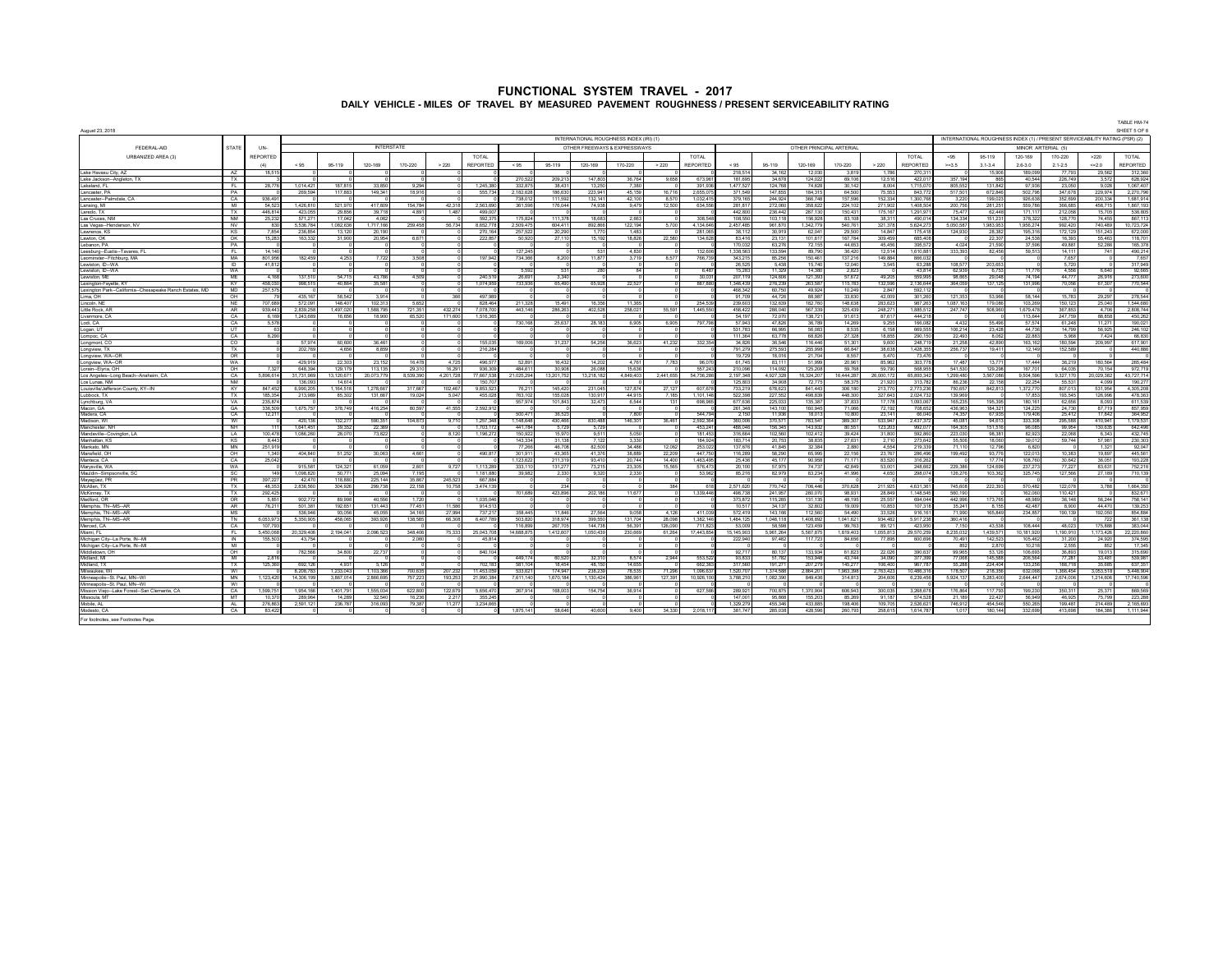| August 23, 2018<br>INTERNATIONAL ROUGHNESS INDEX (IRI) (1)<br>INTERNATIONAL ROUGHNESS INDEX (1) / PRESENT SERVICEABILITY RATING (PSR) (2) |                      |                     |                                                                                                      |                     |                   |                      |           |                     |                      |                    |                   |                 | TABLE HM-74      |                      |                       |                     |                          |                    |                   |                      |                      |                      |                          |                        |                    |                       |
|-------------------------------------------------------------------------------------------------------------------------------------------|----------------------|---------------------|------------------------------------------------------------------------------------------------------|---------------------|-------------------|----------------------|-----------|---------------------|----------------------|--------------------|-------------------|-----------------|------------------|----------------------|-----------------------|---------------------|--------------------------|--------------------|-------------------|----------------------|----------------------|----------------------|--------------------------|------------------------|--------------------|-----------------------|
|                                                                                                                                           |                      |                     |                                                                                                      |                     |                   |                      |           |                     |                      |                    |                   |                 |                  |                      |                       |                     |                          |                    |                   |                      |                      |                      |                          |                        |                    | SHEET 5 OF 8          |
|                                                                                                                                           |                      |                     |                                                                                                      |                     |                   |                      |           |                     |                      |                    |                   |                 |                  |                      |                       |                     |                          |                    |                   |                      |                      |                      |                          |                        |                    |                       |
| FEDERAL-AID                                                                                                                               | <b>STATE</b>         | LIN-                | <b>INTERSTATE</b><br>OTHER EREEWAYS & EXPRESSWAYS<br><b>REPORTED</b><br><b>TOTAL</b><br><b>TOTAL</b> |                     |                   |                      |           |                     |                      |                    |                   |                 |                  |                      |                       |                     | OTHER PRINCIPAL ARTERIAL |                    |                   |                      |                      |                      | MINOR ARTERIAL (5        |                        |                    |                       |
| URBANIZED AREA (3)                                                                                                                        |                      |                     |                                                                                                      |                     |                   |                      |           |                     |                      |                    |                   |                 |                  |                      |                       |                     |                          |                    |                   | <b>TOTAL</b>         | $-95$                | 95-119               | 120-169                  | 170-220                | >220               | <b>TOTAL</b>          |
|                                                                                                                                           |                      | (A)                 | < 95                                                                                                 | 95-119              | 120-169           | 170-220              | >220      | <b>REPORTED</b>     | < 95                 | 95-119             | 120-169           | 170-220         | > 220            | <b>REPORTED</b>      | < 95                  | 95-119              | 120-169                  | 170-220            | >220              | REPORTED             | > 3.5                | $3.1 - 3.4$          | $2.6 - 3.0$              | 21.25                  | $-20$              | <b>REPORTED</b>       |
| Lake Havasu City, AZ                                                                                                                      | AZ.                  | 18.515              |                                                                                                      |                     |                   |                      |           |                     |                      |                    |                   |                 |                  |                      | 218,514               | 34, 167             | 12.030                   | 3.819              | 1.786             | 270.3                |                      | 15,908               | 189,099                  | 77.70                  | 29.562             | 312,360               |
| Lake Jackson--Angleton, TX<br>Lakeland FL                                                                                                 | TX<br>F1.            | <b>28776</b>        | 1014 421                                                                                             | 187 815             | 33 850            | 9.294                |           | 1 245 38            | 270.522<br>332875    | 209 21:<br>38 431  | 147,803<br>13.250 | 36.76<br>7.380  | 9.658            | 673,96<br>391936     | 181,695<br>1 477 527  | 34,678<br>124 768   | 124 022<br><b>74 628</b> | 69,106<br>30.142   | 12.51<br>8.00     | 422,0<br>1715.07     | 357 194<br>805 552   | <b>BRS</b><br>131842 | 40.544<br>97,936         | 226.74<br>23.05        | 3,572<br>9.028     | 628,924<br>1.067.407  |
| Lancaster PA                                                                                                                              | PA                   |                     | 269.594                                                                                              | 117,883             | 149.341           | 18,916               |           | 555.73              | 2.182.628            | 186,630            | 223.941           | 45.15           | 16,716           | 2.655.075            | 371,549               | 147,855             | 184 315                  | 64,500             | 75,553            | 843.7                | 517,501              | 672.846              | 502.796                  | 347.678                | 229.974            | 2,270.796             |
| Lancaster--Palmdale, CA                                                                                                                   | CA                   | 936 49              |                                                                                                      |                     |                   |                      |           |                     | 738.012              | 111.592            | 132.141           | 42.10           | 8.57             | 103241               | 379 165               | 244.924             | 366 748                  | 157.59             | 152.33            | 1.300.7              | 3.220                | 199.02               | 926,638                  | 352.69                 | 200.334            | 681914                |
| Lansing, MI                                                                                                                               | M                    | 54.52               | 1426810                                                                                              | 521 97              | 417 809           | <b>154 784</b>       | 42.318    | 2.563.6             | 361,596              | 176 044            | 74.938            | 9.479           | 12,500           | 634,556              | 281,817               | 272,060             | 358 622                  | 224,10             | 27190             | 1408.5               | 200.756              | 281,251              | <b>559 786</b>           | 366.68                 | 458 715            | 1.867.193             |
| Laredo, TX                                                                                                                                | TX                   | 146 814             | 423.055                                                                                              | 29 85F              | 39.718            | 4.891                | 1.487     | 499.0               |                      |                    |                   |                 |                  |                      | 442 BOI               | 236.442             | 287 130                  | 150.431            | 175 16            | 1.291.97             | 75,477               | 62 448               | 171 117                  | 212.05                 | 15705              | 536.805               |
| Las Cruces, NM                                                                                                                            | <b>NM</b><br>NV      | 25,232<br>830       | 571.271<br>5,536,784                                                                                 | 17.042<br>1,082,636 | 4.062<br>1717166  | 259,458              | 56,734    | 592.37<br>8,652,7   | 175.824<br>2,509,475 | 111.378<br>604,411 | 18.683<br>892,866 | 2.66<br>122,194 | 5,700            | 308.548<br>4 134 646 | 108,550<br>2,457,485  | 103.118<br>961,870  | 156.928<br>1,342,779     | 83.10<br>540,761   | 38.3<br>321,37    | 490.0<br>5,624,27    | 134.334<br>5,050,587 | 151.23<br>1,983,953  | 378.322<br>1,956,274     | 128,77<br>992,42       | 74.455<br>740 489  | 867.113<br>10,723,724 |
| Las Vegas--Henderson, NV<br>Lawrence, KS                                                                                                  | KS                   | 7854                | 236.854                                                                                              | 13.120              | 20.190            |                      |           | 270.16              | 257.522              | 20,290             | 1 770             | 1.483           |                  | 281,065              | 38.112                | 30.919              | 62.041                   | 29,50              | 14 84             | 175.41               | 124,930              | 28,382               | 195,316                  | 172,129                | 151.243            | 672,000               |
| I awton OK                                                                                                                                | OK                   | 15.283              | 163.332                                                                                              | 31,900              | 20,954            | 6.671                |           | 222.85              | 50.920               | 27.110             | 15 192            | 18.826          | 22,580           | 134 628              | 83,416                | 23.131              | 101 617                  | 167 784            | 309,459           | 685 408              |                      | 22.307               | 24,538                   | 16.393                 | 55,463             | 118 701               |
| Lebanon, PA                                                                                                                               | PA                   |                     |                                                                                                      |                     |                   |                      |           |                     |                      |                    |                   |                 |                  |                      | 170,032               | 63.276              | 72 155                   | 44.653             | 45.45             | 395.5                | 4.024                | 21.590               | 37.596                   | 49 881                 | 52,286             | 165,378               |
| Leesburg--Eustis--Tavares, FL                                                                                                             | FL.                  | 14 14 0             |                                                                                                      |                     |                   |                      |           |                     | 127 245              |                    | 531               | 4830            |                  | 132 606              | 1.338.563             | 133.594             | 89,790                   | 36.420             | 12.514            | 161088               | 333,393              | 82 456               | 59.513                   | 14 111                 | 741                | 490 214               |
| Leominster--Fitchburg, MA<br>Lewiston, ID-WA                                                                                              | MA<br>$\blacksquare$ | 801.956<br>41812    | 182.459                                                                                              | 4.253               | 7.722             | 3.508                |           | 197.94              | 734.366              | 8.200              | 11.877            | 3.719           | 8.577            | 766.739              | 343.215<br>26,525     | 85.256<br>5438      | 150.461<br>1574          | 137.216<br>12.040  | 149.884<br>3.54   | 866.03<br>63.28      | 108.57               | 203.653              |                          | 7.657<br>5,720         |                    | 7.657<br>317,949      |
| Lewiston, ID-WA                                                                                                                           | WA                   |                     |                                                                                                      |                     |                   |                      |           |                     | 5.592                | 531                | 280               |                 |                  | 6487                 | 15,283                | 11,329              | 14,380                   | 2,823              |                   | 43,814               | 62.93                | 6,753                | 11776                    | 4.556                  | 6.640              | 92,665                |
| Lewiston MF                                                                                                                               | ME                   | 4 168               | 137.510                                                                                              | 54.715              | 43.786            | 4.509                |           | 240.51              | 26.691               | 3.340              |                   |                 |                  | 30.031               | 207.119               | 124.606             | 121.393                  | 57.672             | 49.20             | 559,996              | 98.665               | 29.048               | 74 194                   | 44.777                 | 26,916             | 273,600               |
| Lexington-Fayette, KY                                                                                                                     | KY.                  | 458.03              | 998 515                                                                                              | 40 864              | 35,581            |                      |           | 1,074,95            | 733 936              | 65,490             | 65 928            | 22.527          |                  | <b>887 880</b>       | 1,348,439             | 276,239             | 263,587                  | 115,783            | 132.59            | 2 136 644            | 364.05               | 137 125              | 131,996                  | 70.056                 | 67.307             | 770 544               |
| Lexington Park--California--Chesapeake Ranch Estates, MD                                                                                  | MD.                  | 257.57              |                                                                                                      |                     |                   |                      |           |                     |                      |                    |                   |                 |                  |                      | ARR 343               | 60.750              | A9 924                   | 10.249             | 2.84              | 502.11               |                      |                      |                          |                        |                    |                       |
| Lima, OH<br>Lincoln NF                                                                                                                    | OH.<br><b>NF</b>     | 707 68              | 435 167<br>572.091                                                                                   | 58.543<br>148 407   | 3914<br>102.31    | 5.652                |           | 4979<br>828 di      | 211 328              | 15,491             | 16.356            | 11.36           |                  | 254.53               | 91.70<br>239.60       | 44 726<br>132.639   | 88,983<br><b>182760</b>  | 33 830<br>148 63   | 42.00<br>283.62   | 301.26<br>987.26     | 121.353<br>1.087.16  | 53.966<br>179,088    | <b>58 144</b><br>103.269 | <b>15.78</b><br>150.12 | 29.297<br>25.040   | 278 544<br>1544 680   |
| Little Rock, AF                                                                                                                           | <b>AR</b>            | 939.44              | 2.839.258                                                                                            | 1.497.020           | 1.588.795         | 721.351              | 432 274   | 7.078.7             | 443.146              | 286 263            | 402.528           | 258.02          | 55,591           | 1.445.55             | 458.422               | 286.040             | 567.339                  | 325.43             | 248.27            | 1.885.5              | 247.747              | 508.960              | 1.679.478                | 367.853                | 4.706              | 2.808.744             |
| Livermore CA                                                                                                                              | CA                   | 6.16                | 1 243 689                                                                                            | 16.65               | 18,900            | 65.520               | 171,600   | 1,516.3             |                      |                    |                   |                 |                  |                      | 54.197                | 72.070              | 138 72                   | 91.61              | 87.61             | 444.2                |                      |                      | 113 644                  | 247.75                 | <b>88 858</b>      | 450.262               |
| Lodi, CA                                                                                                                                  | CA                   | 5.578               |                                                                                                      |                     |                   |                      |           |                     | 730,168              | 25,637             | 28,183            | 6.90            | 6,905            | 797 79               | 57.943                | 47,826              | 36,789                   | 14,269             | 9,255             | 166,08               | 4432                 | 55,496               | 57 574                   | 61,248                 | 11 271             | 190,021               |
| Logan, UT                                                                                                                                 | UT                   | 63                  |                                                                                                      |                     |                   |                      |           |                     |                      |                    |                   |                 |                  |                      | 531,783               | 66,995              | 56,083                   | 8,535              | 6.158             | 669,555              | 106,214              | 23.428               | 44,736                   | 14,799                 | 56.925             | 246,102               |
| Lompoc, CA                                                                                                                                | CA                   | 8.290               |                                                                                                      |                     |                   | $\Omega$             |           |                     |                      |                    |                   |                 |                  |                      | 111.364               | 63,778              | 68,826                   | 27.328             | 18.855            | 290.15               | 22,493               | 8.062                | <b>22 883</b>            | 5.968                  | 7424               | 66,830                |
| Longmont, CO<br>Longview, TX                                                                                                              | co<br>TX             |                     | 57,974<br>202.769                                                                                    | 60,600<br>4.656     | 36,461<br>8.859   | $\Omega$<br>$\Omega$ |           | 155,03<br>216.284   | 169,006              | 31,237             | 54,256            | 36,623          | 41,232           | 332,354              | 34,826<br>791,279     | 36,546<br>275,593   | 116,446<br>255,998       | 51,301<br>66.847   | 9,600<br>38.638   | 248,71<br>1,428.35   | 21,258<br>256.737    | 42,890<br>19.411     | 163,162<br>12.149        | 180,594<br>152,589     | 209,997            | 617,901<br>440.886    |
| Longview WA-OF                                                                                                                            | OR                   |                     |                                                                                                      |                     |                   |                      |           |                     |                      |                    |                   |                 |                  |                      | 19.729                | 18.016              | 21,704                   | 8.557              | 5.470             | 73.476               |                      |                      |                          |                        |                    |                       |
| Longview, WA-OR                                                                                                                           | <b>WA</b>            |                     | 429,919                                                                                              | 22.303              | 23 15 2           | 16,478               | 4.725     | 496.57              | 52891                | 16 432             | 14.20             | 4.76            | 7.783            | 96.070               | 61.745                | 83.111              | 51,999                   | 20.961             | 85.96             | 303.7                | 17.487               | 13.771               | 17,444                   | 36.21                  | 180.564            | 265,484               |
| Lorain--Elvria, Of                                                                                                                        | OH                   | 7.32                | 648.394                                                                                              | 129,179             | 113 13            | 29,310               | 16,29     | 936,31              | 484.61               | 30,908             | 26,088            | 15.63           |                  | 557,243              | 210,09                | 114,092             | 125.20                   | 59,768             | 59.79             | 568,9                | 541.53               | 129,298              | 16770                    | 64,03                  | 70 15              | 972,719               |
| Los Angeles-Long Beach-Anaheim, CA                                                                                                        | CA                   | 5.896.614           | 31,731,969                                                                                           | 13.120.671          | 20.073.779        | 8.539.390            | 4.201.728 | 77.667.53           | 21.025.294           | 13.201.752         | 13.218.182        | 4.849.403       | 2.441.655        | 54.736.286           | 2.197.348             | 4.927.328           | 16.324.207               | 16.444.287         | 26.000.17         | 65,893.34            | 1,299.480            | 3.567.086            | 9.504.596                | 9.327.17               | 20.029.382         | 43.727.714            |
| Los Lunas, NM<br>Louisville/Jefferson County, KY-IN                                                                                       | NM <sub></sub><br>KY | 847.45              | 136.09<br>6.990.20                                                                                   | 14.614<br>1.164.518 | 1.278.667         | 317.667              | 102,467   | 1507<br>9.853.5     | 76.21                | 145.420            | 231.04            | 127,874         | 27.12            | 607,678              | 125.803<br>733.219    | 34,908<br>678,623   | 7277<br>841.443          | 58.37<br>306,18    | 21,92<br>213,77   | 3137<br>2.773.2      | 86.23<br>750.65      | 22,15<br>842,81      | 22,254<br>1.372.77       | 55.53<br>807.01        | 4.09<br>531.954    | 190.273<br>4,305,208  |
| Lubbock, TX                                                                                                                               | TX                   | 185.35              | 213,989                                                                                              | 85,302              | 131,667           | 19,024               | 5,047     | 455,02              | 763,102              | 155,028            | 130,917           | 44.91           | 7.18             | 1.101.148            | 522,398               | 227,55              | 498,839                  | 448,30             | 327,64            | 2,024,7              | 139,96               |                      | 17.85                    | 193,54                 | 126,996            | 478,363               |
| Lynchburg, VA                                                                                                                             | VA                   | 235 87              |                                                                                                      |                     |                   |                      |           |                     | 557.974              | 101.843            | 32,473            | 6.544           | 131              | 698.965              | 677,636               | 225.03              | 135.383                  | 37.83              | 17.17             | 1.093.06             | 165.23               | 195,395              | 180 16                   | 62.65                  | 8.093              | 611,539               |
| Macon, GA                                                                                                                                 | GA                   | 336.50              | 1,675,757                                                                                            | 378,749             | 416,254           | 80,597               | 41.555    | 2,592,9             |                      |                    |                   |                 |                  |                      | 261,348               | 143,100             | 160.945                  | 71.06              | 72.19             | 708.65               | AR OR                | 184.32               | 124,225                  | 24.73                  | 87710              | 857,959               |
| Madera, CA                                                                                                                                | CA                   | 12,21               |                                                                                                      |                     |                   |                      |           |                     | 500 471              | 36.52              |                   | 780             |                  | 544 794              | 2.15                  | 11,936              | 18.013                   | 10.80              | 23.14             | 66 O                 | 74 357               | 67.935               | 179,406                  | 25.41                  | 17842              | 364,952               |
| Madison WI<br>Manchester, NH                                                                                                              | WI<br><b>NH</b>      |                     | 420 136<br>1 641 451                                                                                 | 132 27<br>39.352    | 590.351<br>22.369 | 104.873              | 9.710     | 1.257.34<br>1 703 1 | 1.148.648<br>441 784 | 430.466<br>5.729   | 830 488<br>5729   | 146.30          | 36,461           | 2,592,364<br>453.24  | 360,006<br>488 O46    | 370.57<br>156.345   | 783 541<br>143 932       | 389.30<br>80.551   | 533.94<br>123.20  | 243737<br>992.07     | 45.081<br>164,305    | 94.613<br>151.516    | 333.308<br>96.085        | 295,588<br>99.95       | 410 941<br>130 635 | 1.179.531<br>642,496  |
| Mandeville--Covington, LA                                                                                                                 | LA                   | 100.478             | 1.086.260                                                                                            | 28,070              | 73.822            |                      | 8.120     | 1.196.27            | 150.922              | 15,970             | 9.511             | 5.050           |                  | 181.453              | 316,664               | 102.560             | 102.412                  | 39.424             | 31.80             | 592.860              | 223.030              | 98.381               | 82.923                   | 22.068                 | 6.343              | 432.745               |
| Manhattan, KS                                                                                                                             | KS                   | 8.443               |                                                                                                      |                     |                   |                      |           |                     | 143.334              | 31 138             | 7 1 2 2           | 3.330           |                  | 184,924              | 18371                 | 20,753              | 38 835                   | 27,631             | 271               | 273,64               | 55,506               | 18,060               | 39,012                   | 59.744                 | 57 981             | 230,303               |
| Mankato, MN                                                                                                                               | <b>MN</b>            | 251.919             |                                                                                                      |                     |                   | $\sim$               |           |                     | 77.266               | 46.708             | 82.500            | 34,486          | 12.062           | 253.022              | 137.676               | 41.845              | 32.384                   | 2.880              | 4.554             | 219.33               | 71 110               | 12.796               | 6.820                    |                        | 1.321              | 92.047                |
| Mansfield OH                                                                                                                              | OH<br>CA             | 1.340<br>25.042     | 404 840                                                                                              | 51,252              | 30.063            | 4 661                |           | 490.81              | 301.911<br>1 123 622 | 43.365<br>211 319  | 41.376<br>93.410  | 38 889<br>20744 | 22.209<br>14,400 | 447 750<br>1 463 495 | 116.289               | 58.290<br>45 177    | 65,995<br>90.958         | 22.156<br>71 17    | 23.76<br>83.52    | 286.49<br>316.26     | 199,492              | 93 776<br>17774      | 122.013<br>108,760       | 10.383<br>30.642       | 19,897<br>36.051   | 445,561<br>193.228    |
| Manteca, CA<br>Marvsville WA                                                                                                              | <b>WA</b>            |                     | 915.581                                                                                              | 124.321             | 61.059            | 2.601                | 9.72      | 1.113.2             | 333.110              | 131.27             | 73,215            | 23,30           | 15,565           | 576 473              | 25,436<br>20,100      | 57,975              | 74 737                   | 42 B49             | 53.00             | 248.66               | 229.386              | 124,699              | 237.273                  | 77,22                  | 83.631             | 752,216               |
| Mauldin-Simnsonville SC                                                                                                                   | SC.                  | 149                 | 1.098.820                                                                                            | 50.771              | 25.094            | 7 195                |           | 1 181 8             | 39,982               | 2.330              | 9.320             | 2.330           |                  | 53.962               | 85.216                | 82.979              | 83.234                   | 41,996             | 4.65              | 298.07               | 126 276              | 103.362              | 325 745                  | 127,566                | 27 189             | 710 139               |
| Mayagüez, PR                                                                                                                              | <b>PR</b>            | 397.22              | 42,470                                                                                               | <b>118 880</b>      | 225, 144          | 35.867               | 245 523   | 667.81              |                      |                    |                   |                 |                  |                      |                       |                     |                          |                    |                   |                      |                      |                      |                          |                        |                    |                       |
| McAllen, TX                                                                                                                               | TX                   | 48.35               | 2.836.560                                                                                            | 304.926             | 299.738           | 22.158               | 10.758    | 3.474.1             |                      | 234                |                   |                 | 384              | 618                  | 2.571.620             | 770.742             | 706.446                  | 370.62             | 211.92            | 4.631.36             | 745.60               | 222.393              | 570.482                  | 122.07                 | 3,788              | 1.664.350             |
| McKinney, TX                                                                                                                              | TX                   | 292,425             |                                                                                                      |                     |                   |                      |           | 1 035 04            | <b>701 689</b>       | 423,896            | 202,186           | 11.677          |                  | 1.339.448            | 498 73                | 241,957             | 280.07<br>131 135        | 98,931             | 28.84             | 1148.5<br>694.04     | 560.19               |                      | 162.06                   | 110.42                 |                    | 832,671               |
| Medford, OR<br>Memphis, TN--MS--AF                                                                                                        | OR<br><b>AR</b>      | 5,851<br>76,21      | 902,772<br>501.381                                                                                   | 89,998<br>192.65    | 40,556<br>131.443 | 1,720<br>77.451      | 11.58     | 914.5               |                      |                    |                   |                 |                  |                      | 373,872<br>10.517     | 115,285<br>34.137   | 32.80                    | 48,195<br>19,009   | 25,55<br>10.85    | 107.31               | 442,996<br>35.241    | 173,765<br>8.155     | 48,989<br>42.48          | 36,148<br>8,900        | 56,244<br>44,470   | 758,141<br>139,253    |
| Memphis, TN--MS--AF                                                                                                                       | MS                   |                     | 536,946                                                                                              | 93.056              | 45.055            | 34 165               | 27,994    | 737,2               | 358 445              | 11846              | 27,564            | 9.058           | 4,126            | 411.039              | 572,419               | 143,166             | 112,560                  | 54,490             | 33.52             | 916.16               | 71,990               | 165,849              | 234,857                  | 190,139                | 192,050            | 854,884               |
| Memphis. TN--MS--AR                                                                                                                       | TN.                  | 6.053.97            | 5.350.905                                                                                            | <b>458 065</b>      | 303 026           | 138,585              | 66.308    | 6.407.78            | 503.820              | 318 974            | 300 550           | 131.70v         | 28,095           | 1 382 146            | 1 484 125             | 1048 118            | 1 408 897                | 1.041.621          | 934 48            | 5 917 238            | 360.416              |                      |                          |                        | 722                | 361 138               |
| Merced CA                                                                                                                                 | CA                   | 107.79              |                                                                                                      |                     |                   |                      |           |                     | 116.899              | 267.705            | 144,738           | 56.39           | 126.09           | 711 823              | 53,009                | <b>58.598</b>       | 123,458                  | 99.763             | 89.13             | 423,950              | 7.150                | 43.538               | 108,444                  | 48.023                 | <b>175 888</b>     | 383 044               |
| Miami, FL                                                                                                                                 | FL.<br><b>IN</b>     | 5.450.068<br>155.50 | 20.329.406<br>43.754                                                                                 | 2.194.041           | 2.096.523         | 348,406<br>2.060     | 75.333    | 25.043.7<br>45.8    | 14 688 875           | 1412607            | 1.050.439         | 230.66          | 61.264           | 17,443,854           | 15.145.903<br>222.940 | 5.961.264<br>97 482 | 558787<br>117.723        | 1.819.40<br>84 656 | .055.81<br>77,895 | 29.570.25<br>600.696 | 8.235.032<br>70.491  | 1,439.571<br>142.523 | 0.181.920<br>105,462     | .190.910<br>31,200     | 173 426<br>24,920  | 22,220,860<br>374.595 |
| Michigan City -- La Porte, IN -- MI<br>Michigan City--La Porte, IN--MI                                                                    | M                    |                     |                                                                                                      |                     |                   |                      |           |                     |                      |                    |                   |                 |                  |                      |                       |                     |                          |                    |                   |                      | 852                  | 2.870                | 10 218                   | 2.55                   | 852                | 17.345                |
| Middletown, OH                                                                                                                            | OH                   |                     | 782.566                                                                                              | 34,800              | 22,737            |                      |           | 840.10              |                      |                    |                   |                 |                  |                      | 92.717                | 80 137              | 133.934                  | 61.82              | 22.02             | 390.63               | 99.965               | 53 126               | 106.693                  | 36,893                 | 19.013             | 315,690               |
| Midland, MI                                                                                                                               | MI                   | 2.81                |                                                                                                      |                     |                   |                      |           |                     | 449 174              | 60.520             | 32.31             | 8.574           | 2,944            | 553.52               | 93,833                | 51,782              | 153,948                  | 43,744             | 34,09             | 377,39               | 77,068               | 145,588              | 206.564                  | 77,281                 | 33,481             | 539,981               |
| Midland, TX                                                                                                                               | TX                   | 125,360             | 692,126                                                                                              | 4.931               | 5 1 2 8           |                      |           | 702.18              | <b>581 104</b>       | 18.454             | 48 150            | 14,655          |                  | 662,363              | 317,560               | 191,271             | 207,279                  | 145,277            | 106.40            | 967.78               | 55,288               | 224,404              | 133,256                  | 188,718                | 35,685             | 637,351               |
| Milwaukee, WI                                                                                                                             | WI                   |                     | 8,208,783                                                                                            | 1,233,043           | 1,103,366         | 700 635              | 207,232   | 11 453 0            | 533 621              | 174 947            | 238,239           | 78.53           | 71 298           | 1.096.637            | 1,520,707             | 1 374 588           | 2,864,201                | 1,963,398          | 2,763,423         | 10 486 31            | 178,507              | 218,356              | 632,068                  | 1.366.454              | 3 053 518          | 5 448 904             |
| Minneapolis--St. Paul, MN--WI<br>Minneapolis--St. Paul. MN--WI                                                                            | <b>MN</b><br>WI      | 1,123,420           | 14,306,199                                                                                           | 3,867,014           | 2,866,695         | 757,223              | 193,253   | 21,990,38           | 7.611.140            | 1,670,184          | 1.130.424         | 386,96          | 127,391          | 10,926,100           | 3,788,210             | 1,082,390           | 849,436                  | 314,813            | 204,606           | 6,239,456            | 5,924,137            | 5,283,400            | 2,644,447                | 2,674,006              | 1,214,606          | 17,740,596            |
| Mission Vieio-J ake Forest-San Clemente, CA                                                                                               | CA                   | 1.599.75            | 1954 166                                                                                             | 1 401 791           | 1.555.034         | 622 800              | 122 679   | 5.656.47            | 267.914              | 168,003            | 154,754           | 36,914          |                  | 627,586              | 289 921               | 700 875             | 1.370.904                | 606.943            | 300.03            | 3 268 67             | 176.864              | 117 793              | 199 230                  | 350.31                 | 25.371             | 869,569               |
| Missoula, MT                                                                                                                              | <b>MT</b>            | 10,37               | <b>289 964</b>                                                                                       | 14,289              | 32.540            | 16,236               | 221       | 355.24              |                      |                    |                   |                 |                  |                      | 147.001               | 95 <b>BBF</b>       | 155.203                  | 85,269             | 91 18             | 574.53               | 21 189               | 22,427               | 56,949                   | 46.92                  | 75 799             | 223,288               |
| Mobile, AL                                                                                                                                | AL.                  | 276,863             | 2.591.121                                                                                            | 236,787             | 316.093           | 79.387               | 11.277    | 3.234.66            |                      |                    |                   |                 |                  |                      | 1.329.279             | 455.346             | 433,885                  | 198.406            | 109.70            | 2.526.62             | 746.912              | 454.546              | 550.265                  | 199.48                 | 214,489            | 2.165.693             |
| Modesto, CA                                                                                                                               | CA                   | 83 422              |                                                                                                      |                     |                   |                      |           |                     | 1.875.141            | 58.646             | 40.600            | 9400            | 34.330           | 2018 117             | 381 747               | 285.038             | 428 596                  | 260,793            | 258.615           | 1614787              | 1.017                | 180.144              | 332.699                  | 413,698                | 184,386            | 1 111 944             |
| For footpotes, see Footpotes Page                                                                                                         |                      |                     |                                                                                                      |                     |                   |                      |           |                     |                      |                    |                   |                 |                  |                      |                       |                     |                          |                    |                   |                      |                      |                      |                          |                        |                    |                       |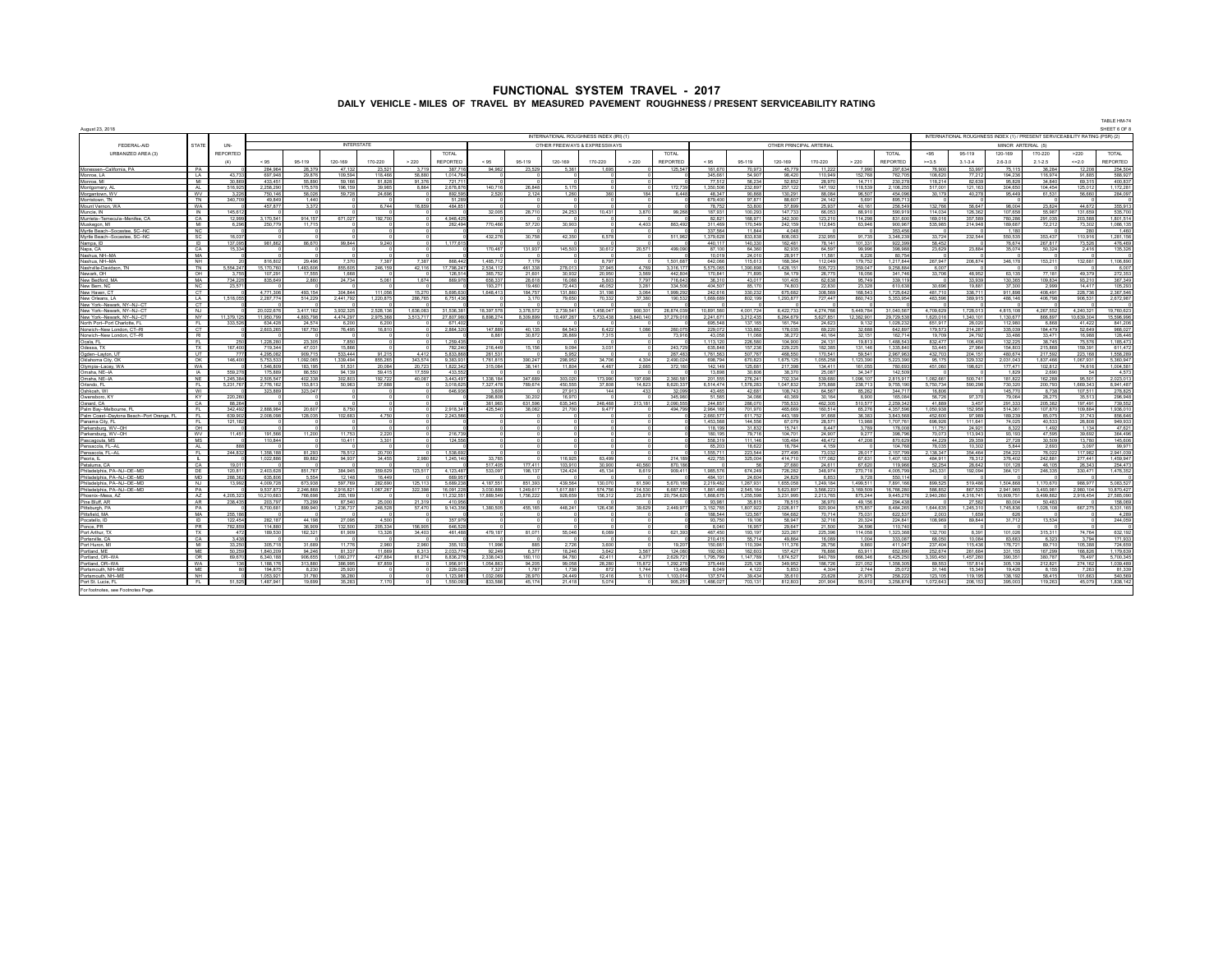| August 23, 2018                                        |                                 |                    |                        |                          |                      |                   |                 |                    |                      |                    |                                         |                  |                 |                        |                      |                    |                          |                          |                    |                        |                     |                   |                    |                         |                                                                             | TABLE HM-74<br>SHEET 6 OF 8 |
|--------------------------------------------------------|---------------------------------|--------------------|------------------------|--------------------------|----------------------|-------------------|-----------------|--------------------|----------------------|--------------------|-----------------------------------------|------------------|-----------------|------------------------|----------------------|--------------------|--------------------------|--------------------------|--------------------|------------------------|---------------------|-------------------|--------------------|-------------------------|-----------------------------------------------------------------------------|-----------------------------|
|                                                        |                                 |                    |                        |                          |                      |                   |                 |                    |                      |                    | INTERNATIONAL ROUGHNESS INDEX (IRI) (1) |                  |                 |                        |                      |                    |                          |                          |                    |                        |                     |                   |                    |                         | INTERNATIONAL ROUGHNESS INDEX (1) / PRESENT SERVICEABILITY RATING (PSR) (2) |                             |
| FEDERAL-AID                                            | <b>STATE</b>                    | UN-                |                        |                          | <b>INTERSTATE</b>    |                   |                 |                    |                      |                    | OTHER FREEWAYS & EXPRESSWAYS            |                  |                 |                        |                      |                    | OTHER PRINCIPAL ARTERIAL |                          |                    |                        |                     |                   |                    | MINOR ARTERIAL (5)      |                                                                             |                             |
| URBANIZED AREA (3)                                     |                                 | REPORTED           |                        |                          |                      |                   |                 | <b>TOTAL</b>       |                      |                    |                                         |                  |                 | <b>TOTAL</b>           |                      |                    |                          |                          |                    | <b>TOTAL</b>           | $-95$               | 95-119            | 120-169            | 170-220                 | >220                                                                        | <b>TOTAL</b>                |
|                                                        |                                 | (4)                | < 95                   | 95-119                   | 120-169              | 170-220           | > 220           | <b>REPORTED</b>    | < 95                 | 95-119             | 120-169                                 | 170-220          | > 220           | REPORTED               | < 95                 | 95-119             | 120-169                  | 170-220                  | > 220              | <b>REPORTED</b>        | $>=3.5$             | $31-34$           | $2.6 - 3.0$        | $2.1 - 2.5$             | < 20                                                                        | REPORTED                    |
| Monessen-California, PA                                | PA                              |                    | 284.964                | 28,379                   | 47.132               | 23.521            | 3.719           | 387.71             | 94.962               | 23,529             | 5.361                                   | 1.69             |                 | 125.547                | 161.67               | 70.973             | 45.779                   | 11.222                   | 7,990              | 297.634                | 76,900              | 53.997            | 75.115             | 36.284                  | 12,208                                                                      | 254.504                     |
| Monroe, LA                                             | LA                              | 43.73              | 697.948                | 29.876                   | 109.594              | 118,466           | 58,880          | 1.014.76           |                      |                    |                                         |                  |                 |                        | 345.66               | 54.90              | 98.42                    | 110.949                  | 152,768            | 762.705                | 108.620             | 77.212            | 194.236            | 116.974                 | 91,885                                                                      | 588.927                     |
| Monroe MI                                              | ML                              | 30.86              | 433 451                | 55,890                   | <b>59166</b>         | <b>81828</b>      | 91.376          | 7217               |                      |                    |                                         |                  |                 |                        | 77.51                | 56.234             | 52 852                   | 28,970                   | 14 7 11            | 230 278                | 118 214             | 82,639            | 95.828             | 34 840                  | 69.315                                                                      | 400 837                     |
| Montgomery, AL                                         | <b>AI</b>                       | 516.92<br>3.22     | 2.258.29               | 175,578<br><b>58.026</b> | 196 159<br>59 728    | 39 985            | 8.864           | 2 678 87           | 140 716              | 26 848<br>2124     | 5 175<br>1.260                          |                  | 184             | 172.739                | 1.350.50<br>48.347   | 232,897            | 257 12<br>130.29         | 147.192<br><b>BR ORA</b> | 118.539<br>96.507  | 2.106.255<br>454,096   | 517.001<br>30 179   | 121 163           | 304,650            | 104 454                 | 125.01<br>66 66                                                             | 1,172,281<br>284 097        |
| Morgantown, WV                                         | WV<br><b>TN</b>                 | 340.70             | 750.146<br>49.849      | 1.44                     |                      | 24.696            |                 | 892.59             | 2.520                |                    |                                         |                  |                 | 6.448                  | 679.40               | 90,868<br>97.87    | 88.60                    | 24.142                   | 5.69               | 895.7                  |                     | 40.278            | 95.449             | 61.531                  |                                                                             |                             |
| Morristown, TN<br>Mount Vernon, W                      | WA                              |                    | 457,87                 | 3,372                    |                      | 6.744             | 16.859          | 51.2<br>484,85     |                      |                    |                                         |                  |                 |                        | 78.75                | 53.80              | <b>57 89</b>             | 25,937                   | 40,16              | 256,549                | 132 768             | <b>56.647</b>     | 98,004             | 23,824                  | 44.67                                                                       | 355,913                     |
| Muncie, IN                                             | <b>IN</b>                       | 145.61             |                        |                          |                      |                   |                 |                    | 32.00                | 28,710             | 24,253                                  | 10.43            | 3.870           | 99,268                 | 187.93               | 100.29             | 147.73                   | 66.053                   | 88.91              | 590.91                 | 114 034             | 126.362           | 107 658            | <b>65 987</b>           | 131,650                                                                     | 535 700                     |
| Murrieta-Temecula-Menifee CA                           | CA                              | 12.999             | 3 170 541              | 914 157                  | 671.027              | 192,700           |                 | 4 948 42           |                      |                    |                                         |                  |                 |                        | 82.82                | <b>168.97</b>      | 342.30                   | 123 210                  | 114 298            | 831,600                | 169.016             | 357,589           | <b>780 288</b>     | 291 035                 | 203 588                                                                     | 1801514                     |
| Muskegon, MI                                           | M                               | 6.296              | 250.779                | 11.715                   |                      | $\sim$            |                 | 262.49             | 770 466              | 57 720             | 30.903                                  |                  | 4.403           | 863 492                | 311,469              | 170.549            | 242.15                   | 112.845                  | 63.946             | 900.967                | 535.985             | 214 948           | 189.687            | 72.212                  | 73.302                                                                      | 1.086.135                   |
| Myrtle Beach--Socastee, SC-N                           | NC.                             |                    |                        |                          |                      |                   |                 |                    |                      |                    |                                         |                  |                 |                        | 337.56               | 11.844             | 4.04                     |                          |                    | 353,456                |                     |                   | 1,180              |                         |                                                                             | 1,460                       |
| Myrtle Reach-Socastee, SC-NC                           | <sub>SC</sub><br>$\overline{D}$ | 16.03<br>137.09    |                        |                          |                      |                   |                 | 1.177.61           | 432.27               | 30 758             | 42.350                                  | 6.57             |                 | 511.962                | 1.379.628<br>440 11  | 833 838<br>140.33  | 808.08                   | 232 955<br>78 141        | 91.735<br>101.33   | 3.346.239              | 33 724              | 232 544           | 550 535<br>76.674  | 353.437<br>267 817      | 110 916<br>73.52                                                            | 1 281 156                   |
| Nampa, ID<br>Napa, CA                                  | CA                              | 15.334             | 981,862                | 86,670                   | 99,844               | 9,240<br>$\Omega$ |                 |                    | 170.467              | 131.937            | 145,503                                 | 30.612           | 20.571          | 499,090                | 87 10                | 64.360             | 162,48<br>82.935         | 64.597                   | 99,996             | 922,399<br>398,988     | 58,452<br>23,629    | 23.884            | 35.074             | 50.324                  | 2.416                                                                       | 476,469<br>135,326          |
| Nashua NH-M/                                           | <b>MA</b>                       |                    |                        |                          |                      |                   |                 |                    |                      |                    |                                         |                  |                 |                        | 10.01                | 24.010             | 28.91                    | 11,581                   | 6.226              | 80.754                 |                     |                   |                    |                         |                                                                             |                             |
| Nashua NH-MA                                           | <b>NH</b>                       |                    | 816802                 | 29 496                   | 737                  | 7387              | 73R             | <b>RRR 44</b>      | 4857                 |                    |                                         | 8.79             |                 | 1501687                | 642.066              | 115.61             | 168.36                   | 112.049                  | 179 752            | 1 217 844              | 267 947             | 206 874           | 346.178            | 153 211                 | 132.681                                                                     | 1.106.890                   |
| Nashville-Davidson TN                                  | $\overline{\mathbb{N}}$         | 5 554 24           | 15.170.760             | 1.483.606                | 855,605              | 246.159           | 42.116          | 17.798.24          | 2.534.11             | 461.338            | 278.013                                 | 37.945           | 4.769           | 3.316.177              | 5,575,065            | 1.390.898          | 1.428.15                 | 505.723                  | 359.047            | 9.258.884              | 6.007               |                   |                    |                         |                                                                             | 6.007                       |
| Newark OH                                              | OH                              |                    | 107.29                 | 17.55                    | 1.668                |                   |                 | 126.5              | 365.7                | 21.60              | 30.932                                  | 20.95            | 3.569           | 442 BO4                | 170 84               | 71.89              | <b>54.17</b>             | 26.77                    | 18.05              | 341 746                | 33,706              | 48.952            | 63 135             | 77 181                  | 49.37                                                                       | 272,353                     |
| New Bedford, M/                                        | MA                              | 734.228            | 835.649                | 2.860                    | 24.734               | 5.061             | 1.674           | 869.97             | 658.33               | 28.618             | 16.088                                  | 5.80             | 7.797           | 716.643                | 36.31                | 43.017             | 101.40                   | 62.638                   | 95.749             | 339.119                |                     | 33.939            | 130.365            | 109.834                 | 93.21                                                                       | 367.349                     |
| New Bern, N<br>New Haven C                             | <b>NC</b><br>CT.                | 23.57              | 4 771 306              | 493 154                  | 304 844              | 111 056           | 15.270          | 5.695.63           | 193.2<br>1 648 41    | 19,460<br>184 75   | 72,443<br>131,860                       | 46.05<br>31 198  | 3.281<br>3.064  | 334.50<br>1999 292     | 404.50<br>242.616    | 85.17<br>330.232   | 74.80<br>675.68          | 22.830<br>308.569        | 23.32<br>168.543   | 610.638<br>1 725 642   | 30.696<br>481 710   | 19,881<br>336 711 | 37.300<br>911 898  | 2.999<br>408 491        | 14.41<br>228 736                                                            | 105,293<br>2.367.546        |
| New Orleans 17                                         | $\overline{A}$                  | 1.518.055          | 2287774                | 514 229                  | 2 441 792            | 1 220 875         | 286 765         | 6.751.43           |                      | 3.170              | 79,650                                  | 70.333           | 37.380          | 190.532                | 1,669,689            | 802 199            | 1 293 87                 | 727 447                  | 860 743            | 5.353.954              | 483,596             | 389 915           | 486 146            | 406 798                 | 906.531                                                                     | 2 672 987                   |
| New York-Newark, NY--NJ--C                             | $\overline{c}$                  |                    |                        |                          |                      |                   |                 |                    |                      |                    |                                         |                  |                 |                        |                      |                    |                          |                          |                    |                        |                     |                   |                    |                         |                                                                             |                             |
| New York--Newark, NY--NJ--CT                           | N.I.                            |                    | 20.022.676             | 3 417 162                | 3.932.325            | 2 528 136         | 636.083         | 31.536.3           | 18 397 57            | 3.378.573          | 2.739.54                                | 1.458.04         | 900.301         | 26 874 039             | 10.891.56            | 4 001 72           | 6.422.73                 | 4.274.766                | 5.449.784          | 31.040.567             | 4 709 629           | 1.728.013         | 4.815.108          | 4.267.552               | 4 240 32                                                                    | 19 760 623                  |
| New York--Newark, NY--NJ--C                            | <b>NY</b>                       | 11.379.1           | 11,950,79              | 4,893,798                | 4,474,29             | 2,975,368         | 3.513.71        | 27,807,9           | 8,898,27             | 8,309,899          | 10,497,267                              | 5,733,438        | 8,840,140       | 37,279,018             | 2,241,67             | 3,212,43           | 6,264,67                 | 5,627,851                | 12,382,90          | 29,729,538             | 1,620,01            | 1,340,101         | 1,130,67           | 866,897                 | 10,639,304                                                                  | 15,596,996                  |
| North Port-Port Charlotte, FL                          | EL.                             | 333,526            | 634,428                | 24.574                   | 6.200                | 6.200             |                 | 67140              |                      |                    |                                         |                  |                 |                        | 695 548              | 137 165            | 161,764                  | 24,623                   | 9 132              | 1,028,232              | 651.917             | 28.020            | 112,980            | 6.868                   | 41,422                                                                      | 841,206                     |
| Norwich-New London, CT-RI<br>Norwich-New London, CT-RI | CT<br>R1                        |                    | 2,603,26               | 167,750                  | 76,495               | 16,810            |                 | 2,864,32           | 147,88<br>8.861      | 40,135<br>30.872   | 64,543                                  | 6.42<br>7.315    | 1,086           | 260,075<br>73,916      | 229,07<br>43.058     | 133,88<br>11.068   | 178,03                   | 69,220<br>40.164         | 32,688<br>32 151   | 642,897<br>162 714     | 179,57<br>19,709    | 214,287<br>24 792 | 335,039<br>33 486  | 184,479<br>33.471       | 52,649<br><b>16,988</b>                                                     | 966,027<br>128,446          |
| Ocala, FL                                              | FL                              |                    |                        | 23,305                   | 7,850                | $^{\circ}$        |                 |                    |                      |                    | 26,869                                  |                  |                 |                        | 1 113 12             | 226,58             | 36.27<br>104,90          | 24,131                   | 19.813             | 1.488.543              | 832.47              | 106,450           | 132,225            | 38,745                  | 76.676                                                                      | 1.185.473                   |
| Odessa, TX                                             | TX                              | 167 40             | 1,228,28<br>719,344    | 47.031                   | 15.866               |                   |                 | 1,259,43<br>782,24 | 216,449              | 15,156             | 9,094                                   | 3,031            |                 | 243.729                | 635,84               | 157,236            | 229.22                   | 182,385                  | 131,146            | 1,335,840              | 53,445              | 27,964            | 154,803            | 215,868                 | 159.39                                                                      | 611,472                     |
| Ogden-Layton, L                                        | <b>LIT</b>                      |                    | 4 295 082              | 909 71                   | 533.444              | 91.215            | 4412            | <b>5 833 86</b>    | 261.53               |                    | 5.952                                   |                  |                 | 267 483                | 1 761 56             | 507.76             | 468.55                   | 170.541                  | <b>59.54</b>       | 296796                 | 432.70              | 204 151           | 480,674            | 217 592                 | 223.16                                                                      | 1.558.289                   |
| Oklahoma City.                                         | OK                              | 146,400            |                        | ,092,06                  | 339.494              | 355,26            | 343,574         | 9.383.9            | 1.761.8              | 390,247            | 298,962                                 | 34.70            | 4.304           | 2.490.02               | 698,79               | 670,82             | 1.675.1                  | 055,258                  | 123.39             | 5.223.39               | 95.17               | 329.33            | 031,043            | 837 466                 | 067.93                                                                      | 5,360,947                   |
| Olympia-Lacey, WA                                      | <b>WA</b>                       |                    | 1.546.808              | 183 191                  | 51.531               | 20.084            | 20.723          | 1.822.3            | 315.084              | 38.14              | 11,804                                  | 4.46             | 2.665           | 372,160                | 142.14               | 125.68             | 217.39                   | 134,411                  | 161.055            | 780,692                | 451.060             | 198.62            | 177 47             | 102.812                 | 74.616                                                                      | 1.004.581                   |
| Omaha NF-IA                                            | <b>IA</b><br><b>NF</b>          | 669.27<br>1.245.38 | 175.88<br>2.505.54     | 86.55<br>402.338         | 94.139<br>302.803    | 59.415<br>192 722 | 17.55<br>40.087 | 433.5              | 1 338 18             |                    |                                         |                  | <b>197 698</b>  |                        | 13.89<br>201.55      | 30,806<br>276.24   | 38.37<br>702.33          | 25.087<br>539 680        | 34.347<br>1.096.10 | 142.50<br>2.815.917    | 1.082.661           | 500 741           | 182<br>181 822     | 2.690<br><b>162 288</b> |                                                                             | 4.673<br>2.023.013          |
| Omaha NE-IA<br>Orlando, FL                             | FL.                             | 5.231.76           | 2.776.162              | 153.813                  | 50.963               | 37.688            |                 | 3 443 4<br>3.018.6 | 7.327.478            | 347 68t<br>789,674 | 303.020<br>450.555                      | 173.99<br>37.80  | 14.823          | 2.360.581<br>8.620.337 | 6.514.474            | 1.578.28           | 1.047.83                 | 375.888                  | 238.71             | 9.755.190              | 5.750.734           | 590,298           | 730.320            | 200.793                 | 95.501<br>1.669.343                                                         | 8.941.487                   |
| Oshkosh, WI                                            | WI                              |                    | 323,889                | 323,047                  |                      |                   |                 | 646.93             | 3.60                 |                    | 27.913                                  |                  | 433             | 32,099                 | 43.46                | 42.68              | 108.74                   | 64.567                   | 85,262             | 344.717                | 16,806              |                   | 145,770            | 8.738                   | 107.511                                                                     | 278,825                     |
| Owensboro, KY                                          | KY.                             | 220.2              |                        |                          |                      |                   |                 |                    | 298.80               | 30.20              | 16.970                                  |                  |                 | 345,980                | 51.56                | 34.08              | 40.36                    | 30.164                   | 8.900              | 165,084                | 56.726              | 97.370            | 79.064             | 28.275                  | 35.513                                                                      | 296,948                     |
| Oxnard, CA                                             | CA                              | 88.26              |                        |                          |                      |                   |                 |                    | 361.96               | 631.596            | 635.345                                 | <b>248 461</b>   | 213.181         | 2.090.55               | 244.85               | 286.07             | 755.53                   | 462.305                  | 510.57             | 2.259.342              | 41889               | 3.457             | 291,333            | 205,382                 | 197.49                                                                      | 739.552                     |
| Palm Bay--Melbourne, FL                                | - FL                            | 342.491            | 2 888 984              | 20.607                   | 8.750                |                   |                 | 291834             | 425,540              | 38.082             | 21,700                                  | 9.477            |                 | 494.799                | 2964.16              | 701.970            | 465.66                   | 160 514                  | 65,276             | 4.357.596              | 1.050.938           | 152,958           | 514,361            | 107 870                 | 109 884                                                                     | 1936.010                    |
| Palm Coast--Davtona Beach--Port Orange, FI             | - FL                            | 639.90             | 2.008.098              | 128,035                  | 102.683              | 4.750             |                 | 2,243.56           |                      |                    |                                         |                  |                 |                        | 2.660.57             | 611.7              | 443.18                   | 91.668                   | 36.38              | 3.843.568              | 452.60              | 97.989            | 189.239            | 85.075                  | 31.743                                                                      | 856.646                     |
| Panama City, FL<br>Parkersburg, WV-OH                  | FL.<br>OH                       | 121.18             |                        |                          |                      |                   |                 |                    |                      |                    |                                         |                  |                 |                        | 1.453.56<br>118.19   | 144.55<br>31.83    | 67.07<br>15.74           | 28.57<br>8.447           | 13,988<br>3.78     | 1.707.761<br>178,008   | 696.92<br>11.75     | 111.641<br>24,921 | 74.025<br>8.322    | 40.533<br>1.492         | 26,808<br>1.134                                                             | 949.933<br>47.621           |
| Parkersburg, WV--OH                                    | WV                              | 11,451             | 191,566                | 11,200                   | 11.75                | 2,220             |                 | 216,73             |                      |                    |                                         |                  |                 |                        | 180,19               | 79.71              | 104,70                   | 24,907                   | 9.27               | 398,796                | 70.07               | 113,943           | 93,193             | 47,595                  | 39.69                                                                       | 364,496                     |
| Pascagoula, MS                                         | MS                              |                    | 110.844                |                          | 10,411               | 3,301             |                 | 124,55             |                      |                    |                                         |                  |                 |                        | <b>558.31</b>        | 111 146            | 105.48                   | 48,472                   | 47,208             | 870.62                 | 44,229              | 29.359            | 27,728             | 30,509                  | 13,780                                                                      | 145,606                     |
| Pensacola, FL-AI                                       | AI                              |                    |                        |                          |                      |                   |                 |                    |                      |                    |                                         |                  |                 |                        | 65.20                | 18.62              | 16.78                    | 4 159                    |                    | 104 76                 | 78.035              | 10.302            | 5.844              | 2.693                   | 3.09                                                                        | 99.971                      |
| Pensacola FL-AL                                        | FL                              | 244.83             | 1.358.188              | 81.293                   | 78.513               | 20,700            |                 | 1.538.69           |                      |                    |                                         |                  |                 |                        | 1 555 71             | 223.544            | 277 49                   | 73.032                   | 28.01              | 2 157 798              | 2.138.347           | 354 464           | 254 223            | 76.022                  | 117 982                                                                     | 2 941 039                   |
| Peoria. IL                                             | т                               |                    | 1,022,886              | 89882                    | 94 937               | 34 455            | 2.980           | 1.245.14           | 33.765               |                    | 116 925                                 | 63.49            |                 | 214 189                | 422,75               | 325,004            | 41471                    | 177 082                  | 67.63 <sup>*</sup> | 1 407 183              | 484 911             | 78.312            | 376 402            | 242 RR1                 | 277 441                                                                     | 1 459 947                   |
| Petaluma, CA<br>Philadelphia, PA-NJ--DE--MD            | CA<br>DF                        | 190<br>120.81      | 2.403.628              | <b>851767</b>            | 384 94 <sup>6</sup>  | 359 629           | 123,517         | 4 123 48           | 517.40<br>533.097    | 177.41<br>198 13   | 103.910<br>124.424                      | 30.90<br>45.13   | 40,560<br>8.619 | 870 186<br>909.411     | 1985.57              | 674.249            | 27.68<br>726.28          | 24 611<br>348 974        | 67.620<br>270.718  | 119,966<br>4 005 799   | 52,254<br>343,331   | 28,642<br>192.094 | 101,128<br>364.121 | 46 105<br>246.335       | 26.34<br>330.471                                                            | 254,473<br>1,476,352        |
| Philadelphia, PA--NJ--DE--MD                           | <b>MD</b>                       | 288,363            | 635,806                | 5.554                    | 12,148               | 16,449            |                 | 669.9              |                      |                    |                                         |                  |                 |                        | 484 10               | 24.604             | 24.82                    | 6.853                    | 9,728              | 550,114                |                     |                   |                    |                         |                                                                             |                             |
| Philadelphia, PA--NJ--DE--MD                           | N.L                             | 13.99              | 4.009.728              | 673,938                  | 597.769              | 282,690           | 125,113         | 5,689.23           | 4 187 551            | 851.393            | 439.564                                 | 130.07           | 61.590          | 5.670.168              | 2,219,48             | 1,267,931          | 1.655.05                 | 1,249,184                | 1.499.51           | 7.891.166              | 899,525             | 519.486           | 1.504.868          | 1.170.670               | 988 977                                                                     | 5.083.527                   |
| Philadelphia PA-NJ-DE-ME                               | PA                              |                    | 9.537.873              | 2 246 868                | 2916821              | 1087287           | 322.398         | 16.091.2           | 3.030.88             | 1 249 61           | 1 617 881                               | 574.75           | 214,530         | 6 687 67               | 186148               | 2 545 164          | 5.623.89                 | 3 566 223                | 3 169 509          | 16 766 28              | 586.85              | 867 525           | 2 941 965          | 3 493 981               | 2.980.104                                                                   | 10 870 427                  |
| Phoenix-Mess A2                                        | A7                              | 4.205.32           | 10.210.68              | 766 698                  | 255 169              |                   |                 | 11,232.55          | 17 889 549           | 1.756.22           | 928 659                                 | 156.31           | 23.878          | 20.754.62              | 186867               | 1,255.59           | 3,231,99                 | 2213765                  | 875.244            | 9 445 27               | 2,940,260           | 4 316 741         | 10 909 751         | 6 499 882               | 2918454                                                                     | 27 585 090                  |
| Pine Bluff, AR                                         | <b>AR</b>                       | 238.435            | 203.797                | 73,299                   | 87.540               | 25,000            | 21.319          | 410.95             |                      |                    |                                         |                  |                 |                        | 93.98                | 35.81              | 78.51                    | 36.970                   | 49.156             | 294.438                |                     | 27.582            | 80.004             | 50.483                  |                                                                             | 158,069                     |
| Pittsburgh, PA<br>Pittsfield MA                        | PA<br><b>MA</b>                 | 255 18             | 6.700.68               | 899,941                  | 1,236,737            | 248,528           | 57,470          | 9,143,35           | 1.380.50             | 455.165            | 448.241                                 | 126.43           | 39,629          | 2,449,977              | 152,76<br>188 544    | 1.807.92<br>123.56 | 2.026.81<br>164.68       | 920.904<br>70 714        | 575.85<br>75.03    | 8.484.265<br>622.53    | 1.644.635<br>200    | 245.31<br>1.659   | 1,745,836<br>626   | ,028,108                | 667.27                                                                      | 6.331.165<br>4.289          |
| Pocatello ID                                           | - ID                            | 122 454            | 282 187                | 44 198                   | 27.095               | 4.500             |                 | 357.9              |                      |                    |                                         |                  |                 |                        | 93.75                | 19 10              | 58.94                    | 32716                    | 20.324             | 224 R41                | 108,989             | 89 844            | 31.712             | 13.534                  |                                                                             | 244.059                     |
| Ponce, PR                                              | <b>PR</b>                       | <b>782 85</b>      | <b>114 880</b>         | 36.90                    | 132.500              | 205.334           | 156 905         | 646 5              |                      |                    |                                         |                  |                 |                        | 8.04                 | 16.95              | 29.64                    | 21.500                   | 34.59              | 110 740                |                     |                   |                    |                         |                                                                             |                             |
| Port Arthur, TX                                        | TX                              | 47                 | 189,530                | 162.321                  | 61,909               | 13.326            | 34,403          | 461.48             | 479 187              | 81.07              | <b>55 046</b>                           | 6.08             |                 | 621.39                 | 467.45               | 193 19             | 323.26                   | 225.396                  | 114,058            | 1.323.368              | 132,700             | 8.391             | 101.026            | 315 311                 | 74 764                                                                      | 632 192                     |
| Porterville, CA                                        | CA                              | 3.43               |                        |                          |                      |                   |                 |                    |                      |                    |                                         |                  |                 |                        | 210.41               | 55.71              | 49.86                    | 16.089                   | 1.004              | 333.087                | 68.050              | 10.084            | 83.683             | 6.323                   | 3.794                                                                       | 171.933                     |
| Port Huron, MI                                         | MI                              | 33.250             | 305 718                | 31.689                   | 11 776               | 2.960             | 2.960           | 355.10             | 11,998               | 885                | 2,726                                   | 3.600            |                 | 19,207                 | 150.661              | 110.394            | 111.376                  | 28,756                   | 9,860              | 411 047                | 237 404             | 115,436           | 176,721            | 89 710                  | 105,388                                                                     | 724,659                     |
| ortland, ME                                            | MF                              | 50,2               | 1,840,209              | 94,246                   | 81,337               | 11,669            | 6.31            | 2,033,7            | 92.24                | 6.37               | 18,246                                  | 3.64             | 3,567           | 124,080                | 192,06               | 162.60             | 157,42                   | 76,886                   | 63,911             | 652,890                | 252.67              | 261,684           | 331,155            | 167,299                 | 166.82                                                                      | 1,179,639                   |
| Portland OR-WA<br>Portland OR-WA                       | OR<br>WA                        | 69.670<br>136      | 6.340.188<br>1 188 176 | 906 655<br>313.880       | 1 080 277<br>386.995 | 427 RR4<br>67859  | 81.274          | 883627<br>1.956.91 | 2.338.043<br>1054862 | 160.116<br>94, 201 | 84 780<br>99.058                        | 42,411<br>28.28I | 4.377<br>15.872 | 2 629 72<br>1 292 271  | 1 795 799<br>375.449 | 1 147 789          | 1874.52<br>349.95        | 940 789<br>186 726       | 666.346<br>221 052 | 6.425.250<br>1.358.305 | 3.393.450<br>89.553 | 1457260<br>157814 | 390 351<br>305.139 | 380 787<br>212 821      | 78,497<br>274 162                                                           | 5 700 345<br>1.039.489      |
| Portsmouth, NH-I                                       | <b>ME</b>                       |                    | 194,87                 | 8,23                     | 25.92                |                   |                 | 229,0              | 732                  | 1.78               | 1 738                                   |                  | 1744            | 13.469                 | 8.04                 | 225.126<br>4 1 2   | <b>5.85</b>              | 4.304                    | 2744               | 25.07                  | 3114                | 15,349            | 19,426             | 8.155                   | 7.26                                                                        | 81,339                      |
| Portsmouth, NH-M                                       | NH                              |                    | 1.053.921              | 31 78                    | 38,280               |                   |                 | 1.123.98           | 1 032 06             | 28.970             | 24 449                                  | 12,416           | 5,110           | 1103014                | 137.574              | 39,434             | 35.61                    | 23.628                   | 21.975             | 258.222                | 123,106             | 119 195           | 138.192            | 58,415                  | 101.662                                                                     | 540,569                     |
| Port St. Lucie. FL                                     |                                 | 51.52              | 1,487,941              | 19.699                   | <b>35283</b>         | 7.170             |                 | 1.550.0            | 833,586              | 45,174             | 21 418                                  | 5.074            |                 | 905.251                | 1 486.02             | 703,131            | 812,80                   | 201 904                  | 55,010             | 3,258,874              | 1,072,643           | 206,153           | 395,00             | 119,263                 | 45,079                                                                      | 1,838,142                   |
| For footnotes, see Footnotes Page.                     |                                 |                    |                        |                          |                      |                   |                 |                    |                      |                    |                                         |                  |                 |                        |                      |                    |                          |                          |                    |                        |                     |                   |                    |                         |                                                                             |                             |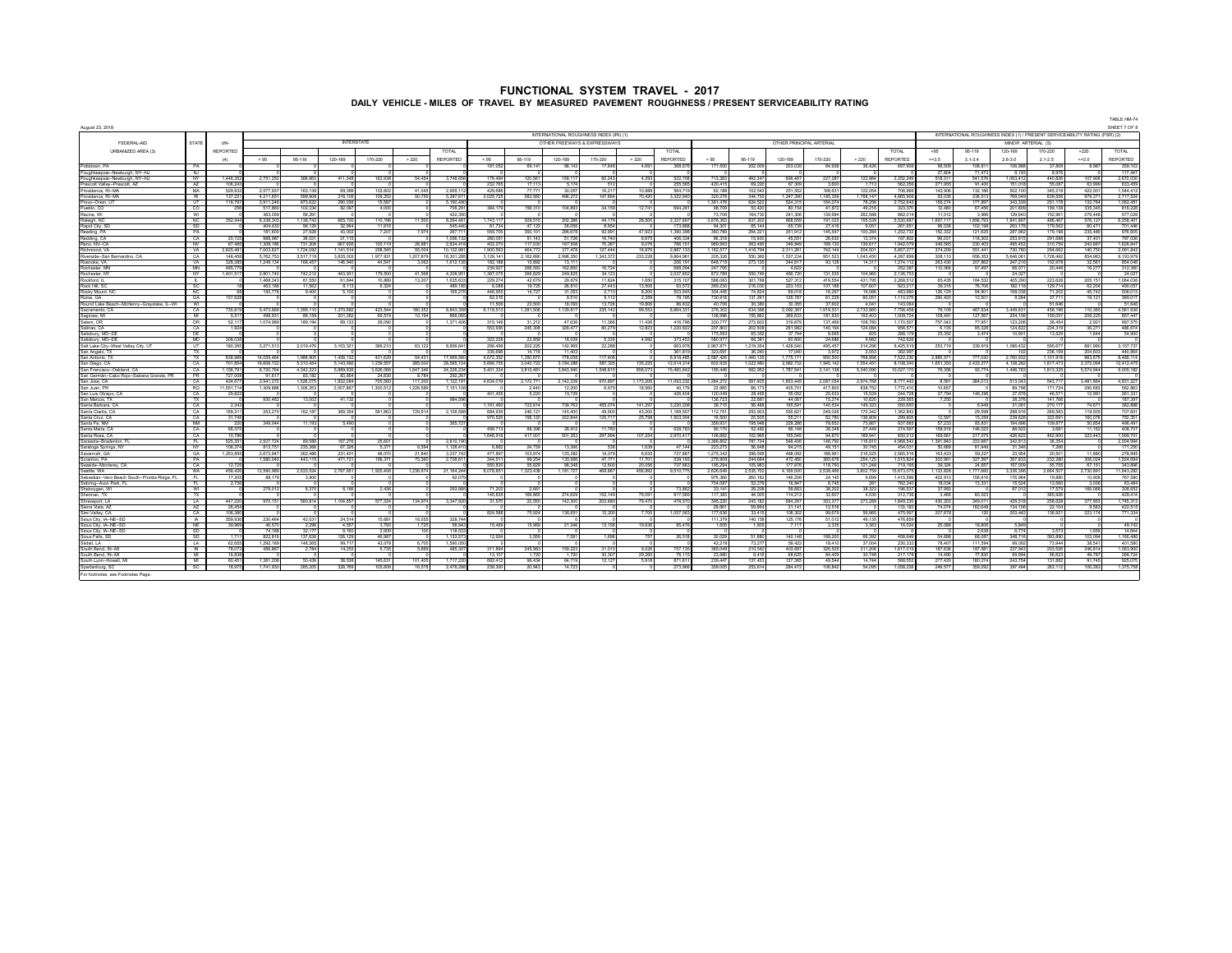|                                                              |                        |                    |                        |                    |                   |                       |                       |                      |                      |                    |                                         |                   |                  |                        |                         |                         |                            |                          |                        |                         |                    |                          |                                                                             |                          |                    | TABLE HM-74                      |
|--------------------------------------------------------------|------------------------|--------------------|------------------------|--------------------|-------------------|-----------------------|-----------------------|----------------------|----------------------|--------------------|-----------------------------------------|-------------------|------------------|------------------------|-------------------------|-------------------------|----------------------------|--------------------------|------------------------|-------------------------|--------------------|--------------------------|-----------------------------------------------------------------------------|--------------------------|--------------------|----------------------------------|
| August 23, 2018                                              |                        |                    |                        |                    |                   |                       |                       |                      |                      |                    | INTERNATIONAL ROUGHNESS INDEX (IRI) (1) |                   |                  |                        |                         |                         |                            |                          |                        |                         |                    |                          | INTERNATIONAL ROUGHNESS INDEX (1) / PRESENT SERVICEABILITY RATING (PSR) (2) |                          |                    | SHEET 7 OF 8                     |
| FEDERAL-AID                                                  | <b>STATE</b>           | UN-                |                        |                    | <b>INTERSTATE</b> |                       |                       |                      |                      |                    | OTHER FREEWAYS & EXPRESSWAYS            |                   |                  |                        |                         |                         |                            | OTHER PRINCIPAL ARTERIAL |                        |                         |                    |                          | MINOR ARTERIAL (5)                                                          |                          |                    |                                  |
| URBANIZED AREA (3)                                           |                        | <b>REPORTED</b>    |                        |                    |                   |                       |                       | <b>TOTAL</b>         |                      |                    |                                         |                   |                  | <b>TOTAL</b>           |                         |                         |                            |                          |                        | TOTAL                   | $-95$              | 95-119                   | 120-169                                                                     | 170-220                  | >220               | <b>TOTAL</b>                     |
|                                                              |                        | (4)                | < 95                   | 95-119             | 120-169           | 170-220               | > 220                 | <b>REPORTED</b>      | < 95                 | 95-119             | 120-169                                 | 170-220           | > 220            | <b>REPORTED</b>        | < 95                    | 95-119                  | 120-169                    | 170-220                  | > 220                  | <b>REPORTED</b>         | $>=3.5$            | $3.1 - 3.4$              | $2.6 - 3.0$                                                                 | $2.1 - 2.5$              | $4 = 2.0$          | REPORTED                         |
| Pottstown PA                                                 | PA                     |                    |                        |                    |                   |                       |                       |                      | 181.052              | 69 141             | 98 143                                  | 17 648            | 4.691            | 368.67                 | 171,500                 | 202.009                 | 203.03                     | 84,936                   | 36.426                 | 697.90                  | 98,509             | 108 811                  | 106,988                                                                     | 37.809                   | 8.987              | 359.103                          |
| Poughkeepsie-Newburgh NY-NJ                                  | N                      |                    |                        |                    |                   |                       |                       |                      |                      |                    |                                         |                   |                  |                        |                         |                         |                            |                          |                        |                         | 27.804             | 71 473                   | 9 193                                                                       | <b>R 976</b>             |                    | 117,447                          |
| Poughkeepsie-Newburgh, NY-NJ<br>Prescott Valley-Prescott, AZ | <b>NY</b><br>A7        | 1.446.3<br>108.24  | 2,751,253              | 368.663            | 411.34            | 162.93                | 54.454                | 3.748.65             | 179.494<br>232 7R    | 120.561<br>17 11   | 158.117<br><b>6174</b>                  | 60.243<br>612     | 4.293            | 522.7<br><b>2555</b>   | 713.283<br>420.41       | 492.347                 | 696.46<br>67.30            | 227,287<br>3 RC          | 122.864<br>171         | 2.252.2<br><b>582.2</b> | 518.31<br>271 95   | 541.576                  | 1.063.412<br>151.01                                                         | 440.826<br><b>55.08</b>  | 107.906<br>63.996  | 2.672.030<br>633.459             |
| Providence, RI--M                                            | MA                     | 529.9              | 2.577.93               | 163.13             | 69.38             | 103.60                | 41.04                 | 2.955.1              | 429.68               | 77.77              | 30.05                                   | 16.21             | 10.988           | 564.7                  | 62.18                   | 69,220<br>102.542       | 251.5                      | 168.63                   | 122.054                | 706.9                   | 142.906            | 91,400<br>132.186        | 502.10                                                                      | 345.219                  | 422.00             | 1.544.412                        |
| Providence, RI--M                                            | RI                     | 137.22             | 4 211 651              | 599.90             | 316.10            | 109.25                | 50.75                 | <b>6287 6</b>        | 202572               | 582,560            | 496,272                                 | 147 RRd           | 70,420           | 3.322 B                | 320.27                  | 344.73                  | 1 247 38                   | 1185.35                  | ,768,147               | 48659                   | 93,035             | 236,513                  | 769 04                                                                      | 639.656                  | 979.371            | 2.717.524                        |
| Provo-Orem, L                                                | UT                     | 118.7              | 3.911.24               | 973,62             | 290,03            | 15.58                 |                       | 5,190,49             |                      |                    |                                         |                   |                  |                        | 361.47                  | 624.52                  | 524.3                      | 164.07                   | 78.25                  | 2,752,6                 | 156.274            | 177.897                  | 343.33                                                                      | 251.17                   | 133.764            | 1.062.451                        |
| Pueblo, CO<br>Racine, WI                                     | ന<br>W                 |                    | 617 BBC<br>363.066     | 102.334<br>59,29   | 82.05             | 4.00                  |                       | 706,29<br>422.35     | 384.17               | 158.310            | 104,893                                 | 34.159            | 12741            | R94 2                  | 98.70<br>73.706         | 63.420<br>164 73        | 80.15<br>241.30            | 41.87<br>139.684         | 49.21<br>262,588       | 323.3<br><b>882.0</b>   | 12,480<br>11.012   | 67.456<br>3.988          | 201.80<br>129.64                                                            | 199 138<br>152.961       | 335.345<br>279 448 | 816.228<br>577.026               |
| Raleigh, NC                                                  | NC                     | 352,444            | 6.338.302              | 1,138,742          | <b>665.72</b>     | 110 19                | 11,500                | 8,264,46             | 1743 11              | 309.515            | 202.386                                 | 44.17             | 28,500           | 23276                  | 3.678.36                | 837,202                 | <b>ARR 54</b>              | 191.02                   | 155.53                 | 5,530.68                | 1 697 117          | 1856 793                 | 1,641,897                                                                   | 486.467                  | 576.127            | 6.258.401                        |
| Rapid City, SD                                               | SD <sup>-</sup>        |                    | 404.430                | 98.12              | 32.96             | 11.91                 |                       | 545.44               | 81734                | 47.12              | 36.056                                  | 8.954             |                  | 173.8                  | 94.30                   | 65 144                  | <b>657</b>                 | 27.416                   | 90 <sup>6</sup>        | 261.6                   | 96.038             | 102.198                  | 263,17                                                                      | <b>179 56</b>            | 60.471             | 701.446                          |
| Reading PA                                                   | PA                     |                    | 181,600                | 27,928             | 43.003            | 7.20                  | 7.974                 | 267.71               | 559 705<br>280.05    | 393 101            | 296,678                                 | 92.991<br>16.74   | 47.923           | 1.390.38               | 360 789                 | 294.221                 | 351.91<br>45 F             | 145.547<br><b>26.63</b>  | 100.284<br>13.37       | 1 252 73                | 152.332            | 121.625                  | 287.962                                                                     | 179 198                  | 235,489<br>37.401  | 976 60 <sup>6</sup><br>797 03F   |
| Redding, CA<br>Reno NV-CA                                    | CA<br><b>NV</b>        | 20.7<br>67.48f     | 988.987<br>1.308.186   | 36.03<br>731.208   | 31.1<br>667,926   | 100.11                | 26,981                | 1.056.1<br>2.834.41  | 402.270              | 51.143<br>117,030  | 51.726<br><b>167 508</b>                | 70.267            | 6.675<br>9.076   | 406.3<br>766.1         | 66.31<br>989 993        | 15,930<br>263,490       | 349.84                     | 199.130                  | 139.61                 | 167.80<br>1.942.07      | 96.031<br>346.565  | 118,302<br>230.403       | 253.61<br>495.453                                                           | 291.688<br>310.759       | 243.667            | 1.626.847                        |
| Richmond VA                                                  | VA                     | 2.825.48           | 7.003.827              | 1.724.092          | 1.141.51          | 208 Fd                | 55.00                 | 10.132.9             | 900.563              | 464,772            | 377.478                                 | 127.444           | 16.876           | 2.887.1                | .182.67                 | 1.416.794               | 2.311.26                   | 742.144                  | 204.50                 | 5.857.2                 | 374.209            | 551.441                  | 730.780                                                                     | 294.662                  | 140 750            | 2.091.842                        |
| Riverside-San Bernardino, CA                                 | CA                     | 148.4 <sup>6</sup> | 5.762.753              | 3 517 71           | 3835.00           | 197793                | 1 207 879             | 16.301.2             | 3 129 141            | 2.162.890          | 2.996.350                               | 1343373           | 233 228          | 98649                  | 205.326                 | 550.388                 | 1.637.23                   | 951.52                   | 104345                 | 4 287 8t                | 308 110            | 656.353                  | 5 646 061                                                                   | 1728 492                 | 854 963            | 9 193 979                        |
| Roanoke, VA                                                  | VA                     | 328.38<br>485.77   | 1.249.134              | 168.45             | 146,940           | 44.54                 | 3.062                 | 1.612.1              | 182.188<br>239.927   | 10.892             | 13.1                                    | 16.724            |                  | 206.1                  | 648.71<br>247 788       | 273.135                 | 244.81<br>4.62             | 93.128                   | 14.31                  | 1.274.1<br>252.38       | 263.430            | 207.862<br>97 497        | 247.21<br>66.07                                                             | 102.978<br>20,449        | 32.561<br>16.277   | 854.048<br>312.380               |
| Rochester, MN<br>ochester, NY                                | MN<br><b>NY</b>        | .401.5             | 2.801.740              | 742.21             | 443.93            | 179.50                | 41.568                | 4.208.9              | 1.387.07             | 268.593<br>366.829 | 162.850<br>249.825                      | 34.12             |                  | 688.09<br>2.037.8      | 872.789                 | 550.749                 | 466.72                     | 131.535                  | 104.96                 | 2.126.7                 | 112.066            |                          | 24.02                                                                       |                          |                    | 24.027                           |
| Rockford, IL                                                 | ┱                      |                    | 1 468 343              | 81,550             | 61 644            | 10.88                 | 13.20                 | 1.635.63             | 229,274              | 42.679             | 29,679                                  | 11824             | 1.650            | 315.1                  | <b>588 083</b>          | 301.768                 | 527.31                     | 419.554                  | 431.79                 | 2,268,51                | 65,435             | 164,532                  | 405.290                                                                     | 223,628                  | 205 151            | 1.064.036                        |
| Rock Hill, SC                                                | $\infty$               |                    | 463.186                | 11.687             | 8.11              | 6.32                  |                       | 489.11               | 6.088                | 19 725             | 26,810                                  | 27 443            | 13.506           | 93.5                   | 269.230                 | 216,030                 | 223.16                     | 107.188                  | 107 RC                 | 923.2                   | 39.316             | 76,706                   | 182 11                                                                      | 129 714                  | 62.204             | 490.057                          |
| Rocky Mount, NC                                              | NC.<br>GA              | 157.628            | 150.776                | 9400               | 5.100             |                       |                       | 165.27               | 446.955<br>62.21     | 14,727             | 31.053<br>9.61                          | 2.710<br>5.112    | 8.200<br>2.359   | 503.64<br>79.19        | 304,445<br>730 918      | 74.834                  | 69.01<br>126.78            | 16.297<br>61.229         | 19.0%<br>60.06         | 483.680<br>1.110.2      | 126 129            | 94,901<br>12.501         | 168.0%<br>9.264                                                             | 71,202<br>3771           | 45.742<br>19.121   | 506.013<br>369.017               |
| Rome, GA<br>Round Lake Reach-McHenry-Graydake, IL-WL         | <b>WI</b>              |                    |                        |                    |                   |                       |                       |                      | 11.506               | 23,500             | 18.093                                  | 13.726            | 19,806           | <b>866</b>             | 40.706                  | 131,291<br>30.380       | 30.35                      | 37 BO                    | 4.041                  | 143.08                  | 290,420            |                          |                                                                             | 51 646                   |                    | 51 646                           |
| Sacramento CA                                                | CA                     | 735.81             | <b>5473689</b>         | 1.395.11           | 1.370.68          | 423.54                | 180.35                | 8 843 35             | 6.118.513            | 1.281.506          | 1.129.617                               | 235.142           | 99.553           | 8.864.33               | 376.302                 | 634.368                 | 2.092.39                   | 1.919.53                 | 2.733.860              | 7.756.458               | 76.109             | 467 634                  | 3 449 631                                                                   | 458 198                  | 110.365            | 4.561.936                        |
| Saninaw MI                                                   | M                      | 6.617              | 498 931                | 86,159             | 201.263           | 69.51                 | 10 194                | 866.06               |                      |                    |                                         |                   |                  |                        | 108.996                 | 155.862                 | 369.67                     | 181,8%                   | 193,403                | 1.009.724               | 108,491            | 127.567                  | 254.108                                                                     | 159.057                  | 208.225            | 857 447                          |
| Salem OR<br>Salinas, CA                                      | OR<br>CA               | 52.11<br>1.92      | 1 074 989              | 189.194            | 69.13             | 38.09                 |                       | 1.371.400            | 315 146<br>553,936   | 31.212<br>245.308  | 47.6%<br>328.477                        | 11.366<br>80.279  | 11.436<br>12.823 | 4167<br>1.220.82       | 330.77<br>207.803       | 273,602<br>202,508      | 319.87<br>281.98           | 137.469<br>140.194       | 108.780<br>124,084     | 1.170.50<br>956.5       | 757.042<br>6.135   | 77.951<br>95.328         | 123.20<br>124.622                                                           | 36.454<br>224.319        | 2.921<br>36.271    | 997.575<br>486 674               |
| ilisbury, MD--0                                              | DE.                    |                    |                        |                    |                   |                       |                       |                      |                      |                    |                                         |                   |                  |                        | 176.69                  | 65.35                   | 37.74                      | <b>RRI</b>               | 82                     | <b>2881</b>             | 25.352             | 3.474                    | 10.90                                                                       | 13.52                    | 1.644              | 54,900                           |
| alisbury, MD--DI                                             | <b>MD</b>              | 308,03             |                        |                    |                   |                       |                       |                      | 322,228              | 22,859             | 18,039                                  | 5,335             | 4,992            | 373,45                 | 580,97                  | 66,38                   | 60,60                      | 24,69                    | 9,982                  | 742,63                  |                    |                          |                                                                             |                          |                    |                                  |
| Salt Lake City--West Valley City. U                          | $\overline{R}$         | 180 3              | 3,271,513              | 2,019,476          | 3, 103, 32        | 399,21                | 63.12                 | 8,856,64             | 296.49<br>335.69     | 202,22<br>14.71    | 142,969<br>11.403                       | 22,288            |                  | 663,91<br>361.8        | 296787<br>323.69        | 1,219,354<br>36.24      | 1428 Rd<br>17 <sub>0</sub> | 495.45                   | 314,296                | 6,425,5<br>382.9        | 253,719            | 339,919                  | 086,432                                                                     | <b>595.67</b><br>236.159 | 881 990            | 3.157.737<br>440.864             |
| San Angelo, TX<br>San Antonio. TX                            | TX                     | <b>838.98</b>      | <b>14 OSS 484</b>      | 1.989.905          | 1 438 13          | 431.62                | 54.431                | 17 989 58            | 4 672 352            | 1.350.67           | 778.068                                 | 117 AO            |                  | 69184                  | 2 587 426               | 1.440.13                | 17761                      | 3.97<br>950.50           | 2.05<br><b>768 998</b> | 7.522.2                 | 2 885 57           | 777.02                   | 2.760.933                                                                   | 1 101 916                | 204.603<br>963,675 | 8.489.114                        |
| San Diego, CA                                                | CA                     | 701.85             | 16 606 722             | 5.310.454          | 5 143 95          | 1.239 RA              | 285,000               | 28.585.7             | <b>5 666 75</b>      | 3.040.72           | 3 184 28                                | <b>587.32</b>     | 135.225          | 12.614.3               | 602.935                 | 1,022,980               | 2.982.73                   | 1945 141                 | 1.554.45               | 8.108.24                | 1,651,350          | 2433.27                  | 4 138 28                                                                    | 181747                   | 2.372.094          | 12,412,475                       |
| San Francisco-Oakland, CA                                    | CA                     | 1.156.7            | 8,720,764              | 4,342,22           | 5,889,83          | 3.626.00              | 1.647.346             | 24,226,2             | 5,401,334            | 3,810,481          | 3,843,94                                | 1,548,815         | 856,07           | 15,460,64              | 195.449                 | 562,952                 | 1,787.54                   | 2,141,13                 | 5.340.09               | 10,027,1                | 76.356             | 93,774                   | 1,446,78                                                                    | 1,813,325                | 5,574,944          | 9,005,182                        |
| San Germán-Cabo Rojo-Sabana Grande, PR<br>San Jose CA        | <b>PR</b><br>CA        | 727 O<br>424 B     | 91617<br>2941272       | 83.18<br>1.526.075 | 83.85<br>1832.08  | 24 R<br><b>705.68</b> | <b>R7%</b><br>117,200 | 292.21<br>7.122.19   | 4 634 019            | 2 172 77           | 2.142.339                               | 970 897           | 1 173 206        | 11.093.2               | 1264272                 | 597.90 <sup>6</sup>     | 1853.44                    | 2.087.054                | 2974.78                | 8,777,443               | 8.591              | 284 013                  | 513.043                                                                     | 543.71                   | 3 481 884          | 4831227                          |
| San Juan, PF                                                 | RQ                     | 11.661.7           | 1.309.888              | 1.306.25           | 2.007.86          | 1.300.51              | 1.226.589             | 7.151.1              |                      | 2,440              | 12.200                                  | 6.979             | 18,560           | 40.1                   | 23.985                  | 86.1                    | 405.70                     | 41780                    | 838.75                 | 1.772.41                | 10.657             |                          | 89.798                                                                      | 17172                    | 290.683            | 562.863                          |
| San Luis Ohisno, CA                                          | CA                     | 29.82              |                        |                    |                   |                       |                       |                      | 401,455              | 5.220              | 19 729                                  |                   |                  | 426.40                 | 120,049                 | 28.46 <sup>8</sup>      | 55.05                      | 25.63                    | 15.529                 | 244.72                  | 27.794             | 146,296                  | 27.678                                                                      | 46.571                   | 12.991             | 261.331                          |
| San Marcos, TX<br>Santa Barbara, CA                          | $\n  T X$<br>CA        | 234                | 930.462                | 13,002             | 41.132            |                       |                       | 984.59               | 161460               | 722 R14            | 739 763                                 | 455.074           | 141 297          | 32202                  | 136.723<br>38.715       | 22.881<br><b>56.488</b> | 44.06<br>165.59            | 15.274<br>140.534        | 10.62<br>149.32        | 229.56<br>550 R         | 7.255              | 6949                     | 38.376<br>31.09                                                             | 141.766<br>270 17        | 74 671             | 187.397<br>382.888               |
| Santa Clarita, CA                                            | CA                     | 169.31             | 253.270                | 162.187            | 369.354           | 591.86                | 729.914               | 2.106.58             | 684.936              | 246.121            | 145.400                                 | 49.900            | 43.200           | 1.169.5                | 112.751                 | 293,903                 | 536.82                     | 249.026                  | 170.34                 | 1.362.84                |                    | 29.598                   | 288.916                                                                     | 269.583                  | 119.505            | 707.601                          |
| Santa Cruz, CA                                               | CA                     | 31.74              |                        |                    |                   |                       |                       |                      | 970.525              | 158.120            | 222.844                                 | 125.71            | 25,798           | 1.503.0                | 19,500                  | 25,505                  | 55.21                      | 62.780                   | 136,809                | 299,805                 | 12.597             | 15.359                   | 239.626                                                                     | 322.691                  | 160.078            | 750.351                          |
| Santa Fe, NM                                                 | NM                     |                    | 349.044                | 11.193             | 5.490             |                       |                       | 365.7                |                      |                    |                                         |                   |                  |                        | 359.931                 | 195,948                 | 229,28                     | 78.653                   | 73.86                  | 937.68                  | 57.233             | 83.831                   | <b>194 69</b>                                                               | 109.877                  | 50.854             | 496.491                          |
| Santa Maria CA<br>Santa Rosa, CA                             | CA <sub>1</sub><br>CA  | 68.37<br>10.78     |                        |                    |                   |                       |                       |                      | 499 713<br>1,646,916 | 88,398<br>417.001  | 28,912<br>501,253                       | 11,760<br>297.994 | 107.254          | 628.7<br>2,970,41      | 90.170<br>106.662       | 52,482<br>102.99        | 66.14<br>166.64            | 38.348<br>94.870         | 27 449<br>189 94       | 274,597<br>650.0        | 158,918<br>169.661 | 146.023<br>217,07        | 88.923<br>426.622                                                           | 3.681<br>462,900         | 11 162<br>323 443  | 408.707<br>1.599.701             |
| Sarasota-Bradenton,                                          | EL.                    | 525.35             | 2 527 724              | 89,589             | 167.276           | 25.60                 |                       | 281019               |                      |                    |                                         |                   |                  |                        | 3.366.802               | 787,734                 | 548.40                     | 148,790                  | 116,810                | 4 988 54                | 1.391.840          | 233,987                  | 342.813                                                                     | 36.354                   |                    | 2.004.994                        |
| Saratoga Springs, NY                                         | W                      | 106.37             | 813 751                | 235,368            | 67.32             | 5.37                  | 6 ROA                 | 1.128.4              | 6.862                | 24.739             | 13.386                                  | 638               | 1.639            | A7 1A                  | 223,273                 | <b>56 648</b>           | 94.21                      | 49.15                    | 30.745                 | 454.01                  | 50.689             | 81949                    | 31.346                                                                      | 7.266                    |                    | 171.250                          |
| Savannah GA<br>Scranton PA                                   | GA.<br>PA              | 1.253.85           | 2 673 947<br>1.580.045 | 262,486<br>443.11  | 231.401<br>471.72 | 48.07<br>156.37       | 21840<br>75.360       | 3 237 74<br>2,726.61 | 477 897<br>244.511   | 103.974<br>99.254  | 125, 282<br>135.956                     | 14.079<br>47.77   | 6.635<br>11.70   | <b>727 86</b><br>639.1 | 1 275 342<br>278,909    | 398.595<br>244.664      | 488.090<br>472.45          | <b>188 961</b><br>265.67 | 216.525<br>254.12      | 2,665.51<br>1.515.824   | 163,433<br>300.961 | <b>RA 227</b><br>327.597 | 23,954<br>357.833                                                           | 20,501<br>232.280        | 11,880<br>306.024  | 278.99 <sup>6</sup><br>1.524.694 |
| Seaside-Montecey CA                                          | CA                     | 12.72              |                        |                    |                   |                       |                       |                      | 550,830              | <b>65.829</b>      | 98.348                                  | 12.600            | 20.056           | 737.66                 | 195.294                 | 105,983                 | 177 876                    | 118,793                  | 121 248                | 719 19                  | 39.324             | 24.657                   | 157.009                                                                     | 66.766                   | 67 151             | 343,898                          |
| Seattle WA                                                   | <b>WA</b>              | 458.42             | 12 590 989             | 2.633.524          | 2,767,65          | 1.935.40              | 1 236 674             | 21 164 24            | 6.078.851            | 1.323.438          | 1,181,727                               | 469 R67           | 456.892          | 9 510 7                | 1626.649                | 2.535.70                | 4.169.50                   | 2.538.466                | 3802.75                | 15.673.0                | 1.133.828          | 1,777.660                | 3.336.396                                                                   | 2.664.507                | 2730891            | 11.643.282                       |
| Sebastian-Vero Beach South-Florida Ridge, FL                 | - FL                   | 17.20              | <b>88 179</b>          | 3.900              |                   |                       |                       | 92.07                |                      |                    |                                         |                   |                  |                        | 976.386                 | 260.18                  | 146.20                     | 24.145                   | 9.699                  | 1.415.59                | 402.910            | 156916                   | 176.964                                                                     | 19.88                    | 10.909             | <b>767 580</b>                   |
| Sebring-Avon Park, F<br>Sheboygan, WI                        | -FL<br>WI              | 2.7                | 279,012                | 6,370              | 6.16              | 2,43                  |                       | 293,98               | 71,202               | 2,661              |                                         |                   |                  | 73.8                   | 04.08<br>33,141         | 52,27<br>28,208         | 16.84<br>58,66             | 8.74<br>38,20            | 38,323                 | 782.2<br>196,5          | 18.034<br>37,993   | 13.331                   | 15.52<br>87,012                                                             | 13.56<br>17,579          | 3.036<br>166,068   | 63.484<br>308,652                |
| Sherman, TX                                                  | TX                     |                    |                        |                    |                   |                       |                       |                      | <b>45.81</b>         | 169 R              | 274,629                                 | 152 14            | 75.09            | 8171                   | 117.38                  | 44.00                   | 1142                       | 32 R                     | 4.53                   | 312.7                   | 3.46               | 60.02                    |                                                                             | W.R. 92                  |                    | 429.414                          |
| Shreveport, LA                                               | <b>LA</b>              | 447,220            | 970 151                | 560,814            | 1,104,657         | 577.32                | 134,974               | 3.347.92             | 31.67                | 22,550             | 142,300                                 | 202,680           | 79,470           | 478,5                  | 395,220                 | 243,182                 | <b>584 26</b>              | 353.37                   | 273,289                | 1,849,33                | 430,203            | 249,011                  | 429.618                                                                     | <b>258 828</b>           | 377 953            | 1,745,313                        |
| Sierra Vista, AZ                                             | A7                     | 26.45              |                        |                    |                   |                       |                       |                      |                      |                    |                                         |                   |                  |                        | <b>29.66</b><br>177.636 | 59.86                   | 31.1                       | 12.51                    |                        | 133.1<br>475 Q          | 74.074             | 182.648                  | 134 10                                                                      | 22.104                   | 9.583              | 422.515<br>771.334               |
| Simi Valley, CA<br>Sioux City, IA--NE-                       | CA<br>$\overline{A}$   | 106.38<br>559.93   | 230.464                | 42.03              | 24,514            | 15.68                 | 16.05                 | 328,74               | 824 588              | 75.924             | 136.651                                 | 12.200            | 7.700            | 1.057.0                | 111.37                  | 33.415<br>140,158       | 108.30<br>125.1            | 99.67<br>51,01           | <b>FIR RIN</b><br>49.1 | A78.9                   | 207.678            | 120                      | 203.442                                                                     | 138.921                  | 223.174            |                                  |
| Sinux City, IA-NE-SD                                         | <b>NF</b>              | 39.988             | 46,570                 | 2.298              | 4.557             | 3.79                  | 1.725                 | <b>58.94</b>         | 15,469               | 15,989             | 21.246                                  | 13.156            | 19.6%            | 85.47                  | 1.605                   | 1.605                   | 71'                        | 2.33                     | 3.367                  | 16.024                  | 25,088             | 18,806                   | 5 849                                                                       |                          |                    | 49.743                           |
| Sioux City, IA-NE-SD                                         | SD <sup>-</sup>        |                    | 74.188                 | 32.17              | 9.160             | 2.90                  |                       | 118.53               |                      |                    |                                         |                   |                  |                        |                         |                         |                            |                          |                        |                         |                    | 2.638                    | 6.774                                                                       | 3.573                    | 1.659              | 14.644                           |
| Sioux Falls, SD                                              | SD <sup>-</sup>        |                    | 822.819                | 137 R3             | 126.129           | 46.96                 |                       | 1133.6               | 12.924               | 3.669              | 7.681                                   | 1.694             | 767              | 26.51                  | 30.029                  | <b>51.88</b>            | 140 14                     | 168,200                  | 66.39                  | 456.64                  | 54,698             | 66.087                   | 348 71                                                                      | 693 890                  | 103.094            | 166,486                          |
| Slidell   A<br>South Bend, N-MI                              | $\overline{A}$<br>- IN | 62.65<br>78.07     | 1 292 189<br>456.867   | 148.38<br>2.784    | 99.71<br>14.253   | 43.07<br>6.73         | 6.700<br>5 RW         | 1.590.0<br>485.30    | 311894               | 245.983            | 159.223                                 | 31.010            | 9.026            | 757 13                 | 42.219<br>365.049       | 73.27<br>210.542        | <b>69.42</b><br>403.69     | 18.41<br>326.525         | 37.004<br>311.206      | 230.33<br>16170         | 78.407<br>187.636  | 111.594<br>187.981       | 99.093<br>237.943                                                           | 73,944<br>203.526        | 38.541<br>246.814  | 401.580<br>063.900               |
| South Bend, IN-N                                             | M                      | 683                |                        |                    |                   |                       |                       |                      | 13.10                | 1.720              | 17%                                     | 30.30             | 29 2RC           | 761                    | 23.98                   | 941                     | 68.63                      | 84 AC                    | 30.74                  | 2171                    | 14 490             | 77.830                   | 69.99                                                                       | <b>56.623</b>            | 49.787             | 268 724                          |
| South Lyon-Howell, M                                         | M                      | 60.45              | 1.381.208              | 50.439             | 38.538            | 145.63                | 101.405               | 17172                | 692.412              | 96.434             | 64.719                                  | 12.127            | 5.918            | 871.61                 | 239.447                 | 137.453                 | 127.36                     | 49.544                   | 14.744                 | <b>FAR R</b>            | 277.420            | 180.274                  | 243.754                                                                     | 131.882                  | 91 745             | 925.075                          |
| Spartanburg, SC                                              | SC.                    | 18.97              | 1.741.930              | 285.205            | 328.769           | 105.80                | 16.578                | 2,478,28             | 238.300              | 20.943             | 14 723                                  |                   |                  | 273.94                 | 359.005                 | 253 814                 | 284 47                     | 106.842                  | 54.095                 | 1.058.228               | 249.577            | 359,292                  | 397.494                                                                     | 263 112                  | 106,283            | 1,375,758                        |

For footnotes, see Footnotes Page.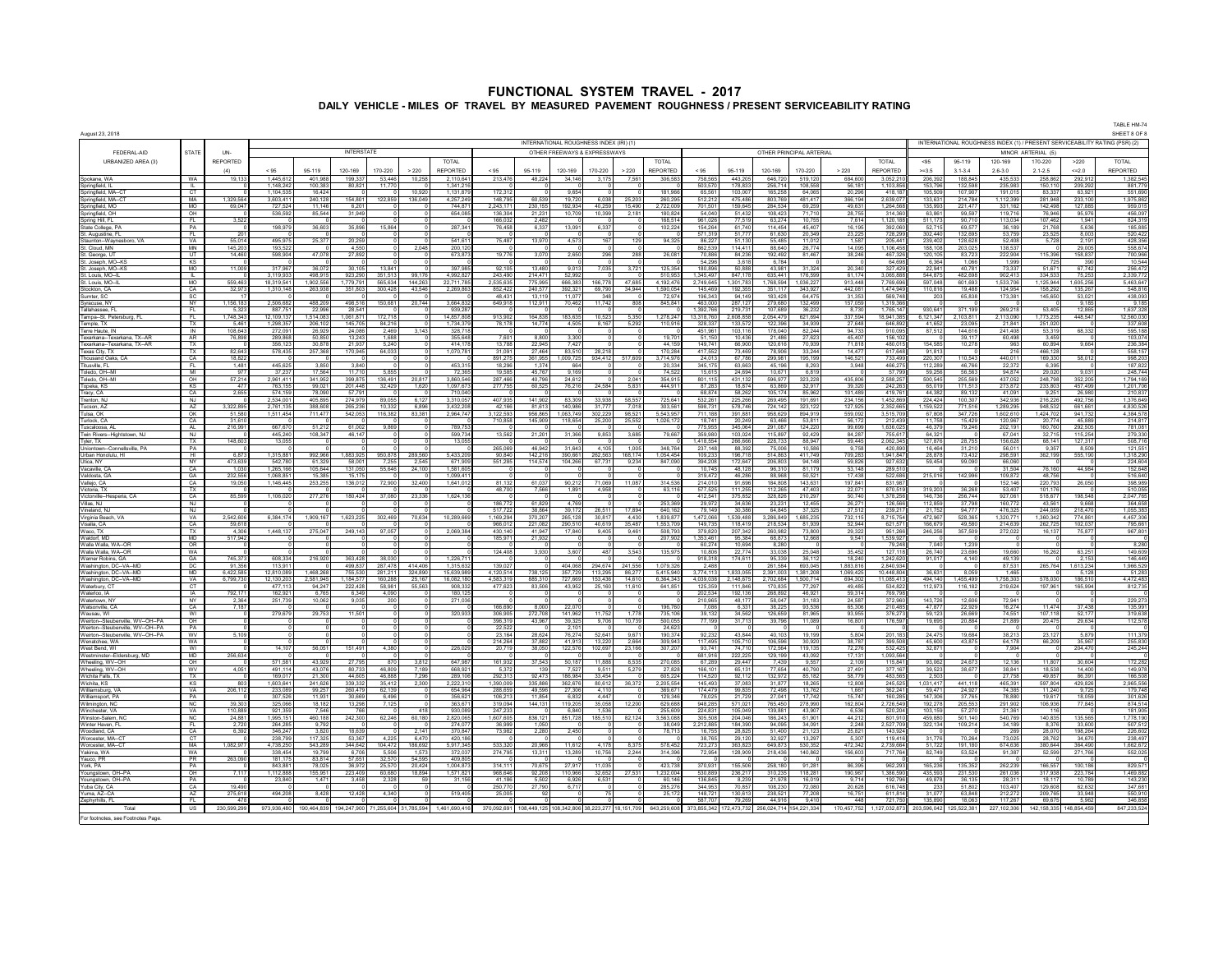| August 23, 2018                                                        |                        |                     |                         |                     |                         |                       |                    |                       |                      |                    |                      |                                               |                   |                        |                                                             |                      |                          |                      |                        |                         |                        |                    |                                                                             |                      |                    | TABLE HM-74<br>SHEET 8 OF 8 |
|------------------------------------------------------------------------|------------------------|---------------------|-------------------------|---------------------|-------------------------|-----------------------|--------------------|-----------------------|----------------------|--------------------|----------------------|-----------------------------------------------|-------------------|------------------------|-------------------------------------------------------------|----------------------|--------------------------|----------------------|------------------------|-------------------------|------------------------|--------------------|-----------------------------------------------------------------------------|----------------------|--------------------|-----------------------------|
|                                                                        |                        |                     |                         |                     |                         |                       |                    |                       |                      |                    |                      | INTERNATIONAL ROUGHNESS INDEX (IRI) (1)       |                   |                        |                                                             |                      |                          |                      |                        |                         |                        |                    | INTERNATIONAL ROUGHNESS INDEX (1) / PRESENT SERVICEABILITY RATING (PSR) (2) |                      |                    |                             |
| FEDERAL-AID                                                            | <b>STATE</b>           | UN-                 |                         |                     | <b>INTERSTATE</b>       |                       |                    |                       |                      |                    |                      | OTHER FREEWAYS & EXPRESSWAYS                  |                   |                        |                                                             |                      | OTHER PRINCIPAL ARTERIAL |                      |                        |                         |                        |                    |                                                                             | MINOR ARTERIAL (5)   |                    |                             |
| URBANIZED AREA (3)                                                     |                        | <b>REPORTED</b>     |                         |                     |                         |                       |                    | <b>TOTAL</b>          |                      |                    |                      |                                               |                   | <b>TOTAL</b>           |                                                             |                      |                          |                      |                        | <b>TOTAL</b>            | $-95$                  | 95-119             | 120-169                                                                     | 170-220              | >220               | TOTAL                       |
|                                                                        |                        | (4)                 | < 95                    | 95-119              | 120-169                 | 170-220               | > 220              | <b>REPORTED</b>       | < 95                 | 95-119             | 120-169              | 170-220                                       | > 220             | REPORTED               | < 95                                                        | 95-119               | 120-169                  | 170-220              | > 220                  | REPORTED                | $=3.5$                 | $3.1 - 3.4$        | $2.6 - 3.0$                                                                 | $2.1 - 2.5$          | 442.0              | REPORTED                    |
| Spokane, WA<br>Springfield, IL                                         | <b>WA</b><br>L         | 19.13               | 1.445.612<br>1.148.242  | 401.988<br>100.383  | 199.337<br>80,821       | 53.44<br>11.77        | 10.258             | 2.110.64<br>1.341.21  | 213,476              | 48,224             | 34,146               | 3.175                                         | 7.56              | 306,583                | 758.56<br>503.570                                           | 443.205<br>178,833   | 646.720<br>256.714       | 519.120<br>108.558   | 684.60<br>56.18        | 3.052.21<br>1.103.85    | 206.39<br>153.796      | 188.84<br>132.598  | 435.53<br>235.983                                                           | 258.862<br>150,110   | 292.91<br>209,292  | 1.382.54<br>881.779         |
| Springfield, MA--C<br>Springfield, MA--C                               | CT                     |                     | 1.104.535               | 16.424              |                         |                       | 10.920             | 1.131.87              | 172.31               |                    | 9.654                |                                               |                   | 181.966                | 65.56                                                       | 103,007              | 165,258                  | 64.065               | 20,296                 | 418.18                  | 105.50                 | 107.907            | 191.01                                                                      | 83.337               | 63.92              | 551.690                     |
| Springfield, MO                                                        | MA<br><b>MO</b>        | 1,329,564<br>69,047 | 3,603,411<br>727.524    | 240,128<br>11.146   | 154,801<br>6.201        | 122,859               | 136,049            | 4,257,249<br>744,87   | 148.79<br>2,243,17   | 60.539<br>230,155  | 19.720<br>192,934    | 6.038<br>40,259                               | 25.20<br>15,490   | 260.295<br>2,722,009   | 512.21<br>701.50                                            | 475.486<br>159,645   | 803.769<br>284,534       | 481.417<br>69,259    | 366.194<br>49,631      | 2.639.07<br>1,264,56    | 133.631<br>135,993     | 214,784<br>221,477 | 1.112.399<br>331,162                                                        | 281.948<br>142,498   | 233.10<br>127,885  | 1.975.86<br>959,015         |
| Springfield, OH                                                        | OH                     |                     | 536,592                 | 85,544              | 31,949                  |                       |                    | 654,08                | 136,304              | 21,231             | 10,709               | 10,399                                        | 2,181             | 180,824                | 54,040                                                      | 51.432               | 108,423                  | 71,710               | 28,755                 | 314,36                  | 63,861                 | 99,597             | 119,716                                                                     | 76.946               | 95,976             | 456,097                     |
| Spring Hill, FL                                                        | FL.                    | 3,522               |                         |                     |                         |                       |                    |                       | 166,032<br>76,458    | 2,482              |                      |                                               |                   | 168.514                | 961,026<br>154,264                                          | 77.519<br>61.740     | 63,274<br>114.454        | 10.755               | 7.614                  | 1,120,18                | 511.173<br>52,715      | 90,710             | 113,034                                                                     | 107.462<br>21,768    | 1.941<br>5,636     | 824,319<br>185,885          |
| State College, PA<br>St. Augustine, FL                                 | <b>PA</b><br>FL.       | 201                 | 198,979                 | 36,603              | 35,896                  | 15,864                |                    | 287,341               |                      | 6,337              | 13,091               | 6,337                                         |                   | 102,224                | 571,319                                                     | 51,777               | 61,630                   | 45,407<br>20,349     | 16,195<br>23,225       | 392,06<br>728,29        | 302,440                | 69,577<br>132,695  | 36,189<br>53,759                                                            | 23,525               | 8,003              | 520,422                     |
| Staunton-Wavnesboro, VA                                                | VA                     | 55,014              | 495.975                 | 25,377              | 20,259                  |                       |                    | 541.61                | 75,487               | 13,970             | 4,573                | 167                                           | 129               | 94,325                 | 86,227                                                      | 51.130               | 55,485                   | 11.012               | 1.587                  | 205,44                  | 239,402                | 128,628            | 52,408                                                                      | 5,728                | 2,191              | 428,356                     |
| St. Cloud, MN<br>St. George, U'                                        | MN<br>UT               | 145,20<br>14,46     | 193,522<br>598,904      | 47,078              | 4,550<br>27,892         |                       | 2,048              | 200,12<br>673,873     | 19,776               | 3,070              | 2,65                 | 29                                            | 288               | 26,081                 | 862,53<br>70,88                                             | 114,41<br>84,236     | 88,64<br>192,492         | 26,774<br>81,467     | 14,095<br>38,246       | 1,106,45<br>467,32      | 188,10<br>120,10       | 203,02<br>83,723   | 138,537<br>222,904                                                          | 115,396              | 29,005<br>158,837  | 558,674<br>700,966          |
| St. Joseph, MO-                                                        | KS                     |                     |                         |                     |                         |                       |                    |                       |                      |                    |                      |                                               |                   |                        | 54,29                                                       | 3,618                | 6,78                     |                      |                        | 64,6                    |                        | 1,06               | 1,999                                                                       | 725                  |                    | 10,544                      |
| St. Joseph, MO--KS<br>St. Louis, MO--I                                 | MO<br>$\mathbb{L}$     | 11,009              | 317,967<br>3,119,933    | 36,072<br>498,915   | 30,105<br>923,290       | 13,84<br>351,51       | 99,17              | 397,985<br>4,992,82   | 92,105<br>243,49     | 13,480<br>214,47   | 9,01<br>52,99        | 7,035                                         | 3,72              | 125,354<br>510,95      | 180,896<br>1,345,49                                         | 50,888<br>847,178    | 43,981<br>635,44         | 31,324<br>176,599    | 20,340<br>61,17        | 327,42<br>3,065,88      | 22,941<br>544,875      | 40,78<br>482,69    | 73,337<br>902,413                                                           | 51,671<br>334,533    | 67,742<br>75,253   | 256,472<br>2,339,772        |
| St. Louis, MO--                                                        | <b>MO</b>              | 559,463             | 18,319,541              | 1,902,556           | 1,779,791               | 565,63                | 144,263            | 22,711,78             | 2,535,63             | 775,995            | 666,383              | 166.778                                       | 47.685            | 4,192,476              | 2,749,645                                                   | 1.301.783            | 1,768,594                | 1,036,227            | 913,448                | 7,769,69                | 597,048                | 601,69             | ,533,706                                                                    | ,125,944             | 1,605,256          | 5,463,647                   |
| Stockton, CA<br>Sumter, SC                                             | CA<br>SC.              | 32,97               | 1,310,148               | 263,93              | 351,80                  | 300,42                | 43,54              | 2,269,86              | 852,42<br>48 431     | 240,577<br>13.119  | 392,32<br>11.077     | 69,790<br>348                                 | 34,944            | 1,590,054<br>72.974    | 145.46<br>196,343                                           | 192,35<br>94 149     | 351,117<br>183.428       | 343,927<br>64 475    | 442,08<br>31.353       | 1.474.94<br>569,748     | 110,816<br>20          | 19,48<br>65,838    | 124,954<br>173,381                                                          | 158,292<br>145,650   | 135,26<br>53,021   | 548,81<br>438,093           |
| Syracuse, NY                                                           | NY                     | 1 156 183           | 2506.682                | 488,209             | 498 516                 | 150,68                | 20,744             | 3.664.83              | 649,918              | 112,911            | 70,462               | 11.742                                        | 808               | 845,841                | 463,000                                                     | 287.127              | 279,680                  | 132.499              | 157 059                | 1 319 36                |                        |                    |                                                                             |                      | 9 185              | 9 185                       |
| Tallahassee FI                                                         | FL.                    | 5.323<br>1.748.343  | 887.751                 | 22,996<br>1.514.083 | 28.541<br>1.061.871     |                       |                    | 939.28<br>14.857.80   |                      | 164,838            |                      |                                               |                   |                        | 1.392.766                                                   | 219.731              | 107 689                  | 36.232               | 8.730                  | 1 765 147               | 930 641                | 371 199            | 269.218<br>2,113,090                                                        | 53 405               | 12.865             | 1.637.328                   |
| Tampa-St. Peters<br>Temple, TX                                         | FL<br>TX.              | 5,46'               | 12,109,137<br>1,298,357 | 206,10              | 145,705                 | 172,71<br>84,21       |                    | 1,734,379             | 913,902<br>78,178    | 14,774             | 183,635<br>4,505     | 10.523<br>8,167                               | 5,350<br>5,292    | 1,278,247<br>110,916   | 13,318,76<br>328,337                                        | 2,608,858<br>133,572 | 2,054,479<br>122,396     | 621,694<br>34.939    | 337,594<br>27,648      | 18,941,38<br>646,89     | 6,121,347<br>41 652    | 2,103,811<br>23,09 | 21,841                                                                      | 1,773,235<br>251,02  | 448,547            | 12,560,030<br>337,608       |
| Terre Haute, IN                                                        | IN                     | 108.643             | 272.091                 | 26.929              | 24.086                  | 2.46                  | 3.143              | 328.71                |                      |                    |                      |                                               |                   |                        | 451.96                                                      | 103.116              | 178,040                  | 82.244               | 94.733                 | 910.09                  | 87.512                 | 144.61             | 241.408                                                                     | 53.319               | 68.332             | 595.18                      |
| Texarkana--Texarkana, TX--AF<br>Texarkana--Texarkana, TX--AR           | AR<br>TX               | 76,898              | 289.868<br>356.123      | 50.85<br>30.878     | 13,24<br>21.937         | 1.68<br>5.24          |                    | 355.64<br>414.17      | 7.60<br>13.788       | 8.800<br>22.945    | 3.30<br>7.427        |                                               |                   | 1970<br>44.159         | 51.15<br>149.74                                             | 10,436<br>66,900     | 21.486<br>120.616        | 27.623<br>70.939     | 45.407<br>71.818       | 156.1<br>480.01         | 154,585                | 39.11<br>10,278    | 60.498<br>963                                                               | 3.45<br>60.894       | 9.664              | 103,07<br>236,384           |
| Texas City, TX                                                         | TX                     | 82.643              | 578.435                 | 257,368             | 170.945                 | 64.03                 |                    | 1,070,78              | 31.09                | 27,464             | 83.510               | 28.21                                         |                   | 170.284                | 417.55                                                      | 73.469               | 78,906                   | 33.244               | 14.477                 | 617.64                  | 91.81                  |                    | 216                                                                         | 466.128              |                    | 558.157                     |
| Thousand Oaks. C                                                       | CA<br>FL.              | 18.822              | 445.625                 |                     | 3.840                   |                       |                    | 453.31                | 891.27<br>18.29      | 361.955<br>1.374   | 1.009.725<br>664     | 934,412                                       | 517,609           | 3.714.976              | 24.01<br>345.17                                             | 67.786<br>63.663     | 299.981<br>45.196        | 195,199              | 146.521                | 733.49                  | 220.30                 | 110.543<br>46.766  | 440.011                                                                     | 169,330              | 58.012             | 998,20<br>187,822           |
| Titusville, FL<br>Toledo, OH--M                                        | M                      | 1,481<br>977        | 37.237                  | 3,850<br>17.564     | 11.710                  | 5.85                  |                    | 72,36                 | 19.585               | 45.767             | 9.169                |                                               |                   | 20,334<br>74.522       | 15.61                                                       | 24.694               | 10.671                   | 8,293<br>6.819       | 3,948                  | 466,27<br>57.79         | 112,289<br>59,256      | 56.563             | 22,372<br>94.874                                                            | 6,395<br>29.020      | 9.031              | 248.744                     |
| Toledo, OH-MI                                                          | OH                     | 57,214              | 2,961,411               | 341,952             | 399,875                 | 136,49                | 20,817             | 3,860,546             | 287,466              | 40,796             | 24,612               |                                               | 2,041             | 354,915                | 801,11                                                      | 431,132              | 596,977                  | 323,228              | 435,806                | 2,588,25                | 500,545                | 255,569            | 437,052                                                                     | 248,798              | 352,20             | 1,794,169                   |
| Topeka, KS<br>Tracy, CA                                                | <b>KS</b><br>CA        | 477<br>2,655        | 763,155<br>574,159      | 99,021<br>78,090    | 201,448<br>57.791       | 32,429                | 1,620              | 1,097,673<br>710,040  | 277,755              | 60,525             | 76,216               | 24,584                                        | 5,831             | 444,911                | 87,283<br>68,874                                            | 18,874<br>58,262     | 63,869<br>105,174        | 32,917<br>85,962     | 39,320<br>101,489      | 242,263<br>419,76       | 65,019<br>44,382       | 171,513<br>89,132  | 273,872<br>41,091                                                           | 233,803<br>9,251     | 457,499<br>26,980  | 1,201,70<br>210,837         |
| Trenton, NJ                                                            | <b>NJ</b>              |                     | 2,534,001               | 405,895             | 274,979                 | 89.05                 | 6.127              | 3,310,05              | 407.935              | 141.902            | 83.309               | 33.938                                        | 58.557            | 725,641                | 532,261                                                     | 225,266              | 269.495                  | 191.691              | 234,156                | 1,452,86                | 224,424                | 100.307            | 342,936                                                                     | 216,226              | 492,756            | 1,376,649                   |
| Tucson, AZ<br>Tulsa, OK                                                | AZ<br>OK               | 3,322,895<br>51,580 | 2,761,135<br>1,511,454  | 388,608<br>711,477  | 265,236<br>542,053      | 10,332<br>116,382     | 6,896<br>83,381    | 3,432,20<br>2,964,747 | 42,166<br>3,122,593  | 81,613<br>956,865  | 140,986<br>1,063,749 | 31.777<br>302,229                             | 7.018<br>98,521   | 303,561<br>5,543,957   | 598,731<br>711.188                                          | 578,746<br>391,881   | 724,142<br>958,629       | 323,122<br>894,919   | 127,925<br>559,092     | 2,352,66<br>3,515,70    | 1,159,522<br>67,808    | 771.516<br>347,726 | 1,289,295<br>1,602,610                                                      | 948,532<br>1,424,702 | 661,661<br>941,732 | 4,830,526<br>4,384,57       |
| Turlock, CA                                                            | CA                     | 31,61               |                         |                     |                         |                       |                    |                       | 710,85               | 145,909            | 118,65               | 25,200                                        | 25,552            | 1,026,17               | 18,74                                                       | 20,249               | 63,46                    | 53,81                | 56,172                 | 212,43                  | 11,75                  | 15,42              | 120,96                                                                      | 20,77                | 45,88              | 214,817                     |
| Tuscaloosa, A<br>Twin Rivers--Hightstown, NJ                           | AL.<br>NJ              | 216,991             | 667,670<br>445,240      | 51,212<br>108,347   | 61,002<br>46,147        | 9,86                  |                    | 789,753<br>599,73     | 13,562               | 21,201             | 31,366               | 9,85                                          | 3,685             | 79,667                 | 775,955<br>359,98                                           | 345,064<br>103,02    | 291,087<br>115,89        | 124,220<br>92,429    | 99,699<br>84,287       | 1,636,02<br>755,6       | 46,379<br>64,32        | 79,246             | 202,191<br>67,04                                                            | 160,760<br>32,715    | 292,505<br>115,25  | 781,081<br>279,330          |
| Tyler, TX                                                              | X                      | 148,60              | 13,055                  |                     |                         |                       |                    | 13,05                 |                      |                    |                      |                                               |                   |                        | 1,418,55                                                    | 266,666              | 228,73                   | 88,941               | 59,445                 | 2,062,34                | 127,87                 | 28,75              | 156,628                                                                     | 68,141               | 127,31             | 508,71                      |
| Uniontown-Conn<br>allsville, PA                                        | PA<br>H1               | 6,873               | 1,315,881               | 992,966             | 1,883,925               |                       | 289,56             |                       | 265,069<br>90,840    | 46,942             | 31,64<br>390,661     | 4,10                                          | 1,00<br>168,17    | 348,764<br>1,054,454   | 237,14                                                      | 88,392<br>196,718    | 75,00<br>514,863         | 10,586<br>411,749    | 9,758<br>709,283       | 420,89<br>1,941,84      | 16,46<br>28,878        | 31,21<br>73,432    | 56,01<br>298,591                                                            | 9,35                 | 8,50<br>555,190    | 121,551                     |
| Urban Honolulu, HI<br>Utica, NY                                        | <b>NY</b>              | 473.639             | 542.780                 | 61.329              | 58,001                  | 950,87<br>7.25        | 2.545              | 5,433,20<br>671,909   | 551,285              | 142,216<br>114,574 | 104.266              | 262,563<br>67.731                             | 9,234             | 847,090                | 109,233<br>394 208                                          | 172 647              | 206.80                   | 94 148               | 59826                  | 927.63                  | 59,454                 | 99,09              | 66.060                                                                      | 362,199              |                    | 1,318,290<br>224,604        |
| Vacaville, CA                                                          | CA                     | 1,030               | 1,265,166               | 105,644             | 131,050                 | 55,646                | 24,100             | 1,581,60              |                      |                    |                      |                                               |                   |                        | 10.745                                                      | 48,128               | 96,310                   | 81.179               | 53,148<br>17438        | 289,510                 |                        |                    | 31,504                                                                      | 76.160               | 44.984             | 152,648                     |
| Valdosta, GA<br>Vallejo, CA                                            | GA<br>CA               | 232,556<br>19,050   | 1.068.851<br>1.146.445  | 15.38<br>253,255    | 15.175<br>136.012       | 72,90                 | 32,400             | 1,099,41<br>1,641,01  | 81 132               | 61.037             | 90,212               | 71,069                                        | 11.087            | 314,536                | 319,472<br>214,010                                          | 46,286<br>91.696     | 88,968<br>184,808        | 50,521<br>143.631    | 197 841                | 522,68<br>831,987       | 215,016                | 142,996            | 109,872<br>152.146                                                          | 48,756<br>220,793    | 26,050             | 516,640<br>398,989          |
| Victoria, TX                                                           | TX                     |                     |                         |                     |                         |                       |                    |                       | 48,700               | 7.566              | 1.891                | 4.958                                         |                   | 63,116                 | 577 525                                                     | 111 255              | 112 265                  | 47 403               | 22.071                 | 870.51                  | 319,203                | 36.268             | 53 407                                                                      | 101 176              |                    | 510.055                     |
| Victorville-Hesperia. CA<br>Villas, NJ                                 | CA<br>NJ               | 85,599              | 1,106,020               | 277,276             | 180.424                 | 37,080                | 23,336             | 1,624,136             | 186,772              | 61.829             | 4 769                |                                               |                   | 253.369                | 412 541<br>29.972                                           | 375 852<br>34.636    | 328.826<br>23.231        | 210 297<br>12.455    | 50 740<br>26.271       | 1.378.25<br>126.56      | 146 736<br>112.859     | 256,744<br>37.798  | 927 061<br>160.772                                                          | 518 677<br>43,561    | 198 548<br>9.668   | 2.047.765<br>364.658        |
| Vineland, NJ                                                           | NJ                     |                     |                         |                     |                         |                       |                    |                       | 517,722              | 38,864             | 39.17                | 26.511                                        | 17,894            | 640.16                 | 79.149                                                      | 30,386               | 64.845                   | 37.325               | 27.512                 | 239.21                  | 21.75                  | 94.77              | 476.325                                                                     | 244.059              | 218.470            | 1.055.383                   |
| Virginia Beach, VA<br>Visalia, CA                                      | VA<br>CA               | 2.542.606<br>59,618 | 6.384.174               | 1,909,167           | 1,623,225               | 302,46                | 70,634             | 10,289,66             | 1.169.29<br>966.01   | 370,207<br>221,082 | 265.128<br>290,51    | 30.817<br>40.619                              | 4.430<br>35.487   | 1.839.877<br>1.553.709 | 1.472.066<br>149.73                                         | 1.539.488<br>118,419 | 3.286.849<br>218,534     | 1.685.235<br>81.939  | 732.115<br>52.944      | 8.715.754<br>621,57     | 472.967<br>166,679     | 528.365<br>49,580  | 1.320.771<br>214,639                                                        | 1.360.342<br>262,725 | 774.86<br>102,03   | 4.457.306<br>795,661        |
| Waco, TX                                                               | TX                     | 4.306               | 1.448.137               | 275,047             | 249.143                 | 97.05                 |                    | 2.069.384             | 430.140              | 41.947             | 17,840               | 9.405                                         | 9.461             | 508.793                | 379.820                                                     | 207.342              | 260.982                  | 73,800               | 29,322                 | 951.26                  | 246,256                | 357,509            | 272,022                                                                     | 16.137               | 75,877             | 967,801                     |
| Waldorf, MD<br>Walla Walla, WA-OR                                      | <b>MD</b><br>OR        | 517.942             |                         |                     |                         |                       |                    |                       | 185.97               | 21.932             |                      |                                               |                   | 207.902                | 1.353.46<br>60.27                                           | 95.384<br>10.694     | 68.873<br>8.28           | 12.668               | 9.541                  | 1.539.92<br>79.24       | 7.040                  | 1.239              |                                                                             |                      |                    | 8,280                       |
| Walla Walla, WA--OR                                                    | WA                     |                     |                         |                     |                         |                       |                    |                       | 124,408              | 3,930              | 3,607                | 487                                           | 3.543             | 135,975                | 10.80                                                       | 22,774               | 33,038                   | 25,048               | 35,452                 | 127,11                  | 26,740                 | 23,696             | 19,660                                                                      | 16,262               | 63,251             | 149,609                     |
| Warner Robins, GA                                                      | GA                     | 745,373             | 608,334                 | 216,920             | 363.428                 | 38,030                |                    | 1,226,71              |                      |                    |                      |                                               |                   |                        | 918,318                                                     | 174,611              | 95,339                   | 36,112               | 18,240                 | 1,242,62                | 91,017                 | 4,140              | 49.139                                                                      |                      | 2,153              | 146,449                     |
| Washington, DC--VA--MD<br>Washington, DC-VA-MD                         | DC<br>MD               | 91,35<br>6,422,585  | 113,911<br>12,810,089   | 1,468,268           | 499,837<br>755,530      | 287,478<br>281,21     | 414,406<br>324,890 | 1,315,63<br>15,639,98 | 139,027<br>4,120,514 | 738,125            | 404,068<br>357,729   | 294,674<br>113,295                            | 241,556<br>86,277 | 1,079,326<br>5.415.940 | 2,488<br>3,774,113                                          | 1.833.055            | 261,584<br>2,391,003     | 693,045<br>1.381.208 | 1,883,816<br>1,069,425 | 2,840,934<br>10,448,804 | 36,631                 | 8,059              | 87,531<br>1,465                                                             | 265,764              | 1,613,234<br>5,128 | 1,966,529<br>51,283         |
| Washington, DC--VA--MD                                                 | VA                     | 6,799,73            | 12,130,203              | 2,581,945           | 1,184,577               | 160,288               | 25,167             | 16,082,18             | 4,583,319            | 885,310            | 727,669              | 153,436                                       | 14,610            | 6,364,343              | 4,039,038                                                   | 2,148,675            | 2,702,684                | 1,500,714            | 694,302                | 11,085,41               | 494,140                | 1,455,499          | 1,758,303                                                                   | 578,030              | 186,510            | 4,472,483                   |
| Waterbury, C1<br>Waterloo, IA                                          | CT<br><b>IA</b>        | 792,17              | 477.113<br>162,92       | 94,247<br>6,76      | 222,428<br>6,349        | 58.98<br>4,09         | 55,563             | 908,33<br>180,1       | 477,623              | 83,506             | 43,952               | 25,160                                        | 11,610            | 641,851                | 125,359<br>202,53                                           | 111,846<br>192,13    | 170.835<br>268,89        | 77.297<br>46,92      | 49,485<br>59,3'        | 534,822<br>769,79       | 112,973                | 116,182            | 219,624                                                                     | 197,961              | 165,994            | 812,735                     |
| Watertown, N                                                           | NY                     | 2,364               | 251,739                 | 10,062              | 9,035                   |                       |                    | 271,03                |                      |                    |                      |                                               |                   |                        | 210,96                                                      | 48,177               | 58,047                   | 31,183               | 24,587                 | 372,96                  | 143,726                | 12,606             | 72,941                                                                      |                      |                    | 229,273                     |
| Watsonville, CA<br>Wausau, WI                                          | CA<br>WI               | 7,18                | 279,679                 | 29,753              | 11,501                  |                       |                    | 320,933               | 166,69<br>306,905    | 8,000<br>272,708   | 22,07<br>141,962     | 11,752                                        | 1,778             | 196,76<br>735,106      | 7,08<br>39,132                                              | 6,331<br>34,562      | 38,225<br>126,659        | 93,536<br>81,965     | 65,306<br>93,955       | 210,48<br>376,27        | 47,877<br>59,123       | 22,929<br>26,669   | 16,274<br>74,551                                                            | 11,474<br>107,118    | 37,438<br>52,17    | 135,991<br>319,638          |
| Weirton--Steubenville, WV--OH--PA                                      | OH                     |                     |                         |                     |                         |                       |                    |                       | 396,31               | 43,967             | 39,32                | 9,70                                          | 10,739            | 500,05                 | 77,19                                                       | 31,713               | 39,796                   | 11,089               | 16,801                 | 176,59                  | 19,695                 | 20,884             | 21,889                                                                      | 20,475               | 29,634             | 112,578                     |
| Weirton--Steubenville, WV--OH--PA<br>Weirton--Steubenville, WV--OH--PA | PA<br><b>WV</b>        | 5,109               |                         |                     |                         |                       |                    |                       | 22,52<br>23.164      | 28,624             | 76.274               | 52.641                                        | 9.671             | 24,62<br>190.374       | 92,232                                                      | 43844                | 40 103                   | 19 19 9              | 5.804                  | 201,183                 | 24,475                 | 19,684             | 38.213                                                                      | 23,127               | 5.879              | 111,379                     |
| Wenatchee, WA                                                          | WA                     |                     |                         |                     |                         |                       |                    |                       | 214.264              | 37,882             | 41.913               | 13.220                                        | 2,664             | 309.943                | 117.495                                                     | 105 710              | 106,596                  | 30.920               | 38.787                 | 399,508                 | 45,600                 | 43.875             | 64 178                                                                      | 66,209               | 35.967             | 255,830                     |
| West Bend, WI                                                          | WI<br><b>MD</b>        |                     | 14.107                  | 56,051              | 151.491                 | 4.380                 |                    | 226,029               | 20,719               | 38,050             | 122,576              | 102,697                                       | 23,166            | 307,207                | 93.741<br>681.916                                           | 74 710               | 172.564                  | 119 135<br>43,092    | 72.276<br>17.131       | 532,425<br>1,093,564    | 32.871                 |                    | 7.904                                                                       |                      | 204,470            | 245,244                     |
| Westminster--Eldersburg, MD<br>Wheeling, WV--OH                        | OH                     | 256,634             | 571,581                 | 43,929              | 27,795                  | 87                    | 3,812              | 647.987               | 161,932              | 37,543             | 50,187               | 11.888                                        | 8,53              | 270,085                | 67,28                                                       | 222,225<br>29,447    | 129,199<br>7.439         | 9,557                | 2,109                  | 115,841                 | 93,062                 | 24,673             | 12,136                                                                      | 11,807               | 30,604             | 172,282                     |
| Wheeling, WV--OH                                                       | <b>WV</b>              | 4.051               | 491 114                 | 43.076              | 80.733                  | 46.80                 | 7 189<br>7.296     | 668.92<br>289,106     | 5.373                | 139                | 7.52                 | 9.511                                         | 5,279             | 27.828                 | 166 10                                                      | 65.131               | 77 654                   | 40.790               | 27 491<br>58,779       | 377.167                 | $\frac{39,523}{2,503}$ | 38,677             | 38.841<br>27758                                                             | 18.538               | 14,400             | 149,978<br>166,508          |
| Wichita Falls, TX<br>Wichita, KS                                       | $\n  T X$<br><b>KS</b> | 80                  | 169,017<br>1.603.641    | 21.300<br>241.626   | 44.605<br>339.332       | 46.88<br>35.41        | 2.300              | 2,222,3               | 292.31<br>1.390.00   | 92.473<br>335,886  | 186,984<br>362.67    | 33.454<br>80.612                              | 36.372            | 605.224<br>2.205.554   | 114.52<br>145.49                                            | 92.112<br>37.083     | 132.972<br>31.877        | 85.182<br>18.265     | 12,808                 | 483.56<br>245.52        | 1.031.41               | 441.118            | 465.391                                                                     | 49.857<br>597.804    | 86.391<br>429.826  | 2,965,556                   |
| Williamsburg, VA                                                       | VA                     | 206,112             | 233.089                 | 99.257              | 260.479                 | 62.13                 |                    | 654.96                | 288.65               | 49.596             | 27,306               | 4.11                                          |                   | 369.671                | 174.479                                                     | 99.835               | 72.498                   | 13.762               | 1.667                  | 362.24                  | 59.471                 | 24.927             | 74.385                                                                      | 11.240               | 9.725              | 179,748                     |
| Williamsport, PA<br>Wilmington, NC                                     | <b>PA</b><br>NC.       | 39.303              | 307.526<br>325,066      | 11.931<br>18.182    | 30.669<br>13,298        | 6.49<br>7,12          |                    | 356.62<br>363.67      | 106,21<br>319.09     | 11.854<br>144,131  | 6.832<br>119,205     | 4.447<br>35.058                               | 12,20             | 129,346<br>629.688     | 78.025<br>948.28                                            | 21.729<br>571.021    | 27.041<br>765.450        | 17.742<br>278,990    | 15.747<br>162.804      | 160.28<br>2,726,54      | 147,306<br>192.278     | 37,765<br>205.553  | 78,880<br>291,902                                                           | 19.617<br>106.936    | 18.059<br>77,845   | 301,626<br>874,514          |
| Winchester, VA                                                         | <b>VA</b>              | 110,889             | 921,359                 | 7.546               | 766                     |                       | 418                | 930,08                | 247,23               |                    | 6.840                | 1.53                                          |                   | 255,609                | 224,83                                                      | 105,049              | 139.881                  | 43.907               | 6.536                  | 520,204                 | 103.159                | 57,270             | 21,361                                                                      | 116                  |                    | 181,905                     |
| Winston-Salem, N<br>Winter Haven, FL                                   | NC.<br>- FL            | 24,881<br>2,720     | 1.995.151<br>264,285    | 460.188<br>9,792    | 242,300                 | 62,246                | 60.180             | 2,820,06<br>274,07    | 1.607.605<br>36,999  | 836.121<br>1,05    | 851,728              | 185,510                                       | 82,124            | 3.563.088<br>38,049    | 305.508<br>2,212,88                                         | 204.046<br>184,390   | 186,243<br>94,095        | 61.901<br>34,091     | 44.212<br>2,248        | 801.91<br>2,527,70      | 459,880<br>322,134     | 501.140<br>109,214 | 540.769<br>34,189                                                           | 140.835<br>8,376     | 135.565<br>33,600  | 1.778.190<br>507,512        |
| Woodland, CA                                                           | CA                     | 6,392               | 346,247                 | 3,820               | 18.639                  |                       | 2.141              | 370,847               | 73,982               | 2,280              | 2,450                |                                               |                   | 78,713                 | 16,755                                                      | 28,825               | 51.400                   | 21,123               | 25,821                 | 143,924                 |                        |                    | 269                                                                         | 28,070               | 198,264            | 226,602                     |
| Worcester, MA-C                                                        | CT                     |                     | 238,799                 | 117.325             | 53.367                  | 4,22                  | 6,470              | 420,186               |                      |                    |                      |                                               |                   |                        | 38,765                                                      | 29,120               | 32,927                   | 13.297               | 5.307                  | 119.41                  | 31,776                 | 70,264             | 73.025                                                                      | 28,762               | 34.670             | 238,497                     |
| Worcester, MA-C'<br>Yakima, WA                                         | MA<br>WA               | 1,082,977           | 4,738,250<br>338,454    | 543,289<br>19,799   | 344,642<br>6,706        | 104,472<br>5,50       | 186,692<br>1.573   | 5,917,34<br>372,03    | 533,320<br>274,795   | 20,966<br>13,311   | 11.612<br>13,289     | 4.178<br>10,756                               | 8,375<br>2,244    | 578,452<br>314,396     | 723,273<br>72,954                                           | 363,823<br>128,909   | 649.873<br>218,436       | 530,352<br>140,862   | 472,342<br>156,603     | 2,739,66<br>717,764     | 51.722<br>82,749       | 191,180<br>53,524  | 674.636<br>91,387                                                           | 380,644<br>52,599    | 364,490<br>271,766 | 1,662,672<br>552,025        |
| Yauco, PR                                                              | <b>PR</b>              | 263,090             | 181,175                 | 83,814              | 57,651                  | 32,57                 | 54,595             | 409,80                |                      |                    |                      |                                               |                   |                        |                                                             |                      |                          |                      |                        |                         |                        |                    |                                                                             |                      |                    |                             |
| York, PA<br>Youngstown, OH-PA                                          | PA<br>OH               | 7,117               | 843,881<br>1,112,888    | 78,02<br>155,951    | 36,972<br>223,409       | 25,57<br>60,68        | 20,424<br>18,894   | 1,004,87<br>1,571,82  | 314,111<br>968,646   | 70,675<br>92,208   | 27,917<br>110,966    | 11,03<br>32,652                               | 27,531            | 423,738<br>1,232,004   | 370,931<br>530,889                                          | 155,50<br>236,217    | 258,180<br>310,235       | 91,281<br>118,281    | 86,395<br>190,967      | 962,293<br>1,386,59     | 165,236<br>435,593     | 135,352<br>231,530 | 262,239<br>261,036                                                          | 166,557<br>317,938   | 100,186<br>223,784 | 829,571<br>1,469,882        |
| Youngstown, OH--P/                                                     | PA                     |                     | 23,840                  | 1,47                | 3,458                   | 2,32                  |                    | 31,15                 | 41,186               | 5,502              | 6,92                 | 6,531                                         |                   | 60,14                  | 136,84                                                      | 8,23                 | 21,978                   | 16,01                | 9,71                   | 192,79                  | 49,878                 | 36,13              | 28,31                                                                       | 18,11                | 10,78              | 143,23                      |
| Yuba City, CA<br>Yuma, AZ--CA                                          | CA<br>AZ               | 19,490<br>275,61    | 494,208                 | 8,428               | 12,428                  | 4,34                  |                    | 519,40                | 250,770<br>25,00     | 27,790             | 6,71                 |                                               |                   | 285,276<br>25,172      | 344,95<br>148,72                                            | 70,857<br>130,613    | 108,23<br>238,52         | 72,080<br>77,201     | 20,628<br>16,75        | 616,74<br>611,81        | 23<br>31,077           | 51,80<br>63,84     | 103,407<br>212,272                                                          | 129,608<br>209,765   | 62,632<br>33,94    | 347,681<br>550,91           |
| Zephyrhills, FL                                                        | FL                     |                     |                         |                     |                         |                       |                    |                       |                      |                    |                      |                                               |                   |                        | 587,707                                                     | 79,269               | 44,916                   | 9,410                | 448                    | 721,750                 | 135,890                | 18,06              | 117,267                                                                     | 69,675               | 5,96               | 346,858                     |
|                                                                        | US .                   | 230,599,299         | 973,936,480             |                     | 190,464,839 194,247,900 | 71.255.604 31.785.594 |                    | 1,461,690,416         | 370,092,691          |                    |                      | 108,449,125 108,342,806 38,223,277 18,151,709 |                   |                        | 643,259,608 373,855,342 172,473,732 256,024,714 154,221,334 |                      |                          |                      | 170,457,752            | 1,127,032,873           | 203,596,042 125,522,38 |                    | 227,102,306                                                                 | 142, 158, 335        | 148,854,45         | 847,233,524                 |
| For footnotes, see Footnotes Page                                      |                        |                     |                         |                     |                         |                       |                    |                       |                      |                    |                      |                                               |                   |                        |                                                             |                      |                          |                      |                        |                         |                        |                    |                                                                             |                      |                    |                             |